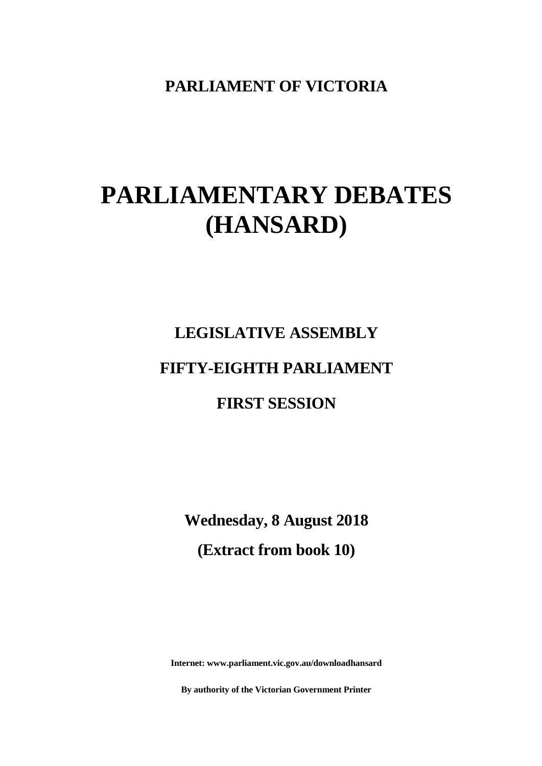**PARLIAMENT OF VICTORIA**

# **PARLIAMENTARY DEBATES (HANSARD)**

# **LEGISLATIVE ASSEMBLY FIFTY-EIGHTH PARLIAMENT FIRST SESSION**

**Wednesday, 8 August 2018 (Extract from book 10)**

**Internet: www.parliament.vic.gov.au/downloadhansard**

**By authority of the Victorian Government Printer**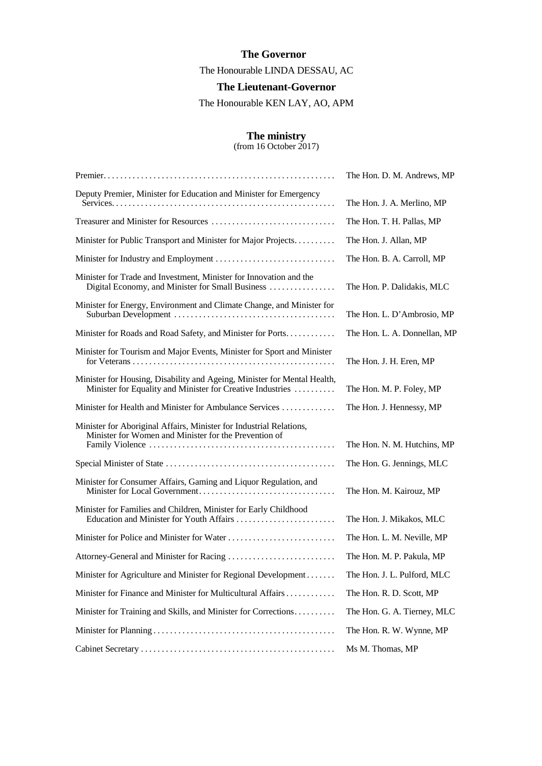#### **The Governor**

The Honourable LINDA DESSAU, AC

**The Lieutenant-Governor**

The Honourable KEN LAY, AO, APM

#### **The ministry**

(from 16 October 2017)

|                                                                                                                                        | The Hon. D. M. Andrews, MP   |
|----------------------------------------------------------------------------------------------------------------------------------------|------------------------------|
| Deputy Premier, Minister for Education and Minister for Emergency                                                                      | The Hon. J. A. Merlino, MP   |
|                                                                                                                                        | The Hon. T. H. Pallas, MP    |
| Minister for Public Transport and Minister for Major Projects.                                                                         | The Hon. J. Allan, MP        |
|                                                                                                                                        | The Hon. B. A. Carroll, MP   |
| Minister for Trade and Investment, Minister for Innovation and the<br>Digital Economy, and Minister for Small Business                 | The Hon. P. Dalidakis, MLC   |
| Minister for Energy, Environment and Climate Change, and Minister for                                                                  | The Hon. L. D'Ambrosio, MP   |
| Minister for Roads and Road Safety, and Minister for Ports                                                                             | The Hon. L. A. Donnellan, MP |
| Minister for Tourism and Major Events, Minister for Sport and Minister                                                                 | The Hon. J. H. Eren, MP      |
| Minister for Housing, Disability and Ageing, Minister for Mental Health,<br>Minister for Equality and Minister for Creative Industries | The Hon. M. P. Foley, MP     |
| Minister for Health and Minister for Ambulance Services                                                                                | The Hon. J. Hennessy, MP     |
| Minister for Aboriginal Affairs, Minister for Industrial Relations,<br>Minister for Women and Minister for the Prevention of           | The Hon. N. M. Hutchins, MP  |
|                                                                                                                                        | The Hon. G. Jennings, MLC    |
| Minister for Consumer Affairs, Gaming and Liquor Regulation, and                                                                       | The Hon. M. Kairouz, MP      |
| Minister for Families and Children, Minister for Early Childhood                                                                       | The Hon. J. Mikakos, MLC     |
|                                                                                                                                        | The Hon. L. M. Neville, MP   |
|                                                                                                                                        | The Hon. M. P. Pakula, MP    |
| Minister for Agriculture and Minister for Regional Development                                                                         | The Hon. J. L. Pulford, MLC  |
| Minister for Finance and Minister for Multicultural Affairs                                                                            | The Hon. R. D. Scott, MP     |
| Minister for Training and Skills, and Minister for Corrections                                                                         | The Hon. G. A. Tierney, MLC  |
|                                                                                                                                        | The Hon. R. W. Wynne, MP     |
|                                                                                                                                        | Ms M. Thomas, MP             |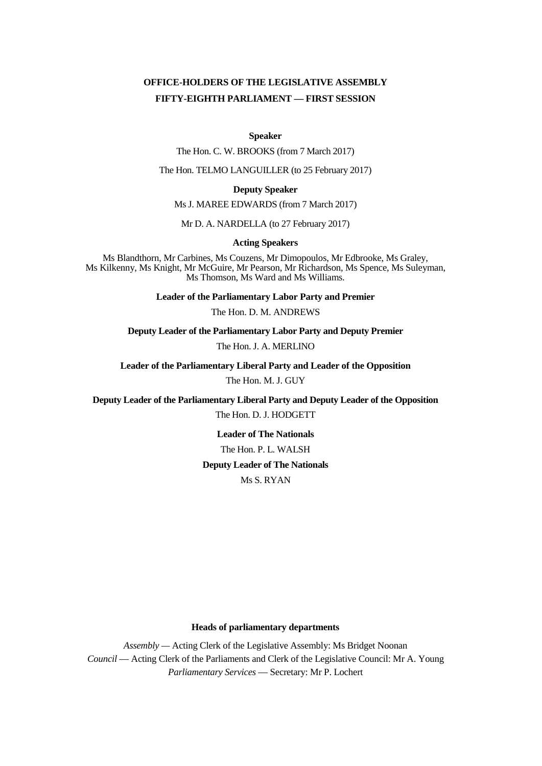## **OFFICE-HOLDERS OF THE LEGISLATIVE ASSEMBLY FIFTY-EIGHTH PARLIAMENT — FIRST SESSION**

#### **Speaker**

The Hon. C. W. BROOKS (from 7 March 2017)

The Hon. TELMO LANGUILLER (to 25 February 2017)

#### **Deputy Speaker**

Ms J. MAREE EDWARDS (from 7 March 2017)

Mr D. A. NARDELLA (to 27 February 2017)

#### **Acting Speakers**

Ms Blandthorn, Mr Carbines, Ms Couzens, Mr Dimopoulos, Mr Edbrooke, Ms Graley, Ms Kilkenny, Ms Knight, Mr McGuire, Mr Pearson, Mr Richardson, Ms Spence, Ms Suleyman, Ms Thomson, Ms Ward and Ms Williams.

**Leader of the Parliamentary Labor Party and Premier**

The Hon. D. M. ANDREWS

**Deputy Leader of the Parliamentary Labor Party and Deputy Premier**

The Hon. J. A. MERLINO

**Leader of the Parliamentary Liberal Party and Leader of the Opposition**

The Hon. M. J. GUY

**Deputy Leader of the Parliamentary Liberal Party and Deputy Leader of the Opposition** The Hon. D. J. HODGETT

> **Leader of The Nationals** The Hon. P. L. WALSH **Deputy Leader of The Nationals** Ms S. RYAN

#### **Heads of parliamentary departments**

*Assembly —* Acting Clerk of the Legislative Assembly: Ms Bridget Noonan *Council* — Acting Clerk of the Parliaments and Clerk of the Legislative Council: Mr A. Young *Parliamentary Services* — Secretary: Mr P. Lochert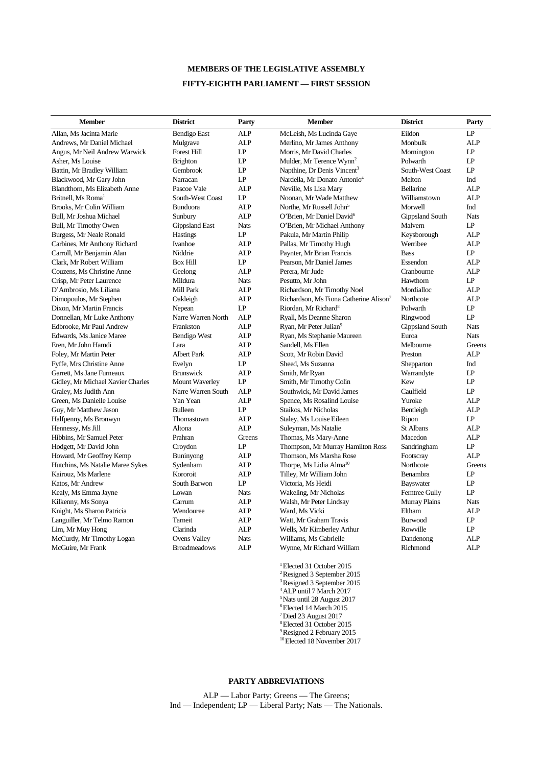## **MEMBERS OF THE LEGISLATIVE ASSEMBLY FIFTY-EIGHTH PARLIAMENT — FIRST SESSION**

| <b>Member</b>                     | <b>District</b>       | Party       | <b>Member</b>                                      | <b>District</b>        | Party       |
|-----------------------------------|-----------------------|-------------|----------------------------------------------------|------------------------|-------------|
| Allan, Ms Jacinta Marie           | Bendigo East          | <b>ALP</b>  | McLeish, Ms Lucinda Gaye                           | Eildon                 | LP          |
| Andrews, Mr Daniel Michael        | Mulgrave              | ALP         | Merlino, Mr James Anthony                          | Monbulk                | ALP         |
| Angus, Mr Neil Andrew Warwick     | <b>Forest Hill</b>    | LP          | Morris, Mr David Charles                           | Mornington             | LP          |
| Asher, Ms Louise                  | <b>Brighton</b>       | LP          | Mulder, Mr Terence Wynn <sup>2</sup>               | Polwarth               | LP          |
| Battin, Mr Bradley William        | Gembrook              | LP          | Napthine, Dr Denis Vincent <sup>3</sup>            | South-West Coast       | LP          |
| Blackwood, Mr Gary John           | Narracan              | LP          | Nardella, Mr Donato Antonio <sup>4</sup>           | Melton                 | Ind         |
| Blandthorn, Ms Elizabeth Anne     | Pascoe Vale           | <b>ALP</b>  | Neville, Ms Lisa Mary                              | <b>Bellarine</b>       | <b>ALP</b>  |
| Britnell. Ms Roma <sup>1</sup>    | South-West Coast      | LP          | Noonan, Mr Wade Matthew                            | Williamstown           | <b>ALP</b>  |
| Brooks, Mr Colin William          | Bundoora              | <b>ALP</b>  | Northe, Mr Russell John <sup>5</sup>               | Morwell                | Ind         |
| Bull, Mr Joshua Michael           | Sunbury               | <b>ALP</b>  | O'Brien, Mr Daniel David <sup>6</sup>              | <b>Gippsland South</b> | <b>Nats</b> |
| Bull, Mr Timothy Owen             | <b>Gippsland East</b> | <b>Nats</b> | O'Brien, Mr Michael Anthony                        | Malvern                | LP          |
| Burgess, Mr Neale Ronald          | <b>Hastings</b>       | LP          | Pakula, Mr Martin Philip                           | Keysborough            | <b>ALP</b>  |
| Carbines, Mr Anthony Richard      | Ivanhoe               | ALP         | Pallas, Mr Timothy Hugh                            | Werribee               | <b>ALP</b>  |
| Carroll, Mr Benjamin Alan         | Niddrie               | ALP         | Paynter, Mr Brian Francis                          | <b>Bass</b>            | LP          |
| Clark, Mr Robert William          | <b>Box Hill</b>       | LP          | Pearson, Mr Daniel James                           | Essendon               | <b>ALP</b>  |
| Couzens, Ms Christine Anne        | Geelong               | <b>ALP</b>  | Perera. Mr Jude                                    | Cranbourne             | <b>ALP</b>  |
| Crisp, Mr Peter Laurence          | Mildura               | Nats        | Pesutto, Mr John                                   | Hawthorn               | LP          |
| D'Ambrosio, Ms Liliana            | Mill Park             | <b>ALP</b>  | Richardson, Mr Timothy Noel                        | Mordialloc             | <b>ALP</b>  |
| Dimopoulos, Mr Stephen            | Oakleigh              | <b>ALP</b>  | Richardson, Ms Fiona Catherine Alison <sup>7</sup> | Northcote              | <b>ALP</b>  |
| Dixon, Mr Martin Francis          | Nepean                | LP          | Riordan, Mr Richard <sup>8</sup>                   | Polwarth               | LP          |
| Donnellan, Mr Luke Anthony        | Narre Warren North    | <b>ALP</b>  | Ryall, Ms Deanne Sharon                            | Ringwood               | LP          |
| Edbrooke, Mr Paul Andrew          | Frankston             | <b>ALP</b>  | Ryan, Mr Peter Julian <sup>9</sup>                 | <b>Gippsland South</b> | <b>Nats</b> |
| Edwards, Ms Janice Maree          | Bendigo West          | <b>ALP</b>  | Ryan, Ms Stephanie Maureen                         | Euroa                  | <b>Nats</b> |
| Eren, Mr John Hamdi               | Lara                  | <b>ALP</b>  | Sandell, Ms Ellen                                  | Melbourne              | Greens      |
| Foley, Mr Martin Peter            | <b>Albert Park</b>    | ALP         | Scott, Mr Robin David                              | Preston                | <b>ALP</b>  |
| Fyffe, Mrs Christine Anne         | Evelyn                | LP          | Sheed, Ms Suzanna                                  | Shepparton             | Ind         |
| Garrett, Ms Jane Furneaux         | <b>Brunswick</b>      | ALP         | Smith, Mr Ryan                                     | Warrandyte             | LP          |
| Gidley, Mr Michael Xavier Charles | Mount Waverley        | LP          | Smith, Mr Timothy Colin                            | Kew                    | LP          |
| Graley, Ms Judith Ann             | Narre Warren South    | <b>ALP</b>  | Southwick, Mr David James                          | Caulfield              | LP          |
| Green, Ms Danielle Louise         | Yan Yean              | <b>ALP</b>  | Spence, Ms Rosalind Louise                         | Yuroke                 | <b>ALP</b>  |
| Guy, Mr Matthew Jason             | <b>Bulleen</b>        | LP          | Staikos, Mr Nicholas                               | Bentleigh              | <b>ALP</b>  |
| Halfpenny, Ms Bronwyn             | Thomastown            | <b>ALP</b>  | Staley, Ms Louise Eileen                           | Ripon                  | LP          |
| Hennessy, Ms Jill                 | Altona                | <b>ALP</b>  | Suleyman, Ms Natalie                               | <b>St Albans</b>       | <b>ALP</b>  |
| Hibbins, Mr Samuel Peter          | Prahran               | Greens      | Thomas, Ms Mary-Anne                               | Macedon                | <b>ALP</b>  |
| Hodgett, Mr David John            | Croydon               | LP          | Thompson, Mr Murray Hamilton Ross                  | Sandringham            | LP          |
| Howard, Mr Geoffrey Kemp          | Buninyong             | ALP         | Thomson, Ms Marsha Rose                            | Footscray              | <b>ALP</b>  |
| Hutchins, Ms Natalie Maree Sykes  | Sydenham              | <b>ALP</b>  | Thorpe, Ms Lidia Alma <sup>10</sup>                | Northcote              | Greens      |
| Kairouz, Ms Marlene               | Kororoit              | <b>ALP</b>  | Tilley, Mr William John                            | Benambra               | LP          |
| Katos, Mr Andrew                  | South Barwon          | LP          | Victoria, Ms Heidi                                 | Bayswater              | LP          |
| Kealy, Ms Emma Jayne              | Lowan                 | <b>Nats</b> | Wakeling, Mr Nicholas                              | <b>Ferntree Gully</b>  | LP          |
| Kilkenny, Ms Sonya                | Carrum                | ALP         | Walsh, Mr Peter Lindsay                            | Murray Plains          | <b>Nats</b> |
| Knight, Ms Sharon Patricia        | Wendouree             | ALP         | Ward, Ms Vicki                                     | Eltham                 | ALP         |
| Languiller, Mr Telmo Ramon        | Tarneit               | ALP         | Watt, Mr Graham Travis                             | <b>Burwood</b>         | LP          |
| Lim, Mr Muy Hong                  | Clarinda              | ALP         | Wells, Mr Kimberley Arthur                         | Rowville               | LP          |
| McCurdy, Mr Timothy Logan         | <b>Ovens Valley</b>   | <b>Nats</b> | Williams, Ms Gabrielle                             | Dandenong              | <b>ALP</b>  |
| McGuire, Mr Frank                 | <b>Broadmeadows</b>   | <b>ALP</b>  | Wynne, Mr Richard William                          | Richmond               | <b>ALP</b>  |

<sup>1</sup> Elected 31 October 2015 2 Resigned 3 September 2015 3 Resigned 3 September 2015 4 ALP until 7 March 2017 5 Nats until 28 August 2017 6 Elected 14 March 2015 7 Died 23 August 2017 8 Elected 31 October 2015 9 Resigned 2 February 2015

# 10 Elected 18 November 2017

#### **PARTY ABBREVIATIONS**

ALP — Labor Party; Greens — The Greens; Ind — Independent; LP — Liberal Party; Nats — The Nationals.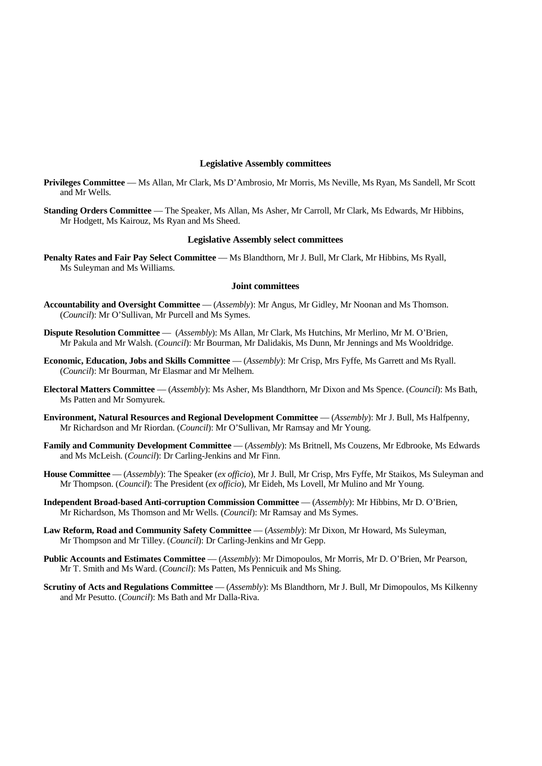#### **Legislative Assembly committees**

- **Privileges Committee** Ms Allan, Mr Clark, Ms D'Ambrosio, Mr Morris, Ms Neville, Ms Ryan, Ms Sandell, Mr Scott and Mr Wells.
- **Standing Orders Committee** The Speaker, Ms Allan, Ms Asher, Mr Carroll, Mr Clark, Ms Edwards, Mr Hibbins, Mr Hodgett, Ms Kairouz, Ms Ryan and Ms Sheed.

#### **Legislative Assembly select committees**

**Penalty Rates and Fair Pay Select Committee** — Ms Blandthorn, Mr J. Bull, Mr Clark, Mr Hibbins, Ms Ryall, Ms Suleyman and Ms Williams.

#### **Joint committees**

- **Accountability and Oversight Committee** (*Assembly*): Mr Angus, Mr Gidley, Mr Noonan and Ms Thomson. (*Council*): Mr O'Sullivan, Mr Purcell and Ms Symes.
- **Dispute Resolution Committee**  (*Assembly*): Ms Allan, Mr Clark, Ms Hutchins, Mr Merlino, Mr M. O'Brien, Mr Pakula and Mr Walsh. (*Council*): Mr Bourman, Mr Dalidakis, Ms Dunn, Mr Jennings and Ms Wooldridge.
- **Economic, Education, Jobs and Skills Committee** (*Assembly*): Mr Crisp, Mrs Fyffe, Ms Garrett and Ms Ryall. (*Council*): Mr Bourman, Mr Elasmar and Mr Melhem.
- **Electoral Matters Committee** (*Assembly*): Ms Asher, Ms Blandthorn, Mr Dixon and Ms Spence. (*Council*): Ms Bath, Ms Patten and Mr Somyurek.
- **Environment, Natural Resources and Regional Development Committee**  (*Assembly*): Mr J. Bull, Ms Halfpenny, Mr Richardson and Mr Riordan. (*Council*): Mr O'Sullivan, Mr Ramsay and Mr Young.
- **Family and Community Development Committee** (*Assembly*): Ms Britnell, Ms Couzens, Mr Edbrooke, Ms Edwards and Ms McLeish. (*Council*): Dr Carling-Jenkins and Mr Finn.
- **House Committee**  (*Assembly*): The Speaker (*ex officio*), Mr J. Bull, Mr Crisp, Mrs Fyffe, Mr Staikos, Ms Suleyman and Mr Thompson. (*Council*): The President (*ex officio*), Mr Eideh, Ms Lovell, Mr Mulino and Mr Young.
- **Independent Broad-based Anti-corruption Commission Committee** (*Assembly*): Mr Hibbins, Mr D. O'Brien, Mr Richardson, Ms Thomson and Mr Wells. (*Council*): Mr Ramsay and Ms Symes.
- **Law Reform, Road and Community Safety Committee** (*Assembly*): Mr Dixon, Mr Howard, Ms Suleyman, Mr Thompson and Mr Tilley. (*Council*): Dr Carling-Jenkins and Mr Gepp.
- **Public Accounts and Estimates Committee** (*Assembly*): Mr Dimopoulos, Mr Morris, Mr D. O'Brien, Mr Pearson, Mr T. Smith and Ms Ward. (*Council*): Ms Patten, Ms Pennicuik and Ms Shing.
- **Scrutiny of Acts and Regulations Committee** (*Assembly*): Ms Blandthorn, Mr J. Bull, Mr Dimopoulos, Ms Kilkenny and Mr Pesutto. (*Council*): Ms Bath and Mr Dalla-Riva.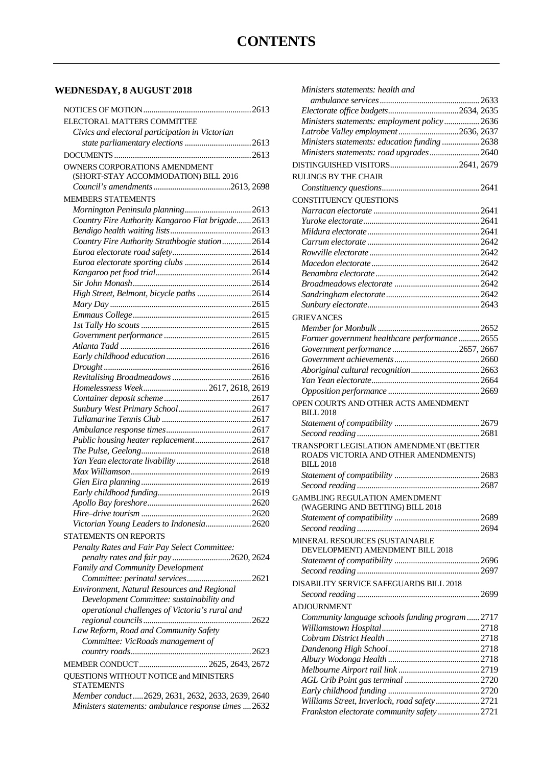# **WEDNESDAY, 8 AUGUST 2018**

| ELECTORAL MATTERS COMMITTEE                                           |  |
|-----------------------------------------------------------------------|--|
| Civics and electoral participation in Victorian                       |  |
|                                                                       |  |
|                                                                       |  |
| <b>OWNERS CORPORATIONS AMENDMENT</b>                                  |  |
| (SHORT-STAY ACCOMMODATION) BILL 2016                                  |  |
|                                                                       |  |
| <b>MEMBERS STATEMENTS</b>                                             |  |
|                                                                       |  |
| Country Fire Authority Kangaroo Flat brigade 2613                     |  |
|                                                                       |  |
| Country Fire Authority Strathbogie station2614                        |  |
|                                                                       |  |
| Euroa electorate sporting clubs 2614                                  |  |
|                                                                       |  |
|                                                                       |  |
| High Street, Belmont, bicycle paths 2614                              |  |
|                                                                       |  |
|                                                                       |  |
|                                                                       |  |
|                                                                       |  |
|                                                                       |  |
|                                                                       |  |
|                                                                       |  |
|                                                                       |  |
| Homelessness Week 2617, 2618, 2619                                    |  |
|                                                                       |  |
|                                                                       |  |
|                                                                       |  |
|                                                                       |  |
| Public housing heater replacement2617                                 |  |
|                                                                       |  |
|                                                                       |  |
|                                                                       |  |
|                                                                       |  |
|                                                                       |  |
|                                                                       |  |
| Victorian Young Leaders to Indonesia2620                              |  |
|                                                                       |  |
| STATEMENTS ON REPORTS                                                 |  |
| Penalty Rates and Fair Pay Select Committee:                          |  |
| penalty rates and fair pay2620, 2624                                  |  |
| Family and Community Development<br>Committee: perinatal services2621 |  |
| Environment, Natural Resources and Regional                           |  |
| Development Committee: sustainability and                             |  |
| operational challenges of Victoria's rural and                        |  |
|                                                                       |  |
| Law Reform, Road and Community Safety                                 |  |
| Committee: VicRoads management of                                     |  |
|                                                                       |  |
| MEMBER CONDUCT 2625, 2643, 2672                                       |  |
| QUESTIONS WITHOUT NOTICE and MINISTERS                                |  |
| <b>STATEMENTS</b>                                                     |  |
| Member conduct  2629, 2631, 2632, 2633, 2639, 2640                    |  |
| Ministers statements: ambulance response times 2632                   |  |

| Ministers statements: health and                                   |  |
|--------------------------------------------------------------------|--|
|                                                                    |  |
|                                                                    |  |
| Ministers statements: employment policy 2636                       |  |
| Latrobe Valley employment2636, 2637                                |  |
| Ministers statements: education funding 2638                       |  |
| Ministers statements: road upgrades 2640                           |  |
|                                                                    |  |
| RULINGS BY THE CHAIR                                               |  |
|                                                                    |  |
|                                                                    |  |
| CONSTITUENCY QUESTIONS                                             |  |
|                                                                    |  |
|                                                                    |  |
|                                                                    |  |
|                                                                    |  |
|                                                                    |  |
|                                                                    |  |
|                                                                    |  |
|                                                                    |  |
|                                                                    |  |
|                                                                    |  |
| <b>GRIEVANCES</b>                                                  |  |
|                                                                    |  |
| Former government healthcare performance  2655                     |  |
|                                                                    |  |
|                                                                    |  |
|                                                                    |  |
|                                                                    |  |
|                                                                    |  |
| OPEN COURTS AND OTHER ACTS AMENDMENT                               |  |
| <b>BILL 2018</b>                                                   |  |
|                                                                    |  |
|                                                                    |  |
| TRANSPORT LEGISLATION AMENDMENT (BETTER                            |  |
| ROADS VICTORIA AND OTHER AMENDMENTS)                               |  |
| <b>BILL 2018</b>                                                   |  |
|                                                                    |  |
|                                                                    |  |
| <b>GAMBLING REGULATION AMENDMENT</b>                               |  |
| (WAGERING AND BETTING) BILL 2018                                   |  |
|                                                                    |  |
|                                                                    |  |
|                                                                    |  |
| MINERAL RESOURCES (SUSTAINABLE<br>DEVELOPMENT) AMENDMENT BILL 2018 |  |
|                                                                    |  |
|                                                                    |  |
|                                                                    |  |
| DISABILITY SERVICE SAFEGUARDS BILL 2018                            |  |
|                                                                    |  |
| ADJOURNMENT                                                        |  |
| Community language schools funding program  2717                   |  |
|                                                                    |  |
|                                                                    |  |
|                                                                    |  |
|                                                                    |  |
|                                                                    |  |
|                                                                    |  |
|                                                                    |  |
| Williams Street, Inverloch, road safety 2721                       |  |
| Frankston electorate community safety  2721                        |  |
|                                                                    |  |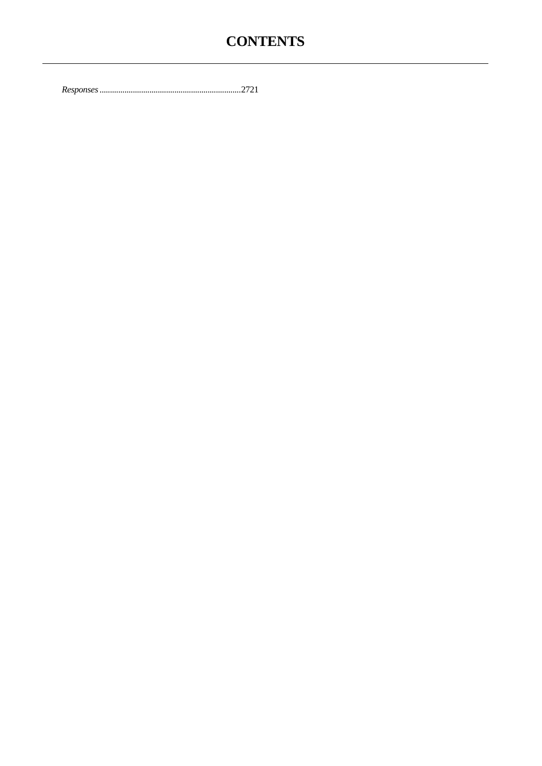# **CONTENTS**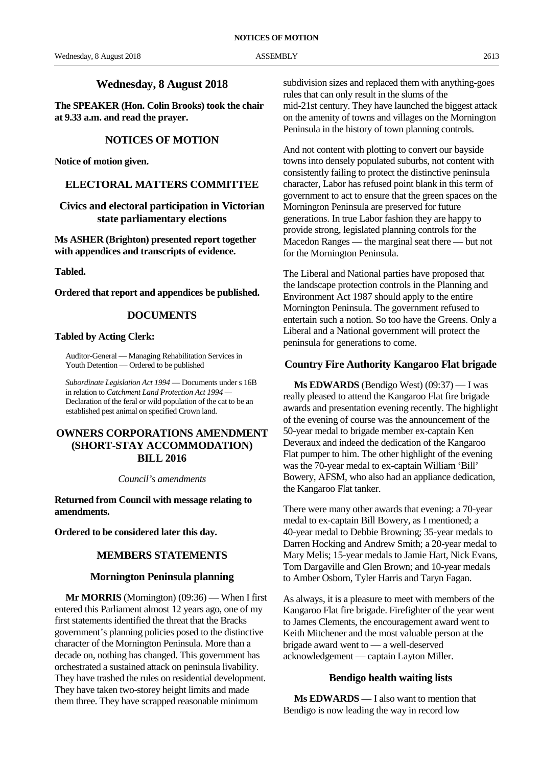#### **Wednesday, 8 August 2018**

**The SPEAKER (Hon. Colin Brooks) took the chair at 9.33 a.m. and read the prayer.**

#### **NOTICES OF MOTION**

**Notice of motion given.**

#### **ELECTORAL MATTERS COMMITTEE**

**Civics and electoral participation in Victorian state parliamentary elections**

**Ms ASHER (Brighton) presented report together with appendices and transcripts of evidence.**

**Tabled.**

**Ordered that report and appendices be published.**

#### **DOCUMENTS**

#### **Tabled by Acting Clerk:**

Auditor-General — Managing Rehabilitation Services in Youth Detention — Ordered to be published

*Subordinate Legislation Act 1994* — Documents under s 16B in relation to *Catchment Land Protection Act 1994 —* Declaration of the feral or wild population of the cat to be an established pest animal on specified Crown land.

#### **OWNERS CORPORATIONS AMENDMENT (SHORT-STAY ACCOMMODATION) BILL 2016**

*Council's amendments*

**Returned from Council with message relating to amendments.**

**Ordered to be considered later this day.**

#### **MEMBERS STATEMENTS**

#### **Mornington Peninsula planning**

**Mr MORRIS** (Mornington) (09:36) — When I first entered this Parliament almost 12 years ago, one of my first statements identified the threat that the Bracks government's planning policies posed to the distinctive character of the Mornington Peninsula. More than a decade on, nothing has changed. This government has orchestrated a sustained attack on peninsula livability. They have trashed the rules on residential development. They have taken two-storey height limits and made them three. They have scrapped reasonable minimum

subdivision sizes and replaced them with anything-goes rules that can only result in the slums of the mid-21st century. They have launched the biggest attack on the amenity of towns and villages on the Mornington Peninsula in the history of town planning controls.

And not content with plotting to convert our bayside towns into densely populated suburbs, not content with consistently failing to protect the distinctive peninsula character, Labor has refused point blank in this term of government to act to ensure that the green spaces on the Mornington Peninsula are preserved for future generations. In true Labor fashion they are happy to provide strong, legislated planning controls for the Macedon Ranges — the marginal seat there — but not for the Mornington Peninsula.

The Liberal and National parties have proposed that the landscape protection controls in the Planning and Environment Act 1987 should apply to the entire Mornington Peninsula. The government refused to entertain such a notion. So too have the Greens. Only a Liberal and a National government will protect the peninsula for generations to come.

#### **Country Fire Authority Kangaroo Flat brigade**

**Ms EDWARDS** (Bendigo West) (09:37) — I was really pleased to attend the Kangaroo Flat fire brigade awards and presentation evening recently. The highlight of the evening of course was the announcement of the 50-year medal to brigade member ex-captain Ken Deveraux and indeed the dedication of the Kangaroo Flat pumper to him. The other highlight of the evening was the 70-year medal to ex-captain William 'Bill' Bowery, AFSM, who also had an appliance dedication, the Kangaroo Flat tanker.

There were many other awards that evening: a 70-year medal to ex-captain Bill Bowery, as I mentioned; a 40-year medal to Debbie Browning; 35-year medals to Darren Hocking and Andrew Smith; a 20-year medal to Mary Melis; 15-year medals to Jamie Hart, Nick Evans, Tom Dargaville and Glen Brown; and 10-year medals to Amber Osborn, Tyler Harris and Taryn Fagan.

As always, it is a pleasure to meet with members of the Kangaroo Flat fire brigade. Firefighter of the year went to James Clements, the encouragement award went to Keith Mitchener and the most valuable person at the brigade award went to — a well-deserved acknowledgement — captain Layton Miller.

#### **Bendigo health waiting lists**

**Ms EDWARDS** — I also want to mention that Bendigo is now leading the way in record low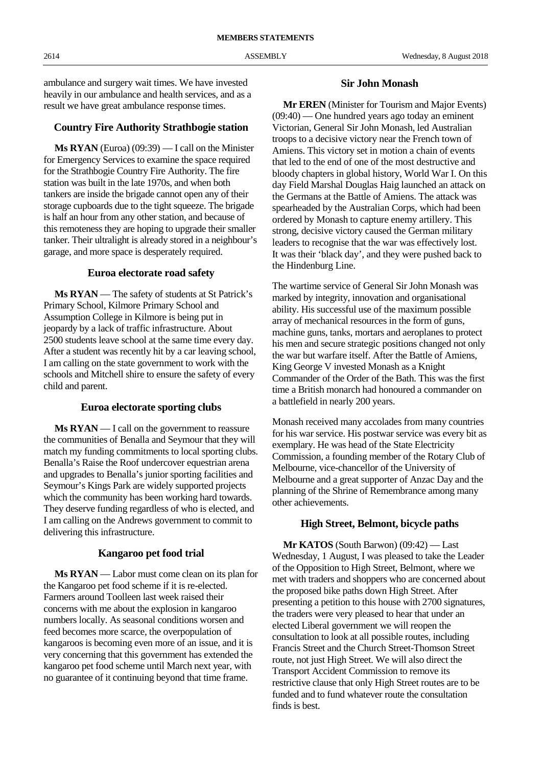ambulance and surgery wait times. We have invested heavily in our ambulance and health services, and as a result we have great ambulance response times.

#### **Country Fire Authority Strathbogie station**

**Ms RYAN** (Euroa) (09:39) — I call on the Minister for Emergency Services to examine the space required for the Strathbogie Country Fire Authority. The fire station was built in the late 1970s, and when both tankers are inside the brigade cannot open any of their storage cupboards due to the tight squeeze. The brigade is half an hour from any other station, and because of this remoteness they are hoping to upgrade their smaller tanker. Their ultralight is already stored in a neighbour's garage, and more space is desperately required.

#### **Euroa electorate road safety**

**Ms RYAN** — The safety of students at St Patrick's Primary School, Kilmore Primary School and Assumption College in Kilmore is being put in jeopardy by a lack of traffic infrastructure. About 2500 students leave school at the same time every day. After a student was recently hit by a car leaving school, I am calling on the state government to work with the schools and Mitchell shire to ensure the safety of every child and parent.

#### **Euroa electorate sporting clubs**

**Ms RYAN** — I call on the government to reassure the communities of Benalla and Seymour that they will match my funding commitments to local sporting clubs. Benalla's Raise the Roof undercover equestrian arena and upgrades to Benalla's junior sporting facilities and Seymour's Kings Park are widely supported projects which the community has been working hard towards. They deserve funding regardless of who is elected, and I am calling on the Andrews government to commit to delivering this infrastructure.

#### **Kangaroo pet food trial**

**Ms RYAN** — Labor must come clean on its plan for the Kangaroo pet food scheme if it is re-elected. Farmers around Toolleen last week raised their concerns with me about the explosion in kangaroo numbers locally. As seasonal conditions worsen and feed becomes more scarce, the overpopulation of kangaroos is becoming even more of an issue, and it is very concerning that this government has extended the kangaroo pet food scheme until March next year, with no guarantee of it continuing beyond that time frame.

#### **Sir John Monash**

**Mr EREN** (Minister for Tourism and Major Events) (09:40) — One hundred years ago today an eminent Victorian, General Sir John Monash, led Australian troops to a decisive victory near the French town of Amiens. This victory set in motion a chain of events that led to the end of one of the most destructive and bloody chapters in global history, World War I. On this day Field Marshal Douglas Haig launched an attack on the Germans at the Battle of Amiens. The attack was spearheaded by the Australian Corps, which had been ordered by Monash to capture enemy artillery. This strong, decisive victory caused the German military leaders to recognise that the war was effectively lost. It was their 'black day', and they were pushed back to the Hindenburg Line.

The wartime service of General Sir John Monash was marked by integrity, innovation and organisational ability. His successful use of the maximum possible array of mechanical resources in the form of guns, machine guns, tanks, mortars and aeroplanes to protect his men and secure strategic positions changed not only the war but warfare itself. After the Battle of Amiens, King George V invested Monash as a Knight Commander of the Order of the Bath. This was the first time a British monarch had honoured a commander on a battlefield in nearly 200 years.

Monash received many accolades from many countries for his war service. His postwar service was every bit as exemplary. He was head of the State Electricity Commission, a founding member of the Rotary Club of Melbourne, vice-chancellor of the University of Melbourne and a great supporter of Anzac Day and the planning of the Shrine of Remembrance among many other achievements.

#### **High Street, Belmont, bicycle paths**

**Mr KATOS** (South Barwon) (09:42) — Last Wednesday, 1 August, I was pleased to take the Leader of the Opposition to High Street, Belmont, where we met with traders and shoppers who are concerned about the proposed bike paths down High Street. After presenting a petition to this house with 2700 signatures, the traders were very pleased to hear that under an elected Liberal government we will reopen the consultation to look at all possible routes, including Francis Street and the Church Street-Thomson Street route, not just High Street. We will also direct the Transport Accident Commission to remove its restrictive clause that only High Street routes are to be funded and to fund whatever route the consultation finds is best.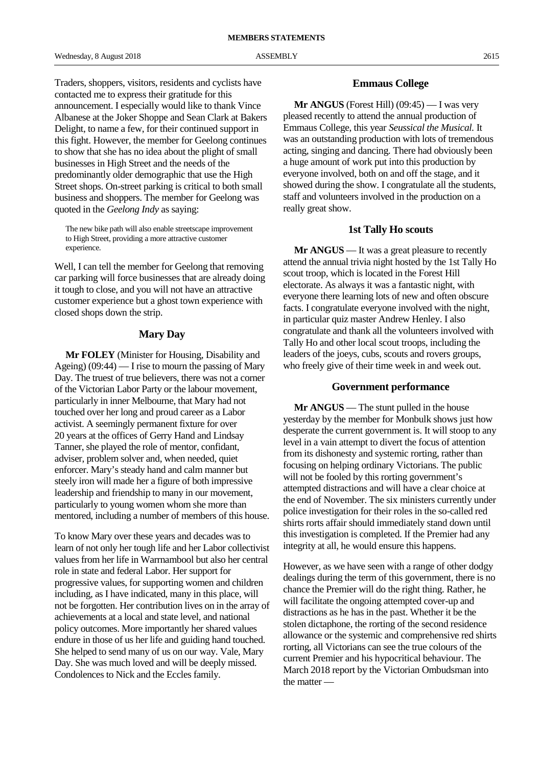Traders, shoppers, visitors, residents and cyclists have contacted me to express their gratitude for this announcement. I especially would like to thank Vince Albanese at the Joker Shoppe and Sean Clark at Bakers Delight, to name a few, for their continued support in this fight. However, the member for Geelong continues to show that she has no idea about the plight of small businesses in High Street and the needs of the predominantly older demographic that use the High Street shops. On-street parking is critical to both small business and shoppers. The member for Geelong was quoted in the *Geelong Indy* as saying:

The new bike path will also enable streetscape improvement to High Street, providing a more attractive customer experience.

Well, I can tell the member for Geelong that removing car parking will force businesses that are already doing it tough to close, and you will not have an attractive customer experience but a ghost town experience with closed shops down the strip.

#### **Mary Day**

**Mr FOLEY** (Minister for Housing, Disability and Ageing)  $(09:44)$  — I rise to mourn the passing of Mary Day. The truest of true believers, there was not a corner of the Victorian Labor Party or the labour movement, particularly in inner Melbourne, that Mary had not touched over her long and proud career as a Labor activist. A seemingly permanent fixture for over 20 years at the offices of Gerry Hand and Lindsay Tanner, she played the role of mentor, confidant, adviser, problem solver and, when needed, quiet enforcer. Mary's steady hand and calm manner but steely iron will made her a figure of both impressive leadership and friendship to many in our movement, particularly to young women whom she more than mentored, including a number of members of this house.

To know Mary over these years and decades was to learn of not only her tough life and her Labor collectivist values from her life in Warrnambool but also her central role in state and federal Labor. Her support for progressive values, for supporting women and children including, as I have indicated, many in this place, will not be forgotten. Her contribution lives on in the array of achievements at a local and state level, and national policy outcomes. More importantly her shared values endure in those of us her life and guiding hand touched. She helped to send many of us on our way. Vale, Mary Day. She was much loved and will be deeply missed. Condolences to Nick and the Eccles family.

#### **Emmaus College**

**Mr ANGUS** (Forest Hill) (09:45) — I was very pleased recently to attend the annual production of Emmaus College, this year *Seussical the Musical.* It was an outstanding production with lots of tremendous acting, singing and dancing. There had obviously been a huge amount of work put into this production by everyone involved, both on and off the stage, and it showed during the show. I congratulate all the students, staff and volunteers involved in the production on a really great show.

#### **1st Tally Ho scouts**

**Mr ANGUS** — It was a great pleasure to recently attend the annual trivia night hosted by the 1st Tally Ho scout troop, which is located in the Forest Hill electorate. As always it was a fantastic night, with everyone there learning lots of new and often obscure facts. I congratulate everyone involved with the night, in particular quiz master Andrew Henley. I also congratulate and thank all the volunteers involved with Tally Ho and other local scout troops, including the leaders of the joeys, cubs, scouts and rovers groups, who freely give of their time week in and week out.

#### **Government performance**

**Mr ANGUS** — The stunt pulled in the house yesterday by the member for Monbulk shows just how desperate the current government is. It will stoop to any level in a vain attempt to divert the focus of attention from its dishonesty and systemic rorting, rather than focusing on helping ordinary Victorians. The public will not be fooled by this rorting government's attempted distractions and will have a clear choice at the end of November. The six ministers currently under police investigation for their roles in the so-called red shirts rorts affair should immediately stand down until this investigation is completed. If the Premier had any integrity at all, he would ensure this happens.

However, as we have seen with a range of other dodgy dealings during the term of this government, there is no chance the Premier will do the right thing. Rather, he will facilitate the ongoing attempted cover-up and distractions as he has in the past. Whether it be the stolen dictaphone, the rorting of the second residence allowance or the systemic and comprehensive red shirts rorting, all Victorians can see the true colours of the current Premier and his hypocritical behaviour. The March 2018 report by the Victorian Ombudsman into the matter —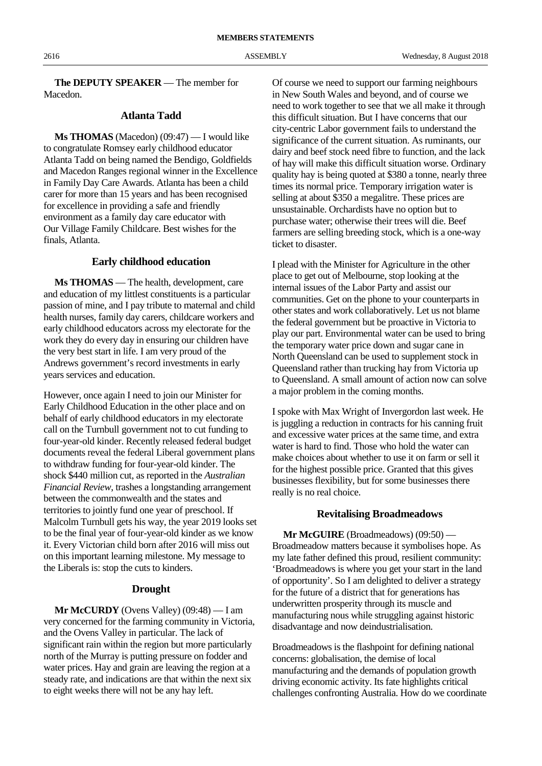**The DEPUTY SPEAKER** — The member for Macedon.

#### **Atlanta Tadd**

**Ms THOMAS** (Macedon) (09:47) — I would like to congratulate Romsey early childhood educator Atlanta Tadd on being named the Bendigo, Goldfields and Macedon Ranges regional winner in the Excellence in Family Day Care Awards. Atlanta has been a child carer for more than 15 years and has been recognised for excellence in providing a safe and friendly environment as a family day care educator with Our Village Family Childcare. Best wishes for the finals, Atlanta.

#### **Early childhood education**

**Ms THOMAS** — The health, development, care and education of my littlest constituents is a particular passion of mine, and I pay tribute to maternal and child health nurses, family day carers, childcare workers and early childhood educators across my electorate for the work they do every day in ensuring our children have the very best start in life. I am very proud of the Andrews government's record investments in early years services and education.

However, once again I need to join our Minister for Early Childhood Education in the other place and on behalf of early childhood educators in my electorate call on the Turnbull government not to cut funding to four-year-old kinder. Recently released federal budget documents reveal the federal Liberal government plans to withdraw funding for four-year-old kinder. The shock \$440 million cut, as reported in the *Australian Financial Review*, trashes a longstanding arrangement between the commonwealth and the states and territories to jointly fund one year of preschool. If Malcolm Turnbull gets his way, the year 2019 looks set to be the final year of four-year-old kinder as we know it. Every Victorian child born after 2016 will miss out on this important learning milestone. My message to the Liberals is: stop the cuts to kinders.

#### **Drought**

**Mr McCURDY** (Ovens Valley) (09:48) — I am very concerned for the farming community in Victoria, and the Ovens Valley in particular. The lack of significant rain within the region but more particularly north of the Murray is putting pressure on fodder and water prices. Hay and grain are leaving the region at a steady rate, and indications are that within the next six to eight weeks there will not be any hay left.

Of course we need to support our farming neighbours in New South Wales and beyond, and of course we need to work together to see that we all make it through this difficult situation. But I have concerns that our city-centric Labor government fails to understand the significance of the current situation. As ruminants, our dairy and beef stock need fibre to function, and the lack of hay will make this difficult situation worse. Ordinary quality hay is being quoted at \$380 a tonne, nearly three times its normal price. Temporary irrigation water is selling at about \$350 a megalitre. These prices are unsustainable. Orchardists have no option but to purchase water; otherwise their trees will die. Beef farmers are selling breeding stock, which is a one-way ticket to disaster.

I plead with the Minister for Agriculture in the other place to get out of Melbourne, stop looking at the internal issues of the Labor Party and assist our communities. Get on the phone to your counterparts in other states and work collaboratively. Let us not blame the federal government but be proactive in Victoria to play our part. Environmental water can be used to bring the temporary water price down and sugar cane in North Queensland can be used to supplement stock in Queensland rather than trucking hay from Victoria up to Queensland. A small amount of action now can solve a major problem in the coming months.

I spoke with Max Wright of Invergordon last week. He is juggling a reduction in contracts for his canning fruit and excessive water prices at the same time, and extra water is hard to find. Those who hold the water can make choices about whether to use it on farm or sell it for the highest possible price. Granted that this gives businesses flexibility, but for some businesses there really is no real choice.

#### **Revitalising Broadmeadows**

**Mr McGUIRE** (Broadmeadows) (09:50) — Broadmeadow matters because it symbolises hope. As my late father defined this proud, resilient community: 'Broadmeadows is where you get your start in the land of opportunity'. So I am delighted to deliver a strategy for the future of a district that for generations has underwritten prosperity through its muscle and manufacturing nous while struggling against historic disadvantage and now deindustrialisation.

Broadmeadows is the flashpoint for defining national concerns: globalisation, the demise of local manufacturing and the demands of population growth driving economic activity. Its fate highlights critical challenges confronting Australia. How do we coordinate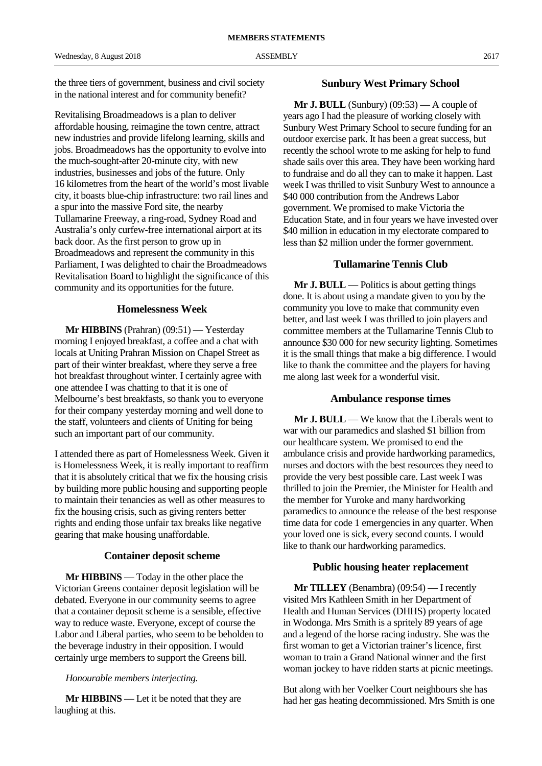the three tiers of government, business and civil society in the national interest and for community benefit?

Revitalising Broadmeadows is a plan to deliver affordable housing, reimagine the town centre, attract new industries and provide lifelong learning, skills and jobs. Broadmeadows has the opportunity to evolve into the much-sought-after 20-minute city, with new industries, businesses and jobs of the future. Only 16 kilometres from the heart of the world's most livable city, it boasts blue-chip infrastructure: two rail lines and a spur into the massive Ford site, the nearby Tullamarine Freeway, a ring-road, Sydney Road and Australia's only curfew-free international airport at its back door. As the first person to grow up in Broadmeadows and represent the community in this Parliament, I was delighted to chair the Broadmeadows Revitalisation Board to highlight the significance of this community and its opportunities for the future.

#### **Homelessness Week**

**Mr HIBBINS** (Prahran) (09:51) — Yesterday morning I enjoyed breakfast, a coffee and a chat with locals at Uniting Prahran Mission on Chapel Street as part of their winter breakfast, where they serve a free hot breakfast throughout winter. I certainly agree with one attendee I was chatting to that it is one of Melbourne's best breakfasts, so thank you to everyone for their company yesterday morning and well done to the staff, volunteers and clients of Uniting for being such an important part of our community.

I attended there as part of Homelessness Week. Given it is Homelessness Week, it is really important to reaffirm that it is absolutely critical that we fix the housing crisis by building more public housing and supporting people to maintain their tenancies as well as other measures to fix the housing crisis, such as giving renters better rights and ending those unfair tax breaks like negative gearing that make housing unaffordable.

#### **Container deposit scheme**

**Mr HIBBINS** — Today in the other place the Victorian Greens container deposit legislation will be debated. Everyone in our community seems to agree that a container deposit scheme is a sensible, effective way to reduce waste. Everyone, except of course the Labor and Liberal parties, who seem to be beholden to the beverage industry in their opposition. I would certainly urge members to support the Greens bill.

#### *Honourable members interjecting.*

**Mr HIBBINS** — Let it be noted that they are laughing at this.

#### **Sunbury West Primary School**

**Mr J. BULL** (Sunbury) (09:53) — A couple of years ago I had the pleasure of working closely with Sunbury West Primary School to secure funding for an outdoor exercise park. It has been a great success, but recently the school wrote to me asking for help to fund shade sails over this area. They have been working hard to fundraise and do all they can to make it happen. Last week I was thrilled to visit Sunbury West to announce a \$40 000 contribution from the Andrews Labor government. We promised to make Victoria the Education State, and in four years we have invested over \$40 million in education in my electorate compared to less than \$2 million under the former government.

#### **Tullamarine Tennis Club**

**Mr J. BULL** — Politics is about getting things done. It is about using a mandate given to you by the community you love to make that community even better, and last week I was thrilled to join players and committee members at the Tullamarine Tennis Club to announce \$30 000 for new security lighting. Sometimes it is the small things that make a big difference. I would like to thank the committee and the players for having me along last week for a wonderful visit.

#### **Ambulance response times**

**Mr J. BULL** — We know that the Liberals went to war with our paramedics and slashed \$1 billion from our healthcare system. We promised to end the ambulance crisis and provide hardworking paramedics, nurses and doctors with the best resources they need to provide the very best possible care. Last week I was thrilled to join the Premier, the Minister for Health and the member for Yuroke and many hardworking paramedics to announce the release of the best response time data for code 1 emergencies in any quarter. When your loved one is sick, every second counts. I would like to thank our hardworking paramedics.

#### **Public housing heater replacement**

**Mr TILLEY** (Benambra) (09:54) — I recently visited Mrs Kathleen Smith in her Department of Health and Human Services (DHHS) property located in Wodonga. Mrs Smith is a spritely 89 years of age and a legend of the horse racing industry. She was the first woman to get a Victorian trainer's licence, first woman to train a Grand National winner and the first woman jockey to have ridden starts at picnic meetings.

But along with her Voelker Court neighbours she has had her gas heating decommissioned. Mrs Smith is one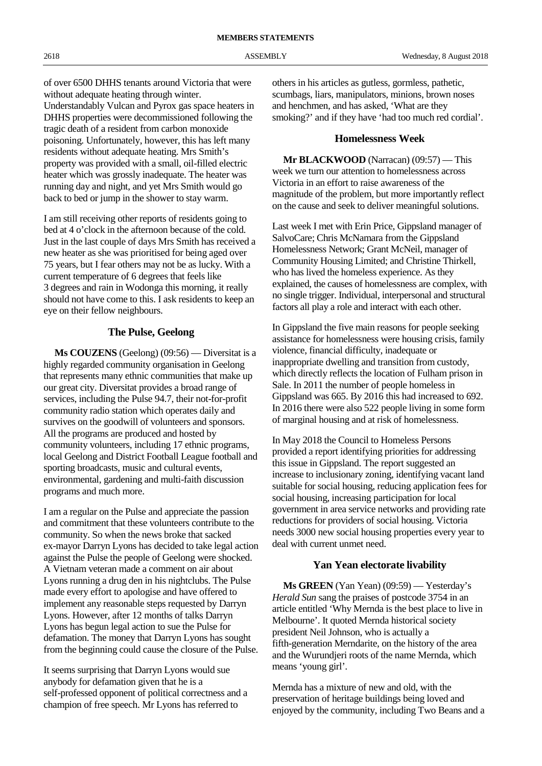of over 6500 DHHS tenants around Victoria that were without adequate heating through winter. Understandably Vulcan and Pyrox gas space heaters in DHHS properties were decommissioned following the tragic death of a resident from carbon monoxide poisoning. Unfortunately, however, this has left many residents without adequate heating. Mrs Smith's

property was provided with a small, oil-filled electric heater which was grossly inadequate. The heater was running day and night, and yet Mrs Smith would go back to bed or jump in the shower to stay warm.

I am still receiving other reports of residents going to bed at 4 o'clock in the afternoon because of the cold. Just in the last couple of days Mrs Smith has received a new heater as she was prioritised for being aged over 75 years, but I fear others may not be as lucky. With a current temperature of 6 degrees that feels like 3 degrees and rain in Wodonga this morning, it really should not have come to this. I ask residents to keep an eye on their fellow neighbours.

## **The Pulse, Geelong**

**Ms COUZENS** (Geelong) (09:56) — Diversitat is a highly regarded community organisation in Geelong that represents many ethnic communities that make up our great city. Diversitat provides a broad range of services, including the Pulse 94.7, their not-for-profit community radio station which operates daily and survives on the goodwill of volunteers and sponsors. All the programs are produced and hosted by community volunteers, including 17 ethnic programs, local Geelong and District Football League football and sporting broadcasts, music and cultural events, environmental, gardening and multi-faith discussion programs and much more.

I am a regular on the Pulse and appreciate the passion and commitment that these volunteers contribute to the community. So when the news broke that sacked ex-mayor Darryn Lyons has decided to take legal action against the Pulse the people of Geelong were shocked. A Vietnam veteran made a comment on air about Lyons running a drug den in his nightclubs. The Pulse made every effort to apologise and have offered to implement any reasonable steps requested by Darryn Lyons. However, after 12 months of talks Darryn Lyons has begun legal action to sue the Pulse for defamation. The money that Darryn Lyons has sought from the beginning could cause the closure of the Pulse.

It seems surprising that Darryn Lyons would sue anybody for defamation given that he is a self-professed opponent of political correctness and a champion of free speech. Mr Lyons has referred to

others in his articles as gutless, gormless, pathetic, scumbags, liars, manipulators, minions, brown noses and henchmen, and has asked, 'What are they smoking?' and if they have 'had too much red cordial'.

#### **Homelessness Week**

**Mr BLACKWOOD** (Narracan) (09:57) — This week we turn our attention to homelessness across Victoria in an effort to raise awareness of the magnitude of the problem, but more importantly reflect on the cause and seek to deliver meaningful solutions.

Last week I met with Erin Price, Gippsland manager of SalvoCare; Chris McNamara from the Gippsland Homelessness Network; Grant McNeil, manager of Community Housing Limited; and Christine Thirkell, who has lived the homeless experience. As they explained, the causes of homelessness are complex, with no single trigger. Individual, interpersonal and structural factors all play a role and interact with each other.

In Gippsland the five main reasons for people seeking assistance for homelessness were housing crisis, family violence, financial difficulty, inadequate or inappropriate dwelling and transition from custody, which directly reflects the location of Fulham prison in Sale. In 2011 the number of people homeless in Gippsland was 665. By 2016 this had increased to 692. In 2016 there were also 522 people living in some form of marginal housing and at risk of homelessness.

In May 2018 the Council to Homeless Persons provided a report identifying priorities for addressing this issue in Gippsland. The report suggested an increase to inclusionary zoning, identifying vacant land suitable for social housing, reducing application fees for social housing, increasing participation for local government in area service networks and providing rate reductions for providers of social housing. Victoria needs 3000 new social housing properties every year to deal with current unmet need.

#### **Yan Yean electorate livability**

**Ms GREEN** (Yan Yean) (09:59) — Yesterday's *Herald Sun* sang the praises of postcode 3754 in an article entitled 'Why Mernda is the best place to live in Melbourne'. It quoted Mernda historical society president Neil Johnson, who is actually a fifth-generation Merndarite, on the history of the area and the Wurundjeri roots of the name Mernda, which means 'young girl'.

Mernda has a mixture of new and old, with the preservation of heritage buildings being loved and enjoyed by the community, including Two Beans and a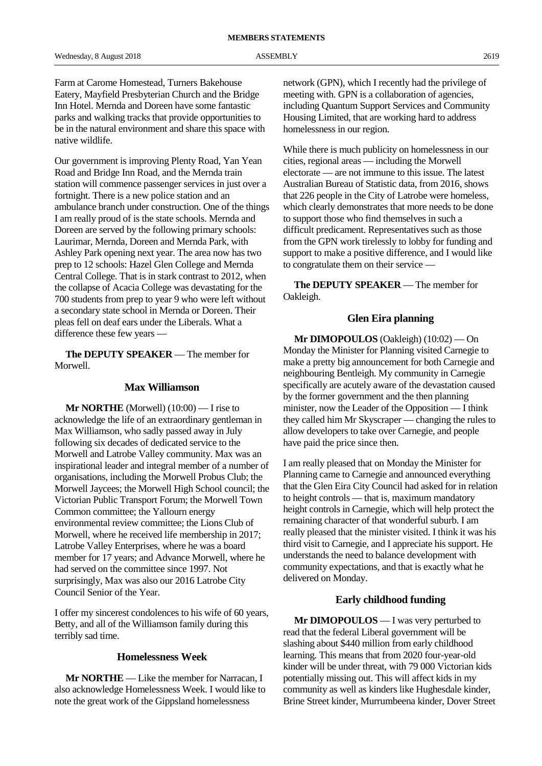Farm at Carome Homestead, Turners Bakehouse Eatery, Mayfield Presbyterian Church and the Bridge Inn Hotel. Mernda and Doreen have some fantastic parks and walking tracks that provide opportunities to be in the natural environment and share this space with native wildlife.

Our government is improving Plenty Road, Yan Yean Road and Bridge Inn Road, and the Mernda train station will commence passenger services in just over a fortnight. There is a new police station and an ambulance branch under construction. One of the things I am really proud of is the state schools. Mernda and Doreen are served by the following primary schools: Laurimar, Mernda, Doreen and Mernda Park, with Ashley Park opening next year. The area now has two prep to 12 schools: Hazel Glen College and Mernda Central College. That is in stark contrast to 2012, when the collapse of Acacia College was devastating for the 700 students from prep to year 9 who were left without a secondary state school in Mernda or Doreen. Their pleas fell on deaf ears under the Liberals. What a difference these few years —

**The DEPUTY SPEAKER** — The member for Morwell.

#### **Max Williamson**

**Mr NORTHE** (Morwell)  $(10:00)$  — I rise to acknowledge the life of an extraordinary gentleman in Max Williamson, who sadly passed away in July following six decades of dedicated service to the Morwell and Latrobe Valley community. Max was an inspirational leader and integral member of a number of organisations, including the Morwell Probus Club; the Morwell Jaycees; the Morwell High School council; the Victorian Public Transport Forum; the Morwell Town Common committee; the Yallourn energy environmental review committee; the Lions Club of Morwell, where he received life membership in 2017; Latrobe Valley Enterprises, where he was a board member for 17 years; and Advance Morwell, where he had served on the committee since 1997. Not surprisingly, Max was also our 2016 Latrobe City Council Senior of the Year.

I offer my sincerest condolences to his wife of 60 years, Betty, and all of the Williamson family during this terribly sad time.

#### **Homelessness Week**

**Mr NORTHE** — Like the member for Narracan, I also acknowledge Homelessness Week. I would like to note the great work of the Gippsland homelessness

network (GPN), which I recently had the privilege of meeting with. GPN is a collaboration of agencies, including Quantum Support Services and Community Housing Limited, that are working hard to address homelessness in our region.

While there is much publicity on homelessness in our cities, regional areas — including the Morwell electorate — are not immune to this issue. The latest Australian Bureau of Statistic data, from 2016, shows that 226 people in the City of Latrobe were homeless, which clearly demonstrates that more needs to be done to support those who find themselves in such a difficult predicament. Representatives such as those from the GPN work tirelessly to lobby for funding and support to make a positive difference, and I would like to congratulate them on their service —

**The DEPUTY SPEAKER** — The member for Oakleigh.

#### **Glen Eira planning**

**Mr DIMOPOULOS** (Oakleigh) (10:02) — On Monday the Minister for Planning visited Carnegie to make a pretty big announcement for both Carnegie and neighbouring Bentleigh. My community in Carnegie specifically are acutely aware of the devastation caused by the former government and the then planning minister, now the Leader of the Opposition — I think they called him Mr Skyscraper — changing the rules to allow developers to take over Carnegie, and people have paid the price since then.

I am really pleased that on Monday the Minister for Planning came to Carnegie and announced everything that the Glen Eira City Council had asked for in relation to height controls — that is, maximum mandatory height controls in Carnegie, which will help protect the remaining character of that wonderful suburb. I am really pleased that the minister visited. I think it was his third visit to Carnegie, and I appreciate his support. He understands the need to balance development with community expectations, and that is exactly what he delivered on Monday.

#### **Early childhood funding**

**Mr DIMOPOULOS** — I was very perturbed to read that the federal Liberal government will be slashing about \$440 million from early childhood learning. This means that from 2020 four-year-old kinder will be under threat, with 79 000 Victorian kids potentially missing out. This will affect kids in my community as well as kinders like Hughesdale kinder, Brine Street kinder, Murrumbeena kinder, Dover Street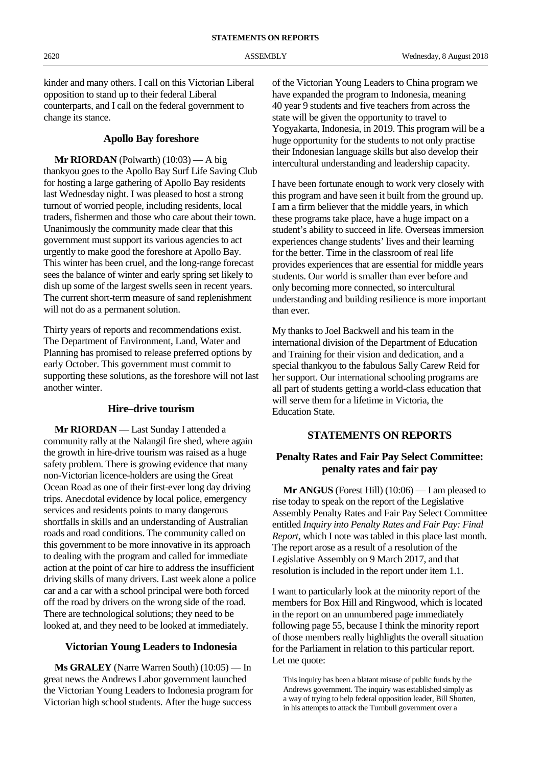kinder and many others. I call on this Victorian Liberal opposition to stand up to their federal Liberal counterparts, and I call on the federal government to change its stance.

#### **Apollo Bay foreshore**

**Mr RIORDAN** (Polwarth) (10:03) — A big thankyou goes to the Apollo Bay Surf Life Saving Club for hosting a large gathering of Apollo Bay residents last Wednesday night. I was pleased to host a strong turnout of worried people, including residents, local traders, fishermen and those who care about their town. Unanimously the community made clear that this government must support its various agencies to act urgently to make good the foreshore at Apollo Bay. This winter has been cruel, and the long-range forecast sees the balance of winter and early spring set likely to dish up some of the largest swells seen in recent years. The current short-term measure of sand replenishment will not do as a permanent solution.

Thirty years of reports and recommendations exist. The Department of Environment, Land, Water and Planning has promised to release preferred options by early October. This government must commit to supporting these solutions, as the foreshore will not last another winter.

#### **Hire–drive tourism**

**Mr RIORDAN** — Last Sunday I attended a community rally at the Nalangil fire shed, where again the growth in hire-drive tourism was raised as a huge safety problem. There is growing evidence that many non-Victorian licence-holders are using the Great Ocean Road as one of their first-ever long day driving trips. Anecdotal evidence by local police, emergency services and residents points to many dangerous shortfalls in skills and an understanding of Australian roads and road conditions. The community called on this government to be more innovative in its approach to dealing with the program and called for immediate action at the point of car hire to address the insufficient driving skills of many drivers. Last week alone a police car and a car with a school principal were both forced off the road by drivers on the wrong side of the road. There are technological solutions; they need to be looked at, and they need to be looked at immediately.

#### **Victorian Young Leaders to Indonesia**

**Ms GRALEY** (Narre Warren South) (10:05) — In great news the Andrews Labor government launched the Victorian Young Leaders to Indonesia program for Victorian high school students. After the huge success

of the Victorian Young Leaders to China program we have expanded the program to Indonesia, meaning 40 year 9 students and five teachers from across the state will be given the opportunity to travel to Yogyakarta, Indonesia, in 2019. This program will be a huge opportunity for the students to not only practise their Indonesian language skills but also develop their intercultural understanding and leadership capacity.

I have been fortunate enough to work very closely with this program and have seen it built from the ground up. I am a firm believer that the middle years, in which these programs take place, have a huge impact on a student's ability to succeed in life. Overseas immersion experiences change students' lives and their learning for the better. Time in the classroom of real life provides experiences that are essential for middle years students. Our world is smaller than ever before and only becoming more connected, so intercultural understanding and building resilience is more important than ever.

My thanks to Joel Backwell and his team in the international division of the Department of Education and Training for their vision and dedication, and a special thankyou to the fabulous Sally Carew Reid for her support. Our international schooling programs are all part of students getting a world-class education that will serve them for a lifetime in Victoria, the Education State.

#### **STATEMENTS ON REPORTS**

#### **Penalty Rates and Fair Pay Select Committee: penalty rates and fair pay**

**Mr ANGUS** (Forest Hill) (10:06) — I am pleased to rise today to speak on the report of the Legislative Assembly Penalty Rates and Fair Pay Select Committee entitled *Inquiry into Penalty Rates and Fair Pay: Final Report*, which I note was tabled in this place last month. The report arose as a result of a resolution of the Legislative Assembly on 9 March 2017, and that resolution is included in the report under item 1.1.

I want to particularly look at the minority report of the members for Box Hill and Ringwood, which is located in the report on an unnumbered page immediately following page 55, because I think the minority report of those members really highlights the overall situation for the Parliament in relation to this particular report. Let me quote:

This inquiry has been a blatant misuse of public funds by the Andrews government. The inquiry was established simply as a way of trying to help federal opposition leader, Bill Shorten, in his attempts to attack the Turnbull government over a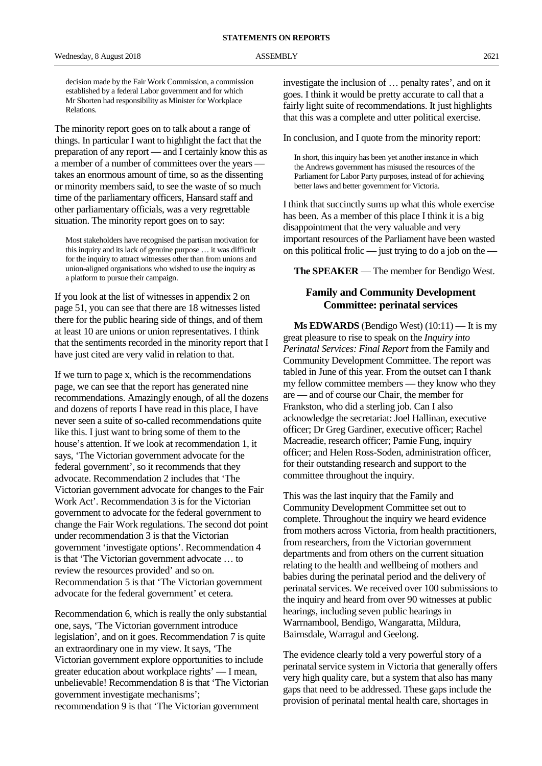decision made by the Fair Work Commission, a commission established by a federal Labor government and for which Mr Shorten had responsibility as Minister for Workplace Relations.

The minority report goes on to talk about a range of things. In particular I want to highlight the fact that the preparation of any report — and I certainly know this as a member of a number of committees over the years takes an enormous amount of time, so as the dissenting or minority members said, to see the waste of so much time of the parliamentary officers, Hansard staff and other parliamentary officials, was a very regrettable situation. The minority report goes on to say:

Most stakeholders have recognised the partisan motivation for this inquiry and its lack of genuine purpose … it was difficult for the inquiry to attract witnesses other than from unions and union-aligned organisations who wished to use the inquiry as a platform to pursue their campaign.

If you look at the list of witnesses in appendix 2 on page 51, you can see that there are 18 witnesses listed there for the public hearing side of things, and of them at least 10 are unions or union representatives. I think that the sentiments recorded in the minority report that I have just cited are very valid in relation to that.

If we turn to page x, which is the recommendations page, we can see that the report has generated nine recommendations. Amazingly enough, of all the dozens and dozens of reports I have read in this place, I have never seen a suite of so-called recommendations quite like this. I just want to bring some of them to the house's attention. If we look at recommendation 1, it says, 'The Victorian government advocate for the federal government', so it recommends that they advocate. Recommendation 2 includes that 'The Victorian government advocate for changes to the Fair Work Act'. Recommendation 3 is for the Victorian government to advocate for the federal government to change the Fair Work regulations. The second dot point under recommendation 3 is that the Victorian government 'investigate options'. Recommendation 4 is that 'The Victorian government advocate … to review the resources provided' and so on. Recommendation 5 is that 'The Victorian government advocate for the federal government' et cetera.

Recommendation 6, which is really the only substantial one, says, 'The Victorian government introduce legislation', and on it goes. Recommendation 7 is quite an extraordinary one in my view. It says, 'The Victorian government explore opportunities to include greater education about workplace rights' — I mean, unbelievable! Recommendation 8 is that 'The Victorian government investigate mechanisms'; recommendation 9 is that 'The Victorian government

investigate the inclusion of … penalty rates', and on it goes. I think it would be pretty accurate to call that a fairly light suite of recommendations. It just highlights that this was a complete and utter political exercise.

In conclusion, and I quote from the minority report:

In short, this inquiry has been yet another instance in which the Andrews government has misused the resources of the Parliament for Labor Party purposes, instead of for achieving better laws and better government for Victoria.

I think that succinctly sums up what this whole exercise has been. As a member of this place I think it is a big disappointment that the very valuable and very important resources of the Parliament have been wasted on this political frolic — just trying to do a job on the —

**The SPEAKER** — The member for Bendigo West.

#### **Family and Community Development Committee: perinatal services**

**Ms EDWARDS** (Bendigo West) (10:11) — It is my great pleasure to rise to speak on the *Inquiry into Perinatal Services: Final Report* from the Family and Community Development Committee. The report was tabled in June of this year. From the outset can I thank my fellow committee members — they know who they are — and of course our Chair, the member for Frankston, who did a sterling job. Can I also acknowledge the secretariat: Joel Hallinan, executive officer; Dr Greg Gardiner, executive officer; Rachel Macreadie, research officer; Pamie Fung, inquiry officer; and Helen Ross-Soden, administration officer, for their outstanding research and support to the committee throughout the inquiry.

This was the last inquiry that the Family and Community Development Committee set out to complete. Throughout the inquiry we heard evidence from mothers across Victoria, from health practitioners, from researchers, from the Victorian government departments and from others on the current situation relating to the health and wellbeing of mothers and babies during the perinatal period and the delivery of perinatal services. We received over 100 submissions to the inquiry and heard from over 90 witnesses at public hearings, including seven public hearings in Warrnambool, Bendigo, Wangaratta, Mildura, Bairnsdale, Warragul and Geelong.

The evidence clearly told a very powerful story of a perinatal service system in Victoria that generally offers very high quality care, but a system that also has many gaps that need to be addressed. These gaps include the provision of perinatal mental health care, shortages in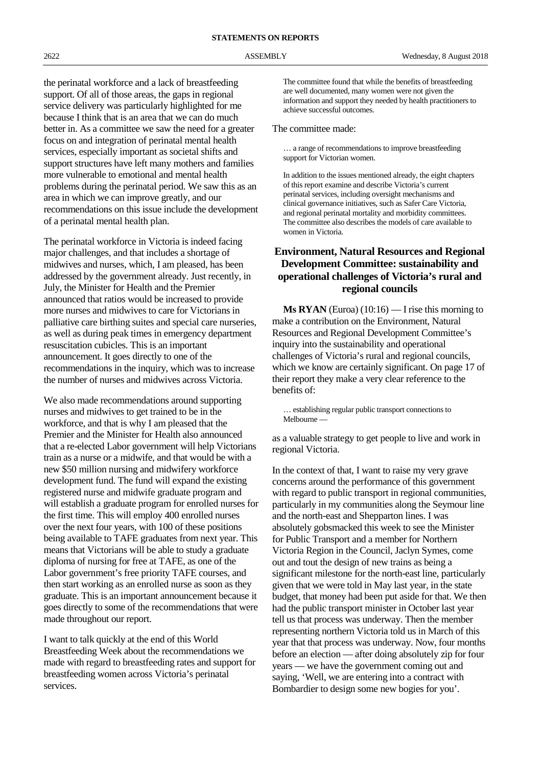the perinatal workforce and a lack of breastfeeding support. Of all of those areas, the gaps in regional service delivery was particularly highlighted for me because I think that is an area that we can do much better in. As a committee we saw the need for a greater focus on and integration of perinatal mental health services, especially important as societal shifts and support structures have left many mothers and families more vulnerable to emotional and mental health problems during the perinatal period. We saw this as an area in which we can improve greatly, and our recommendations on this issue include the development of a perinatal mental health plan.

The perinatal workforce in Victoria is indeed facing major challenges, and that includes a shortage of midwives and nurses, which, I am pleased, has been addressed by the government already. Just recently, in July, the Minister for Health and the Premier announced that ratios would be increased to provide more nurses and midwives to care for Victorians in palliative care birthing suites and special care nurseries, as well as during peak times in emergency department resuscitation cubicles. This is an important announcement. It goes directly to one of the recommendations in the inquiry, which was to increase the number of nurses and midwives across Victoria.

We also made recommendations around supporting nurses and midwives to get trained to be in the workforce, and that is why I am pleased that the Premier and the Minister for Health also announced that a re-elected Labor government will help Victorians train as a nurse or a midwife, and that would be with a new \$50 million nursing and midwifery workforce development fund. The fund will expand the existing registered nurse and midwife graduate program and will establish a graduate program for enrolled nurses for the first time. This will employ 400 enrolled nurses over the next four years, with 100 of these positions being available to TAFE graduates from next year. This means that Victorians will be able to study a graduate diploma of nursing for free at TAFE, as one of the Labor government's free priority TAFE courses, and then start working as an enrolled nurse as soon as they graduate. This is an important announcement because it goes directly to some of the recommendations that were made throughout our report.

I want to talk quickly at the end of this World Breastfeeding Week about the recommendations we made with regard to breastfeeding rates and support for breastfeeding women across Victoria's perinatal services.

The committee found that while the benefits of breastfeeding are well documented, many women were not given the information and support they needed by health practitioners to achieve successful outcomes.

#### The committee made:

… a range of recommendations to improve breastfeeding support for Victorian women.

In addition to the issues mentioned already, the eight chapters of this report examine and describe Victoria's current perinatal services, including oversight mechanisms and clinical governance initiatives, such as Safer Care Victoria, and regional perinatal mortality and morbidity committees. The committee also describes the models of care available to women in Victoria.

#### **Environment, Natural Resources and Regional Development Committee: sustainability and operational challenges of Victoria's rural and regional councils**

**Ms RYAN** (Euroa)  $(10:16)$  — I rise this morning to make a contribution on the Environment, Natural Resources and Regional Development Committee's inquiry into the sustainability and operational challenges of Victoria's rural and regional councils, which we know are certainly significant. On page 17 of their report they make a very clear reference to the benefits of:

… establishing regular public transport connections to Melbourne —

as a valuable strategy to get people to live and work in regional Victoria.

In the context of that, I want to raise my very grave concerns around the performance of this government with regard to public transport in regional communities, particularly in my communities along the Seymour line and the north-east and Shepparton lines. I was absolutely gobsmacked this week to see the Minister for Public Transport and a member for Northern Victoria Region in the Council, Jaclyn Symes, come out and tout the design of new trains as being a significant milestone for the north-east line, particularly given that we were told in May last year, in the state budget, that money had been put aside for that. We then had the public transport minister in October last year tell us that process was underway. Then the member representing northern Victoria told us in March of this year that that process was underway. Now, four months before an election — after doing absolutely zip for four years — we have the government coming out and saying, 'Well, we are entering into a contract with Bombardier to design some new bogies for you'.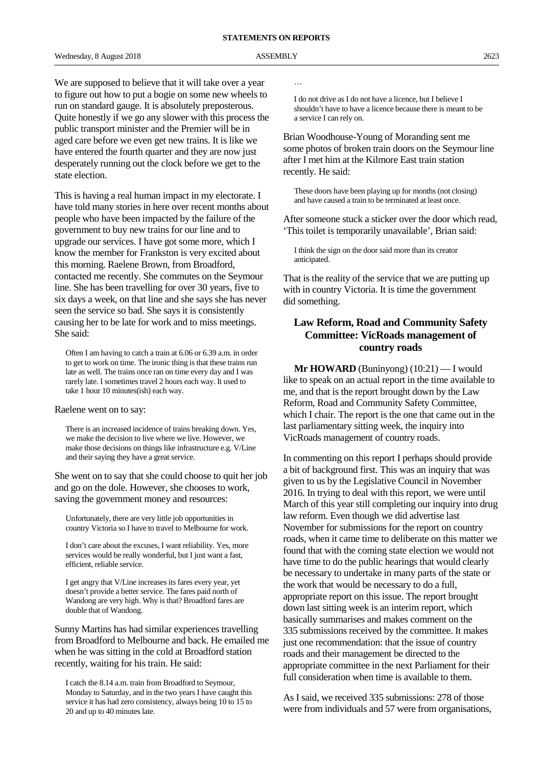We are supposed to believe that it will take over a year to figure out how to put a bogie on some new wheels to run on standard gauge. It is absolutely preposterous. Quite honestly if we go any slower with this process the public transport minister and the Premier will be in aged care before we even get new trains. It is like we have entered the fourth quarter and they are now just desperately running out the clock before we get to the state election.

This is having a real human impact in my electorate. I have told many stories in here over recent months about people who have been impacted by the failure of the government to buy new trains for our line and to upgrade our services. I have got some more, which I know the member for Frankston is very excited about this morning. Raelene Brown, from Broadford, contacted me recently. She commutes on the Seymour line. She has been travelling for over 30 years, five to six days a week, on that line and she says she has never seen the service so bad. She says it is consistently causing her to be late for work and to miss meetings. She said:

Often I am having to catch a train at 6.06 or 6.39 a.m. in order to get to work on time. The ironic thing is that these trains run late as well. The trains once ran on time every day and I was rarely late. I sometimes travel 2 hours each way. It used to take 1 hour 10 minutes(ish) each way.

#### Raelene went on to say:

There is an increased incidence of trains breaking down. Yes, we make the decision to live where we live. However, we make those decisions on things like infrastructure e.g. V/Line and their saying they have a great service.

She went on to say that she could choose to quit her job and go on the dole. However, she chooses to work, saving the government money and resources:

Unfortunately, there are very little job opportunities in country Victoria so I have to travel to Melbourne for work.

I don't care about the excuses, I want reliability. Yes, more services would be really wonderful, but I just want a fast, efficient, reliable service.

I get angry that V/Line increases its fares every year, yet doesn't provide a better service. The fares paid north of Wandong are very high. Why is that? Broadford fares are double that of Wandong.

Sunny Martins has had similar experiences travelling from Broadford to Melbourne and back. He emailed me when he was sitting in the cold at Broadford station recently, waiting for his train. He said:

I catch the 8.14 a.m. train from Broadford to Seymour, Monday to Saturday, and in the two years I have caught this service it has had zero consistency, always being 10 to 15 to 20 and up to 40 minutes late.

…

I do not drive as I do not have a licence, but I believe I shouldn't have to have a licence because there is meant to be a service I can rely on.

Brian Woodhouse-Young of Moranding sent me some photos of broken train doors on the Seymour line after I met him at the Kilmore East train station recently. He said:

These doors have been playing up for months (not closing) and have caused a train to be terminated at least once.

After someone stuck a sticker over the door which read, 'This toilet is temporarily unavailable', Brian said:

I think the sign on the door said more than its creator anticipated.

That is the reality of the service that we are putting up with in country Victoria. It is time the government did something.

#### **Law Reform, Road and Community Safety Committee: VicRoads management of country roads**

**Mr HOWARD** (Buninyong) (10:21) — I would like to speak on an actual report in the time available to me, and that is the report brought down by the Law Reform, Road and Community Safety Committee, which I chair. The report is the one that came out in the last parliamentary sitting week, the inquiry into VicRoads management of country roads.

In commenting on this report I perhaps should provide a bit of background first. This was an inquiry that was given to us by the Legislative Council in November 2016. In trying to deal with this report, we were until March of this year still completing our inquiry into drug law reform. Even though we did advertise last November for submissions for the report on country roads, when it came time to deliberate on this matter we found that with the coming state election we would not have time to do the public hearings that would clearly be necessary to undertake in many parts of the state or the work that would be necessary to do a full, appropriate report on this issue. The report brought down last sitting week is an interim report, which basically summarises and makes comment on the 335 submissions received by the committee. It makes just one recommendation: that the issue of country roads and their management be directed to the appropriate committee in the next Parliament for their full consideration when time is available to them.

As I said, we received 335 submissions: 278 of those were from individuals and 57 were from organisations,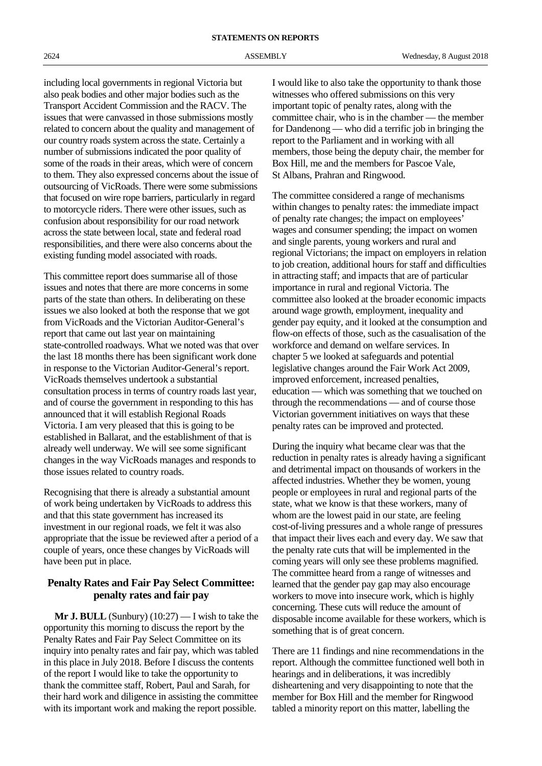including local governments in regional Victoria but also peak bodies and other major bodies such as the Transport Accident Commission and the RACV. The issues that were canvassed in those submissions mostly related to concern about the quality and management of our country roads system across the state. Certainly a number of submissions indicated the poor quality of some of the roads in their areas, which were of concern to them. They also expressed concerns about the issue of outsourcing of VicRoads. There were some submissions that focused on wire rope barriers, particularly in regard to motorcycle riders. There were other issues, such as confusion about responsibility for our road network across the state between local, state and federal road responsibilities, and there were also concerns about the existing funding model associated with roads.

This committee report does summarise all of those issues and notes that there are more concerns in some parts of the state than others. In deliberating on these issues we also looked at both the response that we got from VicRoads and the Victorian Auditor-General's report that came out last year on maintaining state-controlled roadways. What we noted was that over the last 18 months there has been significant work done in response to the Victorian Auditor-General's report. VicRoads themselves undertook a substantial consultation process in terms of country roads last year, and of course the government in responding to this has announced that it will establish Regional Roads Victoria. I am very pleased that this is going to be established in Ballarat, and the establishment of that is already well underway. We will see some significant changes in the way VicRoads manages and responds to those issues related to country roads.

Recognising that there is already a substantial amount of work being undertaken by VicRoads to address this and that this state government has increased its investment in our regional roads, we felt it was also appropriate that the issue be reviewed after a period of a couple of years, once these changes by VicRoads will have been put in place.

#### **Penalty Rates and Fair Pay Select Committee: penalty rates and fair pay**

**Mr J. BULL** (Sunbury) (10:27) — I wish to take the opportunity this morning to discuss the report by the Penalty Rates and Fair Pay Select Committee on its inquiry into penalty rates and fair pay, which was tabled in this place in July 2018. Before I discuss the contents of the report I would like to take the opportunity to thank the committee staff, Robert, Paul and Sarah, for their hard work and diligence in assisting the committee with its important work and making the report possible.

I would like to also take the opportunity to thank those witnesses who offered submissions on this very important topic of penalty rates, along with the committee chair, who is in the chamber — the member for Dandenong — who did a terrific job in bringing the report to the Parliament and in working with all members, those being the deputy chair, the member for Box Hill, me and the members for Pascoe Vale, St Albans, Prahran and Ringwood.

The committee considered a range of mechanisms within changes to penalty rates: the immediate impact of penalty rate changes; the impact on employees' wages and consumer spending; the impact on women and single parents, young workers and rural and regional Victorians; the impact on employers in relation to job creation, additional hours for staff and difficulties in attracting staff; and impacts that are of particular importance in rural and regional Victoria. The committee also looked at the broader economic impacts around wage growth, employment, inequality and gender pay equity, and it looked at the consumption and flow-on effects of those, such as the casualisation of the workforce and demand on welfare services. In chapter 5 we looked at safeguards and potential legislative changes around the Fair Work Act 2009, improved enforcement, increased penalties, education — which was something that we touched on through the recommendations — and of course those Victorian government initiatives on ways that these penalty rates can be improved and protected.

During the inquiry what became clear was that the reduction in penalty rates is already having a significant and detrimental impact on thousands of workers in the affected industries. Whether they be women, young people or employees in rural and regional parts of the state, what we know is that these workers, many of whom are the lowest paid in our state, are feeling cost-of-living pressures and a whole range of pressures that impact their lives each and every day. We saw that the penalty rate cuts that will be implemented in the coming years will only see these problems magnified. The committee heard from a range of witnesses and learned that the gender pay gap may also encourage workers to move into insecure work, which is highly concerning. These cuts will reduce the amount of disposable income available for these workers, which is something that is of great concern.

There are 11 findings and nine recommendations in the report. Although the committee functioned well both in hearings and in deliberations, it was incredibly disheartening and very disappointing to note that the member for Box Hill and the member for Ringwood tabled a minority report on this matter, labelling the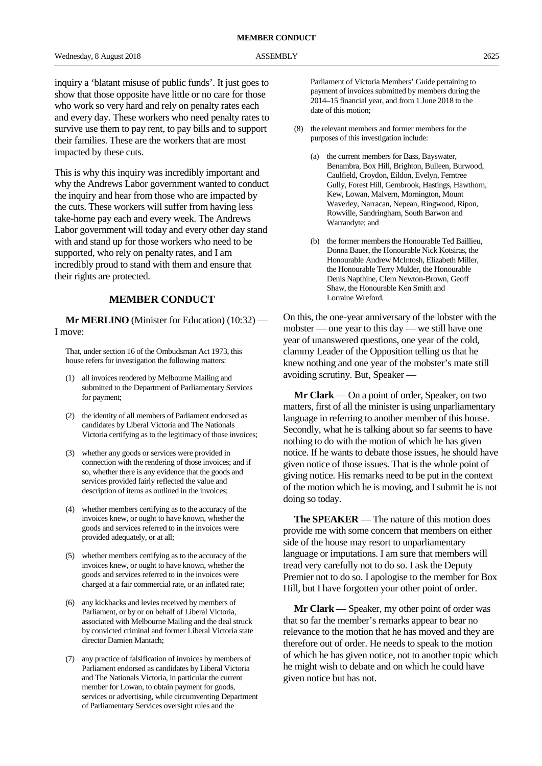inquiry a 'blatant misuse of public funds'. It just goes to show that those opposite have little or no care for those who work so very hard and rely on penalty rates each and every day. These workers who need penalty rates to survive use them to pay rent, to pay bills and to support their families. These are the workers that are most impacted by these cuts.

This is why this inquiry was incredibly important and why the Andrews Labor government wanted to conduct the inquiry and hear from those who are impacted by the cuts. These workers will suffer from having less take-home pay each and every week. The Andrews Labor government will today and every other day stand with and stand up for those workers who need to be supported, who rely on penalty rates, and I am incredibly proud to stand with them and ensure that their rights are protected.

#### **MEMBER CONDUCT**

**Mr MERLINO** (Minister for Education) (10:32) — I move:

That, under section 16 of the Ombudsman Act 1973, this house refers for investigation the following matters:

- (1) all invoices rendered by Melbourne Mailing and submitted to the Department of Parliamentary Services for payment;
- (2) the identity of all members of Parliament endorsed as candidates by Liberal Victoria and The Nationals Victoria certifying as to the legitimacy of those invoices;
- (3) whether any goods or services were provided in connection with the rendering of those invoices; and if so, whether there is any evidence that the goods and services provided fairly reflected the value and description of items as outlined in the invoices;
- (4) whether members certifying as to the accuracy of the invoices knew, or ought to have known, whether the goods and services referred to in the invoices were provided adequately, or at all;
- (5) whether members certifying as to the accuracy of the invoices knew, or ought to have known, whether the goods and services referred to in the invoices were charged at a fair commercial rate, or an inflated rate;
- (6) any kickbacks and levies received by members of Parliament, or by or on behalf of Liberal Victoria, associated with Melbourne Mailing and the deal struck by convicted criminal and former Liberal Victoria state director Damien Mantach;
- (7) any practice of falsification of invoices by members of Parliament endorsed as candidates by Liberal Victoria and The Nationals Victoria, in particular the current member for Lowan, to obtain payment for goods, services or advertising, while circumventing Department of Parliamentary Services oversight rules and the

Parliament of Victoria Members' Guide pertaining to payment of invoices submitted by members during the 2014–15 financial year, and from 1 June 2018 to the date of this motion;

- (8) the relevant members and former members for the purposes of this investigation include:
	- (a) the current members for Bass, Bayswater, Benambra, Box Hill, Brighton, Bulleen, Burwood, Caulfield, Croydon, Eildon, Evelyn, Ferntree Gully, Forest Hill, Gembrook, Hastings, Hawthorn, Kew, Lowan, Malvern, Mornington, Mount Waverley, Narracan, Nepean, Ringwood, Ripon, Rowville, Sandringham, South Barwon and Warrandyte; and
	- (b) the former members the Honourable Ted Baillieu, Donna Bauer, the Honourable Nick Kotsiras, the Honourable Andrew McIntosh, Elizabeth Miller, the Honourable Terry Mulder, the Honourable Denis Napthine, Clem Newton-Brown, Geoff Shaw, the Honourable Ken Smith and Lorraine Wreford.

On this, the one-year anniversary of the lobster with the mobster — one year to this day — we still have one year of unanswered questions, one year of the cold, clammy Leader of the Opposition telling us that he knew nothing and one year of the mobster's mate still avoiding scrutiny. But, Speaker —

**Mr Clark** — On a point of order, Speaker, on two matters, first of all the minister is using unparliamentary language in referring to another member of this house. Secondly, what he is talking about so far seems to have nothing to do with the motion of which he has given notice. If he wants to debate those issues, he should have given notice of those issues. That is the whole point of giving notice. His remarks need to be put in the context of the motion which he is moving, and I submit he is not doing so today.

**The SPEAKER** — The nature of this motion does provide me with some concern that members on either side of the house may resort to unparliamentary language or imputations. I am sure that members will tread very carefully not to do so. I ask the Deputy Premier not to do so. I apologise to the member for Box Hill, but I have forgotten your other point of order.

**Mr Clark** — Speaker, my other point of order was that so far the member's remarks appear to bear no relevance to the motion that he has moved and they are therefore out of order. He needs to speak to the motion of which he has given notice, not to another topic which he might wish to debate and on which he could have given notice but has not.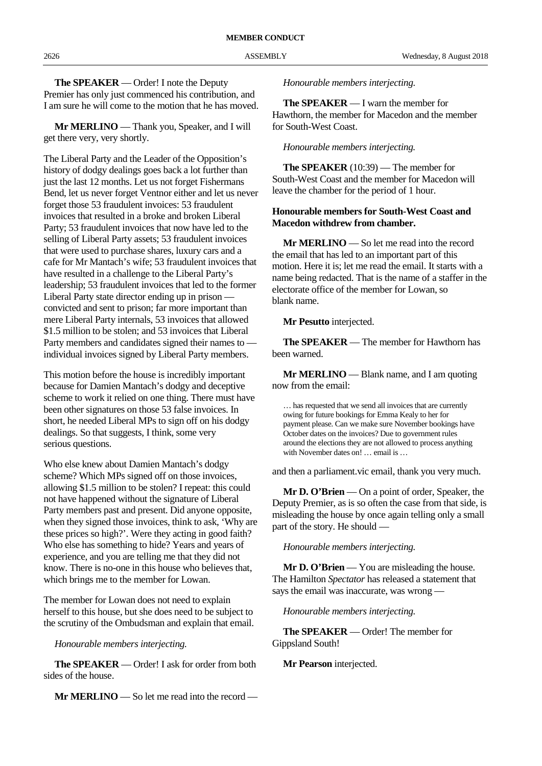**The SPEAKER** — Order! I note the Deputy Premier has only just commenced his contribution, and I am sure he will come to the motion that he has moved.

**Mr MERLINO** — Thank you, Speaker, and I will get there very, very shortly.

The Liberal Party and the Leader of the Opposition's history of dodgy dealings goes back a lot further than just the last 12 months. Let us not forget Fishermans Bend, let us never forget Ventnor either and let us never forget those 53 fraudulent invoices: 53 fraudulent invoices that resulted in a broke and broken Liberal Party; 53 fraudulent invoices that now have led to the selling of Liberal Party assets; 53 fraudulent invoices that were used to purchase shares, luxury cars and a cafe for Mr Mantach's wife; 53 fraudulent invoices that have resulted in a challenge to the Liberal Party's leadership; 53 fraudulent invoices that led to the former Liberal Party state director ending up in prison convicted and sent to prison; far more important than mere Liberal Party internals, 53 invoices that allowed \$1.5 million to be stolen; and 53 invoices that Liberal Party members and candidates signed their names to individual invoices signed by Liberal Party members.

This motion before the house is incredibly important because for Damien Mantach's dodgy and deceptive scheme to work it relied on one thing. There must have been other signatures on those 53 false invoices. In short, he needed Liberal MPs to sign off on his dodgy dealings. So that suggests, I think, some very serious questions.

Who else knew about Damien Mantach's dodgy scheme? Which MPs signed off on those invoices, allowing \$1.5 million to be stolen? I repeat: this could not have happened without the signature of Liberal Party members past and present. Did anyone opposite, when they signed those invoices, think to ask, 'Why are these prices so high?'. Were they acting in good faith? Who else has something to hide? Years and years of experience, and you are telling me that they did not know. There is no-one in this house who believes that, which brings me to the member for Lowan.

The member for Lowan does not need to explain herself to this house, but she does need to be subject to the scrutiny of the Ombudsman and explain that email.

*Honourable members interjecting.*

**The SPEAKER** — Order! I ask for order from both sides of the house.

**Mr MERLINO** — So let me read into the record —

*Honourable members interjecting.*

**The SPEAKER** — I warn the member for Hawthorn, the member for Macedon and the member for South-West Coast.

*Honourable members interjecting.*

**The SPEAKER** (10:39) — The member for South-West Coast and the member for Macedon will leave the chamber for the period of 1 hour.

#### **Honourable members for South-West Coast and Macedon withdrew from chamber.**

**Mr MERLINO** — So let me read into the record the email that has led to an important part of this motion. Here it is; let me read the email. It starts with a name being redacted. That is the name of a staffer in the electorate office of the member for Lowan, so blank name.

**Mr Pesutto** interjected.

**The SPEAKER** — The member for Hawthorn has been warned.

**Mr MERLINO** — Blank name, and I am quoting now from the email:

… has requested that we send all invoices that are currently owing for future bookings for Emma Kealy to her for payment please. Can we make sure November bookings have October dates on the invoices? Due to government rules around the elections they are not allowed to process anything with November dates on! ... email is ...

and then a parliament.vic email, thank you very much.

**Mr D. O'Brien** — On a point of order, Speaker, the Deputy Premier, as is so often the case from that side, is misleading the house by once again telling only a small part of the story. He should —

*Honourable members interjecting.*

**Mr D. O'Brien** — You are misleading the house. The Hamilton *Spectator* has released a statement that says the email was inaccurate, was wrong —

*Honourable members interjecting.*

**The SPEAKER** — Order! The member for Gippsland South!

**Mr Pearson** interjected.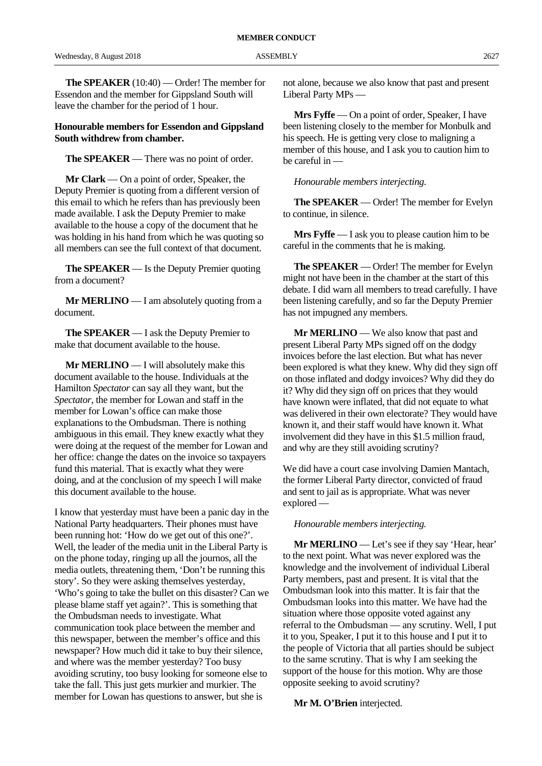**The SPEAKER** (10:40) — Order! The member for Essendon and the member for Gippsland South will leave the chamber for the period of 1 hour.

#### **Honourable members for Essendon and Gippsland South withdrew from chamber.**

**The SPEAKER** — There was no point of order.

**Mr Clark** — On a point of order, Speaker, the Deputy Premier is quoting from a different version of this email to which he refers than has previously been made available. I ask the Deputy Premier to make available to the house a copy of the document that he was holding in his hand from which he was quoting so all members can see the full context of that document.

**The SPEAKER** — Is the Deputy Premier quoting from a document?

**Mr MERLINO** — I am absolutely quoting from a document.

**The SPEAKER** — I ask the Deputy Premier to make that document available to the house.

**Mr MERLINO** — I will absolutely make this document available to the house. Individuals at the Hamilton *Spectator* can say all they want, but the *Spectator*, the member for Lowan and staff in the member for Lowan's office can make those explanations to the Ombudsman. There is nothing ambiguous in this email. They knew exactly what they were doing at the request of the member for Lowan and her office: change the dates on the invoice so taxpayers fund this material. That is exactly what they were doing, and at the conclusion of my speech I will make this document available to the house.

I know that yesterday must have been a panic day in the National Party headquarters. Their phones must have been running hot: 'How do we get out of this one?'. Well, the leader of the media unit in the Liberal Party is on the phone today, ringing up all the journos, all the media outlets, threatening them, 'Don't be running this story'. So they were asking themselves yesterday, 'Who's going to take the bullet on this disaster? Can we please blame staff yet again?'. This is something that the Ombudsman needs to investigate. What communication took place between the member and this newspaper, between the member's office and this newspaper? How much did it take to buy their silence, and where was the member yesterday? Too busy avoiding scrutiny, too busy looking for someone else to take the fall. This just gets murkier and murkier. The member for Lowan has questions to answer, but she is

not alone, because we also know that past and present Liberal Party MPs —

**Mrs Fyffe** — On a point of order, Speaker, I have been listening closely to the member for Monbulk and his speech. He is getting very close to maligning a member of this house, and I ask you to caution him to be careful in —

*Honourable members interjecting.*

**The SPEAKER** — Order! The member for Evelyn to continue, in silence.

**Mrs Fyffe** — I ask you to please caution him to be careful in the comments that he is making.

**The SPEAKER** — Order! The member for Evelyn might not have been in the chamber at the start of this debate. I did warn all members to tread carefully. I have been listening carefully, and so far the Deputy Premier has not impugned any members.

**Mr MERLINO** — We also know that past and present Liberal Party MPs signed off on the dodgy invoices before the last election. But what has never been explored is what they knew. Why did they sign off on those inflated and dodgy invoices? Why did they do it? Why did they sign off on prices that they would have known were inflated, that did not equate to what was delivered in their own electorate? They would have known it, and their staff would have known it. What involvement did they have in this \$1.5 million fraud, and why are they still avoiding scrutiny?

We did have a court case involving Damien Mantach, the former Liberal Party director, convicted of fraud and sent to jail as is appropriate. What was never explored —

#### *Honourable members interjecting.*

**Mr MERLINO** — Let's see if they say 'Hear, hear' to the next point. What was never explored was the knowledge and the involvement of individual Liberal Party members, past and present. It is vital that the Ombudsman look into this matter. It is fair that the Ombudsman looks into this matter. We have had the situation where those opposite voted against any referral to the Ombudsman — any scrutiny. Well, I put it to you, Speaker, I put it to this house and I put it to the people of Victoria that all parties should be subject to the same scrutiny. That is why I am seeking the support of the house for this motion. Why are those opposite seeking to avoid scrutiny?

**Mr M. O'Brien** interjected.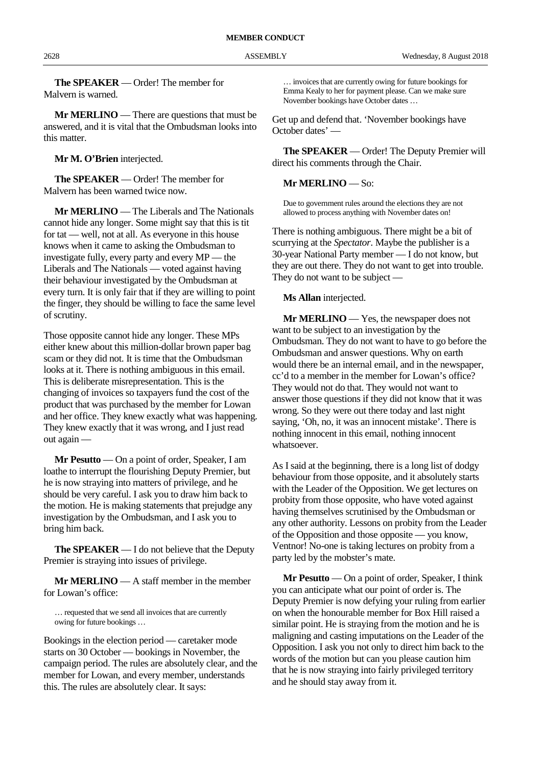**The SPEAKER** — Order! The member for Malvern is warned.

**Mr MERLINO** — There are questions that must be answered, and it is vital that the Ombudsman looks into this matter.

**Mr M. O'Brien** interjected.

**The SPEAKER** — Order! The member for Malvern has been warned twice now.

**Mr MERLINO** — The Liberals and The Nationals cannot hide any longer. Some might say that this is tit for tat — well, not at all. As everyone in this house knows when it came to asking the Ombudsman to investigate fully, every party and every MP — the Liberals and The Nationals — voted against having their behaviour investigated by the Ombudsman at every turn. It is only fair that if they are willing to point the finger, they should be willing to face the same level of scrutiny.

Those opposite cannot hide any longer. These MPs either knew about this million-dollar brown paper bag scam or they did not. It is time that the Ombudsman looks at it. There is nothing ambiguous in this email. This is deliberate misrepresentation. This is the changing of invoices so taxpayers fund the cost of the product that was purchased by the member for Lowan and her office. They knew exactly what was happening. They knew exactly that it was wrong, and I just read out again —

**Mr Pesutto** — On a point of order, Speaker, I am loathe to interrupt the flourishing Deputy Premier, but he is now straying into matters of privilege, and he should be very careful. I ask you to draw him back to the motion. He is making statements that prejudge any investigation by the Ombudsman, and I ask you to bring him back.

**The SPEAKER** — I do not believe that the Deputy Premier is straying into issues of privilege.

**Mr MERLINO** — A staff member in the member for Lowan's office:

… requested that we send all invoices that are currently owing for future bookings …

Bookings in the election period — caretaker mode starts on 30 October — bookings in November, the campaign period. The rules are absolutely clear, and the member for Lowan, and every member, understands this. The rules are absolutely clear. It says:

… invoices that are currently owing for future bookings for Emma Kealy to her for payment please. Can we make sure November bookings have October dates …

Get up and defend that. 'November bookings have October dates' —

**The SPEAKER** — Order! The Deputy Premier will direct his comments through the Chair.

#### **Mr MERLINO** — So:

Due to government rules around the elections they are not allowed to process anything with November dates on!

There is nothing ambiguous. There might be a bit of scurrying at the *Spectator*. Maybe the publisher is a 30-year National Party member — I do not know, but they are out there. They do not want to get into trouble. They do not want to be subject —

**Ms Allan** interjected.

**Mr MERLINO** — Yes, the newspaper does not want to be subject to an investigation by the Ombudsman. They do not want to have to go before the Ombudsman and answer questions. Why on earth would there be an internal email, and in the newspaper, cc'd to a member in the member for Lowan's office? They would not do that. They would not want to answer those questions if they did not know that it was wrong. So they were out there today and last night saying, 'Oh, no, it was an innocent mistake'. There is nothing innocent in this email, nothing innocent whatsoever.

As I said at the beginning, there is a long list of dodgy behaviour from those opposite, and it absolutely starts with the Leader of the Opposition. We get lectures on probity from those opposite, who have voted against having themselves scrutinised by the Ombudsman or any other authority. Lessons on probity from the Leader of the Opposition and those opposite — you know, Ventnor! No-one is taking lectures on probity from a party led by the mobster's mate.

**Mr Pesutto** — On a point of order, Speaker, I think you can anticipate what our point of order is. The Deputy Premier is now defying your ruling from earlier on when the honourable member for Box Hill raised a similar point. He is straying from the motion and he is maligning and casting imputations on the Leader of the Opposition. I ask you not only to direct him back to the words of the motion but can you please caution him that he is now straying into fairly privileged territory and he should stay away from it.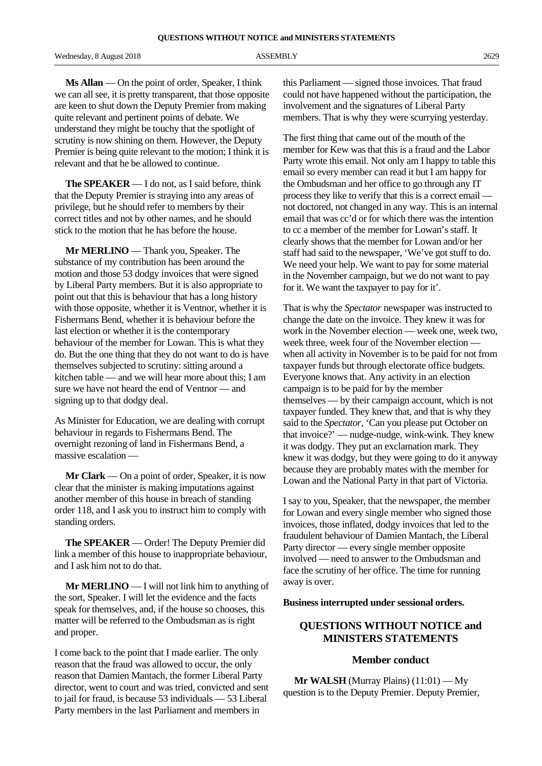Wednesday, 8 August 2018 2629 ASSEMBLY 2629

**Ms Allan** — On the point of order, Speaker, I think we can all see, it is pretty transparent, that those opposite are keen to shut down the Deputy Premier from making quite relevant and pertinent points of debate. We understand they might be touchy that the spotlight of scrutiny is now shining on them. However, the Deputy Premier is being quite relevant to the motion; I think it is relevant and that he be allowed to continue.

**The SPEAKER** — I do not, as I said before, think that the Deputy Premier is straying into any areas of privilege, but he should refer to members by their correct titles and not by other names, and he should stick to the motion that he has before the house.

**Mr MERLINO** — Thank you, Speaker. The substance of my contribution has been around the motion and those 53 dodgy invoices that were signed by Liberal Party members. But it is also appropriate to point out that this is behaviour that has a long history with those opposite, whether it is Ventnor, whether it is Fishermans Bend, whether it is behaviour before the last election or whether it is the contemporary behaviour of the member for Lowan. This is what they do. But the one thing that they do not want to do is have themselves subjected to scrutiny: sitting around a kitchen table — and we will hear more about this; I am sure we have not heard the end of Ventnor — and signing up to that dodgy deal.

As Minister for Education, we are dealing with corrupt behaviour in regards to Fishermans Bend. The overnight rezoning of land in Fishermans Bend, a massive escalation —

**Mr Clark** — On a point of order, Speaker, it is now clear that the minister is making imputations against another member of this house in breach of standing order 118, and I ask you to instruct him to comply with standing orders.

**The SPEAKER** — Order! The Deputy Premier did link a member of this house to inappropriate behaviour, and I ask him not to do that.

**Mr MERLINO** — I will not link him to anything of the sort, Speaker. I will let the evidence and the facts speak for themselves, and, if the house so chooses, this matter will be referred to the Ombudsman as is right and proper.

I come back to the point that I made earlier. The only reason that the fraud was allowed to occur, the only reason that Damien Mantach, the former Liberal Party director, went to court and was tried, convicted and sent to jail for fraud, is because 53 individuals — 53 Liberal Party members in the last Parliament and members in

this Parliament — signed those invoices. That fraud could not have happened without the participation, the involvement and the signatures of Liberal Party members. That is why they were scurrying yesterday.

The first thing that came out of the mouth of the member for Kew was that this is a fraud and the Labor Party wrote this email. Not only am I happy to table this email so every member can read it but I am happy for the Ombudsman and her office to go through any IT process they like to verify that this is a correct email not doctored, not changed in any way. This is an internal email that was cc'd or for which there was the intention to cc a member of the member for Lowan's staff. It clearly shows that the member for Lowan and/or her staff had said to the newspaper, 'We've got stuff to do. We need your help. We want to pay for some material in the November campaign, but we do not want to pay for it. We want the taxpayer to pay for it'.

That is why the *Spectator* newspaper was instructed to change the date on the invoice. They knew it was for work in the November election — week one, week two, week three, week four of the November election when all activity in November is to be paid for not from taxpayer funds but through electorate office budgets. Everyone knows that. Any activity in an election campaign is to be paid for by the member themselves — by their campaign account, which is not taxpayer funded. They knew that, and that is why they said to the *Spectator*, 'Can you please put October on that invoice?' — nudge-nudge, wink-wink. They knew it was dodgy. They put an exclamation mark. They knew it was dodgy, but they were going to do it anyway because they are probably mates with the member for Lowan and the National Party in that part of Victoria.

I say to you, Speaker, that the newspaper, the member for Lowan and every single member who signed those invoices, those inflated, dodgy invoices that led to the fraudulent behaviour of Damien Mantach, the Liberal Party director — every single member opposite involved — need to answer to the Ombudsman and face the scrutiny of her office. The time for running away is over.

**Business interrupted under sessional orders.**

#### **QUESTIONS WITHOUT NOTICE and MINISTERS STATEMENTS**

#### **Member conduct**

**Mr WALSH** (Murray Plains) (11:01) — My question is to the Deputy Premier. Deputy Premier,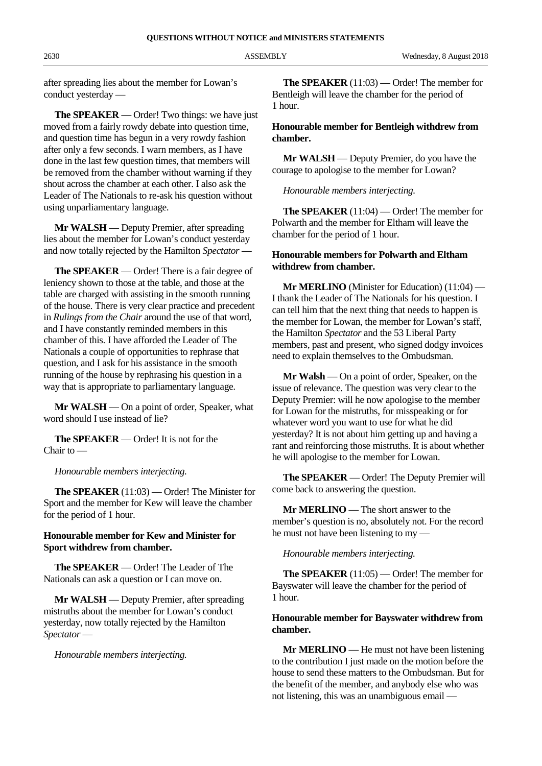after spreading lies about the member for Lowan's conduct yesterday —

**The SPEAKER** — Order! Two things: we have just moved from a fairly rowdy debate into question time, and question time has begun in a very rowdy fashion after only a few seconds. I warn members, as I have done in the last few question times, that members will be removed from the chamber without warning if they shout across the chamber at each other. I also ask the Leader of The Nationals to re-ask his question without using unparliamentary language.

**Mr WALSH** — Deputy Premier, after spreading lies about the member for Lowan's conduct yesterday and now totally rejected by the Hamilton *Spectator* —

**The SPEAKER** — Order! There is a fair degree of leniency shown to those at the table, and those at the table are charged with assisting in the smooth running of the house. There is very clear practice and precedent in *Rulings from the Chair* around the use of that word, and I have constantly reminded members in this chamber of this. I have afforded the Leader of The Nationals a couple of opportunities to rephrase that question, and I ask for his assistance in the smooth running of the house by rephrasing his question in a way that is appropriate to parliamentary language.

**Mr WALSH** — On a point of order, Speaker, what word should I use instead of lie?

**The SPEAKER** — Order! It is not for the Chair to —

*Honourable members interjecting.*

**The SPEAKER** (11:03) — Order! The Minister for Sport and the member for Kew will leave the chamber for the period of 1 hour.

#### **Honourable member for Kew and Minister for Sport withdrew from chamber.**

**The SPEAKER** — Order! The Leader of The Nationals can ask a question or I can move on.

**Mr WALSH** — Deputy Premier, after spreading mistruths about the member for Lowan's conduct yesterday, now totally rejected by the Hamilton *Spectator* —

*Honourable members interjecting.*

**The SPEAKER** (11:03) — Order! The member for Bentleigh will leave the chamber for the period of 1 hour.

#### **Honourable member for Bentleigh withdrew from chamber.**

**Mr WALSH** — Deputy Premier, do you have the courage to apologise to the member for Lowan?

*Honourable members interjecting.*

**The SPEAKER** (11:04) — Order! The member for Polwarth and the member for Eltham will leave the chamber for the period of 1 hour.

#### **Honourable members for Polwarth and Eltham withdrew from chamber.**

**Mr MERLINO** (Minister for Education) (11:04) — I thank the Leader of The Nationals for his question. I can tell him that the next thing that needs to happen is the member for Lowan, the member for Lowan's staff, the Hamilton *Spectator* and the 53 Liberal Party members, past and present, who signed dodgy invoices need to explain themselves to the Ombudsman.

**Mr Walsh** — On a point of order, Speaker, on the issue of relevance. The question was very clear to the Deputy Premier: will he now apologise to the member for Lowan for the mistruths, for misspeaking or for whatever word you want to use for what he did yesterday? It is not about him getting up and having a rant and reinforcing those mistruths. It is about whether he will apologise to the member for Lowan.

**The SPEAKER** — Order! The Deputy Premier will come back to answering the question.

**Mr MERLINO** — The short answer to the member's question is no, absolutely not. For the record he must not have been listening to my —

*Honourable members interjecting.*

**The SPEAKER** (11:05) — Order! The member for Bayswater will leave the chamber for the period of 1 hour.

#### **Honourable member for Bayswater withdrew from chamber.**

**Mr MERLINO** — He must not have been listening to the contribution I just made on the motion before the house to send these matters to the Ombudsman. But for the benefit of the member, and anybody else who was not listening, this was an unambiguous email —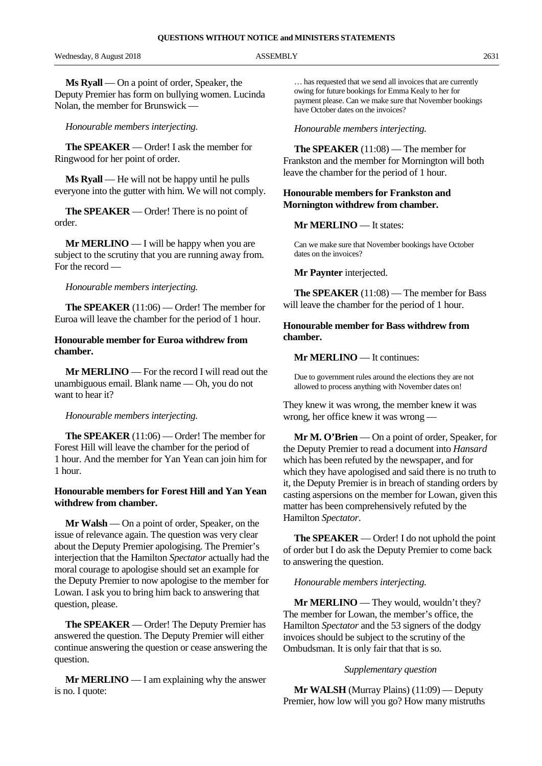Wednesday, 8 August 2018 **ASSEMBLY** 2631

**Ms Ryall** — On a point of order, Speaker, the Deputy Premier has form on bullying women. Lucinda Nolan, the member for Brunswick —

*Honourable members interjecting.*

**The SPEAKER** — Order! I ask the member for Ringwood for her point of order.

**Ms Ryall** — He will not be happy until he pulls everyone into the gutter with him. We will not comply.

**The SPEAKER** — Order! There is no point of order.

**Mr MERLINO** — I will be happy when you are subject to the scrutiny that you are running away from. For the record —

#### *Honourable members interjecting.*

**The SPEAKER** (11:06) — Order! The member for Euroa will leave the chamber for the period of 1 hour.

#### **Honourable member for Euroa withdrew from chamber.**

**Mr MERLINO** — For the record I will read out the unambiguous email. Blank name — Oh, you do not want to hear it?

#### *Honourable members interjecting.*

**The SPEAKER** (11:06) — Order! The member for Forest Hill will leave the chamber for the period of 1 hour. And the member for Yan Yean can join him for 1 hour.

#### **Honourable members for Forest Hill and Yan Yean withdrew from chamber.**

**Mr Walsh** — On a point of order, Speaker, on the issue of relevance again. The question was very clear about the Deputy Premier apologising. The Premier's interjection that the Hamilton *Spectator* actually had the moral courage to apologise should set an example for the Deputy Premier to now apologise to the member for Lowan. I ask you to bring him back to answering that question, please.

**The SPEAKER** — Order! The Deputy Premier has answered the question. The Deputy Premier will either continue answering the question or cease answering the question.

**Mr MERLINO** — I am explaining why the answer is no. I quote:

… has requested that we send all invoices that are currently owing for future bookings for Emma Kealy to her for payment please. Can we make sure that November bookings have October dates on the invoices?

#### *Honourable members interjecting.*

**The SPEAKER** (11:08) — The member for Frankston and the member for Mornington will both leave the chamber for the period of 1 hour.

#### **Honourable members for Frankston and Mornington withdrew from chamber.**

#### **Mr MERLINO** — It states:

Can we make sure that November bookings have October dates on the invoices?

#### **Mr Paynter** interjected.

**The SPEAKER** (11:08) — The member for Bass will leave the chamber for the period of 1 hour.

#### **Honourable member for Bass withdrew from chamber.**

#### **Mr MERLINO** — It continues:

Due to government rules around the elections they are not allowed to process anything with November dates on!

They knew it was wrong, the member knew it was wrong, her office knew it was wrong —

**Mr M. O'Brien** — On a point of order, Speaker, for the Deputy Premier to read a document into *Hansard* which has been refuted by the newspaper, and for which they have apologised and said there is no truth to it, the Deputy Premier is in breach of standing orders by casting aspersions on the member for Lowan, given this matter has been comprehensively refuted by the Hamilton *Spectator*.

**The SPEAKER** — Order! I do not uphold the point of order but I do ask the Deputy Premier to come back to answering the question.

#### *Honourable members interjecting.*

**Mr MERLINO** — They would, wouldn't they? The member for Lowan, the member's office, the Hamilton *Spectator* and the 53 signers of the dodgy invoices should be subject to the scrutiny of the Ombudsman. It is only fair that that is so.

#### *Supplementary question*

**Mr WALSH** (Murray Plains) (11:09) — Deputy Premier, how low will you go? How many mistruths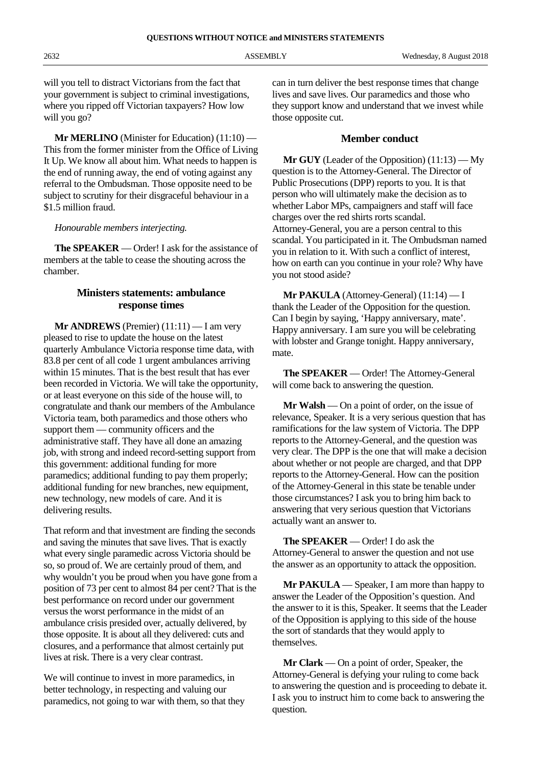will you tell to distract Victorians from the fact that your government is subject to criminal investigations, where you ripped off Victorian taxpayers? How low will you go?

**Mr MERLINO** (Minister for Education) (11:10) — This from the former minister from the Office of Living It Up. We know all about him. What needs to happen is the end of running away, the end of voting against any referral to the Ombudsman. Those opposite need to be subject to scrutiny for their disgraceful behaviour in a \$1.5 million fraud.

#### *Honourable members interjecting.*

**The SPEAKER** — Order! I ask for the assistance of members at the table to cease the shouting across the chamber.

#### **Ministers statements: ambulance response times**

**Mr ANDREWS** (Premier) (11:11) — I am very pleased to rise to update the house on the latest quarterly Ambulance Victoria response time data, with 83.8 per cent of all code 1 urgent ambulances arriving within 15 minutes. That is the best result that has ever been recorded in Victoria. We will take the opportunity, or at least everyone on this side of the house will, to congratulate and thank our members of the Ambulance Victoria team, both paramedics and those others who support them — community officers and the administrative staff. They have all done an amazing job, with strong and indeed record-setting support from this government: additional funding for more paramedics; additional funding to pay them properly; additional funding for new branches, new equipment, new technology, new models of care. And it is delivering results.

That reform and that investment are finding the seconds and saving the minutes that save lives. That is exactly what every single paramedic across Victoria should be so, so proud of. We are certainly proud of them, and why wouldn't you be proud when you have gone from a position of 73 per cent to almost 84 per cent? That is the best performance on record under our government versus the worst performance in the midst of an ambulance crisis presided over, actually delivered, by those opposite. It is about all they delivered: cuts and closures, and a performance that almost certainly put lives at risk. There is a very clear contrast.

We will continue to invest in more paramedics, in better technology, in respecting and valuing our paramedics, not going to war with them, so that they can in turn deliver the best response times that change lives and save lives. Our paramedics and those who they support know and understand that we invest while those opposite cut.

#### **Member conduct**

**Mr GUY** (Leader of the Opposition) (11:13) — My question is to the Attorney-General. The Director of Public Prosecutions (DPP) reports to you. It is that person who will ultimately make the decision as to whether Labor MPs, campaigners and staff will face charges over the red shirts rorts scandal. Attorney-General, you are a person central to this scandal. You participated in it. The Ombudsman named you in relation to it. With such a conflict of interest, how on earth can you continue in your role? Why have you not stood aside?

**Mr PAKULA** (Attorney-General) (11:14) — I thank the Leader of the Opposition for the question. Can I begin by saying, 'Happy anniversary, mate'. Happy anniversary. I am sure you will be celebrating with lobster and Grange tonight. Happy anniversary, mate.

**The SPEAKER** — Order! The Attorney-General will come back to answering the question.

**Mr Walsh** — On a point of order, on the issue of relevance, Speaker. It is a very serious question that has ramifications for the law system of Victoria. The DPP reports to the Attorney-General, and the question was very clear. The DPP is the one that will make a decision about whether or not people are charged, and that DPP reports to the Attorney-General. How can the position of the Attorney-General in this state be tenable under those circumstances? I ask you to bring him back to answering that very serious question that Victorians actually want an answer to.

**The SPEAKER** — Order! I do ask the Attorney-General to answer the question and not use the answer as an opportunity to attack the opposition.

**Mr PAKULA** — Speaker, I am more than happy to answer the Leader of the Opposition's question. And the answer to it is this, Speaker. It seems that the Leader of the Opposition is applying to this side of the house the sort of standards that they would apply to themselves.

**Mr Clark** — On a point of order, Speaker, the Attorney-General is defying your ruling to come back to answering the question and is proceeding to debate it. I ask you to instruct him to come back to answering the question.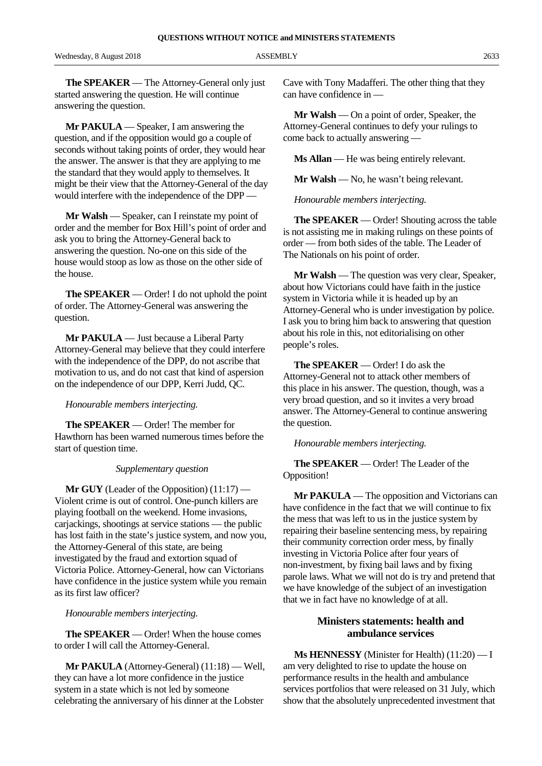Wednesday, 8 August 2018 ASSEMBLY 2633

**The SPEAKER** — The Attorney-General only just started answering the question. He will continue answering the question.

**Mr PAKULA** — Speaker, I am answering the question, and if the opposition would go a couple of seconds without taking points of order, they would hear the answer. The answer is that they are applying to me the standard that they would apply to themselves. It might be their view that the Attorney-General of the day would interfere with the independence of the DPP —

**Mr Walsh** — Speaker, can I reinstate my point of order and the member for Box Hill's point of order and ask you to bring the Attorney-General back to answering the question. No-one on this side of the house would stoop as low as those on the other side of the house.

**The SPEAKER** — Order! I do not uphold the point of order. The Attorney-General was answering the question.

**Mr PAKULA** — Just because a Liberal Party Attorney-General may believe that they could interfere with the independence of the DPP, do not ascribe that motivation to us, and do not cast that kind of aspersion on the independence of our DPP, Kerri Judd, QC.

#### *Honourable members interjecting.*

**The SPEAKER** — Order! The member for Hawthorn has been warned numerous times before the start of question time.

#### *Supplementary question*

**Mr GUY** (Leader of the Opposition) (11:17) — Violent crime is out of control. One-punch killers are playing football on the weekend. Home invasions, carjackings, shootings at service stations — the public has lost faith in the state's justice system, and now you, the Attorney-General of this state, are being investigated by the fraud and extortion squad of Victoria Police. Attorney-General, how can Victorians have confidence in the justice system while you remain as its first law officer?

*Honourable members interjecting.*

**The SPEAKER** — Order! When the house comes to order I will call the Attorney-General.

**Mr PAKULA** (Attorney-General) (11:18) — Well, they can have a lot more confidence in the justice system in a state which is not led by someone celebrating the anniversary of his dinner at the Lobster Cave with Tony Madafferi. The other thing that they can have confidence in —

**Mr Walsh** — On a point of order, Speaker, the Attorney-General continues to defy your rulings to come back to actually answering —

**Ms Allan** — He was being entirely relevant.

**Mr Walsh** — No, he wasn't being relevant.

*Honourable members interjecting.*

**The SPEAKER** — Order! Shouting across the table is not assisting me in making rulings on these points of order — from both sides of the table. The Leader of The Nationals on his point of order.

**Mr Walsh** — The question was very clear, Speaker, about how Victorians could have faith in the justice system in Victoria while it is headed up by an Attorney-General who is under investigation by police. I ask you to bring him back to answering that question about his role in this, not editorialising on other people's roles.

**The SPEAKER** — Order! I do ask the Attorney-General not to attack other members of this place in his answer. The question, though, was a very broad question, and so it invites a very broad answer. The Attorney-General to continue answering the question.

*Honourable members interjecting.*

**The SPEAKER** — Order! The Leader of the Opposition!

**Mr PAKULA** — The opposition and Victorians can have confidence in the fact that we will continue to fix the mess that was left to us in the justice system by repairing their baseline sentencing mess, by repairing their community correction order mess, by finally investing in Victoria Police after four years of non-investment, by fixing bail laws and by fixing parole laws. What we will not do is try and pretend that we have knowledge of the subject of an investigation that we in fact have no knowledge of at all.

#### **Ministers statements: health and ambulance services**

**Ms HENNESSY** (Minister for Health) (11:20) — I am very delighted to rise to update the house on performance results in the health and ambulance services portfolios that were released on 31 July, which show that the absolutely unprecedented investment that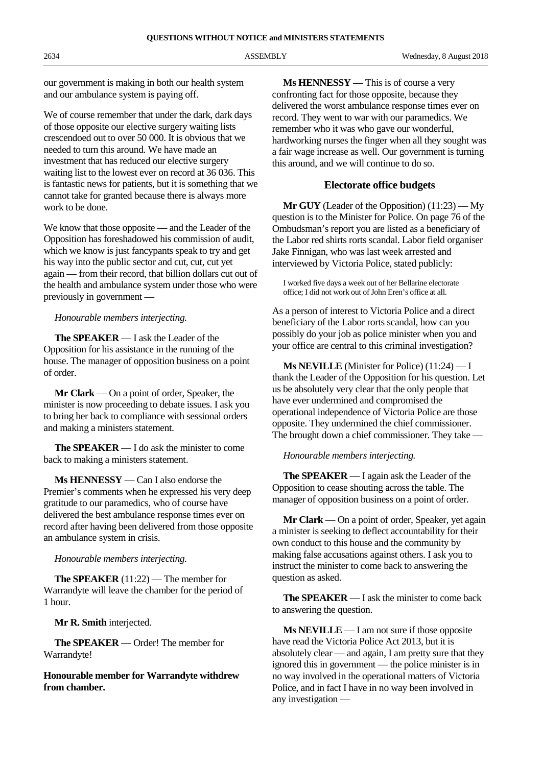our government is making in both our health system and our ambulance system is paying off.

We of course remember that under the dark, dark days of those opposite our elective surgery waiting lists crescendoed out to over 50 000. It is obvious that we needed to turn this around. We have made an investment that has reduced our elective surgery waiting list to the lowest ever on record at 36 036. This is fantastic news for patients, but it is something that we cannot take for granted because there is always more work to be done.

We know that those opposite — and the Leader of the Opposition has foreshadowed his commission of audit, which we know is just fancypants speak to try and get his way into the public sector and cut, cut, cut yet again — from their record, that billion dollars cut out of the health and ambulance system under those who were previously in government —

#### *Honourable members interjecting.*

**The SPEAKER** — I ask the Leader of the Opposition for his assistance in the running of the house. The manager of opposition business on a point of order.

**Mr Clark** — On a point of order, Speaker, the minister is now proceeding to debate issues. I ask you to bring her back to compliance with sessional orders and making a ministers statement.

**The SPEAKER** — I do ask the minister to come back to making a ministers statement.

**Ms HENNESSY** — Can I also endorse the Premier's comments when he expressed his very deep gratitude to our paramedics, who of course have delivered the best ambulance response times ever on record after having been delivered from those opposite an ambulance system in crisis.

#### *Honourable members interjecting.*

**The SPEAKER** (11:22) — The member for Warrandyte will leave the chamber for the period of 1 hour.

**Mr R. Smith** interjected.

**The SPEAKER** — Order! The member for Warrandyte!

**Honourable member for Warrandyte withdrew from chamber.**

**Ms HENNESSY** — This is of course a very confronting fact for those opposite, because they delivered the worst ambulance response times ever on record. They went to war with our paramedics. We remember who it was who gave our wonderful, hardworking nurses the finger when all they sought was a fair wage increase as well. Our government is turning this around, and we will continue to do so.

#### **Electorate office budgets**

**Mr GUY** (Leader of the Opposition) (11:23) — My question is to the Minister for Police. On page 76 of the Ombudsman's report you are listed as a beneficiary of the Labor red shirts rorts scandal. Labor field organiser Jake Finnigan, who was last week arrested and interviewed by Victoria Police, stated publicly:

I worked five days a week out of her Bellarine electorate office; I did not work out of John Eren's office at all.

As a person of interest to Victoria Police and a direct beneficiary of the Labor rorts scandal, how can you possibly do your job as police minister when you and your office are central to this criminal investigation?

**Ms NEVILLE** (Minister for Police) (11:24) — I thank the Leader of the Opposition for his question. Let us be absolutely very clear that the only people that have ever undermined and compromised the operational independence of Victoria Police are those opposite. They undermined the chief commissioner. The brought down a chief commissioner. They take —

*Honourable members interjecting.*

**The SPEAKER** — I again ask the Leader of the Opposition to cease shouting across the table. The manager of opposition business on a point of order.

**Mr Clark** — On a point of order, Speaker, yet again a minister is seeking to deflect accountability for their own conduct to this house and the community by making false accusations against others. I ask you to instruct the minister to come back to answering the question as asked.

**The SPEAKER** — I ask the minister to come back to answering the question.

**Ms NEVILLE** — I am not sure if those opposite have read the Victoria Police Act 2013, but it is absolutely clear — and again, I am pretty sure that they ignored this in government — the police minister is in no way involved in the operational matters of Victoria Police, and in fact I have in no way been involved in any investigation —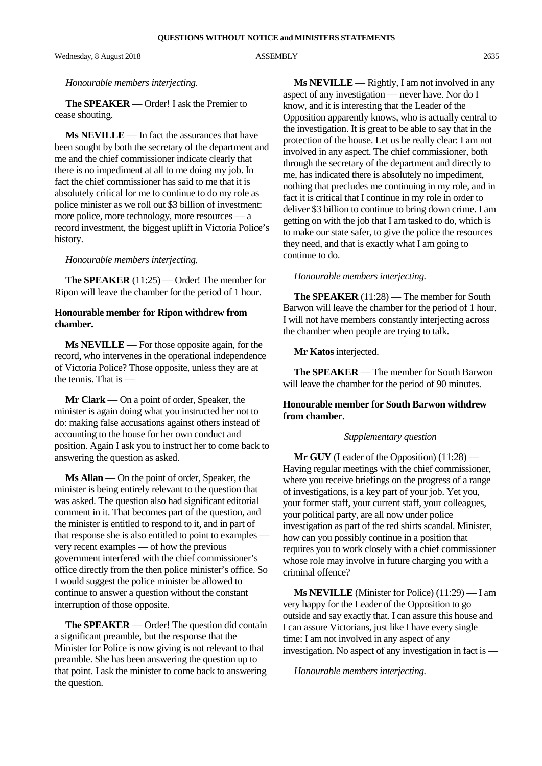Wednesday, 8 August 2018 ASSEMBLY 2635

#### *Honourable members interjecting.*

**The SPEAKER** — Order! I ask the Premier to cease shouting.

**Ms NEVILLE** — In fact the assurances that have been sought by both the secretary of the department and me and the chief commissioner indicate clearly that there is no impediment at all to me doing my job. In fact the chief commissioner has said to me that it is absolutely critical for me to continue to do my role as police minister as we roll out \$3 billion of investment: more police, more technology, more resources — a record investment, the biggest uplift in Victoria Police's history.

#### *Honourable members interjecting.*

**The SPEAKER** (11:25) — Order! The member for Ripon will leave the chamber for the period of 1 hour.

#### **Honourable member for Ripon withdrew from chamber.**

**Ms NEVILLE** — For those opposite again, for the record, who intervenes in the operational independence of Victoria Police? Those opposite, unless they are at the tennis. That is —

**Mr Clark** — On a point of order, Speaker, the minister is again doing what you instructed her not to do: making false accusations against others instead of accounting to the house for her own conduct and position. Again I ask you to instruct her to come back to answering the question as asked.

**Ms Allan** — On the point of order, Speaker, the minister is being entirely relevant to the question that was asked. The question also had significant editorial comment in it. That becomes part of the question, and the minister is entitled to respond to it, and in part of that response she is also entitled to point to examples very recent examples — of how the previous government interfered with the chief commissioner's office directly from the then police minister's office. So I would suggest the police minister be allowed to continue to answer a question without the constant interruption of those opposite.

**The SPEAKER** — Order! The question did contain a significant preamble, but the response that the Minister for Police is now giving is not relevant to that preamble. She has been answering the question up to that point. I ask the minister to come back to answering the question.

**Ms NEVILLE** — Rightly, I am not involved in any aspect of any investigation — never have. Nor do I know, and it is interesting that the Leader of the Opposition apparently knows, who is actually central to the investigation. It is great to be able to say that in the protection of the house. Let us be really clear: I am not involved in any aspect. The chief commissioner, both through the secretary of the department and directly to me, has indicated there is absolutely no impediment, nothing that precludes me continuing in my role, and in fact it is critical that I continue in my role in order to deliver \$3 billion to continue to bring down crime. I am getting on with the job that I am tasked to do, which is to make our state safer, to give the police the resources they need, and that is exactly what I am going to continue to do.

#### *Honourable members interjecting.*

**The SPEAKER** (11:28) — The member for South Barwon will leave the chamber for the period of 1 hour. I will not have members constantly interjecting across the chamber when people are trying to talk.

**Mr Katos** interjected.

**The SPEAKER** — The member for South Barwon will leave the chamber for the period of 90 minutes.

#### **Honourable member for South Barwon withdrew from chamber.**

#### *Supplementary question*

**Mr GUY** (Leader of the Opposition) (11:28) — Having regular meetings with the chief commissioner, where you receive briefings on the progress of a range of investigations, is a key part of your job. Yet you, your former staff, your current staff, your colleagues, your political party, are all now under police investigation as part of the red shirts scandal. Minister, how can you possibly continue in a position that requires you to work closely with a chief commissioner whose role may involve in future charging you with a criminal offence?

**Ms NEVILLE** (Minister for Police) (11:29) — I am very happy for the Leader of the Opposition to go outside and say exactly that. I can assure this house and I can assure Victorians, just like I have every single time: I am not involved in any aspect of any investigation. No aspect of any investigation in fact is —

*Honourable members interjecting.*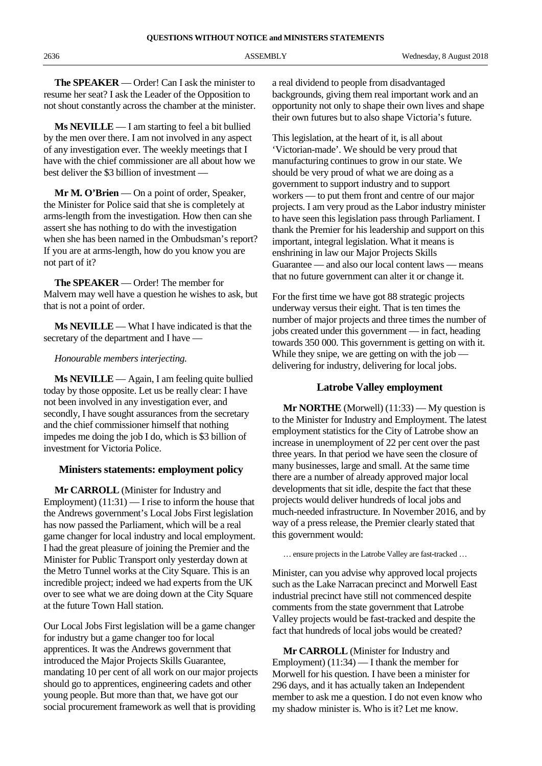**The SPEAKER** — Order! Can I ask the minister to resume her seat? I ask the Leader of the Opposition to not shout constantly across the chamber at the minister.

**Ms NEVILLE** — I am starting to feel a bit bullied by the men over there. I am not involved in any aspect of any investigation ever. The weekly meetings that I have with the chief commissioner are all about how we best deliver the \$3 billion of investment —

**Mr M. O'Brien** — On a point of order, Speaker, the Minister for Police said that she is completely at arms-length from the investigation. How then can she assert she has nothing to do with the investigation when she has been named in the Ombudsman's report? If you are at arms-length, how do you know you are not part of it?

**The SPEAKER** — Order! The member for Malvern may well have a question he wishes to ask, but that is not a point of order.

**Ms NEVILLE** — What I have indicated is that the secretary of the department and I have —

#### *Honourable members interjecting.*

**Ms NEVILLE** — Again, I am feeling quite bullied today by those opposite. Let us be really clear: I have not been involved in any investigation ever, and secondly, I have sought assurances from the secretary and the chief commissioner himself that nothing impedes me doing the job I do, which is \$3 billion of investment for Victoria Police.

#### **Ministers statements: employment policy**

**Mr CARROLL** (Minister for Industry and Employment)  $(11:31)$  — I rise to inform the house that the Andrews government's Local Jobs First legislation has now passed the Parliament, which will be a real game changer for local industry and local employment. I had the great pleasure of joining the Premier and the Minister for Public Transport only yesterday down at the Metro Tunnel works at the City Square. This is an incredible project; indeed we had experts from the UK over to see what we are doing down at the City Square at the future Town Hall station.

Our Local Jobs First legislation will be a game changer for industry but a game changer too for local apprentices. It was the Andrews government that introduced the Major Projects Skills Guarantee, mandating 10 per cent of all work on our major projects should go to apprentices, engineering cadets and other young people. But more than that, we have got our social procurement framework as well that is providing

a real dividend to people from disadvantaged backgrounds, giving them real important work and an opportunity not only to shape their own lives and shape their own futures but to also shape Victoria's future.

This legislation, at the heart of it, is all about 'Victorian-made'. We should be very proud that manufacturing continues to grow in our state. We should be very proud of what we are doing as a government to support industry and to support workers — to put them front and centre of our major projects. I am very proud as the Labor industry minister to have seen this legislation pass through Parliament. I thank the Premier for his leadership and support on this important, integral legislation. What it means is enshrining in law our Major Projects Skills Guarantee — and also our local content laws — means that no future government can alter it or change it.

For the first time we have got 88 strategic projects underway versus their eight. That is ten times the number of major projects and three times the number of jobs created under this government — in fact, heading towards 350 000. This government is getting on with it. While they snipe, we are getting on with the job delivering for industry, delivering for local jobs.

#### **Latrobe Valley employment**

**Mr NORTHE** (Morwell) (11:33) — My question is to the Minister for Industry and Employment. The latest employment statistics for the City of Latrobe show an increase in unemployment of 22 per cent over the past three years. In that period we have seen the closure of many businesses, large and small. At the same time there are a number of already approved major local developments that sit idle, despite the fact that these projects would deliver hundreds of local jobs and much-needed infrastructure. In November 2016, and by way of a press release, the Premier clearly stated that this government would:

… ensure projects in the Latrobe Valley are fast-tracked …

Minister, can you advise why approved local projects such as the Lake Narracan precinct and Morwell East industrial precinct have still not commenced despite comments from the state government that Latrobe Valley projects would be fast-tracked and despite the fact that hundreds of local jobs would be created?

**Mr CARROLL** (Minister for Industry and Employment) (11:34) — I thank the member for Morwell for his question. I have been a minister for 296 days, and it has actually taken an Independent member to ask me a question. I do not even know who my shadow minister is. Who is it? Let me know.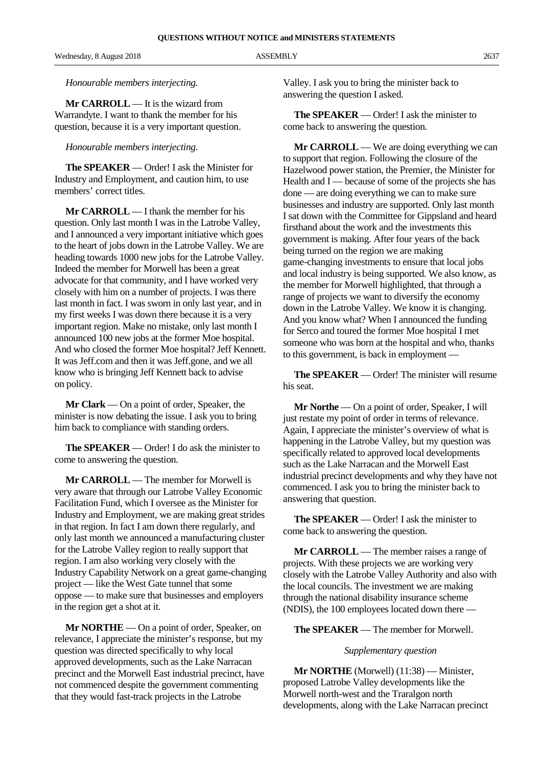Wednesday, 8 August 2018 2637 ASSEMBLY 2637

*Honourable members interjecting.*

**Mr CARROLL** — It is the wizard from Warrandyte. I want to thank the member for his question, because it is a very important question.

#### *Honourable members interjecting.*

**The SPEAKER** — Order! I ask the Minister for Industry and Employment, and caution him, to use members' correct titles.

**Mr CARROLL** — I thank the member for his question. Only last month I was in the Latrobe Valley, and I announced a very important initiative which goes to the heart of jobs down in the Latrobe Valley. We are heading towards 1000 new jobs for the Latrobe Valley. Indeed the member for Morwell has been a great advocate for that community, and I have worked very closely with him on a number of projects. I was there last month in fact. I was sworn in only last year, and in my first weeks I was down there because it is a very important region. Make no mistake, only last month I announced 100 new jobs at the former Moe hospital. And who closed the former Moe hospital? Jeff Kennett. It was Jeff.com and then it was Jeff.gone, and we all know who is bringing Jeff Kennett back to advise on policy.

**Mr Clark** — On a point of order, Speaker, the minister is now debating the issue. I ask you to bring him back to compliance with standing orders.

**The SPEAKER** — Order! I do ask the minister to come to answering the question.

**Mr CARROLL** — The member for Morwell is very aware that through our Latrobe Valley Economic Facilitation Fund, which I oversee as the Minister for Industry and Employment, we are making great strides in that region. In fact I am down there regularly, and only last month we announced a manufacturing cluster for the Latrobe Valley region to really support that region. I am also working very closely with the Industry Capability Network on a great game-changing project — like the West Gate tunnel that some oppose — to make sure that businesses and employers in the region get a shot at it.

**Mr NORTHE** — On a point of order, Speaker, on relevance, I appreciate the minister's response, but my question was directed specifically to why local approved developments, such as the Lake Narracan precinct and the Morwell East industrial precinct, have not commenced despite the government commenting that they would fast-track projects in the Latrobe

Valley. I ask you to bring the minister back to answering the question I asked.

**The SPEAKER** — Order! I ask the minister to come back to answering the question.

**Mr CARROLL** — We are doing everything we can to support that region. Following the closure of the Hazelwood power station, the Premier, the Minister for Health and I — because of some of the projects she has done — are doing everything we can to make sure businesses and industry are supported. Only last month I sat down with the Committee for Gippsland and heard firsthand about the work and the investments this government is making. After four years of the back being turned on the region we are making game-changing investments to ensure that local jobs and local industry is being supported. We also know, as the member for Morwell highlighted, that through a range of projects we want to diversify the economy down in the Latrobe Valley. We know it is changing. And you know what? When I announced the funding for Serco and toured the former Moe hospital I met someone who was born at the hospital and who, thanks to this government, is back in employment —

**The SPEAKER** — Order! The minister will resume his seat.

**Mr Northe** — On a point of order, Speaker, I will just restate my point of order in terms of relevance. Again, I appreciate the minister's overview of what is happening in the Latrobe Valley, but my question was specifically related to approved local developments such as the Lake Narracan and the Morwell East industrial precinct developments and why they have not commenced. I ask you to bring the minister back to answering that question.

**The SPEAKER** — Order! I ask the minister to come back to answering the question.

**Mr CARROLL** — The member raises a range of projects. With these projects we are working very closely with the Latrobe Valley Authority and also with the local councils. The investment we are making through the national disability insurance scheme (NDIS), the 100 employees located down there —

**The SPEAKER** — The member for Morwell.

#### *Supplementary question*

**Mr NORTHE** (Morwell) (11:38) — Minister, proposed Latrobe Valley developments like the Morwell north-west and the Traralgon north developments, along with the Lake Narracan precinct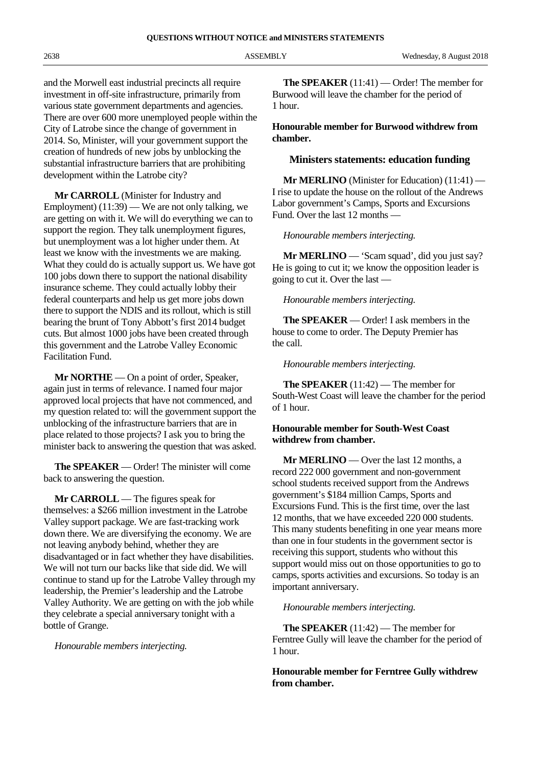and the Morwell east industrial precincts all require investment in off-site infrastructure, primarily from various state government departments and agencies. There are over 600 more unemployed people within the City of Latrobe since the change of government in 2014. So, Minister, will your government support the creation of hundreds of new jobs by unblocking the substantial infrastructure barriers that are prohibiting development within the Latrobe city?

**Mr CARROLL** (Minister for Industry and Employment) (11:39) — We are not only talking, we are getting on with it. We will do everything we can to support the region. They talk unemployment figures, but unemployment was a lot higher under them. At least we know with the investments we are making. What they could do is actually support us. We have got 100 jobs down there to support the national disability insurance scheme. They could actually lobby their federal counterparts and help us get more jobs down there to support the NDIS and its rollout, which is still bearing the brunt of Tony Abbott's first 2014 budget cuts. But almost 1000 jobs have been created through this government and the Latrobe Valley Economic Facilitation Fund.

**Mr NORTHE** — On a point of order, Speaker, again just in terms of relevance. I named four major approved local projects that have not commenced, and my question related to: will the government support the unblocking of the infrastructure barriers that are in place related to those projects? I ask you to bring the minister back to answering the question that was asked.

**The SPEAKER** — Order! The minister will come back to answering the question.

**Mr CARROLL** — The figures speak for themselves: a \$266 million investment in the Latrobe Valley support package. We are fast-tracking work down there. We are diversifying the economy. We are not leaving anybody behind, whether they are disadvantaged or in fact whether they have disabilities. We will not turn our backs like that side did. We will continue to stand up for the Latrobe Valley through my leadership, the Premier's leadership and the Latrobe Valley Authority. We are getting on with the job while they celebrate a special anniversary tonight with a bottle of Grange.

*Honourable members interjecting.*

**The SPEAKER** (11:41) — Order! The member for Burwood will leave the chamber for the period of 1 hour.

#### **Honourable member for Burwood withdrew from chamber.**

#### **Ministers statements: education funding**

**Mr MERLINO** (Minister for Education) (11:41) — I rise to update the house on the rollout of the Andrews Labor government's Camps, Sports and Excursions Fund. Over the last 12 months —

*Honourable members interjecting.*

**Mr MERLINO** — 'Scam squad', did you just say? He is going to cut it; we know the opposition leader is going to cut it. Over the last —

*Honourable members interjecting.*

**The SPEAKER** — Order! I ask members in the house to come to order. The Deputy Premier has the call.

*Honourable members interjecting.*

**The SPEAKER** (11:42) — The member for South-West Coast will leave the chamber for the period of 1 hour.

#### **Honourable member for South-West Coast withdrew from chamber.**

**Mr MERLINO** — Over the last 12 months, a record 222 000 government and non-government school students received support from the Andrews government's \$184 million Camps, Sports and Excursions Fund. This is the first time, over the last 12 months, that we have exceeded 220 000 students. This many students benefiting in one year means more than one in four students in the government sector is receiving this support, students who without this support would miss out on those opportunities to go to camps, sports activities and excursions. So today is an important anniversary.

#### *Honourable members interjecting.*

**The SPEAKER** (11:42) — The member for Ferntree Gully will leave the chamber for the period of 1 hour.

#### **Honourable member for Ferntree Gully withdrew from chamber.**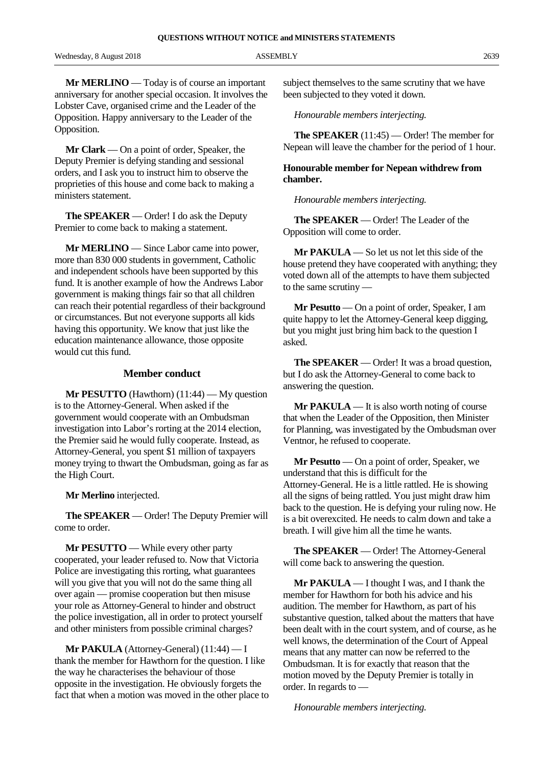Wednesday, 8 August 2018 ASSEMBLY 2639

**Mr MERLINO** — Today is of course an important anniversary for another special occasion. It involves the Lobster Cave, organised crime and the Leader of the Opposition. Happy anniversary to the Leader of the Opposition.

**Mr Clark** — On a point of order, Speaker, the Deputy Premier is defying standing and sessional orders, and I ask you to instruct him to observe the proprieties of this house and come back to making a ministers statement.

**The SPEAKER** — Order! I do ask the Deputy Premier to come back to making a statement.

**Mr MERLINO** — Since Labor came into power, more than 830 000 students in government, Catholic and independent schools have been supported by this fund. It is another example of how the Andrews Labor government is making things fair so that all children can reach their potential regardless of their background or circumstances. But not everyone supports all kids having this opportunity. We know that just like the education maintenance allowance, those opposite would cut this fund.

#### **Member conduct**

**Mr PESUTTO** (Hawthorn) (11:44) — My question is to the Attorney-General. When asked if the government would cooperate with an Ombudsman investigation into Labor's rorting at the 2014 election, the Premier said he would fully cooperate. Instead, as Attorney-General, you spent \$1 million of taxpayers money trying to thwart the Ombudsman, going as far as the High Court.

**Mr Merlino** interjected.

**The SPEAKER** — Order! The Deputy Premier will come to order.

**Mr PESUTTO** — While every other party cooperated, your leader refused to. Now that Victoria Police are investigating this rorting, what guarantees will you give that you will not do the same thing all over again — promise cooperation but then misuse your role as Attorney-General to hinder and obstruct the police investigation, all in order to protect yourself and other ministers from possible criminal charges?

**Mr PAKULA** (Attorney-General) (11:44) — I thank the member for Hawthorn for the question. I like the way he characterises the behaviour of those opposite in the investigation. He obviously forgets the fact that when a motion was moved in the other place to subject themselves to the same scrutiny that we have been subjected to they voted it down.

*Honourable members interjecting.*

**The SPEAKER** (11:45) — Order! The member for Nepean will leave the chamber for the period of 1 hour.

#### **Honourable member for Nepean withdrew from chamber.**

*Honourable members interjecting.*

**The SPEAKER** — Order! The Leader of the Opposition will come to order.

**Mr PAKULA** — So let us not let this side of the house pretend they have cooperated with anything; they voted down all of the attempts to have them subjected to the same scrutiny —

**Mr Pesutto** — On a point of order, Speaker, I am quite happy to let the Attorney-General keep digging, but you might just bring him back to the question I asked.

**The SPEAKER** — Order! It was a broad question, but I do ask the Attorney-General to come back to answering the question.

**Mr PAKULA** — It is also worth noting of course that when the Leader of the Opposition, then Minister for Planning, was investigated by the Ombudsman over Ventnor, he refused to cooperate.

**Mr Pesutto** — On a point of order, Speaker, we understand that this is difficult for the Attorney-General. He is a little rattled. He is showing all the signs of being rattled. You just might draw him back to the question. He is defying your ruling now. He is a bit overexcited. He needs to calm down and take a breath. I will give him all the time he wants.

**The SPEAKER** — Order! The Attorney-General will come back to answering the question.

**Mr PAKULA** — I thought I was, and I thank the member for Hawthorn for both his advice and his audition. The member for Hawthorn, as part of his substantive question, talked about the matters that have been dealt with in the court system, and of course, as he well knows, the determination of the Court of Appeal means that any matter can now be referred to the Ombudsman. It is for exactly that reason that the motion moved by the Deputy Premier is totally in order. In regards to —

*Honourable members interjecting.*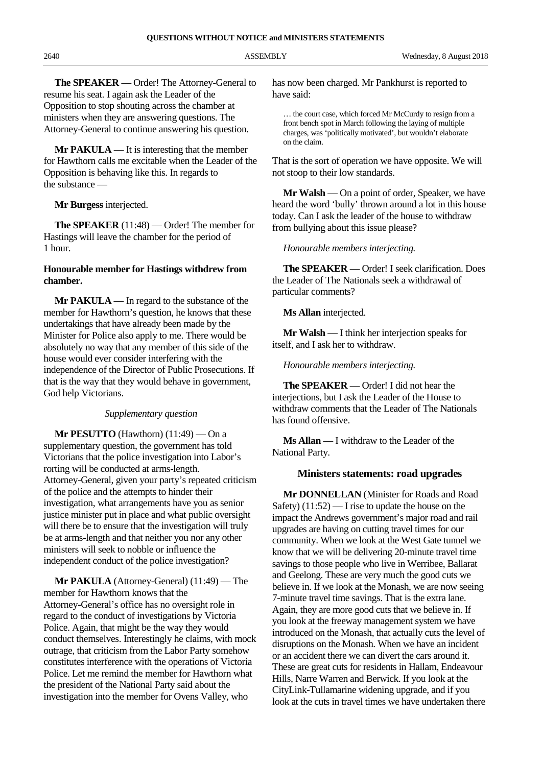**The SPEAKER** — Order! The Attorney-General to resume his seat. I again ask the Leader of the Opposition to stop shouting across the chamber at ministers when they are answering questions. The Attorney-General to continue answering his question.

**Mr PAKULA** — It is interesting that the member for Hawthorn calls me excitable when the Leader of the Opposition is behaving like this. In regards to the substance —

**Mr Burgess** interjected.

**The SPEAKER** (11:48) — Order! The member for Hastings will leave the chamber for the period of 1 hour.

#### **Honourable member for Hastings withdrew from chamber.**

**Mr PAKULA** — In regard to the substance of the member for Hawthorn's question, he knows that these undertakings that have already been made by the Minister for Police also apply to me. There would be absolutely no way that any member of this side of the house would ever consider interfering with the independence of the Director of Public Prosecutions. If that is the way that they would behave in government, God help Victorians.

#### *Supplementary question*

**Mr PESUTTO** (Hawthorn) (11:49) — On a supplementary question, the government has told Victorians that the police investigation into Labor's rorting will be conducted at arms-length. Attorney-General, given your party's repeated criticism of the police and the attempts to hinder their investigation, what arrangements have you as senior justice minister put in place and what public oversight will there be to ensure that the investigation will truly be at arms-length and that neither you nor any other ministers will seek to nobble or influence the independent conduct of the police investigation?

**Mr PAKULA** (Attorney-General) (11:49) — The member for Hawthorn knows that the Attorney-General's office has no oversight role in regard to the conduct of investigations by Victoria Police. Again, that might be the way they would conduct themselves. Interestingly he claims, with mock outrage, that criticism from the Labor Party somehow constitutes interference with the operations of Victoria Police. Let me remind the member for Hawthorn what the president of the National Party said about the investigation into the member for Ovens Valley, who

has now been charged. Mr Pankhurst is reported to have said:

… the court case, which forced Mr McCurdy to resign from a front bench spot in March following the laying of multiple charges, was 'politically motivated', but wouldn't elaborate on the claim.

That is the sort of operation we have opposite. We will not stoop to their low standards.

**Mr Walsh** — On a point of order, Speaker, we have heard the word 'bully' thrown around a lot in this house today. Can I ask the leader of the house to withdraw from bullying about this issue please?

*Honourable members interjecting.*

**The SPEAKER** — Order! I seek clarification. Does the Leader of The Nationals seek a withdrawal of particular comments?

**Ms Allan** interjected.

**Mr Walsh** — I think her interjection speaks for itself, and I ask her to withdraw.

*Honourable members interjecting.*

**The SPEAKER** — Order! I did not hear the interjections, but I ask the Leader of the House to withdraw comments that the Leader of The Nationals has found offensive.

**Ms Allan** — I withdraw to the Leader of the National Party.

#### **Ministers statements: road upgrades**

**Mr DONNELLAN** (Minister for Roads and Road Safety)  $(11:52)$  — I rise to update the house on the impact the Andrews government's major road and rail upgrades are having on cutting travel times for our community. When we look at the West Gate tunnel we know that we will be delivering 20-minute travel time savings to those people who live in Werribee, Ballarat and Geelong. These are very much the good cuts we believe in. If we look at the Monash, we are now seeing 7-minute travel time savings. That is the extra lane. Again, they are more good cuts that we believe in. If you look at the freeway management system we have introduced on the Monash, that actually cuts the level of disruptions on the Monash. When we have an incident or an accident there we can divert the cars around it. These are great cuts for residents in Hallam, Endeavour Hills, Narre Warren and Berwick. If you look at the CityLink-Tullamarine widening upgrade, and if you look at the cuts in travel times we have undertaken there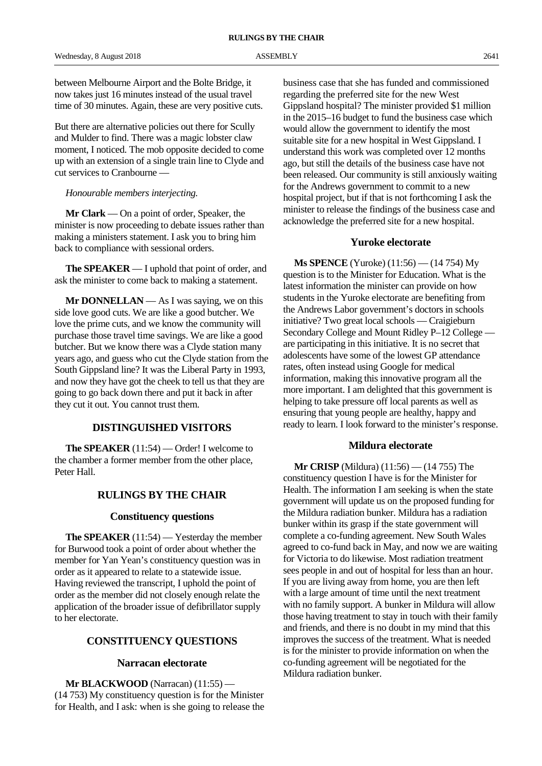between Melbourne Airport and the Bolte Bridge, it now takes just 16 minutes instead of the usual travel time of 30 minutes. Again, these are very positive cuts.

But there are alternative policies out there for Scully and Mulder to find. There was a magic lobster claw moment, I noticed. The mob opposite decided to come up with an extension of a single train line to Clyde and cut services to Cranbourne —

#### *Honourable members interjecting.*

**Mr Clark** — On a point of order, Speaker, the minister is now proceeding to debate issues rather than making a ministers statement. I ask you to bring him back to compliance with sessional orders.

**The SPEAKER** — I uphold that point of order, and ask the minister to come back to making a statement.

**Mr DONNELLAN** — As I was saying, we on this side love good cuts. We are like a good butcher. We love the prime cuts, and we know the community will purchase those travel time savings. We are like a good butcher. But we know there was a Clyde station many years ago, and guess who cut the Clyde station from the South Gippsland line? It was the Liberal Party in 1993, and now they have got the cheek to tell us that they are going to go back down there and put it back in after they cut it out. You cannot trust them.

# **DISTINGUISHED VISITORS**

**The SPEAKER** (11:54) — Order! I welcome to the chamber a former member from the other place, Peter Hall.

# **RULINGS BY THE CHAIR**

## **Constituency questions**

**The SPEAKER** (11:54) — Yesterday the member for Burwood took a point of order about whether the member for Yan Yean's constituency question was in order as it appeared to relate to a statewide issue. Having reviewed the transcript, I uphold the point of order as the member did not closely enough relate the application of the broader issue of defibrillator supply to her electorate.

# **CONSTITUENCY QUESTIONS**

## **Narracan electorate**

**Mr BLACKWOOD** (Narracan) (11:55) — (14 753) My constituency question is for the Minister for Health, and I ask: when is she going to release the

business case that she has funded and commissioned regarding the preferred site for the new West Gippsland hospital? The minister provided \$1 million in the 2015–16 budget to fund the business case which would allow the government to identify the most suitable site for a new hospital in West Gippsland. I understand this work was completed over 12 months ago, but still the details of the business case have not been released. Our community is still anxiously waiting for the Andrews government to commit to a new hospital project, but if that is not forthcoming I ask the minister to release the findings of the business case and acknowledge the preferred site for a new hospital.

#### **Yuroke electorate**

**Ms SPENCE** (Yuroke) (11:56) — (14 754) My question is to the Minister for Education. What is the latest information the minister can provide on how students in the Yuroke electorate are benefiting from the Andrews Labor government's doctors in schools initiative? Two great local schools — Craigieburn Secondary College and Mount Ridley P–12 College are participating in this initiative. It is no secret that adolescents have some of the lowest GP attendance rates, often instead using Google for medical information, making this innovative program all the more important. I am delighted that this government is helping to take pressure off local parents as well as ensuring that young people are healthy, happy and ready to learn. I look forward to the minister's response.

## **Mildura electorate**

**Mr CRISP** (Mildura) (11:56) — (14 755) The constituency question I have is for the Minister for Health. The information I am seeking is when the state government will update us on the proposed funding for the Mildura radiation bunker. Mildura has a radiation bunker within its grasp if the state government will complete a co-funding agreement. New South Wales agreed to co-fund back in May, and now we are waiting for Victoria to do likewise. Most radiation treatment sees people in and out of hospital for less than an hour. If you are living away from home, you are then left with a large amount of time until the next treatment with no family support. A bunker in Mildura will allow those having treatment to stay in touch with their family and friends, and there is no doubt in my mind that this improves the success of the treatment. What is needed is for the minister to provide information on when the co-funding agreement will be negotiated for the Mildura radiation bunker.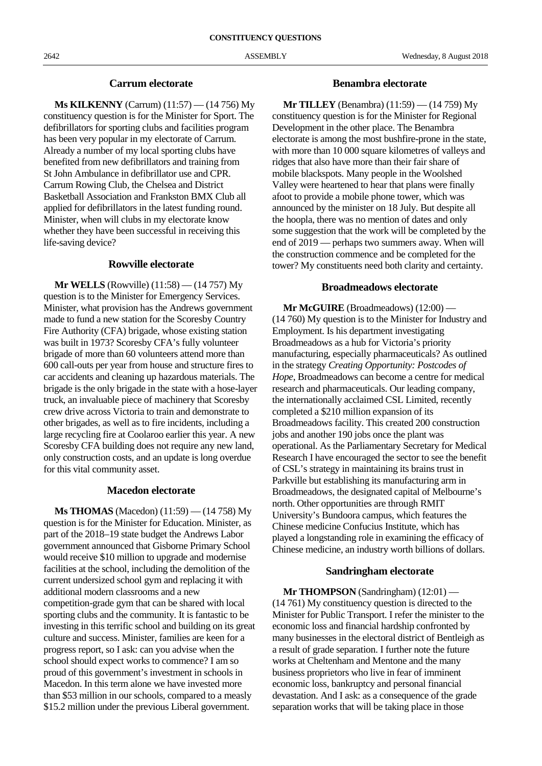## **Carrum electorate**

**Ms KILKENNY** (Carrum) (11:57) — (14 756) My constituency question is for the Minister for Sport. The defibrillators for sporting clubs and facilities program has been very popular in my electorate of Carrum. Already a number of my local sporting clubs have benefited from new defibrillators and training from St John Ambulance in defibrillator use and CPR. Carrum Rowing Club, the Chelsea and District Basketball Association and Frankston BMX Club all applied for defibrillators in the latest funding round. Minister, when will clubs in my electorate know whether they have been successful in receiving this life-saving device?

# **Rowville electorate**

**Mr WELLS** (Rowville) (11:58) — (14 757) My question is to the Minister for Emergency Services. Minister, what provision has the Andrews government made to fund a new station for the Scoresby Country Fire Authority (CFA) brigade, whose existing station was built in 1973? Scoresby CFA's fully volunteer brigade of more than 60 volunteers attend more than 600 call-outs per year from house and structure fires to car accidents and cleaning up hazardous materials. The brigade is the only brigade in the state with a hose-layer truck, an invaluable piece of machinery that Scoresby crew drive across Victoria to train and demonstrate to other brigades, as well as to fire incidents, including a large recycling fire at Coolaroo earlier this year. A new Scoresby CFA building does not require any new land, only construction costs, and an update is long overdue for this vital community asset.

#### **Macedon electorate**

**Ms THOMAS** (Macedon) (11:59) — (14 758) My question is for the Minister for Education. Minister, as part of the 2018–19 state budget the Andrews Labor government announced that Gisborne Primary School would receive \$10 million to upgrade and modernise facilities at the school, including the demolition of the current undersized school gym and replacing it with additional modern classrooms and a new competition-grade gym that can be shared with local sporting clubs and the community. It is fantastic to be investing in this terrific school and building on its great culture and success. Minister, families are keen for a progress report, so I ask: can you advise when the school should expect works to commence? I am so proud of this government's investment in schools in Macedon. In this term alone we have invested more than \$53 million in our schools, compared to a measly \$15.2 million under the previous Liberal government.

#### **Benambra electorate**

**Mr TILLEY** (Benambra) (11:59) — (14 759) My constituency question is for the Minister for Regional Development in the other place. The Benambra electorate is among the most bushfire-prone in the state, with more than 10 000 square kilometres of valleys and ridges that also have more than their fair share of mobile blackspots. Many people in the Woolshed Valley were heartened to hear that plans were finally afoot to provide a mobile phone tower, which was announced by the minister on 18 July. But despite all the hoopla, there was no mention of dates and only some suggestion that the work will be completed by the end of 2019 — perhaps two summers away. When will the construction commence and be completed for the tower? My constituents need both clarity and certainty.

# **Broadmeadows electorate**

**Mr McGUIRE** (Broadmeadows) (12:00) — (14 760) My question is to the Minister for Industry and Employment. Is his department investigating Broadmeadows as a hub for Victoria's priority manufacturing, especially pharmaceuticals? As outlined in the strategy *Creating Opportunity: Postcodes of Hope*, Broadmeadows can become a centre for medical research and pharmaceuticals. Our leading company, the internationally acclaimed CSL Limited, recently completed a \$210 million expansion of its Broadmeadows facility. This created 200 construction jobs and another 190 jobs once the plant was operational. As the Parliamentary Secretary for Medical Research I have encouraged the sector to see the benefit of CSL's strategy in maintaining its brains trust in Parkville but establishing its manufacturing arm in Broadmeadows, the designated capital of Melbourne's north. Other opportunities are through RMIT University's Bundoora campus, which features the Chinese medicine Confucius Institute, which has played a longstanding role in examining the efficacy of Chinese medicine, an industry worth billions of dollars.

## **Sandringham electorate**

**Mr THOMPSON** (Sandringham) (12:01) — (14 761) My constituency question is directed to the Minister for Public Transport. I refer the minister to the economic loss and financial hardship confronted by many businesses in the electoral district of Bentleigh as a result of grade separation. I further note the future works at Cheltenham and Mentone and the many business proprietors who live in fear of imminent economic loss, bankruptcy and personal financial devastation. And I ask: as a consequence of the grade separation works that will be taking place in those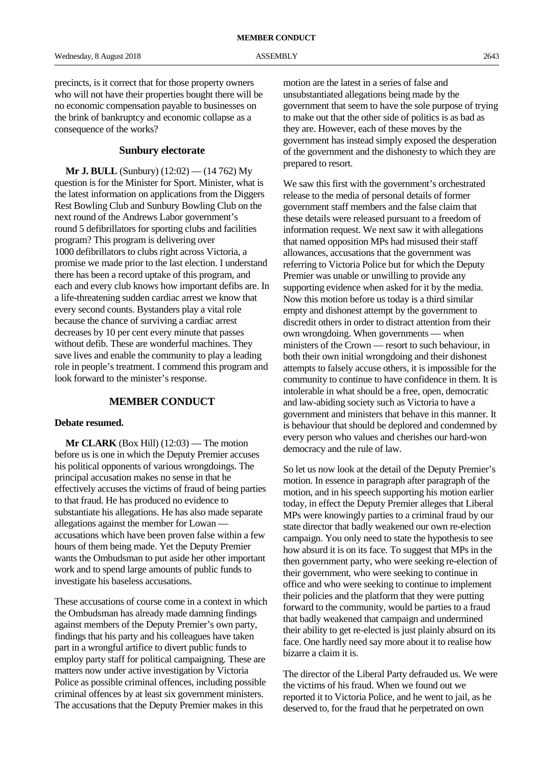## **Sunbury electorate**

**Mr J. BULL** (Sunbury) (12:02) — (14 762) My question is for the Minister for Sport. Minister, what is the latest information on applications from the Diggers Rest Bowling Club and Sunbury Bowling Club on the next round of the Andrews Labor government's round 5 defibrillators for sporting clubs and facilities program? This program is delivering over 1000 defibrillators to clubs right across Victoria, a promise we made prior to the last election. I understand there has been a record uptake of this program, and each and every club knows how important defibs are. In a life-threatening sudden cardiac arrest we know that every second counts. Bystanders play a vital role because the chance of surviving a cardiac arrest decreases by 10 per cent every minute that passes without defib. These are wonderful machines. They save lives and enable the community to play a leading role in people's treatment. I commend this program and look forward to the minister's response.

## **MEMBER CONDUCT**

#### **Debate resumed.**

**Mr CLARK** (Box Hill) (12:03) — The motion before us is one in which the Deputy Premier accuses his political opponents of various wrongdoings. The principal accusation makes no sense in that he effectively accuses the victims of fraud of being parties to that fraud. He has produced no evidence to substantiate his allegations. He has also made separate allegations against the member for Lowan accusations which have been proven false within a few hours of them being made. Yet the Deputy Premier wants the Ombudsman to put aside her other important work and to spend large amounts of public funds to investigate his baseless accusations.

These accusations of course come in a context in which the Ombudsman has already made damning findings against members of the Deputy Premier's own party, findings that his party and his colleagues have taken part in a wrongful artifice to divert public funds to employ party staff for political campaigning. These are matters now under active investigation by Victoria Police as possible criminal offences, including possible criminal offences by at least six government ministers. The accusations that the Deputy Premier makes in this

motion are the latest in a series of false and unsubstantiated allegations being made by the government that seem to have the sole purpose of trying to make out that the other side of politics is as bad as they are. However, each of these moves by the government has instead simply exposed the desperation of the government and the dishonesty to which they are prepared to resort.

We saw this first with the government's orchestrated release to the media of personal details of former government staff members and the false claim that these details were released pursuant to a freedom of information request. We next saw it with allegations that named opposition MPs had misused their staff allowances, accusations that the government was referring to Victoria Police but for which the Deputy Premier was unable or unwilling to provide any supporting evidence when asked for it by the media. Now this motion before us today is a third similar empty and dishonest attempt by the government to discredit others in order to distract attention from their own wrongdoing. When governments — when ministers of the Crown — resort to such behaviour, in both their own initial wrongdoing and their dishonest attempts to falsely accuse others, it is impossible for the community to continue to have confidence in them. It is intolerable in what should be a free, open, democratic and law-abiding society such as Victoria to have a government and ministers that behave in this manner. It is behaviour that should be deplored and condemned by every person who values and cherishes our hard-won democracy and the rule of law.

So let us now look at the detail of the Deputy Premier's motion. In essence in paragraph after paragraph of the motion, and in his speech supporting his motion earlier today, in effect the Deputy Premier alleges that Liberal MPs were knowingly parties to a criminal fraud by our state director that badly weakened our own re-election campaign. You only need to state the hypothesis to see how absurd it is on its face. To suggest that MPs in the then government party, who were seeking re-election of their government, who were seeking to continue in office and who were seeking to continue to implement their policies and the platform that they were putting forward to the community, would be parties to a fraud that badly weakened that campaign and undermined their ability to get re-elected is just plainly absurd on its face. One hardly need say more about it to realise how bizarre a claim it is.

The director of the Liberal Party defrauded us. We were the victims of his fraud. When we found out we reported it to Victoria Police, and he went to jail, as he deserved to, for the fraud that he perpetrated on own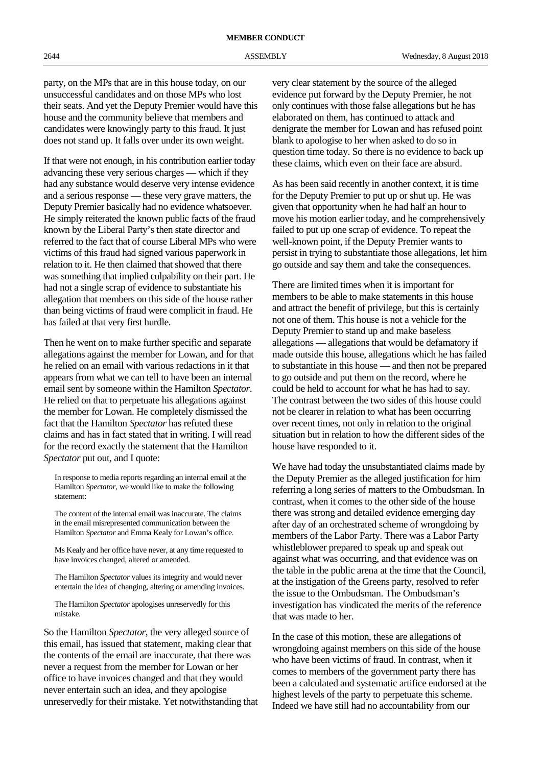party, on the MPs that are in this house today, on our unsuccessful candidates and on those MPs who lost their seats. And yet the Deputy Premier would have this house and the community believe that members and candidates were knowingly party to this fraud. It just does not stand up. It falls over under its own weight.

If that were not enough, in his contribution earlier today advancing these very serious charges — which if they had any substance would deserve very intense evidence and a serious response — these very grave matters, the Deputy Premier basically had no evidence whatsoever. He simply reiterated the known public facts of the fraud known by the Liberal Party's then state director and referred to the fact that of course Liberal MPs who were victims of this fraud had signed various paperwork in relation to it. He then claimed that showed that there was something that implied culpability on their part. He had not a single scrap of evidence to substantiate his allegation that members on this side of the house rather than being victims of fraud were complicit in fraud. He has failed at that very first hurdle.

Then he went on to make further specific and separate allegations against the member for Lowan, and for that he relied on an email with various redactions in it that appears from what we can tell to have been an internal email sent by someone within the Hamilton *Spectator*. He relied on that to perpetuate his allegations against the member for Lowan. He completely dismissed the fact that the Hamilton *Spectator* has refuted these claims and has in fact stated that in writing. I will read for the record exactly the statement that the Hamilton *Spectator* put out, and I quote:

In response to media reports regarding an internal email at the Hamilton *Spectator*, we would like to make the following statement:

The content of the internal email was inaccurate. The claims in the email misrepresented communication between the Hamilton *Spectator* and Emma Kealy for Lowan's office.

Ms Kealy and her office have never, at any time requested to have invoices changed, altered or amended.

The Hamilton *Spectator* values its integrity and would never entertain the idea of changing, altering or amending invoices.

The Hamilton *Spectator* apologises unreservedly for this mistake.

So the Hamilton *Spectator*, the very alleged source of this email, has issued that statement, making clear that the contents of the email are inaccurate, that there was never a request from the member for Lowan or her office to have invoices changed and that they would never entertain such an idea, and they apologise unreservedly for their mistake. Yet notwithstanding that very clear statement by the source of the alleged evidence put forward by the Deputy Premier, he not only continues with those false allegations but he has elaborated on them, has continued to attack and denigrate the member for Lowan and has refused point blank to apologise to her when asked to do so in question time today. So there is no evidence to back up these claims, which even on their face are absurd.

As has been said recently in another context, it is time for the Deputy Premier to put up or shut up. He was given that opportunity when he had half an hour to move his motion earlier today, and he comprehensively failed to put up one scrap of evidence. To repeat the well-known point, if the Deputy Premier wants to persist in trying to substantiate those allegations, let him go outside and say them and take the consequences.

There are limited times when it is important for members to be able to make statements in this house and attract the benefit of privilege, but this is certainly not one of them. This house is not a vehicle for the Deputy Premier to stand up and make baseless allegations — allegations that would be defamatory if made outside this house, allegations which he has failed to substantiate in this house — and then not be prepared to go outside and put them on the record, where he could be held to account for what he has had to say. The contrast between the two sides of this house could not be clearer in relation to what has been occurring over recent times, not only in relation to the original situation but in relation to how the different sides of the house have responded to it.

We have had today the unsubstantiated claims made by the Deputy Premier as the alleged justification for him referring a long series of matters to the Ombudsman. In contrast, when it comes to the other side of the house there was strong and detailed evidence emerging day after day of an orchestrated scheme of wrongdoing by members of the Labor Party. There was a Labor Party whistleblower prepared to speak up and speak out against what was occurring, and that evidence was on the table in the public arena at the time that the Council, at the instigation of the Greens party, resolved to refer the issue to the Ombudsman. The Ombudsman's investigation has vindicated the merits of the reference that was made to her.

In the case of this motion, these are allegations of wrongdoing against members on this side of the house who have been victims of fraud. In contrast, when it comes to members of the government party there has been a calculated and systematic artifice endorsed at the highest levels of the party to perpetuate this scheme. Indeed we have still had no accountability from our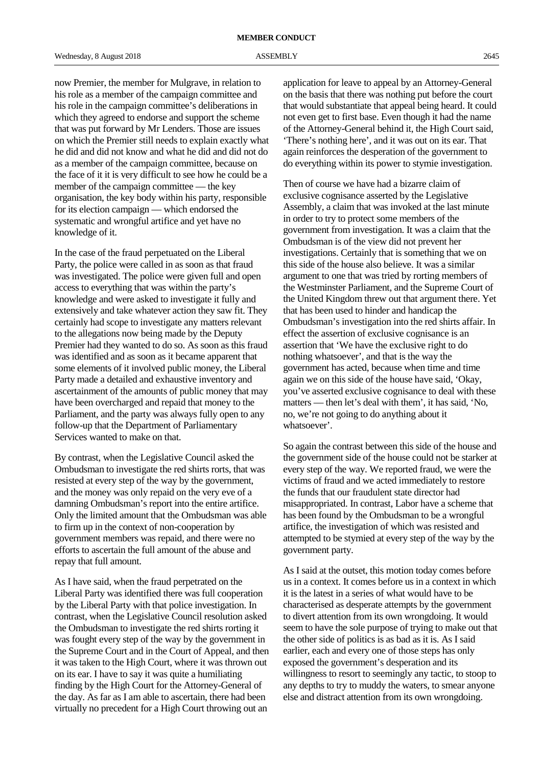now Premier, the member for Mulgrave, in relation to his role as a member of the campaign committee and his role in the campaign committee's deliberations in which they agreed to endorse and support the scheme that was put forward by Mr Lenders. Those are issues on which the Premier still needs to explain exactly what he did and did not know and what he did and did not do as a member of the campaign committee, because on the face of it it is very difficult to see how he could be a member of the campaign committee — the key organisation, the key body within his party, responsible for its election campaign — which endorsed the systematic and wrongful artifice and yet have no knowledge of it.

In the case of the fraud perpetuated on the Liberal Party, the police were called in as soon as that fraud was investigated. The police were given full and open access to everything that was within the party's knowledge and were asked to investigate it fully and extensively and take whatever action they saw fit. They certainly had scope to investigate any matters relevant to the allegations now being made by the Deputy Premier had they wanted to do so. As soon as this fraud was identified and as soon as it became apparent that some elements of it involved public money, the Liberal Party made a detailed and exhaustive inventory and ascertainment of the amounts of public money that may have been overcharged and repaid that money to the Parliament, and the party was always fully open to any follow-up that the Department of Parliamentary Services wanted to make on that.

By contrast, when the Legislative Council asked the Ombudsman to investigate the red shirts rorts, that was resisted at every step of the way by the government, and the money was only repaid on the very eve of a damning Ombudsman's report into the entire artifice. Only the limited amount that the Ombudsman was able to firm up in the context of non-cooperation by government members was repaid, and there were no efforts to ascertain the full amount of the abuse and repay that full amount.

As I have said, when the fraud perpetrated on the Liberal Party was identified there was full cooperation by the Liberal Party with that police investigation. In contrast, when the Legislative Council resolution asked the Ombudsman to investigate the red shirts rorting it was fought every step of the way by the government in the Supreme Court and in the Court of Appeal, and then it was taken to the High Court, where it was thrown out on its ear. I have to say it was quite a humiliating finding by the High Court for the Attorney-General of the day. As far as I am able to ascertain, there had been virtually no precedent for a High Court throwing out an

application for leave to appeal by an Attorney-General on the basis that there was nothing put before the court that would substantiate that appeal being heard. It could not even get to first base. Even though it had the name of the Attorney-General behind it, the High Court said, 'There's nothing here', and it was out on its ear. That again reinforces the desperation of the government to do everything within its power to stymie investigation.

Then of course we have had a bizarre claim of exclusive cognisance asserted by the Legislative Assembly, a claim that was invoked at the last minute in order to try to protect some members of the government from investigation. It was a claim that the Ombudsman is of the view did not prevent her investigations. Certainly that is something that we on this side of the house also believe. It was a similar argument to one that was tried by rorting members of the Westminster Parliament, and the Supreme Court of the United Kingdom threw out that argument there. Yet that has been used to hinder and handicap the Ombudsman's investigation into the red shirts affair. In effect the assertion of exclusive cognisance is an assertion that 'We have the exclusive right to do nothing whatsoever', and that is the way the government has acted, because when time and time again we on this side of the house have said, 'Okay, you've asserted exclusive cognisance to deal with these matters — then let's deal with them', it has said, 'No, no, we're not going to do anything about it whatsoever'.

So again the contrast between this side of the house and the government side of the house could not be starker at every step of the way. We reported fraud, we were the victims of fraud and we acted immediately to restore the funds that our fraudulent state director had misappropriated. In contrast, Labor have a scheme that has been found by the Ombudsman to be a wrongful artifice, the investigation of which was resisted and attempted to be stymied at every step of the way by the government party.

As I said at the outset, this motion today comes before us in a context. It comes before us in a context in which it is the latest in a series of what would have to be characterised as desperate attempts by the government to divert attention from its own wrongdoing. It would seem to have the sole purpose of trying to make out that the other side of politics is as bad as it is. As I said earlier, each and every one of those steps has only exposed the government's desperation and its willingness to resort to seemingly any tactic, to stoop to any depths to try to muddy the waters, to smear anyone else and distract attention from its own wrongdoing.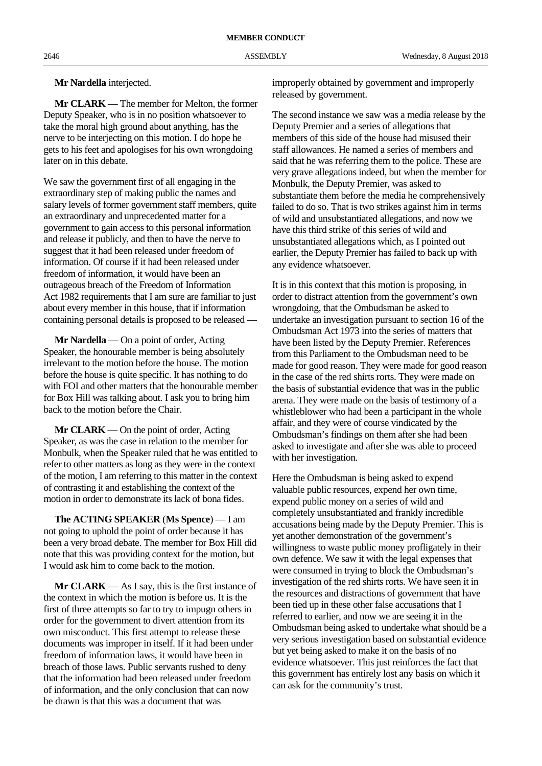#### **Mr Nardella** interjected.

**Mr CLARK** — The member for Melton, the former Deputy Speaker, who is in no position whatsoever to take the moral high ground about anything, has the nerve to be interjecting on this motion. I do hope he gets to his feet and apologises for his own wrongdoing later on in this debate.

We saw the government first of all engaging in the extraordinary step of making public the names and salary levels of former government staff members, quite an extraordinary and unprecedented matter for a government to gain access to this personal information and release it publicly, and then to have the nerve to suggest that it had been released under freedom of information. Of course if it had been released under freedom of information, it would have been an outrageous breach of the Freedom of Information Act 1982 requirements that I am sure are familiar to just about every member in this house, that if information containing personal details is proposed to be released —

**Mr Nardella** — On a point of order, Acting Speaker, the honourable member is being absolutely irrelevant to the motion before the house. The motion before the house is quite specific. It has nothing to do with FOI and other matters that the honourable member for Box Hill was talking about. I ask you to bring him back to the motion before the Chair.

**Mr CLARK** — On the point of order, Acting Speaker, as was the case in relation to the member for Monbulk, when the Speaker ruled that he was entitled to refer to other matters as long as they were in the context of the motion, I am referring to this matter in the context of contrasting it and establishing the context of the motion in order to demonstrate its lack of bona fides.

**The ACTING SPEAKER** (**Ms Spence**) — I am not going to uphold the point of order because it has been a very broad debate. The member for Box Hill did note that this was providing context for the motion, but I would ask him to come back to the motion.

**Mr CLARK** — As I say, this is the first instance of the context in which the motion is before us. It is the first of three attempts so far to try to impugn others in order for the government to divert attention from its own misconduct. This first attempt to release these documents was improper in itself. If it had been under freedom of information laws, it would have been in breach of those laws. Public servants rushed to deny that the information had been released under freedom of information, and the only conclusion that can now be drawn is that this was a document that was

improperly obtained by government and improperly released by government.

The second instance we saw was a media release by the Deputy Premier and a series of allegations that members of this side of the house had misused their staff allowances. He named a series of members and said that he was referring them to the police. These are very grave allegations indeed, but when the member for Monbulk, the Deputy Premier, was asked to substantiate them before the media he comprehensively failed to do so. That is two strikes against him in terms of wild and unsubstantiated allegations, and now we have this third strike of this series of wild and unsubstantiated allegations which, as I pointed out earlier, the Deputy Premier has failed to back up with any evidence whatsoever.

It is in this context that this motion is proposing, in order to distract attention from the government's own wrongdoing, that the Ombudsman be asked to undertake an investigation pursuant to section 16 of the Ombudsman Act 1973 into the series of matters that have been listed by the Deputy Premier. References from this Parliament to the Ombudsman need to be made for good reason. They were made for good reason in the case of the red shirts rorts. They were made on the basis of substantial evidence that was in the public arena. They were made on the basis of testimony of a whistleblower who had been a participant in the whole affair, and they were of course vindicated by the Ombudsman's findings on them after she had been asked to investigate and after she was able to proceed with her investigation.

Here the Ombudsman is being asked to expend valuable public resources, expend her own time, expend public money on a series of wild and completely unsubstantiated and frankly incredible accusations being made by the Deputy Premier. This is yet another demonstration of the government's willingness to waste public money profligately in their own defence. We saw it with the legal expenses that were consumed in trying to block the Ombudsman's investigation of the red shirts rorts. We have seen it in the resources and distractions of government that have been tied up in these other false accusations that I referred to earlier, and now we are seeing it in the Ombudsman being asked to undertake what should be a very serious investigation based on substantial evidence but yet being asked to make it on the basis of no evidence whatsoever. This just reinforces the fact that this government has entirely lost any basis on which it can ask for the community's trust.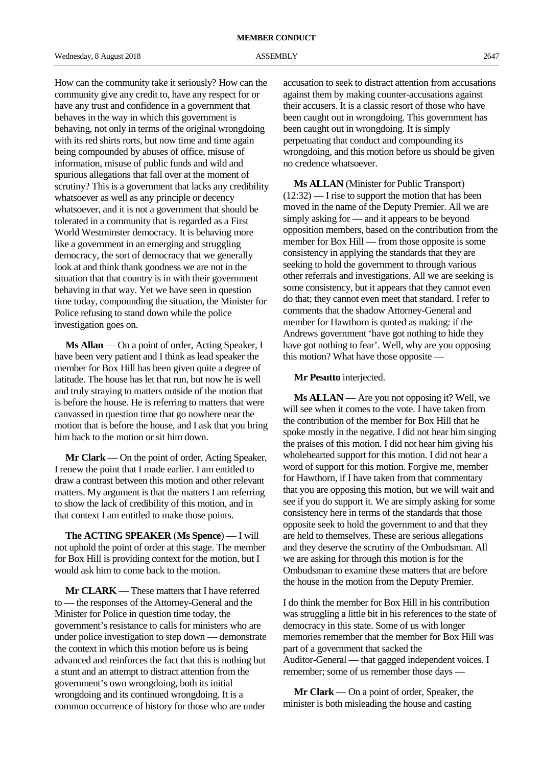How can the community take it seriously? How can the community give any credit to, have any respect for or have any trust and confidence in a government that behaves in the way in which this government is behaving, not only in terms of the original wrongdoing with its red shirts rorts, but now time and time again being compounded by abuses of office, misuse of information, misuse of public funds and wild and spurious allegations that fall over at the moment of scrutiny? This is a government that lacks any credibility whatsoever as well as any principle or decency whatsoever, and it is not a government that should be tolerated in a community that is regarded as a First World Westminster democracy. It is behaving more like a government in an emerging and struggling democracy, the sort of democracy that we generally look at and think thank goodness we are not in the situation that that country is in with their government behaving in that way. Yet we have seen in question time today, compounding the situation, the Minister for Police refusing to stand down while the police investigation goes on.

**Ms Allan** — On a point of order, Acting Speaker, I have been very patient and I think as lead speaker the member for Box Hill has been given quite a degree of latitude. The house has let that run, but now he is well and truly straying to matters outside of the motion that is before the house. He is referring to matters that were canvassed in question time that go nowhere near the motion that is before the house, and I ask that you bring him back to the motion or sit him down.

**Mr Clark** — On the point of order, Acting Speaker, I renew the point that I made earlier. I am entitled to draw a contrast between this motion and other relevant matters. My argument is that the matters I am referring to show the lack of credibility of this motion, and in that context I am entitled to make those points.

**The ACTING SPEAKER** (**Ms Spence**) — I will not uphold the point of order at this stage. The member for Box Hill is providing context for the motion, but I would ask him to come back to the motion.

**Mr CLARK** — These matters that I have referred to — the responses of the Attorney-General and the Minister for Police in question time today, the government's resistance to calls for ministers who are under police investigation to step down — demonstrate the context in which this motion before us is being advanced and reinforces the fact that this is nothing but a stunt and an attempt to distract attention from the government's own wrongdoing, both its initial wrongdoing and its continued wrongdoing. It is a common occurrence of history for those who are under

accusation to seek to distract attention from accusations against them by making counter-accusations against their accusers. It is a classic resort of those who have been caught out in wrongdoing. This government has been caught out in wrongdoing. It is simply perpetuating that conduct and compounding its wrongdoing, and this motion before us should be given no credence whatsoever.

**Ms ALLAN** (Minister for Public Transport)  $(12:32)$  — I rise to support the motion that has been moved in the name of the Deputy Premier. All we are simply asking for — and it appears to be beyond opposition members, based on the contribution from the member for Box Hill — from those opposite is some consistency in applying the standards that they are seeking to hold the government to through various other referrals and investigations. All we are seeking is some consistency, but it appears that they cannot even do that; they cannot even meet that standard. I refer to comments that the shadow Attorney-General and member for Hawthorn is quoted as making: if the Andrews government 'have got nothing to hide they have got nothing to fear'. Well, why are you opposing this motion? What have those opposite —

**Mr Pesutto** interjected.

**Ms ALLAN** — Are you not opposing it? Well, we will see when it comes to the vote. I have taken from the contribution of the member for Box Hill that he spoke mostly in the negative. I did not hear him singing the praises of this motion. I did not hear him giving his wholehearted support for this motion. I did not hear a word of support for this motion. Forgive me, member for Hawthorn, if I have taken from that commentary that you are opposing this motion, but we will wait and see if you do support it. We are simply asking for some consistency here in terms of the standards that those opposite seek to hold the government to and that they are held to themselves. These are serious allegations and they deserve the scrutiny of the Ombudsman. All we are asking for through this motion is for the Ombudsman to examine these matters that are before the house in the motion from the Deputy Premier.

I do think the member for Box Hill in his contribution was struggling a little bit in his references to the state of democracy in this state. Some of us with longer memories remember that the member for Box Hill was part of a government that sacked the Auditor-General — that gagged independent voices. I remember; some of us remember those days —

**Mr Clark** — On a point of order, Speaker, the minister is both misleading the house and casting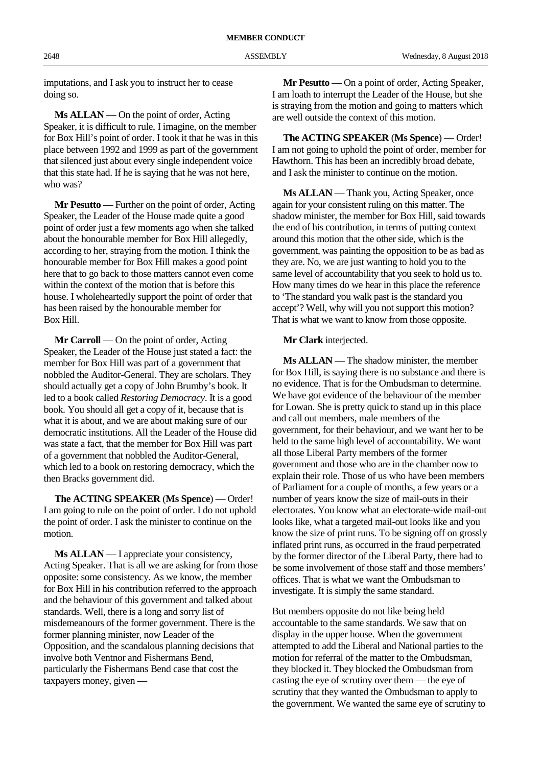imputations, and I ask you to instruct her to cease doing so.

**Ms ALLAN** — On the point of order, Acting Speaker, it is difficult to rule, I imagine, on the member for Box Hill's point of order. I took it that he was in this place between 1992 and 1999 as part of the government that silenced just about every single independent voice that this state had. If he is saying that he was not here, who was?

**Mr Pesutto** — Further on the point of order, Acting Speaker, the Leader of the House made quite a good point of order just a few moments ago when she talked about the honourable member for Box Hill allegedly, according to her, straying from the motion. I think the honourable member for Box Hill makes a good point here that to go back to those matters cannot even come within the context of the motion that is before this house. I wholeheartedly support the point of order that has been raised by the honourable member for Box Hill.

**Mr Carroll** — On the point of order, Acting Speaker, the Leader of the House just stated a fact: the member for Box Hill was part of a government that nobbled the Auditor-General. They are scholars. They should actually get a copy of John Brumby's book. It led to a book called *Restoring Democracy*. It is a good book. You should all get a copy of it, because that is what it is about, and we are about making sure of our democratic institutions. All the Leader of the House did was state a fact, that the member for Box Hill was part of a government that nobbled the Auditor-General, which led to a book on restoring democracy, which the then Bracks government did.

**The ACTING SPEAKER** (**Ms Spence**) — Order! I am going to rule on the point of order. I do not uphold the point of order. I ask the minister to continue on the motion.

**Ms ALLAN** — I appreciate your consistency, Acting Speaker. That is all we are asking for from those opposite: some consistency. As we know, the member for Box Hill in his contribution referred to the approach and the behaviour of this government and talked about standards. Well, there is a long and sorry list of misdemeanours of the former government. There is the former planning minister, now Leader of the Opposition, and the scandalous planning decisions that involve both Ventnor and Fishermans Bend, particularly the Fishermans Bend case that cost the taxpayers money, given —

**Mr Pesutto** — On a point of order, Acting Speaker, I am loath to interrupt the Leader of the House, but she is straying from the motion and going to matters which are well outside the context of this motion.

**The ACTING SPEAKER** (**Ms Spence**) — Order! I am not going to uphold the point of order, member for Hawthorn. This has been an incredibly broad debate, and I ask the minister to continue on the motion.

**Ms ALLAN** — Thank you, Acting Speaker, once again for your consistent ruling on this matter. The shadow minister, the member for Box Hill, said towards the end of his contribution, in terms of putting context around this motion that the other side, which is the government, was painting the opposition to be as bad as they are. No, we are just wanting to hold you to the same level of accountability that you seek to hold us to. How many times do we hear in this place the reference to 'The standard you walk past is the standard you accept'? Well, why will you not support this motion? That is what we want to know from those opposite.

#### **Mr Clark** interjected.

**Ms ALLAN** — The shadow minister, the member for Box Hill, is saying there is no substance and there is no evidence. That is for the Ombudsman to determine. We have got evidence of the behaviour of the member for Lowan. She is pretty quick to stand up in this place and call out members, male members of the government, for their behaviour, and we want her to be held to the same high level of accountability. We want all those Liberal Party members of the former government and those who are in the chamber now to explain their role. Those of us who have been members of Parliament for a couple of months, a few years or a number of years know the size of mail-outs in their electorates. You know what an electorate-wide mail-out looks like, what a targeted mail-out looks like and you know the size of print runs. To be signing off on grossly inflated print runs, as occurred in the fraud perpetrated by the former director of the Liberal Party, there had to be some involvement of those staff and those members' offices. That is what we want the Ombudsman to investigate. It is simply the same standard.

But members opposite do not like being held accountable to the same standards. We saw that on display in the upper house. When the government attempted to add the Liberal and National parties to the motion for referral of the matter to the Ombudsman, they blocked it. They blocked the Ombudsman from casting the eye of scrutiny over them — the eye of scrutiny that they wanted the Ombudsman to apply to the government. We wanted the same eye of scrutiny to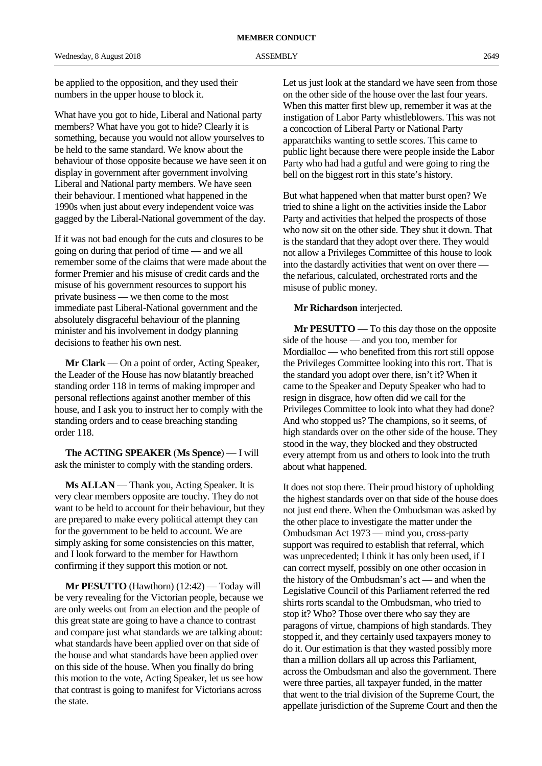be applied to the opposition, and they used their numbers in the upper house to block it.

What have you got to hide, Liberal and National party members? What have you got to hide? Clearly it is something, because you would not allow yourselves to be held to the same standard. We know about the behaviour of those opposite because we have seen it on display in government after government involving Liberal and National party members. We have seen their behaviour. I mentioned what happened in the 1990s when just about every independent voice was gagged by the Liberal-National government of the day.

If it was not bad enough for the cuts and closures to be going on during that period of time — and we all remember some of the claims that were made about the former Premier and his misuse of credit cards and the misuse of his government resources to support his private business — we then come to the most immediate past Liberal-National government and the absolutely disgraceful behaviour of the planning minister and his involvement in dodgy planning decisions to feather his own nest.

**Mr Clark** — On a point of order, Acting Speaker, the Leader of the House has now blatantly breached standing order 118 in terms of making improper and personal reflections against another member of this house, and I ask you to instruct her to comply with the standing orders and to cease breaching standing order 118.

**The ACTING SPEAKER** (**Ms Spence**) — I will ask the minister to comply with the standing orders.

**Ms ALLAN** — Thank you, Acting Speaker. It is very clear members opposite are touchy. They do not want to be held to account for their behaviour, but they are prepared to make every political attempt they can for the government to be held to account. We are simply asking for some consistencies on this matter, and I look forward to the member for Hawthorn confirming if they support this motion or not.

**Mr PESUTTO** (Hawthorn) (12:42) — Today will be very revealing for the Victorian people, because we are only weeks out from an election and the people of this great state are going to have a chance to contrast and compare just what standards we are talking about: what standards have been applied over on that side of the house and what standards have been applied over on this side of the house. When you finally do bring this motion to the vote, Acting Speaker, let us see how that contrast is going to manifest for Victorians across the state.

Let us just look at the standard we have seen from those on the other side of the house over the last four years. When this matter first blew up, remember it was at the instigation of Labor Party whistleblowers. This was not a concoction of Liberal Party or National Party apparatchiks wanting to settle scores. This came to public light because there were people inside the Labor Party who had had a gutful and were going to ring the bell on the biggest rort in this state's history.

But what happened when that matter burst open? We tried to shine a light on the activities inside the Labor Party and activities that helped the prospects of those who now sit on the other side. They shut it down. That is the standard that they adopt over there. They would not allow a Privileges Committee of this house to look into the dastardly activities that went on over there the nefarious, calculated, orchestrated rorts and the misuse of public money.

#### **Mr Richardson** interjected.

**Mr PESUTTO** — To this day those on the opposite side of the house — and you too, member for Mordialloc — who benefited from this rort still oppose the Privileges Committee looking into this rort. That is the standard you adopt over there, isn't it? When it came to the Speaker and Deputy Speaker who had to resign in disgrace, how often did we call for the Privileges Committee to look into what they had done? And who stopped us? The champions, so it seems, of high standards over on the other side of the house. They stood in the way, they blocked and they obstructed every attempt from us and others to look into the truth about what happened.

It does not stop there. Their proud history of upholding the highest standards over on that side of the house does not just end there. When the Ombudsman was asked by the other place to investigate the matter under the Ombudsman Act 1973 — mind you, cross-party support was required to establish that referral, which was unprecedented; I think it has only been used, if I can correct myself, possibly on one other occasion in the history of the Ombudsman's act — and when the Legislative Council of this Parliament referred the red shirts rorts scandal to the Ombudsman, who tried to stop it? Who? Those over there who say they are paragons of virtue, champions of high standards. They stopped it, and they certainly used taxpayers money to do it. Our estimation is that they wasted possibly more than a million dollars all up across this Parliament, across the Ombudsman and also the government. There were three parties, all taxpayer funded, in the matter that went to the trial division of the Supreme Court, the appellate jurisdiction of the Supreme Court and then the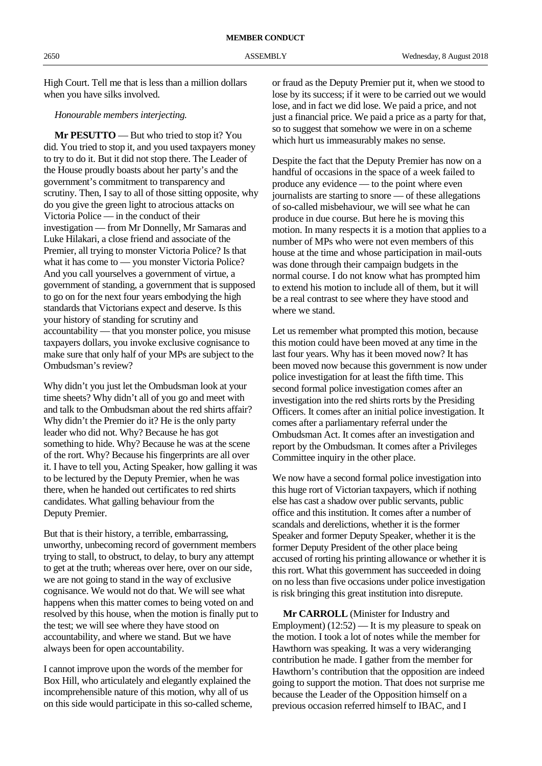High Court. Tell me that is less than a million dollars when you have silks involved.

## *Honourable members interjecting.*

**Mr PESUTTO** — But who tried to stop it? You did. You tried to stop it, and you used taxpayers money to try to do it. But it did not stop there. The Leader of the House proudly boasts about her party's and the government's commitment to transparency and scrutiny. Then, I say to all of those sitting opposite, why do you give the green light to atrocious attacks on Victoria Police — in the conduct of their investigation — from Mr Donnelly, Mr Samaras and Luke Hilakari, a close friend and associate of the Premier, all trying to monster Victoria Police? Is that what it has come to — you monster Victoria Police? And you call yourselves a government of virtue, a government of standing, a government that is supposed to go on for the next four years embodying the high standards that Victorians expect and deserve. Is this your history of standing for scrutiny and accountability — that you monster police, you misuse taxpayers dollars, you invoke exclusive cognisance to make sure that only half of your MPs are subject to the Ombudsman's review?

Why didn't you just let the Ombudsman look at your time sheets? Why didn't all of you go and meet with and talk to the Ombudsman about the red shirts affair? Why didn't the Premier do it? He is the only party leader who did not. Why? Because he has got something to hide. Why? Because he was at the scene of the rort. Why? Because his fingerprints are all over it. I have to tell you, Acting Speaker, how galling it was to be lectured by the Deputy Premier, when he was there, when he handed out certificates to red shirts candidates. What galling behaviour from the Deputy Premier.

But that is their history, a terrible, embarrassing, unworthy, unbecoming record of government members trying to stall, to obstruct, to delay, to bury any attempt to get at the truth; whereas over here, over on our side, we are not going to stand in the way of exclusive cognisance. We would not do that. We will see what happens when this matter comes to being voted on and resolved by this house, when the motion is finally put to the test; we will see where they have stood on accountability, and where we stand. But we have always been for open accountability.

I cannot improve upon the words of the member for Box Hill, who articulately and elegantly explained the incomprehensible nature of this motion, why all of us on this side would participate in this so-called scheme, or fraud as the Deputy Premier put it, when we stood to lose by its success; if it were to be carried out we would lose, and in fact we did lose. We paid a price, and not just a financial price. We paid a price as a party for that, so to suggest that somehow we were in on a scheme which hurt us immeasurably makes no sense.

Despite the fact that the Deputy Premier has now on a handful of occasions in the space of a week failed to produce any evidence — to the point where even journalists are starting to snore — of these allegations of so-called misbehaviour, we will see what he can produce in due course. But here he is moving this motion. In many respects it is a motion that applies to a number of MPs who were not even members of this house at the time and whose participation in mail-outs was done through their campaign budgets in the normal course. I do not know what has prompted him to extend his motion to include all of them, but it will be a real contrast to see where they have stood and where we stand.

Let us remember what prompted this motion, because this motion could have been moved at any time in the last four years. Why has it been moved now? It has been moved now because this government is now under police investigation for at least the fifth time. This second formal police investigation comes after an investigation into the red shirts rorts by the Presiding Officers. It comes after an initial police investigation. It comes after a parliamentary referral under the Ombudsman Act. It comes after an investigation and report by the Ombudsman. It comes after a Privileges Committee inquiry in the other place.

We now have a second formal police investigation into this huge rort of Victorian taxpayers, which if nothing else has cast a shadow over public servants, public office and this institution. It comes after a number of scandals and derelictions, whether it is the former Speaker and former Deputy Speaker, whether it is the former Deputy President of the other place being accused of rorting his printing allowance or whether it is this rort. What this government has succeeded in doing on no less than five occasions under police investigation is risk bringing this great institution into disrepute.

**Mr CARROLL** (Minister for Industry and Employment) (12:52) — It is my pleasure to speak on the motion. I took a lot of notes while the member for Hawthorn was speaking. It was a very wideranging contribution he made. I gather from the member for Hawthorn's contribution that the opposition are indeed going to support the motion. That does not surprise me because the Leader of the Opposition himself on a previous occasion referred himself to IBAC, and I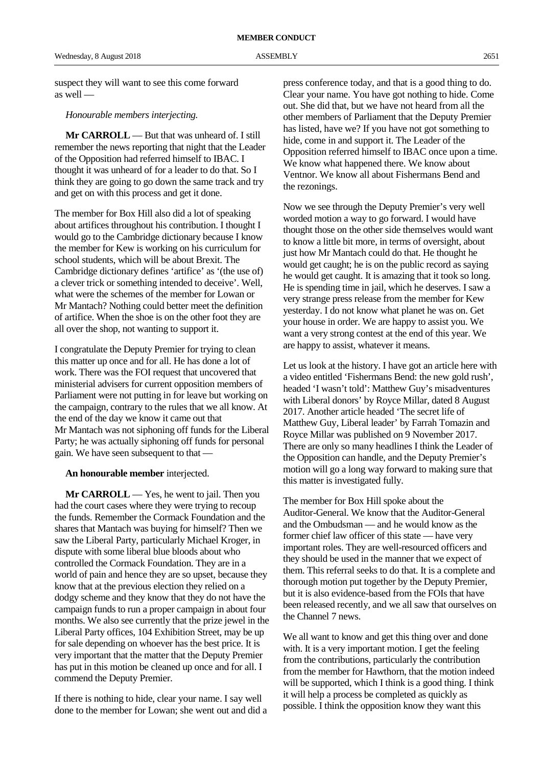suspect they will want to see this come forward as well —

#### *Honourable members interjecting.*

**Mr CARROLL** — But that was unheard of. I still remember the news reporting that night that the Leader of the Opposition had referred himself to IBAC. I thought it was unheard of for a leader to do that. So I think they are going to go down the same track and try and get on with this process and get it done.

The member for Box Hill also did a lot of speaking about artifices throughout his contribution. I thought I would go to the Cambridge dictionary because I know the member for Kew is working on his curriculum for school students, which will be about Brexit. The Cambridge dictionary defines 'artifice' as '(the use of) a clever trick or something intended to deceive'. Well, what were the schemes of the member for Lowan or Mr Mantach? Nothing could better meet the definition of artifice. When the shoe is on the other foot they are all over the shop, not wanting to support it.

I congratulate the Deputy Premier for trying to clean this matter up once and for all. He has done a lot of work. There was the FOI request that uncovered that ministerial advisers for current opposition members of Parliament were not putting in for leave but working on the campaign, contrary to the rules that we all know. At the end of the day we know it came out that Mr Mantach was not siphoning off funds for the Liberal Party; he was actually siphoning off funds for personal gain. We have seen subsequent to that —

#### **An honourable member** interjected.

**Mr CARROLL** — Yes, he went to jail. Then you had the court cases where they were trying to recoup the funds. Remember the Cormack Foundation and the shares that Mantach was buying for himself? Then we saw the Liberal Party, particularly Michael Kroger, in dispute with some liberal blue bloods about who controlled the Cormack Foundation. They are in a world of pain and hence they are so upset, because they know that at the previous election they relied on a dodgy scheme and they know that they do not have the campaign funds to run a proper campaign in about four months. We also see currently that the prize jewel in the Liberal Party offices, 104 Exhibition Street, may be up for sale depending on whoever has the best price. It is very important that the matter that the Deputy Premier has put in this motion be cleaned up once and for all. I commend the Deputy Premier.

If there is nothing to hide, clear your name. I say well done to the member for Lowan; she went out and did a

press conference today, and that is a good thing to do. Clear your name. You have got nothing to hide. Come out. She did that, but we have not heard from all the other members of Parliament that the Deputy Premier has listed, have we? If you have not got something to hide, come in and support it. The Leader of the Opposition referred himself to IBAC once upon a time. We know what happened there. We know about Ventnor. We know all about Fishermans Bend and the rezonings.

Now we see through the Deputy Premier's very well worded motion a way to go forward. I would have thought those on the other side themselves would want to know a little bit more, in terms of oversight, about just how Mr Mantach could do that. He thought he would get caught; he is on the public record as saying he would get caught. It is amazing that it took so long. He is spending time in jail, which he deserves. I saw a very strange press release from the member for Kew yesterday. I do not know what planet he was on. Get your house in order. We are happy to assist you. We want a very strong contest at the end of this year. We are happy to assist, whatever it means.

Let us look at the history. I have got an article here with a video entitled 'Fishermans Bend: the new gold rush', headed 'I wasn't told': Matthew Guy's misadventures with Liberal donors' by Royce Millar, dated 8 August 2017. Another article headed 'The secret life of Matthew Guy, Liberal leader' by Farrah Tomazin and Royce Millar was published on 9 November 2017. There are only so many headlines I think the Leader of the Opposition can handle, and the Deputy Premier's motion will go a long way forward to making sure that this matter is investigated fully.

The member for Box Hill spoke about the Auditor-General. We know that the Auditor-General and the Ombudsman — and he would know as the former chief law officer of this state — have very important roles. They are well-resourced officers and they should be used in the manner that we expect of them. This referral seeks to do that. It is a complete and thorough motion put together by the Deputy Premier, but it is also evidence-based from the FOIs that have been released recently, and we all saw that ourselves on the Channel 7 news.

We all want to know and get this thing over and done with. It is a very important motion. I get the feeling from the contributions, particularly the contribution from the member for Hawthorn, that the motion indeed will be supported, which I think is a good thing. I think it will help a process be completed as quickly as possible. I think the opposition know they want this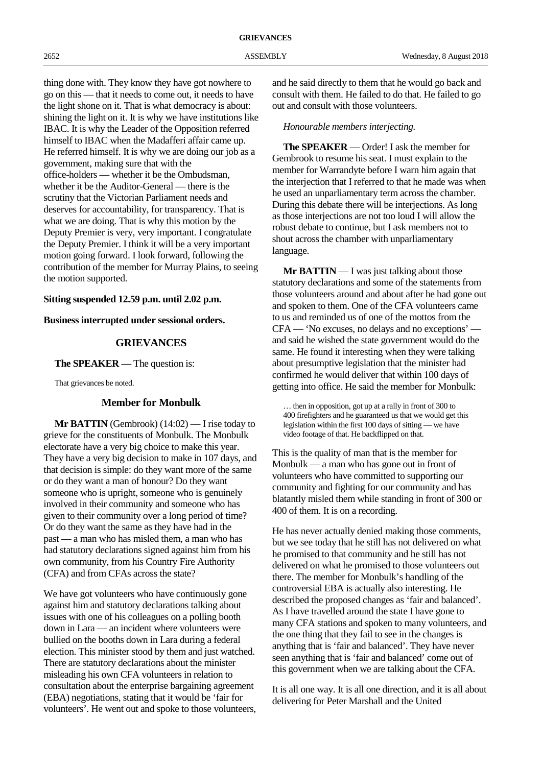thing done with. They know they have got nowhere to go on this — that it needs to come out, it needs to have the light shone on it. That is what democracy is about: shining the light on it. It is why we have institutions like IBAC. It is why the Leader of the Opposition referred himself to IBAC when the Madafferi affair came up. He referred himself. It is why we are doing our job as a government, making sure that with the office-holders — whether it be the Ombudsman, whether it be the Auditor-General — there is the scrutiny that the Victorian Parliament needs and deserves for accountability, for transparency. That is what we are doing. That is why this motion by the Deputy Premier is very, very important. I congratulate the Deputy Premier. I think it will be a very important motion going forward. I look forward, following the contribution of the member for Murray Plains, to seeing the motion supported.

# **Sitting suspended 12.59 p.m. until 2.02 p.m.**

**Business interrupted under sessional orders.**

# **GRIEVANCES**

**The SPEAKER** — The question is:

That grievances be noted.

# **Member for Monbulk**

**Mr BATTIN** (Gembrook) (14:02) — I rise today to grieve for the constituents of Monbulk. The Monbulk electorate have a very big choice to make this year. They have a very big decision to make in 107 days, and that decision is simple: do they want more of the same or do they want a man of honour? Do they want someone who is upright, someone who is genuinely involved in their community and someone who has given to their community over a long period of time? Or do they want the same as they have had in the past — a man who has misled them, a man who has had statutory declarations signed against him from his own community, from his Country Fire Authority (CFA) and from CFAs across the state?

We have got volunteers who have continuously gone against him and statutory declarations talking about issues with one of his colleagues on a polling booth down in Lara — an incident where volunteers were bullied on the booths down in Lara during a federal election. This minister stood by them and just watched. There are statutory declarations about the minister misleading his own CFA volunteers in relation to consultation about the enterprise bargaining agreement (EBA) negotiations, stating that it would be 'fair for volunteers'. He went out and spoke to those volunteers, and he said directly to them that he would go back and consult with them. He failed to do that. He failed to go out and consult with those volunteers.

*Honourable members interjecting.*

**The SPEAKER** — Order! I ask the member for Gembrook to resume his seat. I must explain to the member for Warrandyte before I warn him again that the interjection that I referred to that he made was when he used an unparliamentary term across the chamber. During this debate there will be interjections. As long as those interjections are not too loud I will allow the robust debate to continue, but I ask members not to shout across the chamber with unparliamentary language.

**Mr BATTIN** — I was just talking about those statutory declarations and some of the statements from those volunteers around and about after he had gone out and spoken to them. One of the CFA volunteers came to us and reminded us of one of the mottos from the CFA — 'No excuses, no delays and no exceptions' and said he wished the state government would do the same. He found it interesting when they were talking about presumptive legislation that the minister had confirmed he would deliver that within 100 days of getting into office. He said the member for Monbulk:

… then in opposition, got up at a rally in front of 300 to 400 firefighters and he guaranteed us that we would get this legislation within the first 100 days of sitting — we have video footage of that. He backflipped on that.

This is the quality of man that is the member for Monbulk — a man who has gone out in front of volunteers who have committed to supporting our community and fighting for our community and has blatantly misled them while standing in front of 300 or 400 of them. It is on a recording.

He has never actually denied making those comments, but we see today that he still has not delivered on what he promised to that community and he still has not delivered on what he promised to those volunteers out there. The member for Monbulk's handling of the controversial EBA is actually also interesting. He described the proposed changes as 'fair and balanced'. As I have travelled around the state I have gone to many CFA stations and spoken to many volunteers, and the one thing that they fail to see in the changes is anything that is 'fair and balanced'. They have never seen anything that is 'fair and balanced' come out of this government when we are talking about the CFA.

It is all one way. It is all one direction, and it is all about delivering for Peter Marshall and the United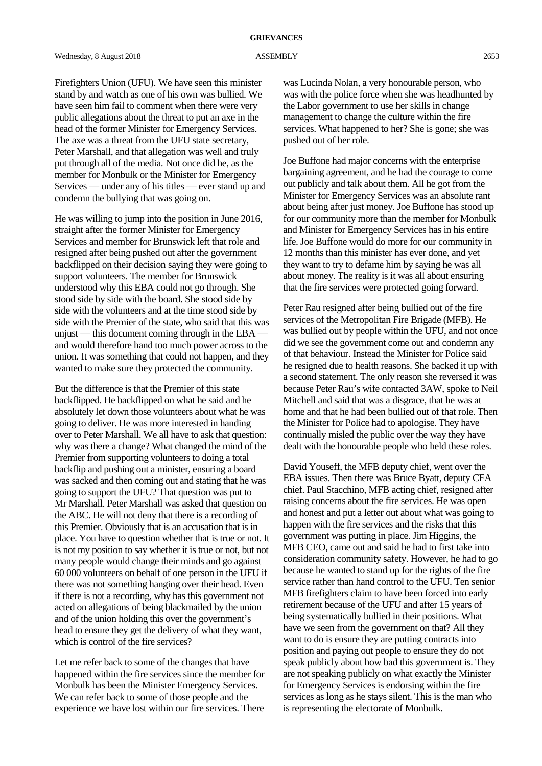Firefighters Union (UFU). We have seen this minister stand by and watch as one of his own was bullied. We have seen him fail to comment when there were very public allegations about the threat to put an axe in the head of the former Minister for Emergency Services. The axe was a threat from the UFU state secretary, Peter Marshall, and that allegation was well and truly put through all of the media. Not once did he, as the member for Monbulk or the Minister for Emergency Services — under any of his titles — ever stand up and condemn the bullying that was going on.

He was willing to jump into the position in June 2016, straight after the former Minister for Emergency Services and member for Brunswick left that role and resigned after being pushed out after the government backflipped on their decision saying they were going to support volunteers. The member for Brunswick understood why this EBA could not go through. She stood side by side with the board. She stood side by side with the volunteers and at the time stood side by side with the Premier of the state, who said that this was unjust — this document coming through in the EBA and would therefore hand too much power across to the union. It was something that could not happen, and they wanted to make sure they protected the community.

But the difference is that the Premier of this state backflipped. He backflipped on what he said and he absolutely let down those volunteers about what he was going to deliver. He was more interested in handing over to Peter Marshall. We all have to ask that question: why was there a change? What changed the mind of the Premier from supporting volunteers to doing a total backflip and pushing out a minister, ensuring a board was sacked and then coming out and stating that he was going to support the UFU? That question was put to Mr Marshall. Peter Marshall was asked that question on the ABC. He will not deny that there is a recording of this Premier. Obviously that is an accusation that is in place. You have to question whether that is true or not. It is not my position to say whether it is true or not, but not many people would change their minds and go against 60 000 volunteers on behalf of one person in the UFU if there was not something hanging over their head. Even if there is not a recording, why has this government not acted on allegations of being blackmailed by the union and of the union holding this over the government's head to ensure they get the delivery of what they want, which is control of the fire services?

Let me refer back to some of the changes that have happened within the fire services since the member for Monbulk has been the Minister Emergency Services. We can refer back to some of those people and the experience we have lost within our fire services. There

was Lucinda Nolan, a very honourable person, who was with the police force when she was headhunted by the Labor government to use her skills in change management to change the culture within the fire services. What happened to her? She is gone; she was pushed out of her role.

Joe Buffone had major concerns with the enterprise bargaining agreement, and he had the courage to come out publicly and talk about them. All he got from the Minister for Emergency Services was an absolute rant about being after just money. Joe Buffone has stood up for our community more than the member for Monbulk and Minister for Emergency Services has in his entire life. Joe Buffone would do more for our community in 12 months than this minister has ever done, and yet they want to try to defame him by saying he was all about money. The reality is it was all about ensuring that the fire services were protected going forward.

Peter Rau resigned after being bullied out of the fire services of the Metropolitan Fire Brigade (MFB). He was bullied out by people within the UFU, and not once did we see the government come out and condemn any of that behaviour. Instead the Minister for Police said he resigned due to health reasons. She backed it up with a second statement. The only reason she reversed it was because Peter Rau's wife contacted 3AW, spoke to Neil Mitchell and said that was a disgrace, that he was at home and that he had been bullied out of that role. Then the Minister for Police had to apologise. They have continually misled the public over the way they have dealt with the honourable people who held these roles.

David Youseff, the MFB deputy chief, went over the EBA issues. Then there was Bruce Byatt, deputy CFA chief. Paul Stacchino, MFB acting chief, resigned after raising concerns about the fire services. He was open and honest and put a letter out about what was going to happen with the fire services and the risks that this government was putting in place. Jim Higgins, the MFB CEO, came out and said he had to first take into consideration community safety. However, he had to go because he wanted to stand up for the rights of the fire service rather than hand control to the UFU. Ten senior MFB firefighters claim to have been forced into early retirement because of the UFU and after 15 years of being systematically bullied in their positions. What have we seen from the government on that? All they want to do is ensure they are putting contracts into position and paying out people to ensure they do not speak publicly about how bad this government is. They are not speaking publicly on what exactly the Minister for Emergency Services is endorsing within the fire services as long as he stays silent. This is the man who is representing the electorate of Monbulk.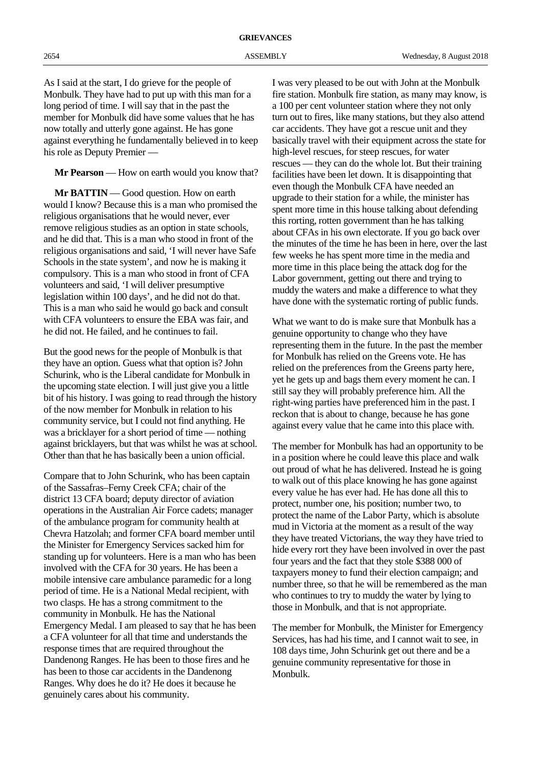As I said at the start, I do grieve for the people of Monbulk. They have had to put up with this man for a long period of time. I will say that in the past the member for Monbulk did have some values that he has now totally and utterly gone against. He has gone against everything he fundamentally believed in to keep his role as Deputy Premier —

**Mr Pearson** — How on earth would you know that?

**Mr BATTIN** — Good question. How on earth would I know? Because this is a man who promised the religious organisations that he would never, ever remove religious studies as an option in state schools, and he did that. This is a man who stood in front of the religious organisations and said, 'I will never have Safe Schools in the state system', and now he is making it compulsory. This is a man who stood in front of CFA volunteers and said, 'I will deliver presumptive legislation within 100 days', and he did not do that. This is a man who said he would go back and consult with CFA volunteers to ensure the EBA was fair, and he did not. He failed, and he continues to fail.

But the good news for the people of Monbulk is that they have an option. Guess what that option is? John Schurink, who is the Liberal candidate for Monbulk in the upcoming state election. I will just give you a little bit of his history. I was going to read through the history of the now member for Monbulk in relation to his community service, but I could not find anything. He was a bricklayer for a short period of time — nothing against bricklayers, but that was whilst he was at school. Other than that he has basically been a union official.

Compare that to John Schurink, who has been captain of the Sassafras–Ferny Creek CFA; chair of the district 13 CFA board; deputy director of aviation operations in the Australian Air Force cadets; manager of the ambulance program for community health at Chevra Hatzolah; and former CFA board member until the Minister for Emergency Services sacked him for standing up for volunteers. Here is a man who has been involved with the CFA for 30 years. He has been a mobile intensive care ambulance paramedic for a long period of time. He is a National Medal recipient, with two clasps. He has a strong commitment to the community in Monbulk. He has the National Emergency Medal. I am pleased to say that he has been a CFA volunteer for all that time and understands the response times that are required throughout the Dandenong Ranges. He has been to those fires and he has been to those car accidents in the Dandenong Ranges. Why does he do it? He does it because he genuinely cares about his community.

I was very pleased to be out with John at the Monbulk fire station. Monbulk fire station, as many may know, is a 100 per cent volunteer station where they not only turn out to fires, like many stations, but they also attend car accidents. They have got a rescue unit and they basically travel with their equipment across the state for high-level rescues, for steep rescues, for water rescues — they can do the whole lot. But their training facilities have been let down. It is disappointing that even though the Monbulk CFA have needed an upgrade to their station for a while, the minister has spent more time in this house talking about defending this rorting, rotten government than he has talking about CFAs in his own electorate. If you go back over the minutes of the time he has been in here, over the last few weeks he has spent more time in the media and more time in this place being the attack dog for the Labor government, getting out there and trying to muddy the waters and make a difference to what they have done with the systematic rorting of public funds.

What we want to do is make sure that Monbulk has a genuine opportunity to change who they have representing them in the future. In the past the member for Monbulk has relied on the Greens vote. He has relied on the preferences from the Greens party here, yet he gets up and bags them every moment he can. I still say they will probably preference him. All the right-wing parties have preferenced him in the past. I reckon that is about to change, because he has gone against every value that he came into this place with.

The member for Monbulk has had an opportunity to be in a position where he could leave this place and walk out proud of what he has delivered. Instead he is going to walk out of this place knowing he has gone against every value he has ever had. He has done all this to protect, number one, his position; number two, to protect the name of the Labor Party, which is absolute mud in Victoria at the moment as a result of the way they have treated Victorians, the way they have tried to hide every rort they have been involved in over the past four years and the fact that they stole \$388 000 of taxpayers money to fund their election campaign; and number three, so that he will be remembered as the man who continues to try to muddy the water by lying to those in Monbulk, and that is not appropriate.

The member for Monbulk, the Minister for Emergency Services, has had his time, and I cannot wait to see, in 108 days time, John Schurink get out there and be a genuine community representative for those in Monbulk.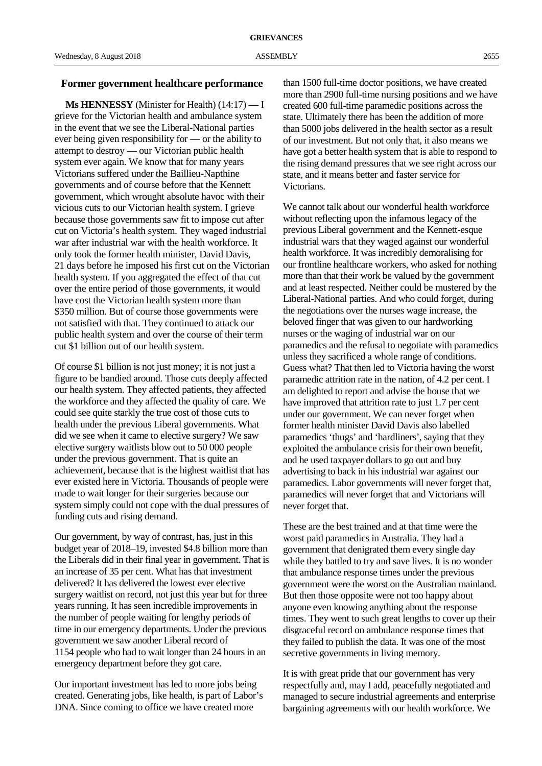# **Former government healthcare performance**

**Ms HENNESSY** (Minister for Health) (14:17) — I grieve for the Victorian health and ambulance system in the event that we see the Liberal-National parties ever being given responsibility for — or the ability to attempt to destroy — our Victorian public health system ever again. We know that for many years Victorians suffered under the Baillieu-Napthine governments and of course before that the Kennett government, which wrought absolute havoc with their vicious cuts to our Victorian health system. I grieve because those governments saw fit to impose cut after cut on Victoria's health system. They waged industrial war after industrial war with the health workforce. It only took the former health minister, David Davis, 21 days before he imposed his first cut on the Victorian health system. If you aggregated the effect of that cut over the entire period of those governments, it would have cost the Victorian health system more than \$350 million. But of course those governments were not satisfied with that. They continued to attack our public health system and over the course of their term cut \$1 billion out of our health system.

Of course \$1 billion is not just money; it is not just a figure to be bandied around. Those cuts deeply affected our health system. They affected patients, they affected the workforce and they affected the quality of care. We could see quite starkly the true cost of those cuts to health under the previous Liberal governments. What did we see when it came to elective surgery? We saw elective surgery waitlists blow out to 50 000 people under the previous government. That is quite an achievement, because that is the highest waitlist that has ever existed here in Victoria. Thousands of people were made to wait longer for their surgeries because our system simply could not cope with the dual pressures of funding cuts and rising demand.

Our government, by way of contrast, has, just in this budget year of 2018–19, invested \$4.8 billion more than the Liberals did in their final year in government. That is an increase of 35 per cent. What has that investment delivered? It has delivered the lowest ever elective surgery waitlist on record, not just this year but for three years running. It has seen incredible improvements in the number of people waiting for lengthy periods of time in our emergency departments. Under the previous government we saw another Liberal record of 1154 people who had to wait longer than 24 hours in an emergency department before they got care.

Our important investment has led to more jobs being created. Generating jobs, like health, is part of Labor's DNA. Since coming to office we have created more

than 1500 full-time doctor positions, we have created more than 2900 full-time nursing positions and we have created 600 full-time paramedic positions across the state. Ultimately there has been the addition of more than 5000 jobs delivered in the health sector as a result of our investment. But not only that, it also means we have got a better health system that is able to respond to the rising demand pressures that we see right across our state, and it means better and faster service for Victorians.

We cannot talk about our wonderful health workforce without reflecting upon the infamous legacy of the previous Liberal government and the Kennett-esque industrial wars that they waged against our wonderful health workforce. It was incredibly demoralising for our frontline healthcare workers, who asked for nothing more than that their work be valued by the government and at least respected. Neither could be mustered by the Liberal-National parties. And who could forget, during the negotiations over the nurses wage increase, the beloved finger that was given to our hardworking nurses or the waging of industrial war on our paramedics and the refusal to negotiate with paramedics unless they sacrificed a whole range of conditions. Guess what? That then led to Victoria having the worst paramedic attrition rate in the nation, of 4.2 per cent. I am delighted to report and advise the house that we have improved that attrition rate to just 1.7 per cent under our government. We can never forget when former health minister David Davis also labelled paramedics 'thugs' and 'hardliners', saying that they exploited the ambulance crisis for their own benefit, and he used taxpayer dollars to go out and buy advertising to back in his industrial war against our paramedics. Labor governments will never forget that, paramedics will never forget that and Victorians will never forget that.

These are the best trained and at that time were the worst paid paramedics in Australia. They had a government that denigrated them every single day while they battled to try and save lives. It is no wonder that ambulance response times under the previous government were the worst on the Australian mainland. But then those opposite were not too happy about anyone even knowing anything about the response times. They went to such great lengths to cover up their disgraceful record on ambulance response times that they failed to publish the data. It was one of the most secretive governments in living memory.

It is with great pride that our government has very respectfully and, may I add, peacefully negotiated and managed to secure industrial agreements and enterprise bargaining agreements with our health workforce. We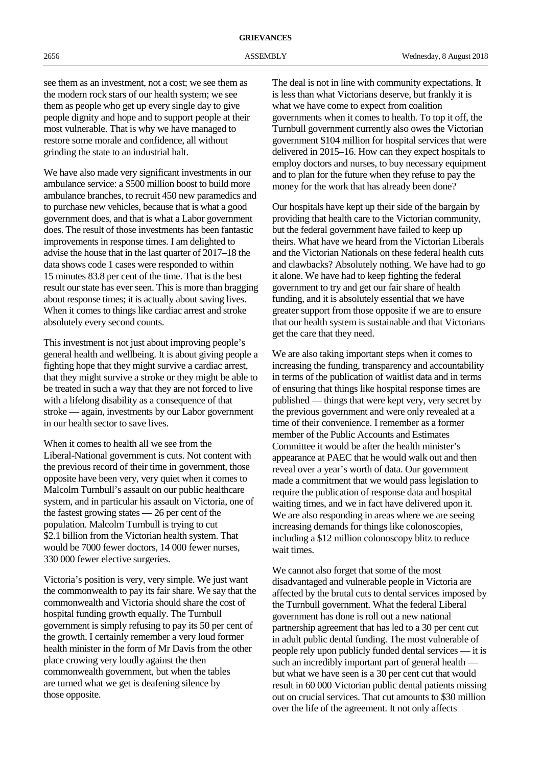see them as an investment, not a cost; we see them as the modern rock stars of our health system; we see them as people who get up every single day to give people dignity and hope and to support people at their most vulnerable. That is why we have managed to restore some morale and confidence, all without grinding the state to an industrial halt.

We have also made very significant investments in our ambulance service: a \$500 million boost to build more ambulance branches, to recruit 450 new paramedics and to purchase new vehicles, because that is what a good government does, and that is what a Labor government does. The result of those investments has been fantastic improvements in response times. I am delighted to advise the house that in the last quarter of 2017–18 the data shows code 1 cases were responded to within 15 minutes 83.8 per cent of the time. That is the best result our state has ever seen. This is more than bragging about response times; it is actually about saving lives. When it comes to things like cardiac arrest and stroke absolutely every second counts.

This investment is not just about improving people's general health and wellbeing. It is about giving people a fighting hope that they might survive a cardiac arrest, that they might survive a stroke or they might be able to be treated in such a way that they are not forced to live with a lifelong disability as a consequence of that stroke — again, investments by our Labor government in our health sector to save lives.

When it comes to health all we see from the Liberal-National government is cuts. Not content with the previous record of their time in government, those opposite have been very, very quiet when it comes to Malcolm Turnbull's assault on our public healthcare system, and in particular his assault on Victoria, one of the fastest growing states — 26 per cent of the population. Malcolm Turnbull is trying to cut \$2.1 billion from the Victorian health system. That would be 7000 fewer doctors, 14 000 fewer nurses, 330 000 fewer elective surgeries.

Victoria's position is very, very simple. We just want the commonwealth to pay its fair share. We say that the commonwealth and Victoria should share the cost of hospital funding growth equally. The Turnbull government is simply refusing to pay its 50 per cent of the growth. I certainly remember a very loud former health minister in the form of Mr Davis from the other place crowing very loudly against the then commonwealth government, but when the tables are turned what we get is deafening silence by those opposite.

The deal is not in line with community expectations. It is less than what Victorians deserve, but frankly it is what we have come to expect from coalition governments when it comes to health. To top it off, the Turnbull government currently also owes the Victorian government \$104 million for hospital services that were delivered in 2015–16. How can they expect hospitals to employ doctors and nurses, to buy necessary equipment and to plan for the future when they refuse to pay the money for the work that has already been done?

Our hospitals have kept up their side of the bargain by providing that health care to the Victorian community, but the federal government have failed to keep up theirs. What have we heard from the Victorian Liberals and the Victorian Nationals on these federal health cuts and clawbacks? Absolutely nothing. We have had to go it alone. We have had to keep fighting the federal government to try and get our fair share of health funding, and it is absolutely essential that we have greater support from those opposite if we are to ensure that our health system is sustainable and that Victorians get the care that they need.

We are also taking important steps when it comes to increasing the funding, transparency and accountability in terms of the publication of waitlist data and in terms of ensuring that things like hospital response times are published — things that were kept very, very secret by the previous government and were only revealed at a time of their convenience. I remember as a former member of the Public Accounts and Estimates Committee it would be after the health minister's appearance at PAEC that he would walk out and then reveal over a year's worth of data. Our government made a commitment that we would pass legislation to require the publication of response data and hospital waiting times, and we in fact have delivered upon it. We are also responding in areas where we are seeing increasing demands for things like colonoscopies, including a \$12 million colonoscopy blitz to reduce wait times.

We cannot also forget that some of the most disadvantaged and vulnerable people in Victoria are affected by the brutal cuts to dental services imposed by the Turnbull government. What the federal Liberal government has done is roll out a new national partnership agreement that has led to a 30 per cent cut in adult public dental funding. The most vulnerable of people rely upon publicly funded dental services — it is such an incredibly important part of general health but what we have seen is a 30 per cent cut that would result in 60 000 Victorian public dental patients missing out on crucial services. That cut amounts to \$30 million over the life of the agreement. It not only affects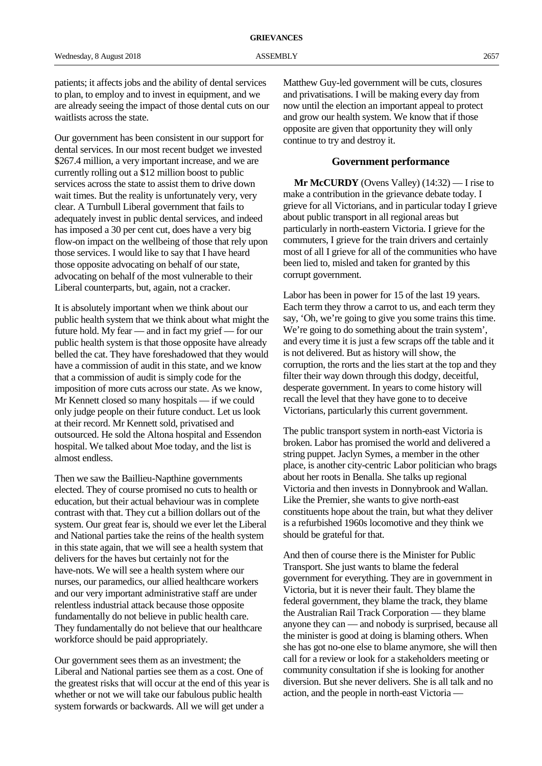patients; it affects jobs and the ability of dental services to plan, to employ and to invest in equipment, and we are already seeing the impact of those dental cuts on our waitlists across the state.

Our government has been consistent in our support for dental services. In our most recent budget we invested \$267.4 million, a very important increase, and we are currently rolling out a \$12 million boost to public services across the state to assist them to drive down wait times. But the reality is unfortunately very, very clear. A Turnbull Liberal government that fails to adequately invest in public dental services, and indeed has imposed a 30 per cent cut, does have a very big flow-on impact on the wellbeing of those that rely upon those services. I would like to say that I have heard those opposite advocating on behalf of our state, advocating on behalf of the most vulnerable to their Liberal counterparts, but, again, not a cracker.

It is absolutely important when we think about our public health system that we think about what might the future hold. My fear — and in fact my grief — for our public health system is that those opposite have already belled the cat. They have foreshadowed that they would have a commission of audit in this state, and we know that a commission of audit is simply code for the imposition of more cuts across our state. As we know, Mr Kennett closed so many hospitals — if we could only judge people on their future conduct. Let us look at their record. Mr Kennett sold, privatised and outsourced. He sold the Altona hospital and Essendon hospital. We talked about Moe today, and the list is almost endless.

Then we saw the Baillieu-Napthine governments elected. They of course promised no cuts to health or education, but their actual behaviour was in complete contrast with that. They cut a billion dollars out of the system. Our great fear is, should we ever let the Liberal and National parties take the reins of the health system in this state again, that we will see a health system that delivers for the haves but certainly not for the have-nots. We will see a health system where our nurses, our paramedics, our allied healthcare workers and our very important administrative staff are under relentless industrial attack because those opposite fundamentally do not believe in public health care. They fundamentally do not believe that our healthcare workforce should be paid appropriately.

Our government sees them as an investment; the Liberal and National parties see them as a cost. One of the greatest risks that will occur at the end of this year is whether or not we will take our fabulous public health system forwards or backwards. All we will get under a

Matthew Guy-led government will be cuts, closures and privatisations. I will be making every day from now until the election an important appeal to protect and grow our health system. We know that if those opposite are given that opportunity they will only continue to try and destroy it.

# **Government performance**

**Mr McCURDY** (Ovens Valley) (14:32) — I rise to make a contribution in the grievance debate today. I grieve for all Victorians, and in particular today I grieve about public transport in all regional areas but particularly in north-eastern Victoria. I grieve for the commuters, I grieve for the train drivers and certainly most of all I grieve for all of the communities who have been lied to, misled and taken for granted by this corrupt government.

Labor has been in power for 15 of the last 19 years. Each term they throw a carrot to us, and each term they say, 'Oh, we're going to give you some trains this time. We're going to do something about the train system', and every time it is just a few scraps off the table and it is not delivered. But as history will show, the corruption, the rorts and the lies start at the top and they filter their way down through this dodgy, deceitful, desperate government. In years to come history will recall the level that they have gone to to deceive Victorians, particularly this current government.

The public transport system in north-east Victoria is broken. Labor has promised the world and delivered a string puppet. Jaclyn Symes, a member in the other place, is another city-centric Labor politician who brags about her roots in Benalla. She talks up regional Victoria and then invests in Donnybrook and Wallan. Like the Premier, she wants to give north-east constituents hope about the train, but what they deliver is a refurbished 1960s locomotive and they think we should be grateful for that.

And then of course there is the Minister for Public Transport. She just wants to blame the federal government for everything. They are in government in Victoria, but it is never their fault. They blame the federal government, they blame the track, they blame the Australian Rail Track Corporation — they blame anyone they can — and nobody is surprised, because all the minister is good at doing is blaming others. When she has got no-one else to blame anymore, she will then call for a review or look for a stakeholders meeting or community consultation if she is looking for another diversion. But she never delivers. She is all talk and no action, and the people in north-east Victoria —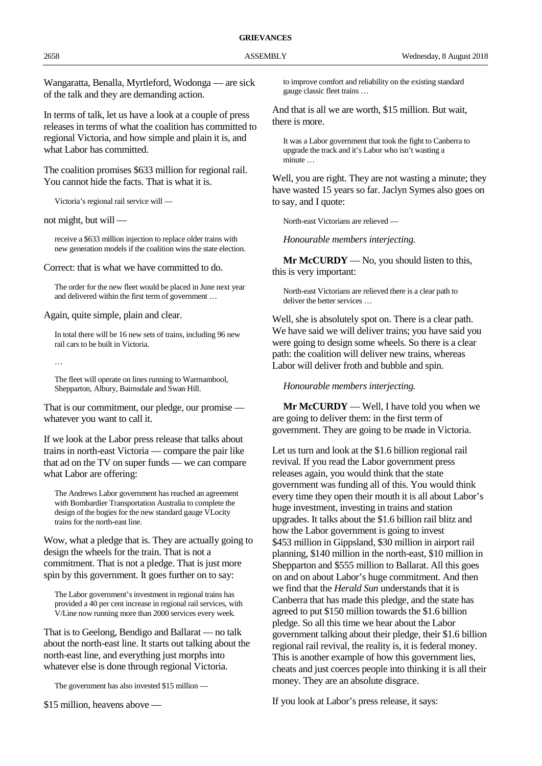Wangaratta, Benalla, Myrtleford, Wodonga — are sick of the talk and they are demanding action.

In terms of talk, let us have a look at a couple of press releases in terms of what the coalition has committed to regional Victoria, and how simple and plain it is, and what Labor has committed.

The coalition promises \$633 million for regional rail. You cannot hide the facts. That is what it is.

Victoria's regional rail service will —

not might, but will —

receive a \$633 million injection to replace older trains with new generation models if the coalition wins the state election.

Correct: that is what we have committed to do.

The order for the new fleet would be placed in June next year and delivered within the first term of government …

Again, quite simple, plain and clear.

In total there will be 16 new sets of trains, including 96 new rail cars to be built in Victoria.

…

The fleet will operate on lines running to Warrnambool, Shepparton, Albury, Bairnsdale and Swan Hill.

That is our commitment, our pledge, our promise whatever you want to call it.

If we look at the Labor press release that talks about trains in north-east Victoria — compare the pair like that ad on the TV on super funds — we can compare what Labor are offering:

The Andrews Labor government has reached an agreement with Bombardier Transportation Australia to complete the design of the bogies for the new standard gauge VLocity trains for the north-east line.

Wow, what a pledge that is. They are actually going to design the wheels for the train. That is not a commitment. That is not a pledge. That is just more spin by this government. It goes further on to say:

The Labor government's investment in regional trains has provided a 40 per cent increase in regional rail services, with V/Line now running more than 2000 services every week.

That is to Geelong, Bendigo and Ballarat — no talk about the north-east line. It starts out talking about the north-east line, and everything just morphs into whatever else is done through regional Victoria.

The government has also invested \$15 million —

\$15 million, heavens above —

to improve comfort and reliability on the existing standard gauge classic fleet trains …

And that is all we are worth, \$15 million. But wait, there is more.

It was a Labor government that took the fight to Canberra to upgrade the track and it's Labor who isn't wasting a minute …

Well, you are right. They are not wasting a minute; they have wasted 15 years so far. Jaclyn Symes also goes on to say, and I quote:

North-east Victorians are relieved —

*Honourable members interjecting.*

**Mr McCURDY** — No, you should listen to this, this is very important:

North-east Victorians are relieved there is a clear path to deliver the better services …

Well, she is absolutely spot on. There is a clear path. We have said we will deliver trains; you have said you were going to design some wheels. So there is a clear path: the coalition will deliver new trains, whereas Labor will deliver froth and bubble and spin.

*Honourable members interjecting.*

**Mr McCURDY** — Well, I have told you when we are going to deliver them: in the first term of government. They are going to be made in Victoria.

Let us turn and look at the \$1.6 billion regional rail revival. If you read the Labor government press releases again, you would think that the state government was funding all of this. You would think every time they open their mouth it is all about Labor's huge investment, investing in trains and station upgrades. It talks about the \$1.6 billion rail blitz and how the Labor government is going to invest \$453 million in Gippsland, \$30 million in airport rail planning, \$140 million in the north-east, \$10 million in Shepparton and \$555 million to Ballarat. All this goes on and on about Labor's huge commitment. And then we find that the *Herald Sun* understands that it is Canberra that has made this pledge, and the state has agreed to put \$150 million towards the \$1.6 billion pledge. So all this time we hear about the Labor government talking about their pledge, their \$1.6 billion regional rail revival, the reality is, it is federal money. This is another example of how this government lies, cheats and just coerces people into thinking it is all their money. They are an absolute disgrace.

If you look at Labor's press release, it says: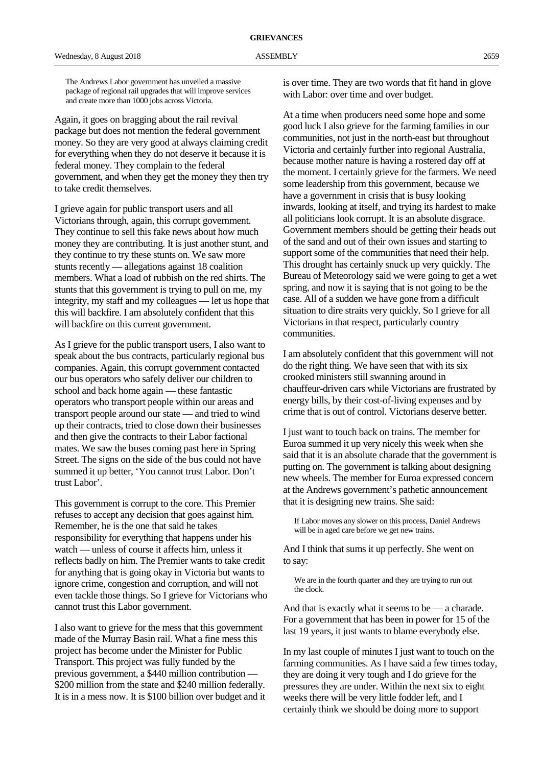Again, it goes on bragging about the rail revival package but does not mention the federal government money. So they are very good at always claiming credit for everything when they do not deserve it because it is federal money. They complain to the federal government, and when they get the money they then try to take credit themselves.

I grieve again for public transport users and all Victorians through, again, this corrupt government. They continue to sell this fake news about how much money they are contributing. It is just another stunt, and they continue to try these stunts on. We saw more stunts recently — allegations against 18 coalition members. What a load of rubbish on the red shirts. The stunts that this government is trying to pull on me, my integrity, my staff and my colleagues — let us hope that this will backfire. I am absolutely confident that this will backfire on this current government.

As I grieve for the public transport users, I also want to speak about the bus contracts, particularly regional bus companies. Again, this corrupt government contacted our bus operators who safely deliver our children to school and back home again — these fantastic operators who transport people within our areas and transport people around our state — and tried to wind up their contracts, tried to close down their businesses and then give the contracts to their Labor factional mates. We saw the buses coming past here in Spring Street. The signs on the side of the bus could not have summed it up better, 'You cannot trust Labor. Don't trust Labor'.

This government is corrupt to the core. This Premier refuses to accept any decision that goes against him. Remember, he is the one that said he takes responsibility for everything that happens under his watch — unless of course it affects him, unless it reflects badly on him. The Premier wants to take credit for anything that is going okay in Victoria but wants to ignore crime, congestion and corruption, and will not even tackle those things. So I grieve for Victorians who cannot trust this Labor government.

I also want to grieve for the mess that this government made of the Murray Basin rail. What a fine mess this project has become under the Minister for Public Transport. This project was fully funded by the previous government, a \$440 million contribution — \$200 million from the state and \$240 million federally. It is in a mess now. It is \$100 billion over budget and it is over time. They are two words that fit hand in glove with Labor: over time and over budget.

At a time when producers need some hope and some good luck I also grieve for the farming families in our communities, not just in the north-east but throughout Victoria and certainly further into regional Australia, because mother nature is having a rostered day off at the moment. I certainly grieve for the farmers. We need some leadership from this government, because we have a government in crisis that is busy looking inwards, looking at itself, and trying its hardest to make all politicians look corrupt. It is an absolute disgrace. Government members should be getting their heads out of the sand and out of their own issues and starting to support some of the communities that need their help. This drought has certainly snuck up very quickly. The Bureau of Meteorology said we were going to get a wet spring, and now it is saying that is not going to be the case. All of a sudden we have gone from a difficult situation to dire straits very quickly. So I grieve for all Victorians in that respect, particularly country communities.

I am absolutely confident that this government will not do the right thing. We have seen that with its six crooked ministers still swanning around in chauffeur-driven cars while Victorians are frustrated by energy bills, by their cost-of-living expenses and by crime that is out of control. Victorians deserve better.

I just want to touch back on trains. The member for Euroa summed it up very nicely this week when she said that it is an absolute charade that the government is putting on. The government is talking about designing new wheels. The member for Euroa expressed concern at the Andrews government's pathetic announcement that it is designing new trains. She said:

If Labor moves any slower on this process, Daniel Andrews will be in aged care before we get new trains.

And I think that sums it up perfectly. She went on to say:

We are in the fourth quarter and they are trying to run out the clock.

And that is exactly what it seems to be — a charade. For a government that has been in power for 15 of the last 19 years, it just wants to blame everybody else.

In my last couple of minutes I just want to touch on the farming communities. As I have said a few times today, they are doing it very tough and I do grieve for the pressures they are under. Within the next six to eight weeks there will be very little fodder left, and I certainly think we should be doing more to support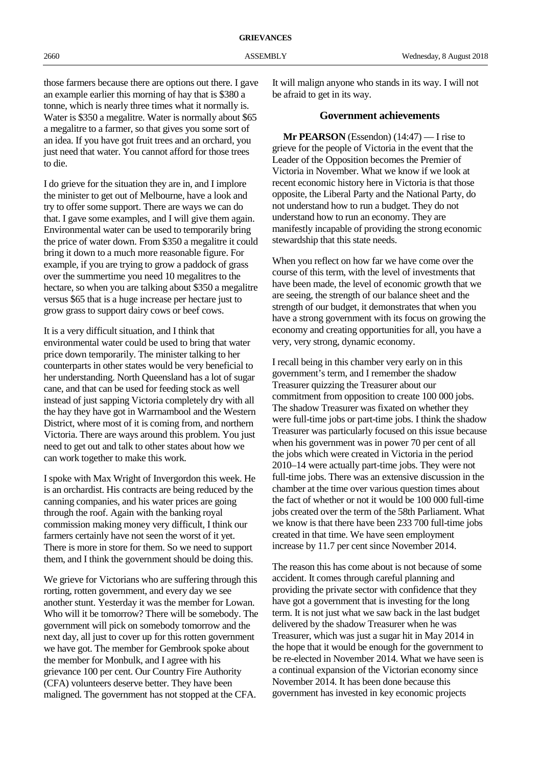those farmers because there are options out there. I gave an example earlier this morning of hay that is \$380 a tonne, which is nearly three times what it normally is. Water is \$350 a megalitre. Water is normally about \$65 a megalitre to a farmer, so that gives you some sort of an idea. If you have got fruit trees and an orchard, you just need that water. You cannot afford for those trees to die.

I do grieve for the situation they are in, and I implore the minister to get out of Melbourne, have a look and try to offer some support. There are ways we can do that. I gave some examples, and I will give them again. Environmental water can be used to temporarily bring the price of water down. From \$350 a megalitre it could bring it down to a much more reasonable figure. For example, if you are trying to grow a paddock of grass over the summertime you need 10 megalitres to the hectare, so when you are talking about \$350 a megalitre versus \$65 that is a huge increase per hectare just to grow grass to support dairy cows or beef cows.

It is a very difficult situation, and I think that environmental water could be used to bring that water price down temporarily. The minister talking to her counterparts in other states would be very beneficial to her understanding. North Queensland has a lot of sugar cane, and that can be used for feeding stock as well instead of just sapping Victoria completely dry with all the hay they have got in Warrnambool and the Western District, where most of it is coming from, and northern Victoria. There are ways around this problem. You just need to get out and talk to other states about how we can work together to make this work.

I spoke with Max Wright of Invergordon this week. He is an orchardist. His contracts are being reduced by the canning companies, and his water prices are going through the roof. Again with the banking royal commission making money very difficult, I think our farmers certainly have not seen the worst of it yet. There is more in store for them. So we need to support them, and I think the government should be doing this.

We grieve for Victorians who are suffering through this rorting, rotten government, and every day we see another stunt. Yesterday it was the member for Lowan. Who will it be tomorrow? There will be somebody. The government will pick on somebody tomorrow and the next day, all just to cover up for this rotten government we have got. The member for Gembrook spoke about the member for Monbulk, and I agree with his grievance 100 per cent. Our Country Fire Authority (CFA) volunteers deserve better. They have been maligned. The government has not stopped at the CFA.

It will malign anyone who stands in its way. I will not be afraid to get in its way.

# **Government achievements**

**Mr PEARSON** (Essendon) (14:47) — I rise to grieve for the people of Victoria in the event that the Leader of the Opposition becomes the Premier of Victoria in November. What we know if we look at recent economic history here in Victoria is that those opposite, the Liberal Party and the National Party, do not understand how to run a budget. They do not understand how to run an economy. They are manifestly incapable of providing the strong economic stewardship that this state needs.

When you reflect on how far we have come over the course of this term, with the level of investments that have been made, the level of economic growth that we are seeing, the strength of our balance sheet and the strength of our budget, it demonstrates that when you have a strong government with its focus on growing the economy and creating opportunities for all, you have a very, very strong, dynamic economy.

I recall being in this chamber very early on in this government's term, and I remember the shadow Treasurer quizzing the Treasurer about our commitment from opposition to create 100 000 jobs. The shadow Treasurer was fixated on whether they were full-time jobs or part-time jobs. I think the shadow Treasurer was particularly focused on this issue because when his government was in power 70 per cent of all the jobs which were created in Victoria in the period 2010–14 were actually part-time jobs. They were not full-time jobs. There was an extensive discussion in the chamber at the time over various question times about the fact of whether or not it would be 100 000 full-time jobs created over the term of the 58th Parliament. What we know is that there have been 233 700 full-time jobs created in that time. We have seen employment increase by 11.7 per cent since November 2014.

The reason this has come about is not because of some accident. It comes through careful planning and providing the private sector with confidence that they have got a government that is investing for the long term. It is not just what we saw back in the last budget delivered by the shadow Treasurer when he was Treasurer, which was just a sugar hit in May 2014 in the hope that it would be enough for the government to be re-elected in November 2014. What we have seen is a continual expansion of the Victorian economy since November 2014. It has been done because this government has invested in key economic projects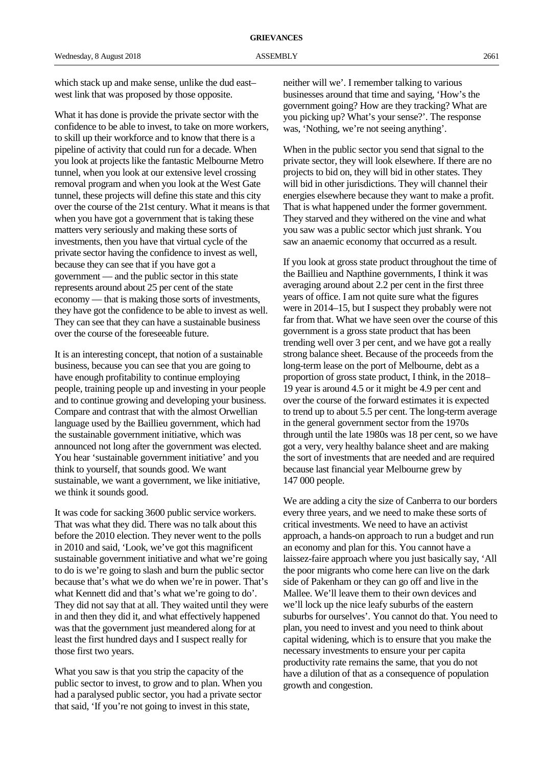which stack up and make sense, unlike the dud east– west link that was proposed by those opposite.

What it has done is provide the private sector with the confidence to be able to invest, to take on more workers, to skill up their workforce and to know that there is a pipeline of activity that could run for a decade. When you look at projects like the fantastic Melbourne Metro tunnel, when you look at our extensive level crossing removal program and when you look at the West Gate tunnel, these projects will define this state and this city over the course of the 21st century. What it means is that when you have got a government that is taking these matters very seriously and making these sorts of investments, then you have that virtual cycle of the private sector having the confidence to invest as well, because they can see that if you have got a government — and the public sector in this state represents around about 25 per cent of the state economy — that is making those sorts of investments, they have got the confidence to be able to invest as well. They can see that they can have a sustainable business over the course of the foreseeable future.

It is an interesting concept, that notion of a sustainable business, because you can see that you are going to have enough profitability to continue employing people, training people up and investing in your people and to continue growing and developing your business. Compare and contrast that with the almost Orwellian language used by the Baillieu government, which had the sustainable government initiative, which was announced not long after the government was elected. You hear 'sustainable government initiative' and you think to yourself, that sounds good. We want sustainable, we want a government, we like initiative, we think it sounds good.

It was code for sacking 3600 public service workers. That was what they did. There was no talk about this before the 2010 election. They never went to the polls in 2010 and said, 'Look, we've got this magnificent sustainable government initiative and what we're going to do is we're going to slash and burn the public sector because that's what we do when we're in power. That's what Kennett did and that's what we're going to do'. They did not say that at all. They waited until they were in and then they did it, and what effectively happened was that the government just meandered along for at least the first hundred days and I suspect really for those first two years.

What you saw is that you strip the capacity of the public sector to invest, to grow and to plan. When you had a paralysed public sector, you had a private sector that said, 'If you're not going to invest in this state,

neither will we'. I remember talking to various businesses around that time and saying, 'How's the government going? How are they tracking? What are you picking up? What's your sense?'. The response was, 'Nothing, we're not seeing anything'.

When in the public sector you send that signal to the private sector, they will look elsewhere. If there are no projects to bid on, they will bid in other states. They will bid in other jurisdictions. They will channel their energies elsewhere because they want to make a profit. That is what happened under the former government. They starved and they withered on the vine and what you saw was a public sector which just shrank. You saw an anaemic economy that occurred as a result.

If you look at gross state product throughout the time of the Baillieu and Napthine governments, I think it was averaging around about 2.2 per cent in the first three years of office. I am not quite sure what the figures were in 2014–15, but I suspect they probably were not far from that. What we have seen over the course of this government is a gross state product that has been trending well over 3 per cent, and we have got a really strong balance sheet. Because of the proceeds from the long-term lease on the port of Melbourne, debt as a proportion of gross state product, I think, in the 2018– 19 year is around 4.5 or it might be 4.9 per cent and over the course of the forward estimates it is expected to trend up to about 5.5 per cent. The long-term average in the general government sector from the 1970s through until the late 1980s was 18 per cent, so we have got a very, very healthy balance sheet and are making the sort of investments that are needed and are required because last financial year Melbourne grew by 147 000 people.

We are adding a city the size of Canberra to our borders every three years, and we need to make these sorts of critical investments. We need to have an activist approach, a hands-on approach to run a budget and run an economy and plan for this. You cannot have a laissez-faire approach where you just basically say, 'All the poor migrants who come here can live on the dark side of Pakenham or they can go off and live in the Mallee. We'll leave them to their own devices and we'll lock up the nice leafy suburbs of the eastern suburbs for ourselves'. You cannot do that. You need to plan, you need to invest and you need to think about capital widening, which is to ensure that you make the necessary investments to ensure your per capita productivity rate remains the same, that you do not have a dilution of that as a consequence of population growth and congestion.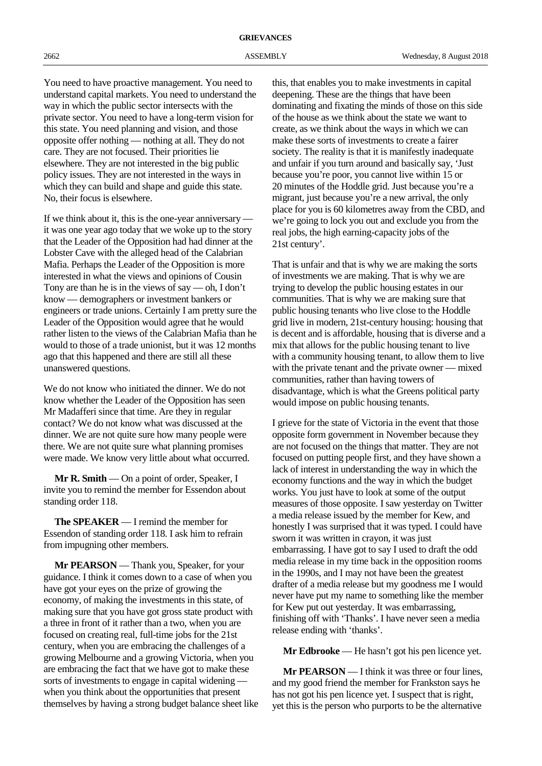You need to have proactive management. You need to understand capital markets. You need to understand the way in which the public sector intersects with the private sector. You need to have a long-term vision for this state. You need planning and vision, and those opposite offer nothing — nothing at all. They do not care. They are not focused. Their priorities lie elsewhere. They are not interested in the big public policy issues. They are not interested in the ways in which they can build and shape and guide this state. No, their focus is elsewhere.

If we think about it, this is the one-year anniversary it was one year ago today that we woke up to the story that the Leader of the Opposition had had dinner at the Lobster Cave with the alleged head of the Calabrian Mafia. Perhaps the Leader of the Opposition is more interested in what the views and opinions of Cousin Tony are than he is in the views of say — oh, I don't know — demographers or investment bankers or engineers or trade unions. Certainly I am pretty sure the Leader of the Opposition would agree that he would rather listen to the views of the Calabrian Mafia than he would to those of a trade unionist, but it was 12 months ago that this happened and there are still all these unanswered questions.

We do not know who initiated the dinner. We do not know whether the Leader of the Opposition has seen Mr Madafferi since that time. Are they in regular contact? We do not know what was discussed at the dinner. We are not quite sure how many people were there. We are not quite sure what planning promises were made. We know very little about what occurred.

**Mr R. Smith** — On a point of order, Speaker, I invite you to remind the member for Essendon about standing order 118.

**The SPEAKER** — I remind the member for Essendon of standing order 118. I ask him to refrain from impugning other members.

**Mr PEARSON** — Thank you, Speaker, for your guidance. I think it comes down to a case of when you have got your eyes on the prize of growing the economy, of making the investments in this state, of making sure that you have got gross state product with a three in front of it rather than a two, when you are focused on creating real, full-time jobs for the 21st century, when you are embracing the challenges of a growing Melbourne and a growing Victoria, when you are embracing the fact that we have got to make these sorts of investments to engage in capital widening when you think about the opportunities that present themselves by having a strong budget balance sheet like this, that enables you to make investments in capital deepening. These are the things that have been dominating and fixating the minds of those on this side of the house as we think about the state we want to create, as we think about the ways in which we can make these sorts of investments to create a fairer society. The reality is that it is manifestly inadequate and unfair if you turn around and basically say, 'Just because you're poor, you cannot live within 15 or 20 minutes of the Hoddle grid. Just because you're a migrant, just because you're a new arrival, the only place for you is 60 kilometres away from the CBD, and we're going to lock you out and exclude you from the real jobs, the high earning-capacity jobs of the 21st century'.

That is unfair and that is why we are making the sorts of investments we are making. That is why we are trying to develop the public housing estates in our communities. That is why we are making sure that public housing tenants who live close to the Hoddle grid live in modern, 21st-century housing: housing that is decent and is affordable, housing that is diverse and a mix that allows for the public housing tenant to live with a community housing tenant, to allow them to live with the private tenant and the private owner — mixed communities, rather than having towers of disadvantage, which is what the Greens political party would impose on public housing tenants.

I grieve for the state of Victoria in the event that those opposite form government in November because they are not focused on the things that matter. They are not focused on putting people first, and they have shown a lack of interest in understanding the way in which the economy functions and the way in which the budget works. You just have to look at some of the output measures of those opposite. I saw yesterday on Twitter a media release issued by the member for Kew, and honestly I was surprised that it was typed. I could have sworn it was written in crayon, it was just embarrassing. I have got to say I used to draft the odd media release in my time back in the opposition rooms in the 1990s, and I may not have been the greatest drafter of a media release but my goodness me I would never have put my name to something like the member for Kew put out yesterday. It was embarrassing, finishing off with 'Thanks'. I have never seen a media release ending with 'thanks'.

**Mr Edbrooke** — He hasn't got his pen licence yet.

**Mr PEARSON** — I think it was three or four lines, and my good friend the member for Frankston says he has not got his pen licence yet. I suspect that is right, yet this is the person who purports to be the alternative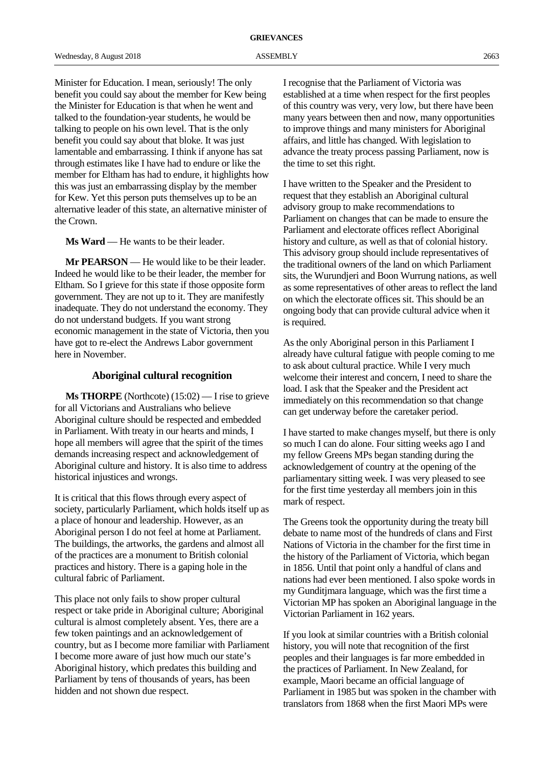Minister for Education. I mean, seriously! The only benefit you could say about the member for Kew being the Minister for Education is that when he went and talked to the foundation-year students, he would be talking to people on his own level. That is the only benefit you could say about that bloke. It was just lamentable and embarrassing. I think if anyone has sat through estimates like I have had to endure or like the member for Eltham has had to endure, it highlights how this was just an embarrassing display by the member for Kew. Yet this person puts themselves up to be an alternative leader of this state, an alternative minister of the Crown.

**Ms Ward** — He wants to be their leader.

**Mr PEARSON** — He would like to be their leader. Indeed he would like to be their leader, the member for Eltham. So I grieve for this state if those opposite form government. They are not up to it. They are manifestly inadequate. They do not understand the economy. They do not understand budgets. If you want strong economic management in the state of Victoria, then you have got to re-elect the Andrews Labor government here in November.

# **Aboriginal cultural recognition**

**Ms THORPE** (Northcote) (15:02) — I rise to grieve for all Victorians and Australians who believe Aboriginal culture should be respected and embedded in Parliament. With treaty in our hearts and minds, I hope all members will agree that the spirit of the times demands increasing respect and acknowledgement of Aboriginal culture and history. It is also time to address historical injustices and wrongs.

It is critical that this flows through every aspect of society, particularly Parliament, which holds itself up as a place of honour and leadership. However, as an Aboriginal person I do not feel at home at Parliament. The buildings, the artworks, the gardens and almost all of the practices are a monument to British colonial practices and history. There is a gaping hole in the cultural fabric of Parliament.

This place not only fails to show proper cultural respect or take pride in Aboriginal culture; Aboriginal cultural is almost completely absent. Yes, there are a few token paintings and an acknowledgement of country, but as I become more familiar with Parliament I become more aware of just how much our state's Aboriginal history, which predates this building and Parliament by tens of thousands of years, has been hidden and not shown due respect.

I recognise that the Parliament of Victoria was established at a time when respect for the first peoples of this country was very, very low, but there have been many years between then and now, many opportunities to improve things and many ministers for Aboriginal affairs, and little has changed. With legislation to advance the treaty process passing Parliament, now is the time to set this right.

I have written to the Speaker and the President to request that they establish an Aboriginal cultural advisory group to make recommendations to Parliament on changes that can be made to ensure the Parliament and electorate offices reflect Aboriginal history and culture, as well as that of colonial history. This advisory group should include representatives of the traditional owners of the land on which Parliament sits, the Wurundjeri and Boon Wurrung nations, as well as some representatives of other areas to reflect the land on which the electorate offices sit. This should be an ongoing body that can provide cultural advice when it is required.

As the only Aboriginal person in this Parliament I already have cultural fatigue with people coming to me to ask about cultural practice. While I very much welcome their interest and concern, I need to share the load. I ask that the Speaker and the President act immediately on this recommendation so that change can get underway before the caretaker period.

I have started to make changes myself, but there is only so much I can do alone. Four sitting weeks ago I and my fellow Greens MPs began standing during the acknowledgement of country at the opening of the parliamentary sitting week. I was very pleased to see for the first time yesterday all members join in this mark of respect.

The Greens took the opportunity during the treaty bill debate to name most of the hundreds of clans and First Nations of Victoria in the chamber for the first time in the history of the Parliament of Victoria, which began in 1856. Until that point only a handful of clans and nations had ever been mentioned. I also spoke words in my Gunditjmara language, which was the first time a Victorian MP has spoken an Aboriginal language in the Victorian Parliament in 162 years.

If you look at similar countries with a British colonial history, you will note that recognition of the first peoples and their languages is far more embedded in the practices of Parliament. In New Zealand, for example, Maori became an official language of Parliament in 1985 but was spoken in the chamber with translators from 1868 when the first Maori MPs were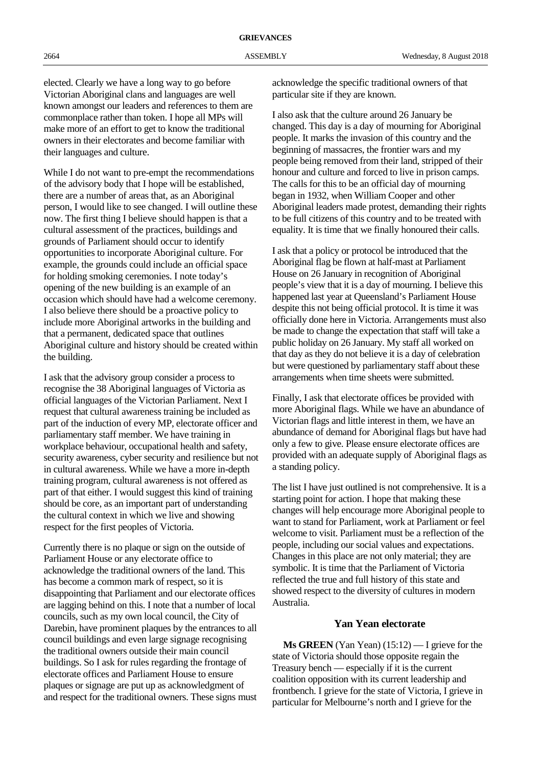elected. Clearly we have a long way to go before Victorian Aboriginal clans and languages are well known amongst our leaders and references to them are commonplace rather than token. I hope all MPs will make more of an effort to get to know the traditional owners in their electorates and become familiar with their languages and culture.

While I do not want to pre-empt the recommendations of the advisory body that I hope will be established, there are a number of areas that, as an Aboriginal person, I would like to see changed. I will outline these now. The first thing I believe should happen is that a cultural assessment of the practices, buildings and grounds of Parliament should occur to identify opportunities to incorporate Aboriginal culture. For example, the grounds could include an official space for holding smoking ceremonies. I note today's opening of the new building is an example of an occasion which should have had a welcome ceremony. I also believe there should be a proactive policy to include more Aboriginal artworks in the building and that a permanent, dedicated space that outlines Aboriginal culture and history should be created within the building.

I ask that the advisory group consider a process to recognise the 38 Aboriginal languages of Victoria as official languages of the Victorian Parliament. Next I request that cultural awareness training be included as part of the induction of every MP, electorate officer and parliamentary staff member. We have training in workplace behaviour, occupational health and safety, security awareness, cyber security and resilience but not in cultural awareness. While we have a more in-depth training program, cultural awareness is not offered as part of that either. I would suggest this kind of training should be core, as an important part of understanding the cultural context in which we live and showing respect for the first peoples of Victoria.

Currently there is no plaque or sign on the outside of Parliament House or any electorate office to acknowledge the traditional owners of the land. This has become a common mark of respect, so it is disappointing that Parliament and our electorate offices are lagging behind on this. I note that a number of local councils, such as my own local council, the City of Darebin, have prominent plaques by the entrances to all council buildings and even large signage recognising the traditional owners outside their main council buildings. So I ask for rules regarding the frontage of electorate offices and Parliament House to ensure plaques or signage are put up as acknowledgment of and respect for the traditional owners. These signs must

acknowledge the specific traditional owners of that particular site if they are known.

I also ask that the culture around 26 January be changed. This day is a day of mourning for Aboriginal people. It marks the invasion of this country and the beginning of massacres, the frontier wars and my people being removed from their land, stripped of their honour and culture and forced to live in prison camps. The calls for this to be an official day of mourning began in 1932, when William Cooper and other Aboriginal leaders made protest, demanding their rights to be full citizens of this country and to be treated with equality. It is time that we finally honoured their calls.

I ask that a policy or protocol be introduced that the Aboriginal flag be flown at half-mast at Parliament House on 26 January in recognition of Aboriginal people's view that it is a day of mourning. I believe this happened last year at Queensland's Parliament House despite this not being official protocol. It is time it was officially done here in Victoria. Arrangements must also be made to change the expectation that staff will take a public holiday on 26 January. My staff all worked on that day as they do not believe it is a day of celebration but were questioned by parliamentary staff about these arrangements when time sheets were submitted.

Finally, I ask that electorate offices be provided with more Aboriginal flags. While we have an abundance of Victorian flags and little interest in them, we have an abundance of demand for Aboriginal flags but have had only a few to give. Please ensure electorate offices are provided with an adequate supply of Aboriginal flags as a standing policy.

The list I have just outlined is not comprehensive. It is a starting point for action. I hope that making these changes will help encourage more Aboriginal people to want to stand for Parliament, work at Parliament or feel welcome to visit. Parliament must be a reflection of the people, including our social values and expectations. Changes in this place are not only material; they are symbolic. It is time that the Parliament of Victoria reflected the true and full history of this state and showed respect to the diversity of cultures in modern Australia.

# **Yan Yean electorate**

**Ms GREEN** (Yan Yean) (15:12) — I grieve for the state of Victoria should those opposite regain the Treasury bench — especially if it is the current coalition opposition with its current leadership and frontbench. I grieve for the state of Victoria, I grieve in particular for Melbourne's north and I grieve for the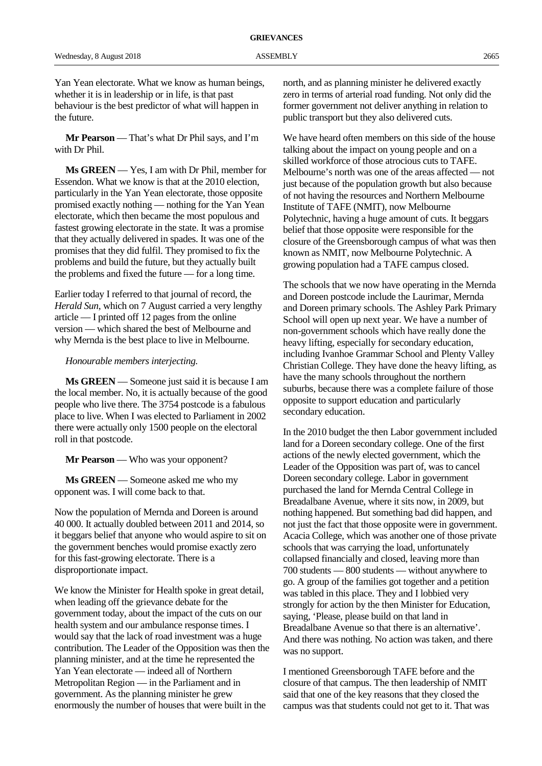**Mr Pearson** — That's what Dr Phil says, and I'm with Dr Phil.

**Ms GREEN** — Yes, I am with Dr Phil, member for Essendon. What we know is that at the 2010 election, particularly in the Yan Yean electorate, those opposite promised exactly nothing — nothing for the Yan Yean electorate, which then became the most populous and fastest growing electorate in the state. It was a promise that they actually delivered in spades. It was one of the promises that they did fulfil. They promised to fix the problems and build the future, but they actually built the problems and fixed the future — for a long time.

Earlier today I referred to that journal of record, the *Herald Sun*, which on 7 August carried a very lengthy article — I printed off 12 pages from the online version — which shared the best of Melbourne and why Mernda is the best place to live in Melbourne.

## *Honourable members interjecting.*

**Ms GREEN** — Someone just said it is because I am the local member. No, it is actually because of the good people who live there. The 3754 postcode is a fabulous place to live. When I was elected to Parliament in 2002 there were actually only 1500 people on the electoral roll in that postcode.

**Mr Pearson** — Who was your opponent?

**Ms GREEN** — Someone asked me who my opponent was. I will come back to that.

Now the population of Mernda and Doreen is around 40 000. It actually doubled between 2011 and 2014, so it beggars belief that anyone who would aspire to sit on the government benches would promise exactly zero for this fast-growing electorate. There is a disproportionate impact.

We know the Minister for Health spoke in great detail, when leading off the grievance debate for the government today, about the impact of the cuts on our health system and our ambulance response times. I would say that the lack of road investment was a huge contribution. The Leader of the Opposition was then the planning minister, and at the time he represented the Yan Yean electorate — indeed all of Northern Metropolitan Region — in the Parliament and in government. As the planning minister he grew enormously the number of houses that were built in the

north, and as planning minister he delivered exactly zero in terms of arterial road funding. Not only did the former government not deliver anything in relation to public transport but they also delivered cuts.

We have heard often members on this side of the house talking about the impact on young people and on a skilled workforce of those atrocious cuts to TAFE. Melbourne's north was one of the areas affected — not just because of the population growth but also because of not having the resources and Northern Melbourne Institute of TAFE (NMIT), now Melbourne Polytechnic, having a huge amount of cuts. It beggars belief that those opposite were responsible for the closure of the Greensborough campus of what was then known as NMIT, now Melbourne Polytechnic. A growing population had a TAFE campus closed.

The schools that we now have operating in the Mernda and Doreen postcode include the Laurimar, Mernda and Doreen primary schools. The Ashley Park Primary School will open up next year. We have a number of non-government schools which have really done the heavy lifting, especially for secondary education, including Ivanhoe Grammar School and Plenty Valley Christian College. They have done the heavy lifting, as have the many schools throughout the northern suburbs, because there was a complete failure of those opposite to support education and particularly secondary education.

In the 2010 budget the then Labor government included land for a Doreen secondary college. One of the first actions of the newly elected government, which the Leader of the Opposition was part of, was to cancel Doreen secondary college. Labor in government purchased the land for Mernda Central College in Breadalbane Avenue, where it sits now, in 2009, but nothing happened. But something bad did happen, and not just the fact that those opposite were in government. Acacia College, which was another one of those private schools that was carrying the load, unfortunately collapsed financially and closed, leaving more than 700 students — 800 students — without anywhere to go. A group of the families got together and a petition was tabled in this place. They and I lobbied very strongly for action by the then Minister for Education, saying, 'Please, please build on that land in Breadalbane Avenue so that there is an alternative'. And there was nothing. No action was taken, and there was no support.

I mentioned Greensborough TAFE before and the closure of that campus. The then leadership of NMIT said that one of the key reasons that they closed the campus was that students could not get to it. That was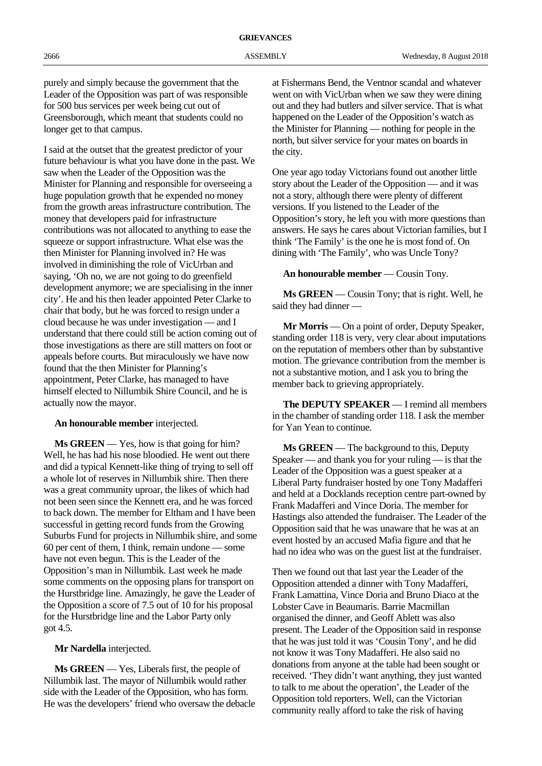purely and simply because the government that the Leader of the Opposition was part of was responsible for 500 bus services per week being cut out of Greensborough, which meant that students could no longer get to that campus.

I said at the outset that the greatest predictor of your future behaviour is what you have done in the past. We saw when the Leader of the Opposition was the Minister for Planning and responsible for overseeing a huge population growth that he expended no money from the growth areas infrastructure contribution. The money that developers paid for infrastructure contributions was not allocated to anything to ease the squeeze or support infrastructure. What else was the then Minister for Planning involved in? He was involved in diminishing the role of VicUrban and saying, 'Oh no, we are not going to do greenfield development anymore; we are specialising in the inner city'. He and his then leader appointed Peter Clarke to chair that body, but he was forced to resign under a cloud because he was under investigation — and I understand that there could still be action coming out of those investigations as there are still matters on foot or appeals before courts. But miraculously we have now found that the then Minister for Planning's appointment, Peter Clarke, has managed to have himself elected to Nillumbik Shire Council, and he is actually now the mayor.

#### **An honourable member** interjected.

**Ms GREEN** — Yes, how is that going for him? Well, he has had his nose bloodied. He went out there and did a typical Kennett-like thing of trying to sell off a whole lot of reserves in Nillumbik shire. Then there was a great community uproar, the likes of which had not been seen since the Kennett era, and he was forced to back down. The member for Eltham and I have been successful in getting record funds from the Growing Suburbs Fund for projects in Nillumbik shire, and some 60 per cent of them, I think, remain undone — some have not even begun. This is the Leader of the Opposition's man in Nillumbik. Last week he made some comments on the opposing plans for transport on the Hurstbridge line. Amazingly, he gave the Leader of the Opposition a score of 7.5 out of 10 for his proposal for the Hurstbridge line and the Labor Party only got 4.5.

**Mr Nardella** interjected.

**Ms GREEN** — Yes, Liberals first, the people of Nillumbik last. The mayor of Nillumbik would rather side with the Leader of the Opposition, who has form. He was the developers' friend who oversaw the debacle at Fishermans Bend, the Ventnor scandal and whatever went on with VicUrban when we saw they were dining out and they had butlers and silver service. That is what happened on the Leader of the Opposition's watch as the Minister for Planning — nothing for people in the north, but silver service for your mates on boards in the city.

One year ago today Victorians found out another little story about the Leader of the Opposition — and it was not a story, although there were plenty of different versions. If you listened to the Leader of the Opposition's story, he left you with more questions than answers. He says he cares about Victorian families, but I think 'The Family' is the one he is most fond of. On dining with 'The Family', who was Uncle Tony?

# **An honourable member** — Cousin Tony.

**Ms GREEN** — Cousin Tony; that is right. Well, he said they had dinner —

**Mr Morris** — On a point of order, Deputy Speaker, standing order 118 is very, very clear about imputations on the reputation of members other than by substantive motion. The grievance contribution from the member is not a substantive motion, and I ask you to bring the member back to grieving appropriately.

**The DEPUTY SPEAKER** — I remind all members in the chamber of standing order 118. I ask the member for Yan Yean to continue.

**Ms GREEN** — The background to this, Deputy Speaker — and thank you for your ruling — is that the Leader of the Opposition was a guest speaker at a Liberal Party fundraiser hosted by one Tony Madafferi and held at a Docklands reception centre part-owned by Frank Madafferi and Vince Doria. The member for Hastings also attended the fundraiser. The Leader of the Opposition said that he was unaware that he was at an event hosted by an accused Mafia figure and that he had no idea who was on the guest list at the fundraiser.

Then we found out that last year the Leader of the Opposition attended a dinner with Tony Madafferi, Frank Lamattina, Vince Doria and Bruno Diaco at the Lobster Cave in Beaumaris. Barrie Macmillan organised the dinner, and Geoff Ablett was also present. The Leader of the Opposition said in response that he was just told it was 'Cousin Tony', and he did not know it was Tony Madafferi. He also said no donations from anyone at the table had been sought or received. 'They didn't want anything, they just wanted to talk to me about the operation', the Leader of the Opposition told reporters. Well, can the Victorian community really afford to take the risk of having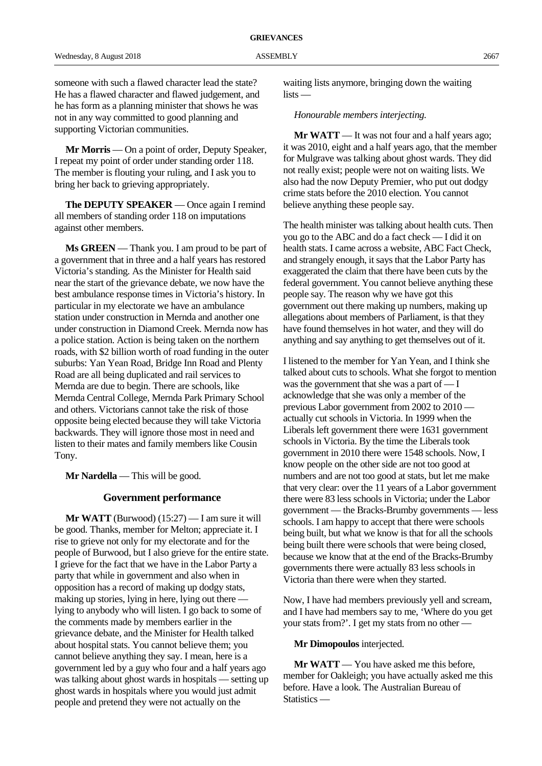someone with such a flawed character lead the state? He has a flawed character and flawed judgement, and he has form as a planning minister that shows he was not in any way committed to good planning and supporting Victorian communities.

**Mr Morris** — On a point of order, Deputy Speaker, I repeat my point of order under standing order 118. The member is flouting your ruling, and I ask you to bring her back to grieving appropriately.

**The DEPUTY SPEAKER** — Once again I remind all members of standing order 118 on imputations against other members.

**Ms GREEN** — Thank you. I am proud to be part of a government that in three and a half years has restored Victoria's standing. As the Minister for Health said near the start of the grievance debate, we now have the best ambulance response times in Victoria's history. In particular in my electorate we have an ambulance station under construction in Mernda and another one under construction in Diamond Creek. Mernda now has a police station. Action is being taken on the northern roads, with \$2 billion worth of road funding in the outer suburbs: Yan Yean Road, Bridge Inn Road and Plenty Road are all being duplicated and rail services to Mernda are due to begin. There are schools, like Mernda Central College, Mernda Park Primary School and others. Victorians cannot take the risk of those opposite being elected because they will take Victoria backwards. They will ignore those most in need and listen to their mates and family members like Cousin Tony.

**Mr Nardella** — This will be good.

# **Government performance**

**Mr WATT** (Burwood) (15:27) — I am sure it will be good. Thanks, member for Melton; appreciate it. I rise to grieve not only for my electorate and for the people of Burwood, but I also grieve for the entire state. I grieve for the fact that we have in the Labor Party a party that while in government and also when in opposition has a record of making up dodgy stats, making up stories, lying in here, lying out there lying to anybody who will listen. I go back to some of the comments made by members earlier in the grievance debate, and the Minister for Health talked about hospital stats. You cannot believe them; you cannot believe anything they say. I mean, here is a government led by a guy who four and a half years ago was talking about ghost wards in hospitals — setting up ghost wards in hospitals where you would just admit people and pretend they were not actually on the

waiting lists anymore, bringing down the waiting lists —

*Honourable members interjecting.*

**Mr WATT** — It was not four and a half years ago; it was 2010, eight and a half years ago, that the member for Mulgrave was talking about ghost wards. They did not really exist; people were not on waiting lists. We also had the now Deputy Premier, who put out dodgy crime stats before the 2010 election. You cannot believe anything these people say.

The health minister was talking about health cuts. Then you go to the ABC and do a fact check — I did it on health stats. I came across a website, ABC Fact Check, and strangely enough, it says that the Labor Party has exaggerated the claim that there have been cuts by the federal government. You cannot believe anything these people say. The reason why we have got this government out there making up numbers, making up allegations about members of Parliament, is that they have found themselves in hot water, and they will do anything and say anything to get themselves out of it.

I listened to the member for Yan Yean, and I think she talked about cuts to schools. What she forgot to mention was the government that she was a part of — I acknowledge that she was only a member of the previous Labor government from 2002 to 2010 actually cut schools in Victoria. In 1999 when the Liberals left government there were 1631 government schools in Victoria. By the time the Liberals took government in 2010 there were 1548 schools. Now, I know people on the other side are not too good at numbers and are not too good at stats, but let me make that very clear: over the 11 years of a Labor government there were 83 less schools in Victoria; under the Labor government — the Bracks-Brumby governments — less schools. I am happy to accept that there were schools being built, but what we know is that for all the schools being built there were schools that were being closed, because we know that at the end of the Bracks-Brumby governments there were actually 83 less schools in Victoria than there were when they started.

Now, I have had members previously yell and scream, and I have had members say to me, 'Where do you get your stats from?'. I get my stats from no other —

#### **Mr Dimopoulos** interjected.

**Mr WATT** — You have asked me this before, member for Oakleigh; you have actually asked me this before. Have a look. The Australian Bureau of Statistics —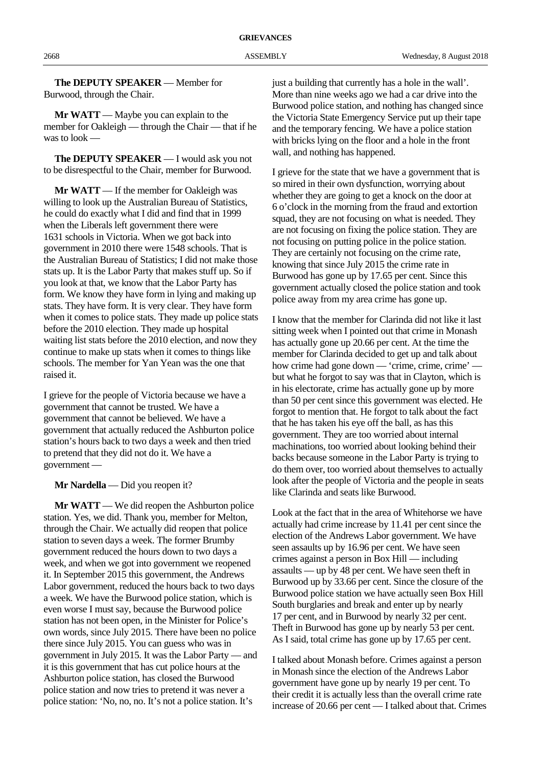**The DEPUTY SPEAKER** — Member for Burwood, through the Chair.

**Mr WATT** — Maybe you can explain to the member for Oakleigh — through the Chair — that if he was to look —

**The DEPUTY SPEAKER** — I would ask you not to be disrespectful to the Chair, member for Burwood.

**Mr WATT** — If the member for Oakleigh was willing to look up the Australian Bureau of Statistics, he could do exactly what I did and find that in 1999 when the Liberals left government there were 1631 schools in Victoria. When we got back into government in 2010 there were 1548 schools. That is the Australian Bureau of Statistics; I did not make those stats up. It is the Labor Party that makes stuff up. So if you look at that, we know that the Labor Party has form. We know they have form in lying and making up stats. They have form. It is very clear. They have form when it comes to police stats. They made up police stats before the 2010 election. They made up hospital waiting list stats before the 2010 election, and now they continue to make up stats when it comes to things like schools. The member for Yan Yean was the one that raised it.

I grieve for the people of Victoria because we have a government that cannot be trusted. We have a government that cannot be believed. We have a government that actually reduced the Ashburton police station's hours back to two days a week and then tried to pretend that they did not do it. We have a government —

**Mr Nardella** — Did you reopen it?

**Mr WATT** — We did reopen the Ashburton police station. Yes, we did. Thank you, member for Melton, through the Chair. We actually did reopen that police station to seven days a week. The former Brumby government reduced the hours down to two days a week, and when we got into government we reopened it. In September 2015 this government, the Andrews Labor government, reduced the hours back to two days a week. We have the Burwood police station, which is even worse I must say, because the Burwood police station has not been open, in the Minister for Police's own words, since July 2015. There have been no police there since July 2015. You can guess who was in government in July 2015. It was the Labor Party — and it is this government that has cut police hours at the Ashburton police station, has closed the Burwood police station and now tries to pretend it was never a police station: 'No, no, no. It's not a police station. It's

just a building that currently has a hole in the wall'. More than nine weeks ago we had a car drive into the Burwood police station, and nothing has changed since the Victoria State Emergency Service put up their tape and the temporary fencing. We have a police station with bricks lying on the floor and a hole in the front wall, and nothing has happened.

I grieve for the state that we have a government that is so mired in their own dysfunction, worrying about whether they are going to get a knock on the door at 6 o'clock in the morning from the fraud and extortion squad, they are not focusing on what is needed. They are not focusing on fixing the police station. They are not focusing on putting police in the police station. They are certainly not focusing on the crime rate, knowing that since July 2015 the crime rate in Burwood has gone up by 17.65 per cent. Since this government actually closed the police station and took police away from my area crime has gone up.

I know that the member for Clarinda did not like it last sitting week when I pointed out that crime in Monash has actually gone up 20.66 per cent. At the time the member for Clarinda decided to get up and talk about how crime had gone down — 'crime, crime, crime' but what he forgot to say was that in Clayton, which is in his electorate, crime has actually gone up by more than 50 per cent since this government was elected. He forgot to mention that. He forgot to talk about the fact that he has taken his eye off the ball, as has this government. They are too worried about internal machinations, too worried about looking behind their backs because someone in the Labor Party is trying to do them over, too worried about themselves to actually look after the people of Victoria and the people in seats like Clarinda and seats like Burwood.

Look at the fact that in the area of Whitehorse we have actually had crime increase by 11.41 per cent since the election of the Andrews Labor government. We have seen assaults up by 16.96 per cent. We have seen crimes against a person in Box Hill — including assaults — up by 48 per cent. We have seen theft in Burwood up by 33.66 per cent. Since the closure of the Burwood police station we have actually seen Box Hill South burglaries and break and enter up by nearly 17 per cent, and in Burwood by nearly 32 per cent. Theft in Burwood has gone up by nearly 53 per cent. As I said, total crime has gone up by 17.65 per cent.

I talked about Monash before. Crimes against a person in Monash since the election of the Andrews Labor government have gone up by nearly 19 per cent. To their credit it is actually less than the overall crime rate increase of 20.66 per cent — I talked about that. Crimes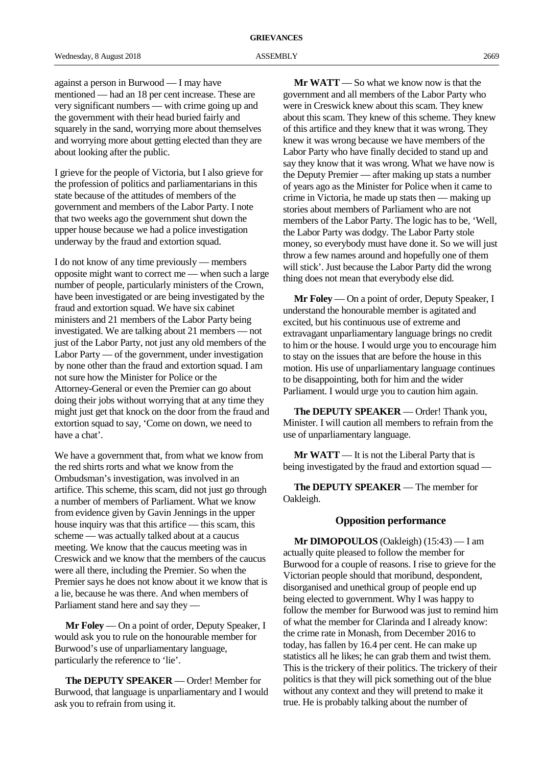against a person in Burwood — I may have mentioned — had an 18 per cent increase. These are very significant numbers — with crime going up and the government with their head buried fairly and squarely in the sand, worrying more about themselves and worrying more about getting elected than they are about looking after the public.

I grieve for the people of Victoria, but I also grieve for the profession of politics and parliamentarians in this state because of the attitudes of members of the government and members of the Labor Party. I note that two weeks ago the government shut down the upper house because we had a police investigation underway by the fraud and extortion squad.

I do not know of any time previously — members opposite might want to correct me — when such a large number of people, particularly ministers of the Crown, have been investigated or are being investigated by the fraud and extortion squad. We have six cabinet ministers and 21 members of the Labor Party being investigated. We are talking about 21 members — not just of the Labor Party, not just any old members of the Labor Party — of the government, under investigation by none other than the fraud and extortion squad. I am not sure how the Minister for Police or the Attorney-General or even the Premier can go about doing their jobs without worrying that at any time they might just get that knock on the door from the fraud and extortion squad to say, 'Come on down, we need to have a chat'.

We have a government that, from what we know from the red shirts rorts and what we know from the Ombudsman's investigation, was involved in an artifice. This scheme, this scam, did not just go through a number of members of Parliament. What we know from evidence given by Gavin Jennings in the upper house inquiry was that this artifice — this scam, this scheme — was actually talked about at a caucus meeting. We know that the caucus meeting was in Creswick and we know that the members of the caucus were all there, including the Premier. So when the Premier says he does not know about it we know that is a lie, because he was there. And when members of Parliament stand here and say they —

**Mr Foley** — On a point of order, Deputy Speaker, I would ask you to rule on the honourable member for Burwood's use of unparliamentary language, particularly the reference to 'lie'.

**The DEPUTY SPEAKER** — Order! Member for Burwood, that language is unparliamentary and I would ask you to refrain from using it.

**Mr WATT** — So what we know now is that the government and all members of the Labor Party who were in Creswick knew about this scam. They knew about this scam. They knew of this scheme. They knew of this artifice and they knew that it was wrong. They knew it was wrong because we have members of the Labor Party who have finally decided to stand up and say they know that it was wrong. What we have now is the Deputy Premier — after making up stats a number of years ago as the Minister for Police when it came to crime in Victoria, he made up stats then — making up stories about members of Parliament who are not members of the Labor Party. The logic has to be, 'Well, the Labor Party was dodgy. The Labor Party stole money, so everybody must have done it. So we will just throw a few names around and hopefully one of them will stick'. Just because the Labor Party did the wrong thing does not mean that everybody else did.

**Mr Foley** — On a point of order, Deputy Speaker, I understand the honourable member is agitated and excited, but his continuous use of extreme and extravagant unparliamentary language brings no credit to him or the house. I would urge you to encourage him to stay on the issues that are before the house in this motion. His use of unparliamentary language continues to be disappointing, both for him and the wider Parliament. I would urge you to caution him again.

**The DEPUTY SPEAKER** — Order! Thank you, Minister. I will caution all members to refrain from the use of unparliamentary language.

**Mr WATT** — It is not the Liberal Party that is being investigated by the fraud and extortion squad —

**The DEPUTY SPEAKER** — The member for Oakleigh.

#### **Opposition performance**

**Mr DIMOPOULOS** (Oakleigh) (15:43) — I am actually quite pleased to follow the member for Burwood for a couple of reasons. I rise to grieve for the Victorian people should that moribund, despondent, disorganised and unethical group of people end up being elected to government. Why I was happy to follow the member for Burwood was just to remind him of what the member for Clarinda and I already know: the crime rate in Monash, from December 2016 to today, has fallen by 16.4 per cent. He can make up statistics all he likes; he can grab them and twist them. This is the trickery of their politics. The trickery of their politics is that they will pick something out of the blue without any context and they will pretend to make it true. He is probably talking about the number of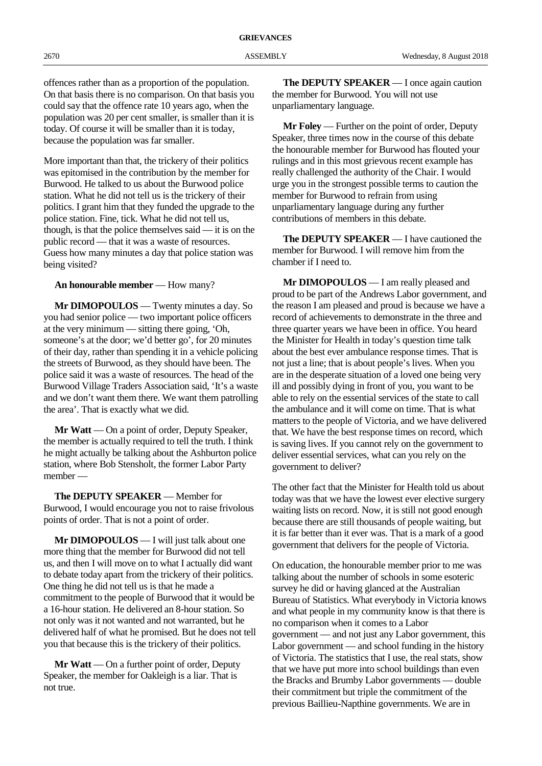offences rather than as a proportion of the population. On that basis there is no comparison. On that basis you could say that the offence rate 10 years ago, when the population was 20 per cent smaller, is smaller than it is today. Of course it will be smaller than it is today, because the population was far smaller.

More important than that, the trickery of their politics was epitomised in the contribution by the member for Burwood. He talked to us about the Burwood police station. What he did not tell us is the trickery of their politics. I grant him that they funded the upgrade to the police station. Fine, tick. What he did not tell us, though, is that the police themselves said — it is on the public record — that it was a waste of resources. Guess how many minutes a day that police station was being visited?

**An honourable member** — How many?

**Mr DIMOPOULOS** — Twenty minutes a day. So you had senior police — two important police officers at the very minimum — sitting there going, 'Oh, someone's at the door; we'd better go', for 20 minutes of their day, rather than spending it in a vehicle policing the streets of Burwood, as they should have been. The police said it was a waste of resources. The head of the Burwood Village Traders Association said, 'It's a waste and we don't want them there. We want them patrolling the area'. That is exactly what we did.

**Mr Watt** — On a point of order, Deputy Speaker, the member is actually required to tell the truth. I think he might actually be talking about the Ashburton police station, where Bob Stensholt, the former Labor Party member —

**The DEPUTY SPEAKER** — Member for Burwood, I would encourage you not to raise frivolous points of order. That is not a point of order.

**Mr DIMOPOULOS** — I will just talk about one more thing that the member for Burwood did not tell us, and then I will move on to what I actually did want to debate today apart from the trickery of their politics. One thing he did not tell us is that he made a commitment to the people of Burwood that it would be a 16-hour station. He delivered an 8-hour station. So not only was it not wanted and not warranted, but he delivered half of what he promised. But he does not tell you that because this is the trickery of their politics.

**Mr Watt** — On a further point of order, Deputy Speaker, the member for Oakleigh is a liar. That is not true.

**The DEPUTY SPEAKER** — I once again caution the member for Burwood. You will not use unparliamentary language.

**Mr Foley** — Further on the point of order, Deputy Speaker, three times now in the course of this debate the honourable member for Burwood has flouted your rulings and in this most grievous recent example has really challenged the authority of the Chair. I would urge you in the strongest possible terms to caution the member for Burwood to refrain from using unparliamentary language during any further contributions of members in this debate.

**The DEPUTY SPEAKER** — I have cautioned the member for Burwood. I will remove him from the chamber if I need to.

**Mr DIMOPOULOS** — I am really pleased and proud to be part of the Andrews Labor government, and the reason I am pleased and proud is because we have a record of achievements to demonstrate in the three and three quarter years we have been in office. You heard the Minister for Health in today's question time talk about the best ever ambulance response times. That is not just a line; that is about people's lives. When you are in the desperate situation of a loved one being very ill and possibly dying in front of you, you want to be able to rely on the essential services of the state to call the ambulance and it will come on time. That is what matters to the people of Victoria, and we have delivered that. We have the best response times on record, which is saving lives. If you cannot rely on the government to deliver essential services, what can you rely on the government to deliver?

The other fact that the Minister for Health told us about today was that we have the lowest ever elective surgery waiting lists on record. Now, it is still not good enough because there are still thousands of people waiting, but it is far better than it ever was. That is a mark of a good government that delivers for the people of Victoria.

On education, the honourable member prior to me was talking about the number of schools in some esoteric survey he did or having glanced at the Australian Bureau of Statistics. What everybody in Victoria knows and what people in my community know is that there is no comparison when it comes to a Labor government — and not just any Labor government, this Labor government — and school funding in the history of Victoria. The statistics that I use, the real stats, show that we have put more into school buildings than even the Bracks and Brumby Labor governments — double their commitment but triple the commitment of the previous Baillieu-Napthine governments. We are in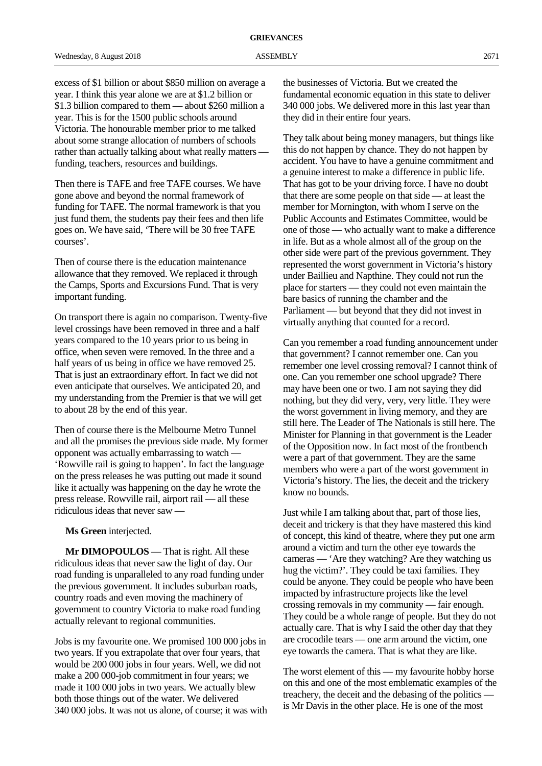excess of \$1 billion or about \$850 million on average a year. I think this year alone we are at \$1.2 billion or \$1.3 billion compared to them — about \$260 million a year. This is for the 1500 public schools around Victoria. The honourable member prior to me talked about some strange allocation of numbers of schools rather than actually talking about what really matters funding, teachers, resources and buildings.

Then there is TAFE and free TAFE courses. We have gone above and beyond the normal framework of funding for TAFE. The normal framework is that you just fund them, the students pay their fees and then life goes on. We have said, 'There will be 30 free TAFE courses'.

Then of course there is the education maintenance allowance that they removed. We replaced it through the Camps, Sports and Excursions Fund. That is very important funding.

On transport there is again no comparison. Twenty-five level crossings have been removed in three and a half years compared to the 10 years prior to us being in office, when seven were removed. In the three and a half years of us being in office we have removed 25. That is just an extraordinary effort. In fact we did not even anticipate that ourselves. We anticipated 20, and my understanding from the Premier is that we will get to about 28 by the end of this year.

Then of course there is the Melbourne Metro Tunnel and all the promises the previous side made. My former opponent was actually embarrassing to watch — 'Rowville rail is going to happen'. In fact the language on the press releases he was putting out made it sound like it actually was happening on the day he wrote the press release. Rowville rail, airport rail — all these ridiculous ideas that never saw —

**Ms Green** interjected.

**Mr DIMOPOULOS** — That is right. All these ridiculous ideas that never saw the light of day. Our road funding is unparalleled to any road funding under the previous government. It includes suburban roads, country roads and even moving the machinery of government to country Victoria to make road funding actually relevant to regional communities.

Jobs is my favourite one. We promised 100 000 jobs in two years. If you extrapolate that over four years, that would be 200 000 jobs in four years. Well, we did not make a 200 000-job commitment in four years; we made it 100 000 jobs in two years. We actually blew both those things out of the water. We delivered 340 000 jobs. It was not us alone, of course; it was with the businesses of Victoria. But we created the fundamental economic equation in this state to deliver 340 000 jobs. We delivered more in this last year than they did in their entire four years.

They talk about being money managers, but things like this do not happen by chance. They do not happen by accident. You have to have a genuine commitment and a genuine interest to make a difference in public life. That has got to be your driving force. I have no doubt that there are some people on that side — at least the member for Mornington, with whom I serve on the Public Accounts and Estimates Committee, would be one of those — who actually want to make a difference in life. But as a whole almost all of the group on the other side were part of the previous government. They represented the worst government in Victoria's history under Baillieu and Napthine. They could not run the place for starters — they could not even maintain the bare basics of running the chamber and the Parliament — but beyond that they did not invest in virtually anything that counted for a record.

Can you remember a road funding announcement under that government? I cannot remember one. Can you remember one level crossing removal? I cannot think of one. Can you remember one school upgrade? There may have been one or two. I am not saying they did nothing, but they did very, very, very little. They were the worst government in living memory, and they are still here. The Leader of The Nationals is still here. The Minister for Planning in that government is the Leader of the Opposition now. In fact most of the frontbench were a part of that government. They are the same members who were a part of the worst government in Victoria's history. The lies, the deceit and the trickery know no bounds.

Just while I am talking about that, part of those lies, deceit and trickery is that they have mastered this kind of concept, this kind of theatre, where they put one arm around a victim and turn the other eye towards the cameras — 'Are they watching? Are they watching us hug the victim?'. They could be taxi families. They could be anyone. They could be people who have been impacted by infrastructure projects like the level crossing removals in my community — fair enough. They could be a whole range of people. But they do not actually care. That is why I said the other day that they are crocodile tears — one arm around the victim, one eye towards the camera. That is what they are like.

The worst element of this — my favourite hobby horse on this and one of the most emblematic examples of the treachery, the deceit and the debasing of the politics is Mr Davis in the other place. He is one of the most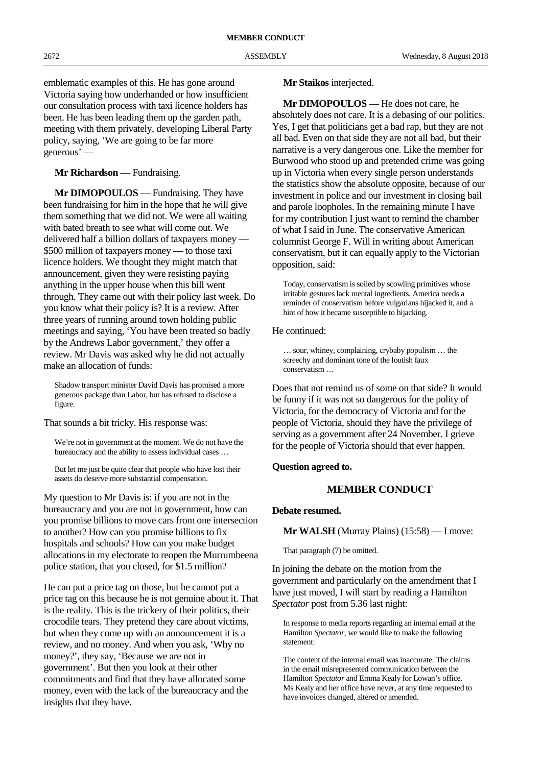emblematic examples of this. He has gone around Victoria saying how underhanded or how insufficient our consultation process with taxi licence holders has been. He has been leading them up the garden path, meeting with them privately, developing Liberal Party policy, saying, 'We are going to be far more generous' —

# **Mr Richardson** — Fundraising.

**Mr DIMOPOULOS** — Fundraising. They have been fundraising for him in the hope that he will give them something that we did not. We were all waiting with bated breath to see what will come out. We delivered half a billion dollars of taxpayers money — \$500 million of taxpayers money — to those taxi licence holders. We thought they might match that announcement, given they were resisting paying anything in the upper house when this bill went through. They came out with their policy last week. Do you know what their policy is? It is a review. After three years of running around town holding public meetings and saying, 'You have been treated so badly by the Andrews Labor government,' they offer a review. Mr Davis was asked why he did not actually make an allocation of funds:

Shadow transport minister David Davis has promised a more generous package than Labor, but has refused to disclose a figure.

That sounds a bit tricky. His response was:

We're not in government at the moment. We do not have the bureaucracy and the ability to assess individual cases ...

But let me just be quite clear that people who have lost their assets do deserve more substantial compensation.

My question to Mr Davis is: if you are not in the bureaucracy and you are not in government, how can you promise billions to move cars from one intersection to another? How can you promise billions to fix hospitals and schools? How can you make budget allocations in my electorate to reopen the Murrumbeena police station, that you closed, for \$1.5 million?

He can put a price tag on those, but he cannot put a price tag on this because he is not genuine about it. That is the reality. This is the trickery of their politics, their crocodile tears. They pretend they care about victims, but when they come up with an announcement it is a review, and no money. And when you ask, 'Why no money?', they say, 'Because we are not in government'. But then you look at their other commitments and find that they have allocated some money, even with the lack of the bureaucracy and the insights that they have.

#### **Mr Staikos** interjected.

**Mr DIMOPOULOS** — He does not care, he absolutely does not care. It is a debasing of our politics. Yes, I get that politicians get a bad rap, but they are not all bad. Even on that side they are not all bad, but their narrative is a very dangerous one. Like the member for Burwood who stood up and pretended crime was going up in Victoria when every single person understands the statistics show the absolute opposite, because of our investment in police and our investment in closing bail and parole loopholes. In the remaining minute I have for my contribution I just want to remind the chamber of what I said in June. The conservative American columnist George F. Will in writing about American conservatism, but it can equally apply to the Victorian opposition, said:

Today, conservatism is soiled by scowling primitives whose irritable gestures lack mental ingredients. America needs a reminder of conservatism before vulgarians hijacked it, and a hint of how it became susceptible to hijacking.

#### He continued:

… sour, whiney, complaining, crybaby populism … the screechy and dominant tone of the loutish faux conservatism …

Does that not remind us of some on that side? It would be funny if it was not so dangerous for the polity of Victoria, for the democracy of Victoria and for the people of Victoria, should they have the privilege of serving as a government after 24 November. I grieve for the people of Victoria should that ever happen.

#### **Question agreed to.**

## **MEMBER CONDUCT**

#### **Debate resumed.**

**Mr WALSH** (Murray Plains) (15:58) — I move:

That paragraph (7) be omitted.

In joining the debate on the motion from the government and particularly on the amendment that I have just moved, I will start by reading a Hamilton *Spectator* post from 5.36 last night:

In response to media reports regarding an internal email at the Hamilton *Spectator*, we would like to make the following statement:

The content of the internal email was inaccurate. The claims in the email misrepresented communication between the Hamilton *Spectator* and Emma Kealy for Lowan's office. Ms Kealy and her office have never, at any time requested to have invoices changed, altered or amended.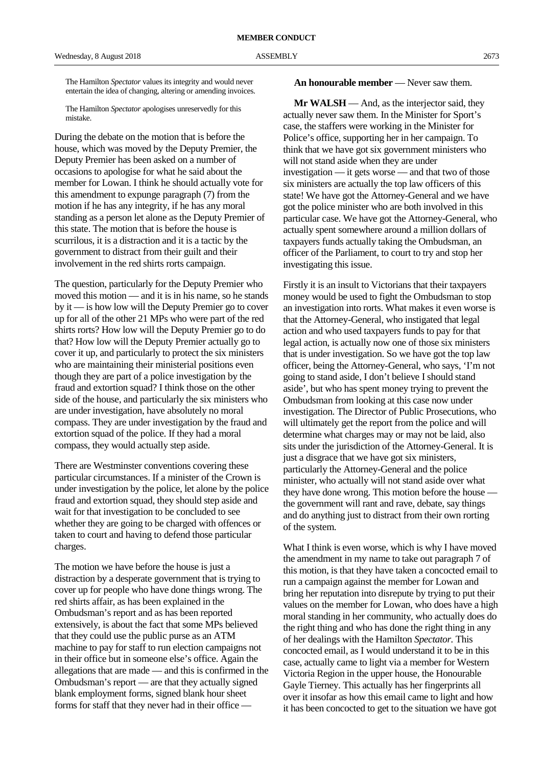The Hamilton *Spectator* values its integrity and would never entertain the idea of changing, altering or amending invoices.

The Hamilton *Spectator* apologises unreservedly for this mistake.

During the debate on the motion that is before the house, which was moved by the Deputy Premier, the Deputy Premier has been asked on a number of occasions to apologise for what he said about the member for Lowan. I think he should actually vote for this amendment to expunge paragraph (7) from the motion if he has any integrity, if he has any moral standing as a person let alone as the Deputy Premier of this state. The motion that is before the house is scurrilous, it is a distraction and it is a tactic by the government to distract from their guilt and their involvement in the red shirts rorts campaign.

The question, particularly for the Deputy Premier who moved this motion — and it is in his name, so he stands by it — is how low will the Deputy Premier go to cover up for all of the other 21 MPs who were part of the red shirts rorts? How low will the Deputy Premier go to do that? How low will the Deputy Premier actually go to cover it up, and particularly to protect the six ministers who are maintaining their ministerial positions even though they are part of a police investigation by the fraud and extortion squad? I think those on the other side of the house, and particularly the six ministers who are under investigation, have absolutely no moral compass. They are under investigation by the fraud and extortion squad of the police. If they had a moral compass, they would actually step aside.

There are Westminster conventions covering these particular circumstances. If a minister of the Crown is under investigation by the police, let alone by the police fraud and extortion squad, they should step aside and wait for that investigation to be concluded to see whether they are going to be charged with offences or taken to court and having to defend those particular charges.

The motion we have before the house is just a distraction by a desperate government that is trying to cover up for people who have done things wrong. The red shirts affair, as has been explained in the Ombudsman's report and as has been reported extensively, is about the fact that some MPs believed that they could use the public purse as an ATM machine to pay for staff to run election campaigns not in their office but in someone else's office. Again the allegations that are made — and this is confirmed in the Ombudsman's report — are that they actually signed blank employment forms, signed blank hour sheet forms for staff that they never had in their office —

**An honourable member** — Never saw them.

**Mr WALSH** — And, as the interjector said, they actually never saw them. In the Minister for Sport's case, the staffers were working in the Minister for Police's office, supporting her in her campaign. To think that we have got six government ministers who will not stand aside when they are under investigation — it gets worse — and that two of those six ministers are actually the top law officers of this state! We have got the Attorney-General and we have got the police minister who are both involved in this particular case. We have got the Attorney-General, who actually spent somewhere around a million dollars of taxpayers funds actually taking the Ombudsman, an officer of the Parliament, to court to try and stop her investigating this issue.

Firstly it is an insult to Victorians that their taxpayers money would be used to fight the Ombudsman to stop an investigation into rorts. What makes it even worse is that the Attorney-General, who instigated that legal action and who used taxpayers funds to pay for that legal action, is actually now one of those six ministers that is under investigation. So we have got the top law officer, being the Attorney-General, who says, 'I'm not going to stand aside, I don't believe I should stand aside', but who has spent money trying to prevent the Ombudsman from looking at this case now under investigation. The Director of Public Prosecutions, who will ultimately get the report from the police and will determine what charges may or may not be laid, also sits under the jurisdiction of the Attorney-General. It is just a disgrace that we have got six ministers, particularly the Attorney-General and the police minister, who actually will not stand aside over what they have done wrong. This motion before the house the government will rant and rave, debate, say things and do anything just to distract from their own rorting of the system.

What I think is even worse, which is why I have moved the amendment in my name to take out paragraph 7 of this motion, is that they have taken a concocted email to run a campaign against the member for Lowan and bring her reputation into disrepute by trying to put their values on the member for Lowan, who does have a high moral standing in her community, who actually does do the right thing and who has done the right thing in any of her dealings with the Hamilton *Spectator.* This concocted email, as I would understand it to be in this case, actually came to light via a member for Western Victoria Region in the upper house, the Honourable Gayle Tierney. This actually has her fingerprints all over it insofar as how this email came to light and how it has been concocted to get to the situation we have got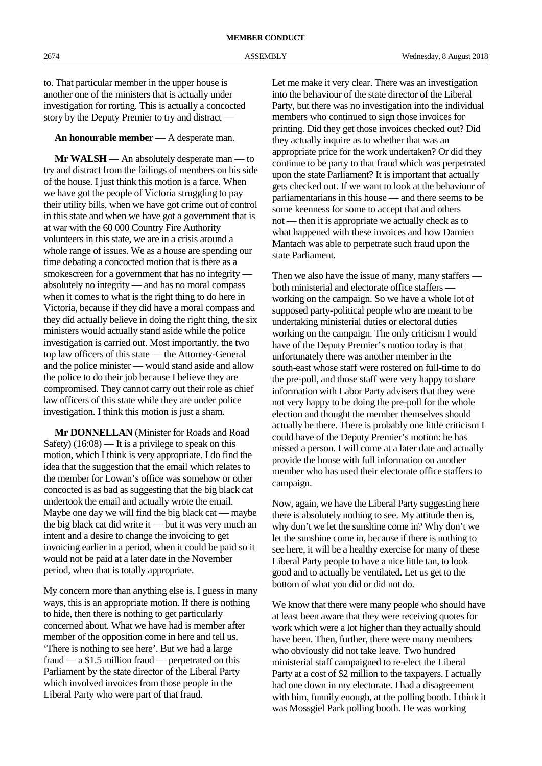to. That particular member in the upper house is another one of the ministers that is actually under investigation for rorting. This is actually a concocted story by the Deputy Premier to try and distract —

# **An honourable member** — A desperate man.

**Mr WALSH** — An absolutely desperate man — to try and distract from the failings of members on his side of the house. I just think this motion is a farce. When we have got the people of Victoria struggling to pay their utility bills, when we have got crime out of control in this state and when we have got a government that is at war with the 60 000 Country Fire Authority volunteers in this state, we are in a crisis around a whole range of issues. We as a house are spending our time debating a concocted motion that is there as a smokescreen for a government that has no integrity absolutely no integrity — and has no moral compass when it comes to what is the right thing to do here in Victoria, because if they did have a moral compass and they did actually believe in doing the right thing, the six ministers would actually stand aside while the police investigation is carried out. Most importantly, the two top law officers of this state — the Attorney-General and the police minister — would stand aside and allow the police to do their job because I believe they are compromised. They cannot carry out their role as chief law officers of this state while they are under police investigation. I think this motion is just a sham.

**Mr DONNELLAN** (Minister for Roads and Road Safety) (16:08) — It is a privilege to speak on this motion, which I think is very appropriate. I do find the idea that the suggestion that the email which relates to the member for Lowan's office was somehow or other concocted is as bad as suggesting that the big black cat undertook the email and actually wrote the email. Maybe one day we will find the big black cat — maybe the big black cat did write it — but it was very much an intent and a desire to change the invoicing to get invoicing earlier in a period, when it could be paid so it would not be paid at a later date in the November period, when that is totally appropriate.

My concern more than anything else is, I guess in many ways, this is an appropriate motion. If there is nothing to hide, then there is nothing to get particularly concerned about. What we have had is member after member of the opposition come in here and tell us, 'There is nothing to see here'. But we had a large fraud — a \$1.5 million fraud — perpetrated on this Parliament by the state director of the Liberal Party which involved invoices from those people in the Liberal Party who were part of that fraud.

Let me make it very clear. There was an investigation into the behaviour of the state director of the Liberal Party, but there was no investigation into the individual members who continued to sign those invoices for printing. Did they get those invoices checked out? Did they actually inquire as to whether that was an appropriate price for the work undertaken? Or did they continue to be party to that fraud which was perpetrated upon the state Parliament? It is important that actually gets checked out. If we want to look at the behaviour of parliamentarians in this house — and there seems to be some keenness for some to accept that and others not — then it is appropriate we actually check as to what happened with these invoices and how Damien Mantach was able to perpetrate such fraud upon the state Parliament.

Then we also have the issue of many, many staffers both ministerial and electorate office staffers working on the campaign. So we have a whole lot of supposed party-political people who are meant to be undertaking ministerial duties or electoral duties working on the campaign. The only criticism I would have of the Deputy Premier's motion today is that unfortunately there was another member in the south-east whose staff were rostered on full-time to do the pre-poll, and those staff were very happy to share information with Labor Party advisers that they were not very happy to be doing the pre-poll for the whole election and thought the member themselves should actually be there. There is probably one little criticism I could have of the Deputy Premier's motion: he has missed a person. I will come at a later date and actually provide the house with full information on another member who has used their electorate office staffers to campaign.

Now, again, we have the Liberal Party suggesting here there is absolutely nothing to see. My attitude then is, why don't we let the sunshine come in? Why don't we let the sunshine come in, because if there is nothing to see here, it will be a healthy exercise for many of these Liberal Party people to have a nice little tan, to look good and to actually be ventilated. Let us get to the bottom of what you did or did not do.

We know that there were many people who should have at least been aware that they were receiving quotes for work which were a lot higher than they actually should have been. Then, further, there were many members who obviously did not take leave. Two hundred ministerial staff campaigned to re-elect the Liberal Party at a cost of \$2 million to the taxpayers. I actually had one down in my electorate. I had a disagreement with him, funnily enough, at the polling booth. I think it was Mossgiel Park polling booth. He was working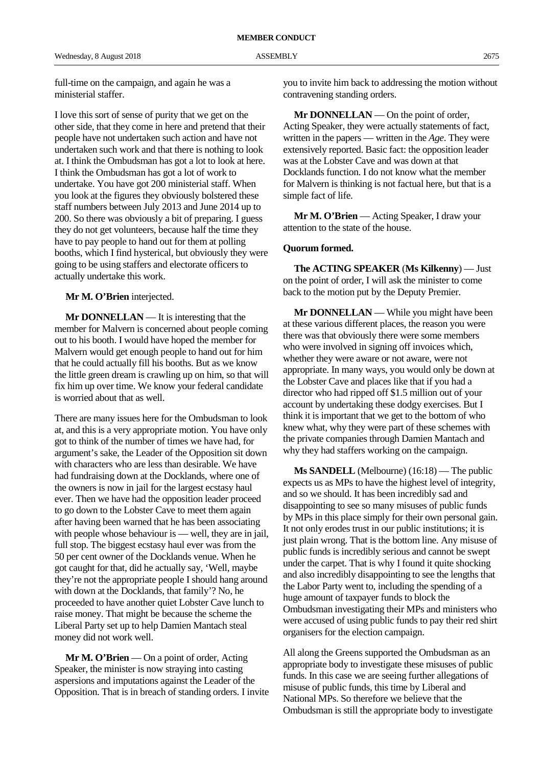full-time on the campaign, and again he was a ministerial staffer.

I love this sort of sense of purity that we get on the other side, that they come in here and pretend that their people have not undertaken such action and have not undertaken such work and that there is nothing to look at. I think the Ombudsman has got a lot to look at here. I think the Ombudsman has got a lot of work to undertake. You have got 200 ministerial staff. When you look at the figures they obviously bolstered these staff numbers between July 2013 and June 2014 up to 200. So there was obviously a bit of preparing. I guess they do not get volunteers, because half the time they have to pay people to hand out for them at polling booths, which I find hysterical, but obviously they were going to be using staffers and electorate officers to actually undertake this work.

#### **Mr M. O'Brien** interjected.

**Mr DONNELLAN** — It is interesting that the member for Malvern is concerned about people coming out to his booth. I would have hoped the member for Malvern would get enough people to hand out for him that he could actually fill his booths. But as we know the little green dream is crawling up on him, so that will fix him up over time. We know your federal candidate is worried about that as well.

There are many issues here for the Ombudsman to look at, and this is a very appropriate motion. You have only got to think of the number of times we have had, for argument's sake, the Leader of the Opposition sit down with characters who are less than desirable. We have had fundraising down at the Docklands, where one of the owners is now in jail for the largest ecstasy haul ever. Then we have had the opposition leader proceed to go down to the Lobster Cave to meet them again after having been warned that he has been associating with people whose behaviour is — well, they are in jail, full stop. The biggest ecstasy haul ever was from the 50 per cent owner of the Docklands venue. When he got caught for that, did he actually say, 'Well, maybe they're not the appropriate people I should hang around with down at the Docklands, that family'? No, he proceeded to have another quiet Lobster Cave lunch to raise money. That might be because the scheme the Liberal Party set up to help Damien Mantach steal money did not work well.

**Mr M. O'Brien** — On a point of order, Acting Speaker, the minister is now straying into casting aspersions and imputations against the Leader of the Opposition. That is in breach of standing orders. I invite you to invite him back to addressing the motion without contravening standing orders.

**Mr DONNELLAN** — On the point of order, Acting Speaker, they were actually statements of fact, written in the papers — written in the *Age*. They were extensively reported. Basic fact: the opposition leader was at the Lobster Cave and was down at that Docklands function. I do not know what the member for Malvern is thinking is not factual here, but that is a simple fact of life.

**Mr M. O'Brien** — Acting Speaker, I draw your attention to the state of the house.

#### **Quorum formed.**

**The ACTING SPEAKER** (**Ms Kilkenny**) — Just on the point of order, I will ask the minister to come back to the motion put by the Deputy Premier.

**Mr DONNELLAN** — While you might have been at these various different places, the reason you were there was that obviously there were some members who were involved in signing off invoices which. whether they were aware or not aware, were not appropriate. In many ways, you would only be down at the Lobster Cave and places like that if you had a director who had ripped off \$1.5 million out of your account by undertaking these dodgy exercises. But I think it is important that we get to the bottom of who knew what, why they were part of these schemes with the private companies through Damien Mantach and why they had staffers working on the campaign.

**Ms SANDELL** (Melbourne) (16:18) — The public expects us as MPs to have the highest level of integrity, and so we should. It has been incredibly sad and disappointing to see so many misuses of public funds by MPs in this place simply for their own personal gain. It not only erodes trust in our public institutions; it is just plain wrong. That is the bottom line. Any misuse of public funds is incredibly serious and cannot be swept under the carpet. That is why I found it quite shocking and also incredibly disappointing to see the lengths that the Labor Party went to, including the spending of a huge amount of taxpayer funds to block the Ombudsman investigating their MPs and ministers who were accused of using public funds to pay their red shirt organisers for the election campaign.

All along the Greens supported the Ombudsman as an appropriate body to investigate these misuses of public funds. In this case we are seeing further allegations of misuse of public funds, this time by Liberal and National MPs. So therefore we believe that the Ombudsman is still the appropriate body to investigate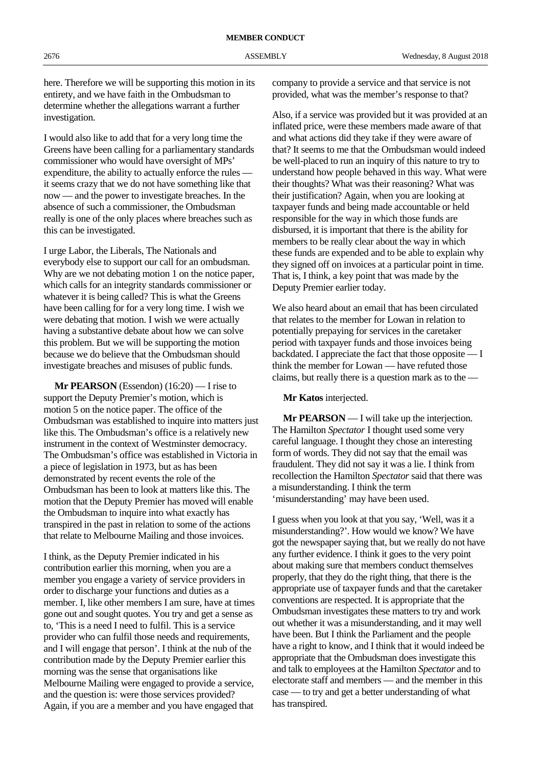here. Therefore we will be supporting this motion in its entirety, and we have faith in the Ombudsman to determine whether the allegations warrant a further investigation.

I would also like to add that for a very long time the Greens have been calling for a parliamentary standards commissioner who would have oversight of MPs' expenditure, the ability to actually enforce the rules it seems crazy that we do not have something like that now — and the power to investigate breaches. In the absence of such a commissioner, the Ombudsman really is one of the only places where breaches such as this can be investigated.

I urge Labor, the Liberals, The Nationals and everybody else to support our call for an ombudsman. Why are we not debating motion 1 on the notice paper, which calls for an integrity standards commissioner or whatever it is being called? This is what the Greens have been calling for for a very long time. I wish we were debating that motion. I wish we were actually having a substantive debate about how we can solve this problem. But we will be supporting the motion because we do believe that the Ombudsman should investigate breaches and misuses of public funds.

**Mr PEARSON** (Essendon) (16:20) — I rise to support the Deputy Premier's motion, which is motion 5 on the notice paper. The office of the Ombudsman was established to inquire into matters just like this. The Ombudsman's office is a relatively new instrument in the context of Westminster democracy. The Ombudsman's office was established in Victoria in a piece of legislation in 1973, but as has been demonstrated by recent events the role of the Ombudsman has been to look at matters like this. The motion that the Deputy Premier has moved will enable the Ombudsman to inquire into what exactly has transpired in the past in relation to some of the actions that relate to Melbourne Mailing and those invoices.

I think, as the Deputy Premier indicated in his contribution earlier this morning, when you are a member you engage a variety of service providers in order to discharge your functions and duties as a member. I, like other members I am sure, have at times gone out and sought quotes. You try and get a sense as to, 'This is a need I need to fulfil. This is a service provider who can fulfil those needs and requirements, and I will engage that person'. I think at the nub of the contribution made by the Deputy Premier earlier this morning was the sense that organisations like Melbourne Mailing were engaged to provide a service, and the question is: were those services provided? Again, if you are a member and you have engaged that

company to provide a service and that service is not provided, what was the member's response to that?

Also, if a service was provided but it was provided at an inflated price, were these members made aware of that and what actions did they take if they were aware of that? It seems to me that the Ombudsman would indeed be well-placed to run an inquiry of this nature to try to understand how people behaved in this way. What were their thoughts? What was their reasoning? What was their justification? Again, when you are looking at taxpayer funds and being made accountable or held responsible for the way in which those funds are disbursed, it is important that there is the ability for members to be really clear about the way in which these funds are expended and to be able to explain why they signed off on invoices at a particular point in time. That is, I think, a key point that was made by the Deputy Premier earlier today.

We also heard about an email that has been circulated that relates to the member for Lowan in relation to potentially prepaying for services in the caretaker period with taxpayer funds and those invoices being backdated. I appreciate the fact that those opposite — I think the member for Lowan — have refuted those claims, but really there is a question mark as to the —

#### **Mr Katos** interjected.

**Mr PEARSON** — I will take up the interjection. The Hamilton *Spectator* I thought used some very careful language. I thought they chose an interesting form of words. They did not say that the email was fraudulent. They did not say it was a lie. I think from recollection the Hamilton *Spectator* said that there was a misunderstanding. I think the term 'misunderstanding' may have been used.

I guess when you look at that you say, 'Well, was it a misunderstanding?'. How would we know? We have got the newspaper saying that, but we really do not have any further evidence. I think it goes to the very point about making sure that members conduct themselves properly, that they do the right thing, that there is the appropriate use of taxpayer funds and that the caretaker conventions are respected. It is appropriate that the Ombudsman investigates these matters to try and work out whether it was a misunderstanding, and it may well have been. But I think the Parliament and the people have a right to know, and I think that it would indeed be appropriate that the Ombudsman does investigate this and talk to employees at the Hamilton *Spectator* and to electorate staff and members — and the member in this case — to try and get a better understanding of what has transpired.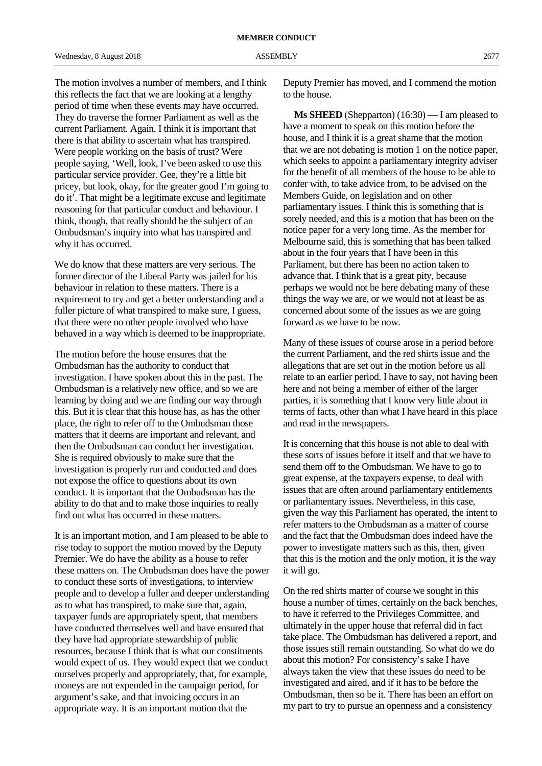The motion involves a number of members, and I think this reflects the fact that we are looking at a lengthy period of time when these events may have occurred. They do traverse the former Parliament as well as the current Parliament. Again, I think it is important that there is that ability to ascertain what has transpired. Were people working on the basis of trust? Were people saying, 'Well, look, I've been asked to use this particular service provider. Gee, they're a little bit pricey, but look, okay, for the greater good I'm going to do it'. That might be a legitimate excuse and legitimate reasoning for that particular conduct and behaviour. I think, though, that really should be the subject of an Ombudsman's inquiry into what has transpired and why it has occurred.

We do know that these matters are very serious. The former director of the Liberal Party was jailed for his behaviour in relation to these matters. There is a requirement to try and get a better understanding and a fuller picture of what transpired to make sure, I guess, that there were no other people involved who have behaved in a way which is deemed to be inappropriate.

The motion before the house ensures that the Ombudsman has the authority to conduct that investigation. I have spoken about this in the past. The Ombudsman is a relatively new office, and so we are learning by doing and we are finding our way through this. But it is clear that this house has, as has the other place, the right to refer off to the Ombudsman those matters that it deems are important and relevant, and then the Ombudsman can conduct her investigation. She is required obviously to make sure that the investigation is properly run and conducted and does not expose the office to questions about its own conduct. It is important that the Ombudsman has the ability to do that and to make those inquiries to really find out what has occurred in these matters.

It is an important motion, and I am pleased to be able to rise today to support the motion moved by the Deputy Premier. We do have the ability as a house to refer these matters on. The Ombudsman does have the power to conduct these sorts of investigations, to interview people and to develop a fuller and deeper understanding as to what has transpired, to make sure that, again, taxpayer funds are appropriately spent, that members have conducted themselves well and have ensured that they have had appropriate stewardship of public resources, because I think that is what our constituents would expect of us. They would expect that we conduct ourselves properly and appropriately, that, for example, moneys are not expended in the campaign period, for argument's sake, and that invoicing occurs in an appropriate way. It is an important motion that the

Deputy Premier has moved, and I commend the motion to the house.

**Ms SHEED** (Shepparton) (16:30) — I am pleased to have a moment to speak on this motion before the house, and I think it is a great shame that the motion that we are not debating is motion 1 on the notice paper, which seeks to appoint a parliamentary integrity adviser for the benefit of all members of the house to be able to confer with, to take advice from, to be advised on the Members Guide, on legislation and on other parliamentary issues. I think this is something that is sorely needed, and this is a motion that has been on the notice paper for a very long time. As the member for Melbourne said, this is something that has been talked about in the four years that I have been in this Parliament, but there has been no action taken to advance that. I think that is a great pity, because perhaps we would not be here debating many of these things the way we are, or we would not at least be as concerned about some of the issues as we are going forward as we have to be now.

Many of these issues of course arose in a period before the current Parliament, and the red shirts issue and the allegations that are set out in the motion before us all relate to an earlier period. I have to say, not having been here and not being a member of either of the larger parties, it is something that I know very little about in terms of facts, other than what I have heard in this place and read in the newspapers.

It is concerning that this house is not able to deal with these sorts of issues before it itself and that we have to send them off to the Ombudsman. We have to go to great expense, at the taxpayers expense, to deal with issues that are often around parliamentary entitlements or parliamentary issues. Nevertheless, in this case, given the way this Parliament has operated, the intent to refer matters to the Ombudsman as a matter of course and the fact that the Ombudsman does indeed have the power to investigate matters such as this, then, given that this is the motion and the only motion, it is the way it will go.

On the red shirts matter of course we sought in this house a number of times, certainly on the back benches, to have it referred to the Privileges Committee, and ultimately in the upper house that referral did in fact take place. The Ombudsman has delivered a report, and those issues still remain outstanding. So what do we do about this motion? For consistency's sake I have always taken the view that these issues do need to be investigated and aired, and if it has to be before the Ombudsman, then so be it. There has been an effort on my part to try to pursue an openness and a consistency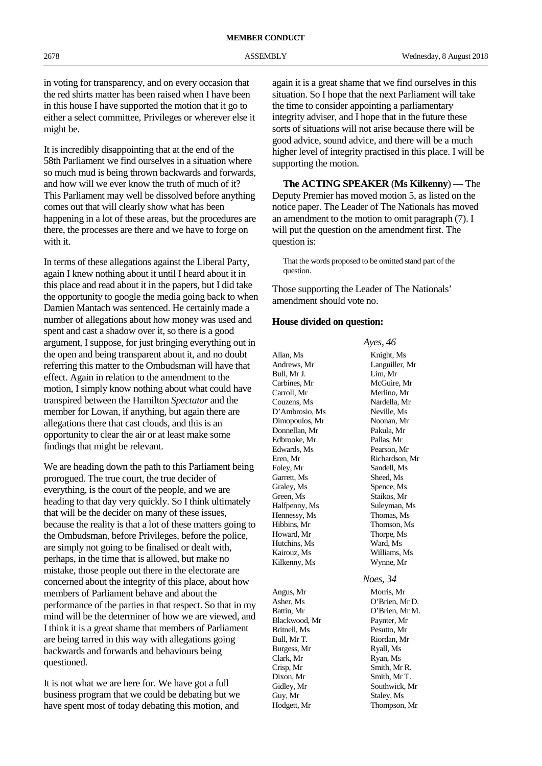in voting for transparency, and on every occasion that the red shirts matter has been raised when I have been in this house I have supported the motion that it go to either a select committee, Privileges or wherever else it might be.

It is incredibly disappointing that at the end of the 58th Parliament we find ourselves in a situation where so much mud is being thrown backwards and forwards, and how will we ever know the truth of much of it? This Parliament may well be dissolved before anything comes out that will clearly show what has been happening in a lot of these areas, but the procedures are there, the processes are there and we have to forge on with it.

In terms of these allegations against the Liberal Party, again I knew nothing about it until I heard about it in this place and read about it in the papers, but I did take the opportunity to google the media going back to when Damien Mantach was sentenced. He certainly made a number of allegations about how money was used and spent and cast a shadow over it, so there is a good argument, I suppose, for just bringing everything out in the open and being transparent about it, and no doubt referring this matter to the Ombudsman will have that effect. Again in relation to the amendment to the motion, I simply know nothing about what could have transpired between the Hamilton *Spectator* and the member for Lowan, if anything, but again there are allegations there that cast clouds, and this is an opportunity to clear the air or at least make some findings that might be relevant.

We are heading down the path to this Parliament being prorogued. The true court, the true decider of everything, is the court of the people, and we are heading to that day very quickly. So I think ultimately that will be the decider on many of these issues, because the reality is that a lot of these matters going to the Ombudsman, before Privileges, before the police, are simply not going to be finalised or dealt with, perhaps, in the time that is allowed, but make no mistake, those people out there in the electorate are concerned about the integrity of this place, about how members of Parliament behave and about the performance of the parties in that respect. So that in my mind will be the determiner of how we are viewed, and I think it is a great shame that members of Parliament are being tarred in this way with allegations going backwards and forwards and behaviours being questioned.

It is not what we are here for. We have got a full business program that we could be debating but we have spent most of today debating this motion, and again it is a great shame that we find ourselves in this situation. So I hope that the next Parliament will take the time to consider appointing a parliamentary integrity adviser, and I hope that in the future these sorts of situations will not arise because there will be good advice, sound advice, and there will be a much higher level of integrity practised in this place. I will be supporting the motion.

**The ACTING SPEAKER** (**Ms Kilkenny**) — The Deputy Premier has moved motion 5, as listed on the notice paper. The Leader of The Nationals has moved an amendment to the motion to omit paragraph (7). I will put the question on the amendment first. The question is:

That the words proposed to be omitted stand part of the question.

*Ayes, 46*

Those supporting the Leader of The Nationals' amendment should vote no.

## **House divided on question:**

Allan, Ms Knight, Ms Andrews, Mr Languiller, Mr Bull, Mr J.<br>Carbines, Mr Carroll, Mr Merlino, Mr Couzens, Ms<br>
D'Ambrosio. Ms<br>
Neville. Ms D'Ambrosio, Ms Dimopoulos, Mr Noonan, Mr Donnellan, Mr Pakula, Mr Edbrooke, Mr Pallas, Mr Edwards, Ms Pearson, Mr Eren, Mr Richardson, Mr Foley, Mr Sandell, Ms Garrett, Ms Sheed, Ms Graley, Ms Spence, Ms Green, Ms Staikos, Mr Halfpenny, Ms Suleyman, Ms Hennessy, Ms Thomas, Ms Hibbins, Mr Thomson, Ms Howard, Mr Thorpe, Ms Hutchins, Ms Ward, Ms Kairouz, Ms Williams, Ms Kilkenny, Ms Wynne, Mr

Angus, Mr Morris, Mr Battin, Mr  $O'$ Brien, Mr M. Blackwood, Mr Paynter, Mr Britnell, Ms Pesutto, Mr Bull, Mr T. Riordan, Mr Burgess, Mr Ryall, Ms Clark, Mr Ryan, Ms Crisp, Mr Smith, Mr R. Dixon, Mr Smith, Mr T. Gidley, Mr Southwick, Mr Guy, Mr Staley, Ms Hodgett, Mr Thompson, Mr

McGuire, Mr *Noes, 34* Asher, Ms O'Brien, Mr D.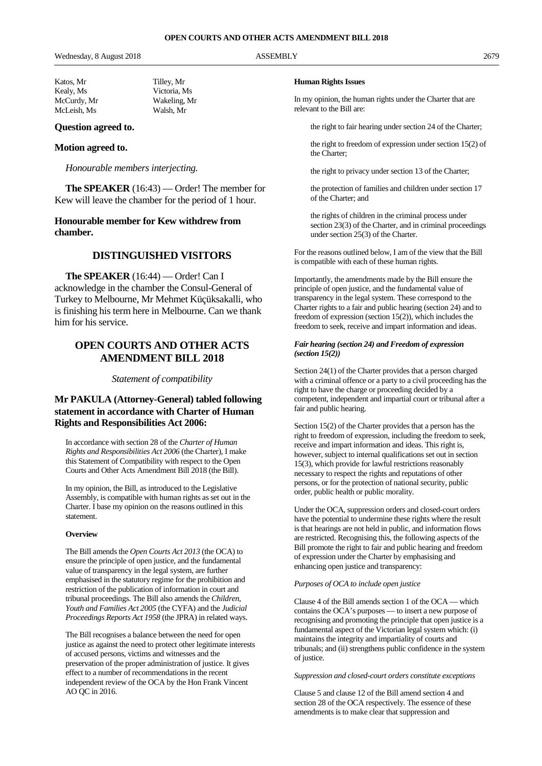# **Question agreed to.**

## **Motion agreed to.**

*Honourable members interjecting.*

**The SPEAKER** (16:43) — Order! The member for Kew will leave the chamber for the period of 1 hour.

# **Honourable member for Kew withdrew from chamber.**

# **DISTINGUISHED VISITORS**

**The SPEAKER** (16:44) — Order! Can I acknowledge in the chamber the Consul-General of Turkey to Melbourne, Mr Mehmet Küçüksakalli, who is finishing his term here in Melbourne. Can we thank him for his service.

# **OPEN COURTS AND OTHER ACTS AMENDMENT BILL 2018**

*Statement of compatibility*

# **Mr PAKULA (Attorney-General) tabled following statement in accordance with Charter of Human Rights and Responsibilities Act 2006:**

In accordance with section 28 of the *Charter of Human Rights and Responsibilities Act 2006* (the Charter), I make this Statement of Compatibility with respect to the Open Courts and Other Acts Amendment Bill 2018 (the Bill).

In my opinion, the Bill, as introduced to the Legislative Assembly, is compatible with human rights as set out in the Charter. I base my opinion on the reasons outlined in this statement.

## **Overview**

The Bill amends the *Open Courts Act 2013* (the OCA) to ensure the principle of open justice, and the fundamental value of transparency in the legal system, are further emphasised in the statutory regime for the prohibition and restriction of the publication of information in court and tribunal proceedings. The Bill also amends the *Children, Youth and Families Act 2005* (the CYFA) and the *Judicial Proceedings Reports Act 1958* (the JPRA) in related ways.

The Bill recognises a balance between the need for open justice as against the need to protect other legitimate interests of accused persons, victims and witnesses and the preservation of the proper administration of justice. It gives effect to a number of recommendations in the recent independent review of the OCA by the Hon Frank Vincent AO QC in 2016.

#### **Human Rights Issues**

In my opinion, the human rights under the Charter that are relevant to the Bill are:

the right to fair hearing under section 24 of the Charter;

the right to freedom of expression under section 15(2) of the Charter;

the right to privacy under section 13 of the Charter;

the protection of families and children under section 17 of the Charter; and

the rights of children in the criminal process under section 23(3) of the Charter, and in criminal proceedings under section 25(3) of the Charter.

For the reasons outlined below, I am of the view that the Bill is compatible with each of these human rights.

Importantly, the amendments made by the Bill ensure the principle of open justice, and the fundamental value of transparency in the legal system. These correspond to the Charter rights to a fair and public hearing (section 24) and to freedom of expression (section 15(2)), which includes the freedom to seek, receive and impart information and ideas.

## *Fair hearing (section 24) and Freedom of expression (section 15(2))*

Section 24(1) of the Charter provides that a person charged with a criminal offence or a party to a civil proceeding has the right to have the charge or proceeding decided by a competent, independent and impartial court or tribunal after a fair and public hearing.

Section 15(2) of the Charter provides that a person has the right to freedom of expression, including the freedom to seek, receive and impart information and ideas. This right is, however, subject to internal qualifications set out in section 15(3), which provide for lawful restrictions reasonably necessary to respect the rights and reputations of other persons, or for the protection of national security, public order, public health or public morality.

Under the OCA, suppression orders and closed-court orders have the potential to undermine these rights where the result is that hearings are not held in public, and information flows are restricted. Recognising this, the following aspects of the Bill promote the right to fair and public hearing and freedom of expression under the Charter by emphasising and enhancing open justice and transparency:

#### *Purposes of OCA to include open justice*

Clause 4 of the Bill amends section 1 of the OCA — which contains the OCA's purposes — to insert a new purpose of recognising and promoting the principle that open justice is a fundamental aspect of the Victorian legal system which: (i) maintains the integrity and impartiality of courts and tribunals; and (ii) strengthens public confidence in the system of justice.

#### *Suppression and closed-court orders constitute exceptions*

Clause 5 and clause 12 of the Bill amend section 4 and section 28 of the OCA respectively. The essence of these amendments is to make clear that suppression and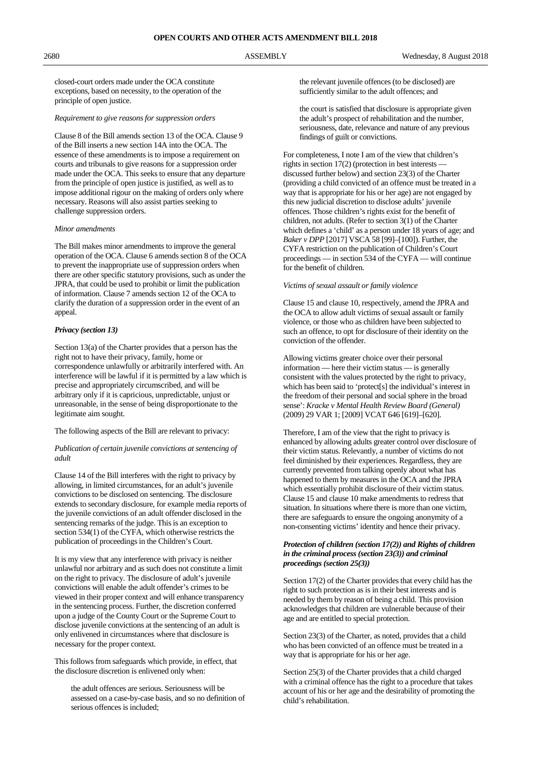closed-court orders made under the OCA constitute exceptions, based on necessity, to the operation of the principle of open justice.

# *Requirement to give reasons for suppression orders*

Clause 8 of the Bill amends section 13 of the OCA. Clause 9 of the Bill inserts a new section 14A into the OCA. The essence of these amendments is to impose a requirement on courts and tribunals to give reasons for a suppression order made under the OCA. This seeks to ensure that any departure from the principle of open justice is justified, as well as to impose additional rigour on the making of orders only where necessary. Reasons will also assist parties seeking to challenge suppression orders.

#### *Minor amendments*

The Bill makes minor amendments to improve the general operation of the OCA. Clause 6 amends section 8 of the OCA to prevent the inappropriate use of suppression orders when there are other specific statutory provisions, such as under the JPRA, that could be used to prohibit or limit the publication of information. Clause 7 amends section 12 of the OCA to clarify the duration of a suppression order in the event of an appeal.

#### *Privacy (section 13)*

Section 13(a) of the Charter provides that a person has the right not to have their privacy, family, home or correspondence unlawfully or arbitrarily interfered with. An interference will be lawful if it is permitted by a law which is precise and appropriately circumscribed, and will be arbitrary only if it is capricious, unpredictable, unjust or unreasonable, in the sense of being disproportionate to the legitimate aim sought.

#### The following aspects of the Bill are relevant to privacy:

#### *Publication of certain juvenile convictions at sentencing of adult*

Clause 14 of the Bill interferes with the right to privacy by allowing, in limited circumstances, for an adult's juvenile convictions to be disclosed on sentencing. The disclosure extends to secondary disclosure, for example media reports of the juvenile convictions of an adult offender disclosed in the sentencing remarks of the judge. This is an exception to section 534(1) of the CYFA, which otherwise restricts the publication of proceedings in the Children's Court.

It is my view that any interference with privacy is neither unlawful nor arbitrary and as such does not constitute a limit on the right to privacy. The disclosure of adult's juvenile convictions will enable the adult offender's crimes to be viewed in their proper context and will enhance transparency in the sentencing process. Further, the discretion conferred upon a judge of the County Court or the Supreme Court to disclose juvenile convictions at the sentencing of an adult is only enlivened in circumstances where that disclosure is necessary for the proper context.

This follows from safeguards which provide, in effect, that the disclosure discretion is enlivened only when:

the adult offences are serious. Seriousness will be assessed on a case-by-case basis, and so no definition of serious offences is included;

the relevant juvenile offences (to be disclosed) are sufficiently similar to the adult offences; and

the court is satisfied that disclosure is appropriate given the adult's prospect of rehabilitation and the number, seriousness, date, relevance and nature of any previous findings of guilt or convictions.

For completeness, I note I am of the view that children's rights in section 17(2) (protection in best interests discussed further below) and section 23(3) of the Charter (providing a child convicted of an offence must be treated in a way that is appropriate for his or her age) are not engaged by this new judicial discretion to disclose adults' juvenile offences. Those children's rights exist for the benefit of children, not adults. (Refer to section 3(1) of the Charter which defines a 'child' as a person under 18 years of age; and *Baker v DPP* [2017] VSCA 58 [99]–[100]). Further, the CYFA restriction on the publication of Children's Court proceedings — in section 534 of the CYFA — will continue for the benefit of children.

#### *Victims of sexual assault or family violence*

Clause 15 and clause 10, respectively, amend the JPRA and the OCA to allow adult victims of sexual assault or family violence, or those who as children have been subjected to such an offence, to opt for disclosure of their identity on the conviction of the offender.

Allowing victims greater choice over their personal information — here their victim status — is generally consistent with the values protected by the right to privacy, which has been said to 'protect[s] the individual's interest in the freedom of their personal and social sphere in the broad sense': *Kracke v Mental Health Review Board (General)* (2009) 29 VAR 1; [2009] VCAT 646 [619]–[620].

Therefore, I am of the view that the right to privacy is enhanced by allowing adults greater control over disclosure of their victim status. Relevantly, a number of victims do not feel diminished by their experiences. Regardless, they are currently prevented from talking openly about what has happened to them by measures in the OCA and the JPRA which essentially prohibit disclosure of their victim status. Clause 15 and clause 10 make amendments to redress that situation. In situations where there is more than one victim, there are safeguards to ensure the ongoing anonymity of a non-consenting victims' identity and hence their privacy.

### *Protection of children (section 17(2)) and Rights of children in the criminal process (section 23(3)) and criminal proceedings (section 25(3))*

Section 17(2) of the Charter provides that every child has the right to such protection as is in their best interests and is needed by them by reason of being a child. This provision acknowledges that children are vulnerable because of their age and are entitled to special protection.

Section 23(3) of the Charter, as noted, provides that a child who has been convicted of an offence must be treated in a way that is appropriate for his or her age.

Section 25(3) of the Charter provides that a child charged with a criminal offence has the right to a procedure that takes account of his or her age and the desirability of promoting the child's rehabilitation.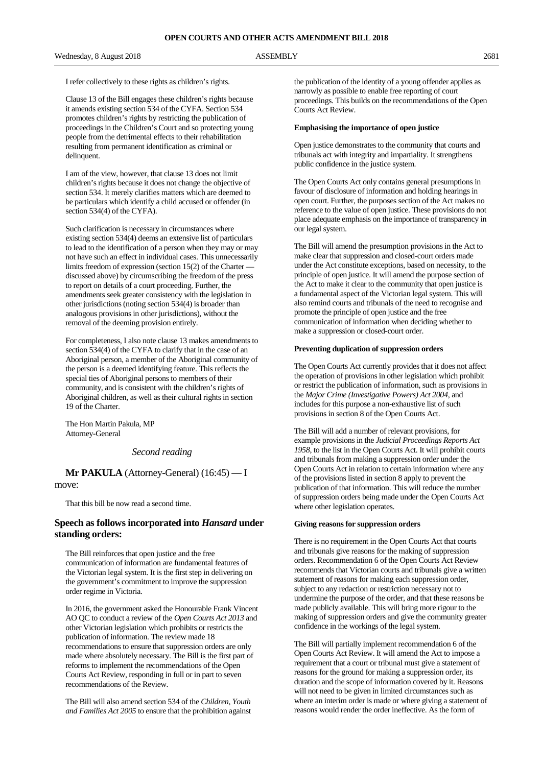I refer collectively to these rights as children's rights.

Clause 13 of the Bill engages these children's rights because it amends existing section 534 of the CYFA. Section 534 promotes children's rights by restricting the publication of proceedings in the Children's Court and so protecting young people from the detrimental effects to their rehabilitation resulting from permanent identification as criminal or delinquent.

I am of the view, however, that clause 13 does not limit children's rights because it does not change the objective of section 534. It merely clarifies matters which are deemed to be particulars which identify a child accused or offender (in section 534(4) of the CYFA).

Such clarification is necessary in circumstances where existing section 534(4) deems an extensive list of particulars to lead to the identification of a person when they may or may not have such an effect in individual cases. This unnecessarily limits freedom of expression (section 15(2) of the Charter discussed above) by circumscribing the freedom of the press to report on details of a court proceeding. Further, the amendments seek greater consistency with the legislation in other jurisdictions (noting section 534(4) is broader than analogous provisions in other jurisdictions), without the removal of the deeming provision entirely.

For completeness, I also note clause 13 makes amendments to section 534(4) of the CYFA to clarify that in the case of an Aboriginal person, a member of the Aboriginal community of the person is a deemed identifying feature. This reflects the special ties of Aboriginal persons to members of their community, and is consistent with the children's rights of Aboriginal children, as well as their cultural rights in section 19 of the Charter.

The Hon Martin Pakula, MP Attorney-General

# *Second reading*

**Mr PAKULA** (Attorney-General) (16:45) — I move:

That this bill be now read a second time.

# **Speech as follows incorporated into** *Hansard* **under standing orders:**

The Bill reinforces that open justice and the free communication of information are fundamental features of the Victorian legal system. It is the first step in delivering on the government's commitment to improve the suppression order regime in Victoria.

In 2016, the government asked the Honourable Frank Vincent AO QC to conduct a review of the *Open Courts Act 2013* and other Victorian legislation which prohibits or restricts the publication of information. The review made 18 recommendations to ensure that suppression orders are only made where absolutely necessary. The Bill is the first part of reforms to implement the recommendations of the Open Courts Act Review, responding in full or in part to seven recommendations of the Review.

The Bill will also amend section 534 of the *Children, Youth and Families Act 2005* to ensure that the prohibition against the publication of the identity of a young offender applies as narrowly as possible to enable free reporting of court proceedings. This builds on the recommendations of the Open Courts Act Review.

## **Emphasising the importance of open justice**

Open justice demonstrates to the community that courts and tribunals act with integrity and impartiality. It strengthens public confidence in the justice system.

The Open Courts Act only contains general presumptions in favour of disclosure of information and holding hearings in open court. Further, the purposes section of the Act makes no reference to the value of open justice. These provisions do not place adequate emphasis on the importance of transparency in our legal system.

The Bill will amend the presumption provisions in the Act to make clear that suppression and closed-court orders made under the Act constitute exceptions, based on necessity, to the principle of open justice. It will amend the purpose section of the Act to make it clear to the community that open justice is a fundamental aspect of the Victorian legal system. This will also remind courts and tribunals of the need to recognise and promote the principle of open justice and the free communication of information when deciding whether to make a suppression or closed-court order.

#### **Preventing duplication of suppression orders**

The Open Courts Act currently provides that it does not affect the operation of provisions in other legislation which prohibit or restrict the publication of information, such as provisions in the *Major Crime (Investigative Powers) Act 2004*, and includes for this purpose a non-exhaustive list of such provisions in section 8 of the Open Courts Act.

The Bill will add a number of relevant provisions, for example provisions in the *Judicial Proceedings Reports Act 1958*, to the list in the Open Courts Act. It will prohibit courts and tribunals from making a suppression order under the Open Courts Act in relation to certain information where any of the provisions listed in section 8 apply to prevent the publication of that information. This will reduce the number of suppression orders being made under the Open Courts Act where other legislation operates.

#### **Giving reasons for suppression orders**

There is no requirement in the Open Courts Act that courts and tribunals give reasons for the making of suppression orders. Recommendation 6 of the Open Courts Act Review recommends that Victorian courts and tribunals give a written statement of reasons for making each suppression order, subject to any redaction or restriction necessary not to undermine the purpose of the order, and that these reasons be made publicly available. This will bring more rigour to the making of suppression orders and give the community greater confidence in the workings of the legal system.

The Bill will partially implement recommendation 6 of the Open Courts Act Review. It will amend the Act to impose a requirement that a court or tribunal must give a statement of reasons for the ground for making a suppression order, its duration and the scope of information covered by it. Reasons will not need to be given in limited circumstances such as where an interim order is made or where giving a statement of reasons would render the order ineffective. As the form of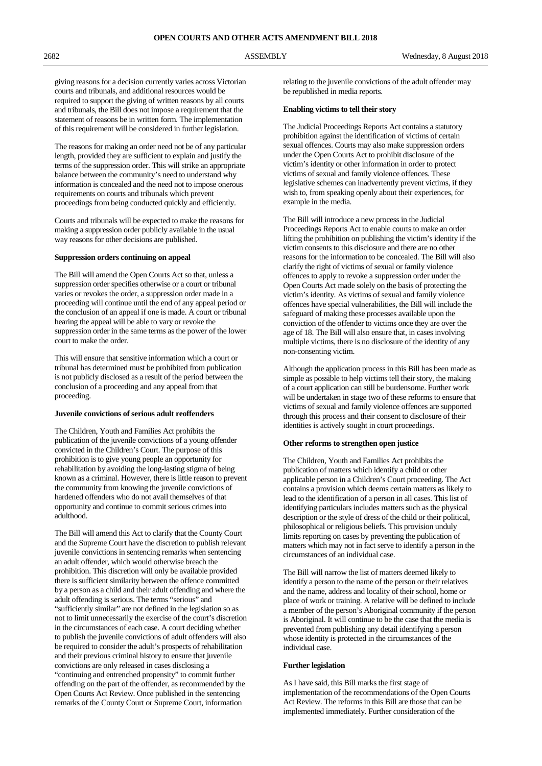giving reasons for a decision currently varies across Victorian courts and tribunals, and additional resources would be required to support the giving of written reasons by all courts and tribunals, the Bill does not impose a requirement that the statement of reasons be in written form. The implementation of this requirement will be considered in further legislation.

The reasons for making an order need not be of any particular length, provided they are sufficient to explain and justify the terms of the suppression order. This will strike an appropriate balance between the community's need to understand why information is concealed and the need not to impose onerous requirements on courts and tribunals which prevent proceedings from being conducted quickly and efficiently.

Courts and tribunals will be expected to make the reasons for making a suppression order publicly available in the usual way reasons for other decisions are published.

#### **Suppression orders continuing on appeal**

The Bill will amend the Open Courts Act so that, unless a suppression order specifies otherwise or a court or tribunal varies or revokes the order, a suppression order made in a proceeding will continue until the end of any appeal period or the conclusion of an appeal if one is made. A court or tribunal hearing the appeal will be able to vary or revoke the suppression order in the same terms as the power of the lower court to make the order.

This will ensure that sensitive information which a court or tribunal has determined must be prohibited from publication is not publicly disclosed as a result of the period between the conclusion of a proceeding and any appeal from that proceeding.

#### **Juvenile convictions of serious adult reoffenders**

The Children, Youth and Families Act prohibits the publication of the juvenile convictions of a young offender convicted in the Children's Court. The purpose of this prohibition is to give young people an opportunity for rehabilitation by avoiding the long-lasting stigma of being known as a criminal. However, there is little reason to prevent the community from knowing the juvenile convictions of hardened offenders who do not avail themselves of that opportunity and continue to commit serious crimes into adulthood.

The Bill will amend this Act to clarify that the County Court and the Supreme Court have the discretion to publish relevant juvenile convictions in sentencing remarks when sentencing an adult offender, which would otherwise breach the prohibition. This discretion will only be available provided there is sufficient similarity between the offence committed by a person as a child and their adult offending and where the adult offending is serious. The terms "serious" and "sufficiently similar" are not defined in the legislation so as not to limit unnecessarily the exercise of the court's discretion in the circumstances of each case. A court deciding whether to publish the juvenile convictions of adult offenders will also be required to consider the adult's prospects of rehabilitation and their previous criminal history to ensure that juvenile convictions are only released in cases disclosing a "continuing and entrenched propensity" to commit further offending on the part of the offender, as recommended by the Open Courts Act Review. Once published in the sentencing remarks of the County Court or Supreme Court, information

relating to the juvenile convictions of the adult offender may be republished in media reports.

#### **Enabling victims to tell their story**

The Judicial Proceedings Reports Act contains a statutory prohibition against the identification of victims of certain sexual offences. Courts may also make suppression orders under the Open Courts Act to prohibit disclosure of the victim's identity or other information in order to protect victims of sexual and family violence offences. These legislative schemes can inadvertently prevent victims, if they wish to, from speaking openly about their experiences, for example in the media.

The Bill will introduce a new process in the Judicial Proceedings Reports Act to enable courts to make an order lifting the prohibition on publishing the victim's identity if the victim consents to this disclosure and there are no other reasons for the information to be concealed. The Bill will also clarify the right of victims of sexual or family violence offences to apply to revoke a suppression order under the Open Courts Act made solely on the basis of protecting the victim's identity. As victims of sexual and family violence offences have special vulnerabilities, the Bill will include the safeguard of making these processes available upon the conviction of the offender to victims once they are over the age of 18. The Bill will also ensure that, in cases involving multiple victims, there is no disclosure of the identity of any non-consenting victim.

Although the application process in this Bill has been made as simple as possible to help victims tell their story, the making of a court application can still be burdensome. Further work will be undertaken in stage two of these reforms to ensure that victims of sexual and family violence offences are supported through this process and their consent to disclosure of their identities is actively sought in court proceedings.

#### **Other reforms to strengthen open justice**

The Children, Youth and Families Act prohibits the publication of matters which identify a child or other applicable person in a Children's Court proceeding. The Act contains a provision which deems certain matters as likely to lead to the identification of a person in all cases. This list of identifying particulars includes matters such as the physical description or the style of dress of the child or their political, philosophical or religious beliefs. This provision unduly limits reporting on cases by preventing the publication of matters which may not in fact serve to identify a person in the circumstances of an individual case.

The Bill will narrow the list of matters deemed likely to identify a person to the name of the person or their relatives and the name, address and locality of their school, home or place of work or training. A relative will be defined to include a member of the person's Aboriginal community if the person is Aboriginal. It will continue to be the case that the media is prevented from publishing any detail identifying a person whose identity is protected in the circumstances of the individual case.

#### **Further legislation**

As I have said, this Bill marks the first stage of implementation of the recommendations of the Open Courts Act Review. The reforms in this Bill are those that can be implemented immediately. Further consideration of the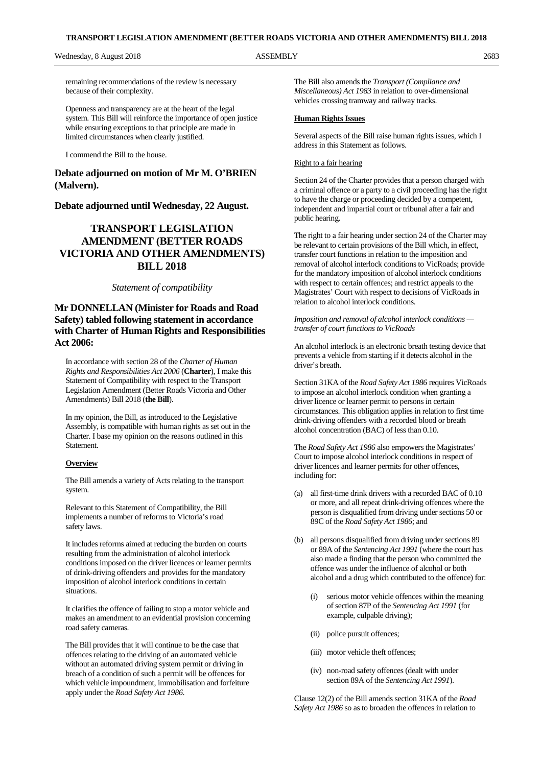remaining recommendations of the review is necessary because of their complexity.

Openness and transparency are at the heart of the legal system. This Bill will reinforce the importance of open justice while ensuring exceptions to that principle are made in limited circumstances when clearly justified.

I commend the Bill to the house.

# **Debate adjourned on motion of Mr M. O'BRIEN (Malvern).**

# **Debate adjourned until Wednesday, 22 August.**

# **TRANSPORT LEGISLATION AMENDMENT (BETTER ROADS VICTORIA AND OTHER AMENDMENTS) BILL 2018**

# *Statement of compatibility*

# **Mr DONNELLAN (Minister for Roads and Road Safety) tabled following statement in accordance with Charter of Human Rights and Responsibilities Act 2006:**

In accordance with section 28 of the *Charter of Human Rights and Responsibilities Act 2006* (**Charter**), I make this Statement of Compatibility with respect to the Transport Legislation Amendment (Better Roads Victoria and Other Amendments) Bill 2018 (**the Bill**).

In my opinion, the Bill, as introduced to the Legislative Assembly, is compatible with human rights as set out in the Charter. I base my opinion on the reasons outlined in this **Statement** 

## **Overview**

The Bill amends a variety of Acts relating to the transport system.

Relevant to this Statement of Compatibility, the Bill implements a number of reforms to Victoria's road safety laws.

It includes reforms aimed at reducing the burden on courts resulting from the administration of alcohol interlock conditions imposed on the driver licences or learner permits of drink-driving offenders and provides for the mandatory imposition of alcohol interlock conditions in certain situations.

It clarifies the offence of failing to stop a motor vehicle and makes an amendment to an evidential provision concerning road safety cameras.

The Bill provides that it will continue to be the case that offences relating to the driving of an automated vehicle without an automated driving system permit or driving in breach of a condition of such a permit will be offences for which vehicle impoundment, immobilisation and forfeiture apply under the *Road Safety Act 1986*.

The Bill also amends the *Transport (Compliance and Miscellaneous) Act 1983* in relation to over-dimensional vehicles crossing tramway and railway tracks.

# **Human Rights Issues**

Several aspects of the Bill raise human rights issues, which I address in this Statement as follows.

### Right to a fair hearing

Section 24 of the Charter provides that a person charged with a criminal offence or a party to a civil proceeding has the right to have the charge or proceeding decided by a competent, independent and impartial court or tribunal after a fair and public hearing.

The right to a fair hearing under section 24 of the Charter may be relevant to certain provisions of the Bill which, in effect, transfer court functions in relation to the imposition and removal of alcohol interlock conditions to VicRoads; provide for the mandatory imposition of alcohol interlock conditions with respect to certain offences; and restrict appeals to the Magistrates' Court with respect to decisions of VicRoads in relation to alcohol interlock conditions.

*Imposition and removal of alcohol interlock conditions transfer of court functions to VicRoads*

An alcohol interlock is an electronic breath testing device that prevents a vehicle from starting if it detects alcohol in the driver's breath.

Section 31KA of the *Road Safety Act 1986* requires VicRoads to impose an alcohol interlock condition when granting a driver licence or learner permit to persons in certain circumstances. This obligation applies in relation to first time drink-driving offenders with a recorded blood or breath alcohol concentration (BAC) of less than 0.10.

The *Road Safety Act 1986* also empowers the Magistrates' Court to impose alcohol interlock conditions in respect of driver licences and learner permits for other offences, including for:

- (a) all first-time drink drivers with a recorded BAC of 0.10 or more, and all repeat drink-driving offences where the person is disqualified from driving under sections 50 or 89C of the *Road Safety Act 1986*; and
- (b) all persons disqualified from driving under sections 89 or 89A of the *Sentencing Act 1991* (where the court has also made a finding that the person who committed the offence was under the influence of alcohol or both alcohol and a drug which contributed to the offence) for:
	- (i) serious motor vehicle offences within the meaning of section 87P of the *Sentencing Act 1991* (for example, culpable driving);
	- (ii) police pursuit offences;
	- (iii) motor vehicle theft offences;
	- (iv) non-road safety offences (dealt with under section 89A of the *Sentencing Act 1991*).

Clause 12(2) of the Bill amends section 31KA of the *Road Safety Act 1986* so as to broaden the offences in relation to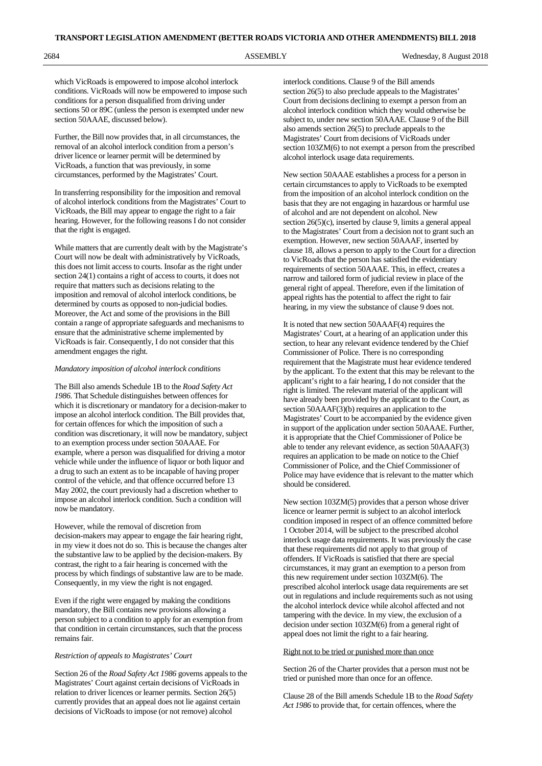2684 ASSEMBLY Wednesday, 8 August 2018

which VicRoads is empowered to impose alcohol interlock conditions. VicRoads will now be empowered to impose such conditions for a person disqualified from driving under sections 50 or 89C (unless the person is exempted under new section 50AAAE, discussed below).

Further, the Bill now provides that, in all circumstances, the removal of an alcohol interlock condition from a person's driver licence or learner permit will be determined by VicRoads, a function that was previously, in some circumstances, performed by the Magistrates' Court.

In transferring responsibility for the imposition and removal of alcohol interlock conditions from the Magistrates' Court to VicRoads, the Bill may appear to engage the right to a fair hearing. However, for the following reasons I do not consider that the right is engaged.

While matters that are currently dealt with by the Magistrate's Court will now be dealt with administratively by VicRoads, this does not limit access to courts. Insofar as the right under section 24(1) contains a right of access to courts, it does not require that matters such as decisions relating to the imposition and removal of alcohol interlock conditions, be determined by courts as opposed to non-judicial bodies. Moreover, the Act and some of the provisions in the Bill contain a range of appropriate safeguards and mechanisms to ensure that the administrative scheme implemented by VicRoads is fair. Consequently, I do not consider that this amendment engages the right.

#### *Mandatory imposition of alcohol interlock conditions*

The Bill also amends Schedule 1B to the *Road Safety Act 1986*. That Schedule distinguishes between offences for which it is discretionary or mandatory for a decision-maker to impose an alcohol interlock condition. The Bill provides that, for certain offences for which the imposition of such a condition was discretionary, it will now be mandatory, subject to an exemption process under section 50AAAE. For example, where a person was disqualified for driving a motor vehicle while under the influence of liquor or both liquor and a drug to such an extent as to be incapable of having proper control of the vehicle, and that offence occurred before 13 May 2002, the court previously had a discretion whether to impose an alcohol interlock condition. Such a condition will now be mandatory.

However, while the removal of discretion from decision-makers may appear to engage the fair hearing right, in my view it does not do so. This is because the changes alter the substantive law to be applied by the decision-makers. By contrast, the right to a fair hearing is concerned with the process by which findings of substantive law are to be made. Consequently, in my view the right is not engaged.

Even if the right were engaged by making the conditions mandatory, the Bill contains new provisions allowing a person subject to a condition to apply for an exemption from that condition in certain circumstances, such that the process remains fair.

#### *Restriction of appeals to Magistrates' Court*

Section 26 of the *Road Safety Act 1986* governs appeals to the Magistrates' Court against certain decisions of VicRoads in relation to driver licences or learner permits. Section 26(5) currently provides that an appeal does not lie against certain decisions of VicRoads to impose (or not remove) alcohol

interlock conditions. Clause 9 of the Bill amends section 26(5) to also preclude appeals to the Magistrates' Court from decisions declining to exempt a person from an alcohol interlock condition which they would otherwise be subject to, under new section 50AAAE. Clause 9 of the Bill also amends section 26(5) to preclude appeals to the Magistrates' Court from decisions of VicRoads under section 103ZM(6) to not exempt a person from the prescribed alcohol interlock usage data requirements.

New section 50AAAE establishes a process for a person in certain circumstances to apply to VicRoads to be exempted from the imposition of an alcohol interlock condition on the basis that they are not engaging in hazardous or harmful use of alcohol and are not dependent on alcohol. New section 26(5)(c), inserted by clause 9, limits a general appeal to the Magistrates' Court from a decision not to grant such an exemption. However, new section 50AAAF, inserted by clause 18, allows a person to apply to the Court for a direction to VicRoads that the person has satisfied the evidentiary requirements of section 50AAAE. This, in effect, creates a narrow and tailored form of judicial review in place of the general right of appeal. Therefore, even if the limitation of appeal rights has the potential to affect the right to fair hearing, in my view the substance of clause 9 does not.

It is noted that new section 50AAAF(4) requires the Magistrates' Court, at a hearing of an application under this section, to hear any relevant evidence tendered by the Chief Commissioner of Police. There is no corresponding requirement that the Magistrate must hear evidence tendered by the applicant. To the extent that this may be relevant to the applicant's right to a fair hearing, I do not consider that the right is limited. The relevant material of the applicant will have already been provided by the applicant to the Court, as section 50AAAF(3)(b) requires an application to the Magistrates' Court to be accompanied by the evidence given in support of the application under section 50AAAE. Further, it is appropriate that the Chief Commissioner of Police be able to tender any relevant evidence, as section 50AAAF(3) requires an application to be made on notice to the Chief Commissioner of Police, and the Chief Commissioner of Police may have evidence that is relevant to the matter which should be considered.

New section 103ZM(5) provides that a person whose driver licence or learner permit is subject to an alcohol interlock condition imposed in respect of an offence committed before 1 October 2014, will be subject to the prescribed alcohol interlock usage data requirements. It was previously the case that these requirements did not apply to that group of offenders. If VicRoads is satisfied that there are special circumstances, it may grant an exemption to a person from this new requirement under section 103ZM(6). The prescribed alcohol interlock usage data requirements are set out in regulations and include requirements such as not using the alcohol interlock device while alcohol affected and not tampering with the device. In my view, the exclusion of a decision under section 103ZM(6) from a general right of appeal does not limit the right to a fair hearing.

## Right not to be tried or punished more than once

Section 26 of the Charter provides that a person must not be tried or punished more than once for an offence.

Clause 28 of the Bill amends Schedule 1B to the *Road Safety Act 1986* to provide that, for certain offences, where the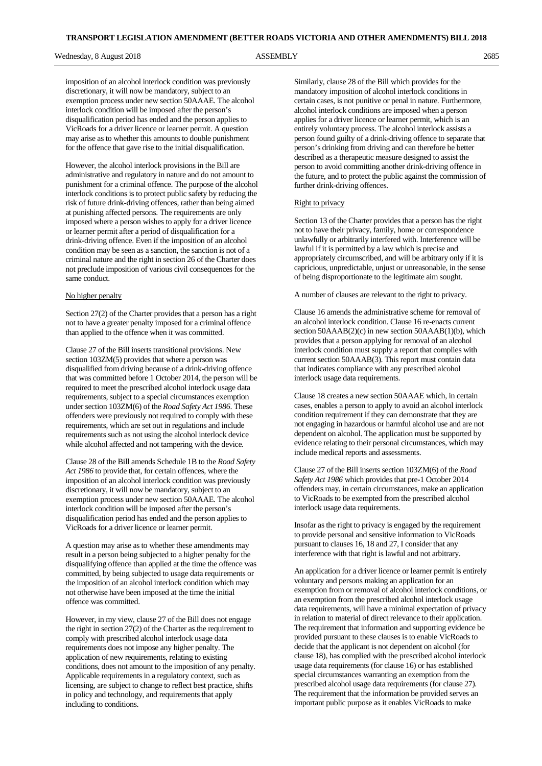imposition of an alcohol interlock condition was previously discretionary, it will now be mandatory, subject to an exemption process under new section 50AAAE. The alcohol interlock condition will be imposed after the person's disqualification period has ended and the person applies to VicRoads for a driver licence or learner permit. A question may arise as to whether this amounts to double punishment for the offence that gave rise to the initial disqualification.

However, the alcohol interlock provisions in the Bill are administrative and regulatory in nature and do not amount to punishment for a criminal offence. The purpose of the alcohol interlock conditions is to protect public safety by reducing the risk of future drink-driving offences, rather than being aimed at punishing affected persons. The requirements are only imposed where a person wishes to apply for a driver licence or learner permit after a period of disqualification for a drink-driving offence. Even if the imposition of an alcohol condition may be seen as a sanction, the sanction is not of a criminal nature and the right in section 26 of the Charter does not preclude imposition of various civil consequences for the same conduct.

## No higher penalty

Section 27(2) of the Charter provides that a person has a right not to have a greater penalty imposed for a criminal offence than applied to the offence when it was committed.

Clause 27 of the Bill inserts transitional provisions. New section 103ZM(5) provides that where a person was disqualified from driving because of a drink-driving offence that was committed before 1 October 2014, the person will be required to meet the prescribed alcohol interlock usage data requirements, subject to a special circumstances exemption under section 103ZM(6) of the *Road Safety Act 1986*. These offenders were previously not required to comply with these requirements, which are set out in regulations and include requirements such as not using the alcohol interlock device while alcohol affected and not tampering with the device.

Clause 28 of the Bill amends Schedule 1B to the *Road Safety Act 1986* to provide that, for certain offences, where the imposition of an alcohol interlock condition was previously discretionary, it will now be mandatory, subject to an exemption process under new section 50AAAE. The alcohol interlock condition will be imposed after the person's disqualification period has ended and the person applies to VicRoads for a driver licence or learner permit.

A question may arise as to whether these amendments may result in a person being subjected to a higher penalty for the disqualifying offence than applied at the time the offence was committed, by being subjected to usage data requirements or the imposition of an alcohol interlock condition which may not otherwise have been imposed at the time the initial offence was committed.

However, in my view, clause 27 of the Bill does not engage the right in section 27(2) of the Charter as the requirement to comply with prescribed alcohol interlock usage data requirements does not impose any higher penalty. The application of new requirements, relating to existing conditions, does not amount to the imposition of any penalty. Applicable requirements in a regulatory context, such as licensing, are subject to change to reflect best practice, shifts in policy and technology, and requirements that apply including to conditions.

Similarly, clause 28 of the Bill which provides for the mandatory imposition of alcohol interlock conditions in certain cases, is not punitive or penal in nature. Furthermore, alcohol interlock conditions are imposed when a person applies for a driver licence or learner permit, which is an entirely voluntary process. The alcohol interlock assists a person found guilty of a drink-driving offence to separate that person's drinking from driving and can therefore be better described as a therapeutic measure designed to assist the person to avoid committing another drink-driving offence in the future, and to protect the public against the commission of further drink-driving offences.

#### Right to privacy

Section 13 of the Charter provides that a person has the right not to have their privacy, family, home or correspondence unlawfully or arbitrarily interfered with. Interference will be lawful if it is permitted by a law which is precise and appropriately circumscribed, and will be arbitrary only if it is capricious, unpredictable, unjust or unreasonable, in the sense of being disproportionate to the legitimate aim sought.

A number of clauses are relevant to the right to privacy.

Clause 16 amends the administrative scheme for removal of an alcohol interlock condition. Clause 16 re-enacts current section 50AAAB(2)(c) in new section 50AAAB(1)(b), which provides that a person applying for removal of an alcohol interlock condition must supply a report that complies with current section 50AAAB(3). This report must contain data that indicates compliance with any prescribed alcohol interlock usage data requirements.

Clause 18 creates a new section 50AAAE which, in certain cases, enables a person to apply to avoid an alcohol interlock condition requirement if they can demonstrate that they are not engaging in hazardous or harmful alcohol use and are not dependent on alcohol. The application must be supported by evidence relating to their personal circumstances, which may include medical reports and assessments.

Clause 27 of the Bill inserts section 103ZM(6) of the *Road Safety Act 1986* which provides that pre-1 October 2014 offenders may, in certain circumstances, make an application to VicRoads to be exempted from the prescribed alcohol interlock usage data requirements.

Insofar as the right to privacy is engaged by the requirement to provide personal and sensitive information to VicRoads pursuant to clauses 16, 18 and 27, I consider that any interference with that right is lawful and not arbitrary.

An application for a driver licence or learner permit is entirely voluntary and persons making an application for an exemption from or removal of alcohol interlock conditions, or an exemption from the prescribed alcohol interlock usage data requirements, will have a minimal expectation of privacy in relation to material of direct relevance to their application. The requirement that information and supporting evidence be provided pursuant to these clauses is to enable VicRoads to decide that the applicant is not dependent on alcohol (for clause 18), has complied with the prescribed alcohol interlock usage data requirements (for clause 16) or has established special circumstances warranting an exemption from the prescribed alcohol usage data requirements (for clause 27). The requirement that the information be provided serves an important public purpose as it enables VicRoads to make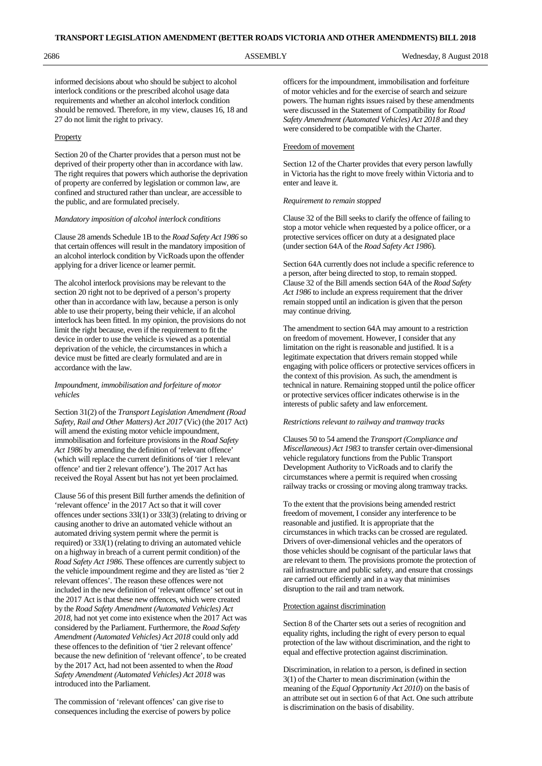informed decisions about who should be subject to alcohol interlock conditions or the prescribed alcohol usage data requirements and whether an alcohol interlock condition should be removed. Therefore, in my view, clauses 16, 18 and 27 do not limit the right to privacy.

### **Property**

Section 20 of the Charter provides that a person must not be deprived of their property other than in accordance with law. The right requires that powers which authorise the deprivation of property are conferred by legislation or common law, are confined and structured rather than unclear, are accessible to the public, and are formulated precisely.

#### *Mandatory imposition of alcohol interlock conditions*

Clause 28 amends Schedule 1B to the *Road Safety Act 1986* so that certain offences will result in the mandatory imposition of an alcohol interlock condition by VicRoads upon the offender applying for a driver licence or learner permit.

The alcohol interlock provisions may be relevant to the section 20 right not to be deprived of a person's property other than in accordance with law, because a person is only able to use their property, being their vehicle, if an alcohol interlock has been fitted. In my opinion, the provisions do not limit the right because, even if the requirement to fit the device in order to use the vehicle is viewed as a potential deprivation of the vehicle, the circumstances in which a device must be fitted are clearly formulated and are in accordance with the law.

### *Impoundment, immobilisation and forfeiture of motor vehicles*

Section 31(2) of the *Transport Legislation Amendment (Road Safety, Rail and Other Matters) Act 2017* (Vic) (the 2017 Act) will amend the existing motor vehicle impoundment, immobilisation and forfeiture provisions in the *Road Safety Act 1986* by amending the definition of 'relevant offence' (which will replace the current definitions of 'tier 1 relevant offence' and tier 2 relevant offence'). The 2017 Act has received the Royal Assent but has not yet been proclaimed.

Clause 56 of this present Bill further amends the definition of 'relevant offence' in the 2017 Act so that it will cover offences under sections 33I(1) or 33I(3) (relating to driving or causing another to drive an automated vehicle without an automated driving system permit where the permit is required) or 33J(1) (relating to driving an automated vehicle on a highway in breach of a current permit condition) of the *Road Safety Act 1986*. These offences are currently subject to the vehicle impoundment regime and they are listed as 'tier 2 relevant offences'. The reason these offences were not included in the new definition of 'relevant offence' set out in the 2017 Act is that these new offences, which were created by the *Road Safety Amendment (Automated Vehicles) Act 2018*, had not yet come into existence when the 2017 Act was considered by the Parliament. Furthermore, the *Road Safety Amendment (Automated Vehicles) Act 2018* could only add these offences to the definition of 'tier 2 relevant offence' because the new definition of 'relevant offence', to be created by the 2017 Act, had not been assented to when the *Road Safety Amendment (Automated Vehicles) Act 2018* was introduced into the Parliament.

The commission of 'relevant offences' can give rise to consequences including the exercise of powers by police officers for the impoundment, immobilisation and forfeiture of motor vehicles and for the exercise of search and seizure powers. The human rights issues raised by these amendments were discussed in the Statement of Compatibility for *Road Safety Amendment (Automated Vehicles) Act 2018* and they were considered to be compatible with the Charter.

#### Freedom of movement

Section 12 of the Charter provides that every person lawfully in Victoria has the right to move freely within Victoria and to enter and leave it.

#### *Requirement to remain stopped*

Clause 32 of the Bill seeks to clarify the offence of failing to stop a motor vehicle when requested by a police officer, or a protective services officer on duty at a designated place (under section 64A of the *Road Safety Act 1986*).

Section 64A currently does not include a specific reference to a person, after being directed to stop, to remain stopped. Clause 32 of the Bill amends section 64A of the *Road Safety Act 1986* to include an express requirement that the driver remain stopped until an indication is given that the person may continue driving.

The amendment to section 64A may amount to a restriction on freedom of movement. However, I consider that any limitation on the right is reasonable and justified. It is a legitimate expectation that drivers remain stopped while engaging with police officers or protective services officers in the context of this provision. As such, the amendment is technical in nature. Remaining stopped until the police officer or protective services officer indicates otherwise is in the interests of public safety and law enforcement.

## *Restrictions relevant to railway and tramway tracks*

Clauses 50 to 54 amend the *Transport (Compliance and Miscellaneous) Act 1983* to transfer certain over-dimensional vehicle regulatory functions from the Public Transport Development Authority to VicRoads and to clarify the circumstances where a permit is required when crossing railway tracks or crossing or moving along tramway tracks.

To the extent that the provisions being amended restrict freedom of movement, I consider any interference to be reasonable and justified. It is appropriate that the circumstances in which tracks can be crossed are regulated. Drivers of over-dimensional vehicles and the operators of those vehicles should be cognisant of the particular laws that are relevant to them. The provisions promote the protection of rail infrastructure and public safety, and ensure that crossings are carried out efficiently and in a way that minimises disruption to the rail and tram network.

#### Protection against discrimination

Section 8 of the Charter sets out a series of recognition and equality rights, including the right of every person to equal protection of the law without discrimination, and the right to equal and effective protection against discrimination.

Discrimination, in relation to a person, is defined in section 3(1) of the Charter to mean discrimination (within the meaning of the *Equal Opportunity Act 2010*) on the basis of an attribute set out in section 6 of that Act. One such attribute is discrimination on the basis of disability.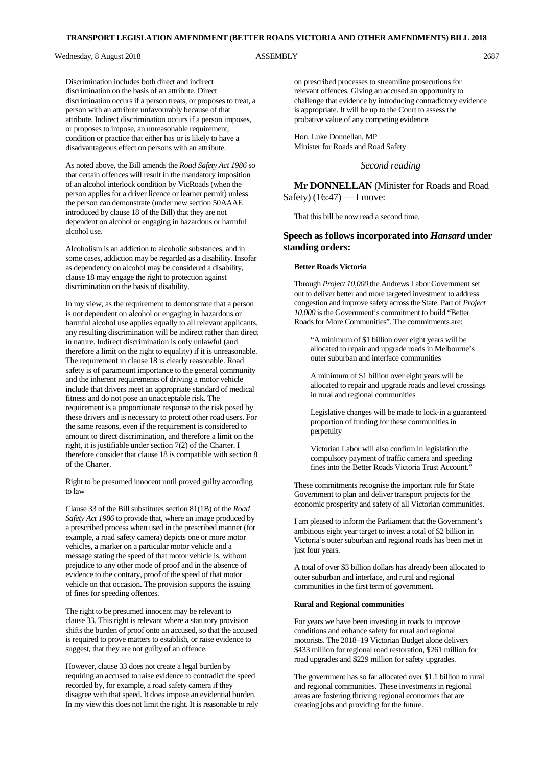Discrimination includes both direct and indirect discrimination on the basis of an attribute. Direct discrimination occurs if a person treats, or proposes to treat, a person with an attribute unfavourably because of that attribute. Indirect discrimination occurs if a person imposes, or proposes to impose, an unreasonable requirement, condition or practice that either has or is likely to have a disadvantageous effect on persons with an attribute.

As noted above, the Bill amends the *Road Safety Act 1986* so that certain offences will result in the mandatory imposition of an alcohol interlock condition by VicRoads (when the person applies for a driver licence or learner permit) unless the person can demonstrate (under new section 50AAAE introduced by clause 18 of the Bill) that they are not dependent on alcohol or engaging in hazardous or harmful alcohol use.

Alcoholism is an addiction to alcoholic substances, and in some cases, addiction may be regarded as a disability. Insofar as dependency on alcohol may be considered a disability, clause 18 may engage the right to protection against discrimination on the basis of disability.

In my view, as the requirement to demonstrate that a person is not dependent on alcohol or engaging in hazardous or harmful alcohol use applies equally to all relevant applicants, any resulting discrimination will be indirect rather than direct in nature. Indirect discrimination is only unlawful (and therefore a limit on the right to equality) if it is unreasonable. The requirement in clause 18 is clearly reasonable. Road safety is of paramount importance to the general community and the inherent requirements of driving a motor vehicle include that drivers meet an appropriate standard of medical fitness and do not pose an unacceptable risk. The requirement is a proportionate response to the risk posed by these drivers and is necessary to protect other road users. For the same reasons, even if the requirement is considered to amount to direct discrimination, and therefore a limit on the right, it is justifiable under section 7(2) of the Charter. I therefore consider that clause 18 is compatible with section 8 of the Charter.

# Right to be presumed innocent until proved guilty according to law

Clause 33 of the Bill substitutes section 81(1B) of the *Road Safety Act 1986* to provide that, where an image produced by a prescribed process when used in the prescribed manner (for example, a road safety camera) depicts one or more motor vehicles, a marker on a particular motor vehicle and a message stating the speed of that motor vehicle is, without prejudice to any other mode of proof and in the absence of evidence to the contrary, proof of the speed of that motor vehicle on that occasion. The provision supports the issuing of fines for speeding offences.

The right to be presumed innocent may be relevant to clause 33. This right is relevant where a statutory provision shifts the burden of proof onto an accused, so that the accused is required to prove matters to establish, or raise evidence to suggest, that they are not guilty of an offence.

However, clause 33 does not create a legal burden by requiring an accused to raise evidence to contradict the speed recorded by, for example, a road safety camera if they disagree with that speed. It does impose an evidential burden. In my view this does not limit the right. It is reasonable to rely on prescribed processes to streamline prosecutions for relevant offences. Giving an accused an opportunity to challenge that evidence by introducing contradictory evidence is appropriate. It will be up to the Court to assess the probative value of any competing evidence.

Hon. Luke Donnellan, MP Minister for Roads and Road Safety

*Second reading*

**Mr DONNELLAN** (Minister for Roads and Road Safety) (16:47) — I move:

That this bill be now read a second time.

# **Speech as follows incorporated into** *Hansard* **under standing orders:**

#### **Better Roads Victoria**

Through *Project 10,000* the Andrews Labor Government set out to deliver better and more targeted investment to address congestion and improve safety across the State. Part of *Project 10,000* is the Government's commitment to build "Better Roads for More Communities". The commitments are:

"A minimum of \$1 billion over eight years will be allocated to repair and upgrade roads in Melbourne's outer suburban and interface communities

A minimum of \$1 billion over eight years will be allocated to repair and upgrade roads and level crossings in rural and regional communities

Legislative changes will be made to lock-in a guaranteed proportion of funding for these communities in perpetuity

Victorian Labor will also confirm in legislation the compulsory payment of traffic camera and speeding fines into the Better Roads Victoria Trust Account.

These commitments recognise the important role for State Government to plan and deliver transport projects for the economic prosperity and safety of all Victorian communities.

I am pleased to inform the Parliament that the Government's ambitious eight year target to invest a total of \$2 billion in Victoria's outer suburban and regional roads has been met in just four years.

A total of over \$3 billion dollars has already been allocated to outer suburban and interface, and rural and regional communities in the first term of government.

### **Rural and Regional communities**

For years we have been investing in roads to improve conditions and enhance safety for rural and regional motorists. The 2018–19 Victorian Budget alone delivers \$433 million for regional road restoration, \$261 million for road upgrades and \$229 million for safety upgrades.

The government has so far allocated over \$1.1 billion to rural and regional communities. These investments in regional areas are fostering thriving regional economies that are creating jobs and providing for the future.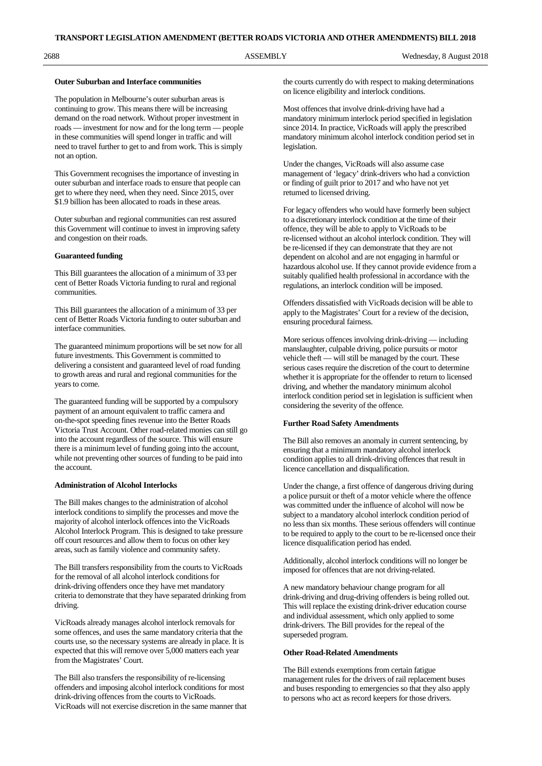2688 ASSEMBLY Wednesday, 8 August 2018

#### **Outer Suburban and Interface communities**

The population in Melbourne's outer suburban areas is continuing to grow. This means there will be increasing demand on the road network. Without proper investment in roads — investment for now and for the long term — people in these communities will spend longer in traffic and will need to travel further to get to and from work. This is simply not an option.

This Government recognises the importance of investing in outer suburban and interface roads to ensure that people can get to where they need, when they need. Since 2015, over \$1.9 billion has been allocated to roads in these areas.

Outer suburban and regional communities can rest assured this Government will continue to invest in improving safety and congestion on their roads.

### **Guaranteed funding**

This Bill guarantees the allocation of a minimum of 33 per cent of Better Roads Victoria funding to rural and regional communities.

This Bill guarantees the allocation of a minimum of 33 per cent of Better Roads Victoria funding to outer suburban and interface communities.

The guaranteed minimum proportions will be set now for all future investments. This Government is committed to delivering a consistent and guaranteed level of road funding to growth areas and rural and regional communities for the years to come.

The guaranteed funding will be supported by a compulsory payment of an amount equivalent to traffic camera and on-the-spot speeding fines revenue into the Better Roads Victoria Trust Account. Other road-related monies can still go into the account regardless of the source. This will ensure there is a minimum level of funding going into the account, while not preventing other sources of funding to be paid into the account.

### **Administration of Alcohol Interlocks**

The Bill makes changes to the administration of alcohol interlock conditions to simplify the processes and move the majority of alcohol interlock offences into the VicRoads Alcohol Interlock Program. This is designed to take pressure off court resources and allow them to focus on other key areas, such as family violence and community safety.

The Bill transfers responsibility from the courts to VicRoads for the removal of all alcohol interlock conditions for drink-driving offenders once they have met mandatory criteria to demonstrate that they have separated drinking from driving.

VicRoads already manages alcohol interlock removals for some offences, and uses the same mandatory criteria that the courts use, so the necessary systems are already in place. It is expected that this will remove over 5,000 matters each year from the Magistrates' Court.

The Bill also transfers the responsibility of re-licensing offenders and imposing alcohol interlock conditions for most drink-driving offences from the courts to VicRoads. VicRoads will not exercise discretion in the same manner that the courts currently do with respect to making determinations on licence eligibility and interlock conditions.

Most offences that involve drink-driving have had a mandatory minimum interlock period specified in legislation since 2014. In practice, VicRoads will apply the prescribed mandatory minimum alcohol interlock condition period set in legislation.

Under the changes, VicRoads will also assume case management of 'legacy' drink-drivers who had a conviction or finding of guilt prior to 2017 and who have not yet returned to licensed driving.

For legacy offenders who would have formerly been subject to a discretionary interlock condition at the time of their offence, they will be able to apply to VicRoads to be re-licensed without an alcohol interlock condition. They will be re-licensed if they can demonstrate that they are not dependent on alcohol and are not engaging in harmful or hazardous alcohol use. If they cannot provide evidence from a suitably qualified health professional in accordance with the regulations, an interlock condition will be imposed.

Offenders dissatisfied with VicRoads decision will be able to apply to the Magistrates' Court for a review of the decision, ensuring procedural fairness.

More serious offences involving drink-driving — including manslaughter, culpable driving, police pursuits or motor vehicle theft — will still be managed by the court. These serious cases require the discretion of the court to determine whether it is appropriate for the offender to return to licensed driving, and whether the mandatory minimum alcohol interlock condition period set in legislation is sufficient when considering the severity of the offence.

#### **Further Road Safety Amendments**

The Bill also removes an anomaly in current sentencing, by ensuring that a minimum mandatory alcohol interlock condition applies to all drink-driving offences that result in licence cancellation and disqualification.

Under the change, a first offence of dangerous driving during a police pursuit or theft of a motor vehicle where the offence was committed under the influence of alcohol will now be subject to a mandatory alcohol interlock condition period of no less than six months. These serious offenders will continue to be required to apply to the court to be re-licensed once their licence disqualification period has ended.

Additionally, alcohol interlock conditions will no longer be imposed for offences that are not driving-related.

A new mandatory behaviour change program for all drink-driving and drug-driving offenders is being rolled out. This will replace the existing drink-driver education course and individual assessment, which only applied to some drink-drivers. The Bill provides for the repeal of the superseded program.

#### **Other Road-Related Amendments**

The Bill extends exemptions from certain fatigue management rules for the drivers of rail replacement buses and buses responding to emergencies so that they also apply to persons who act as record keepers for those drivers.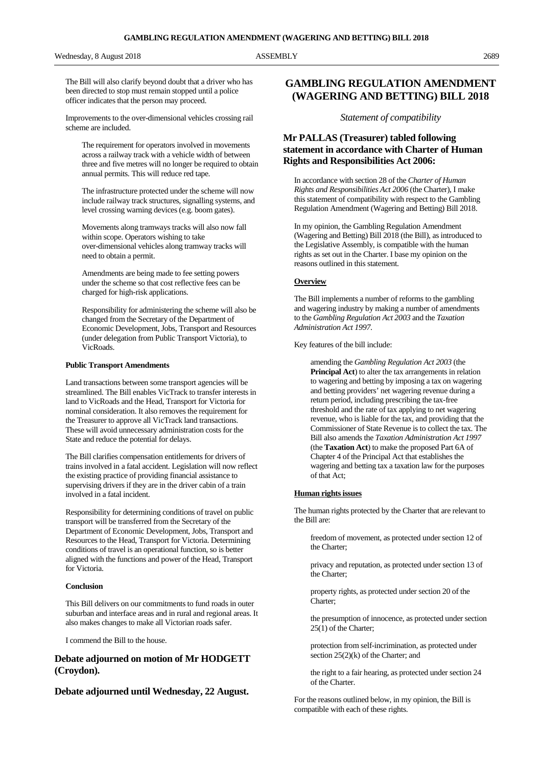The Bill will also clarify beyond doubt that a driver who has been directed to stop must remain stopped until a police officer indicates that the person may proceed.

Improvements to the over-dimensional vehicles crossing rail scheme are included.

The requirement for operators involved in movements across a railway track with a vehicle width of between three and five metres will no longer be required to obtain annual permits. This will reduce red tape.

The infrastructure protected under the scheme will now include railway track structures, signalling systems, and level crossing warning devices (e.g. boom gates).

Movements along tramways tracks will also now fall within scope. Operators wishing to take over-dimensional vehicles along tramway tracks will need to obtain a permit.

Amendments are being made to fee setting powers under the scheme so that cost reflective fees can be charged for high-risk applications.

Responsibility for administering the scheme will also be changed from the Secretary of the Department of Economic Development, Jobs, Transport and Resources (under delegation from Public Transport Victoria), to VicRoads.

#### **Public Transport Amendments**

Land transactions between some transport agencies will be streamlined. The Bill enables VicTrack to transfer interests in land to VicRoads and the Head, Transport for Victoria for nominal consideration. It also removes the requirement for the Treasurer to approve all VicTrack land transactions. These will avoid unnecessary administration costs for the State and reduce the potential for delays.

The Bill clarifies compensation entitlements for drivers of trains involved in a fatal accident. Legislation will now reflect the existing practice of providing financial assistance to supervising drivers if they are in the driver cabin of a train involved in a fatal incident.

Responsibility for determining conditions of travel on public transport will be transferred from the Secretary of the Department of Economic Development, Jobs, Transport and Resources to the Head, Transport for Victoria. Determining conditions of travel is an operational function, so is better aligned with the functions and power of the Head, Transport for Victoria.

#### **Conclusion**

This Bill delivers on our commitments to fund roads in outer suburban and interface areas and in rural and regional areas. It also makes changes to make all Victorian roads safer.

I commend the Bill to the house.

# **Debate adjourned on motion of Mr HODGETT (Croydon).**

**Debate adjourned until Wednesday, 22 August.**

# **GAMBLING REGULATION AMENDMENT (WAGERING AND BETTING) BILL 2018**

*Statement of compatibility*

# **Mr PALLAS (Treasurer) tabled following statement in accordance with Charter of Human Rights and Responsibilities Act 2006:**

In accordance with section 28 of the *Charter of Human Rights and Responsibilities Act 2006* (the Charter), I make this statement of compatibility with respect to the Gambling Regulation Amendment (Wagering and Betting) Bill 2018.

In my opinion, the Gambling Regulation Amendment (Wagering and Betting) Bill 2018 (the Bill), as introduced to the Legislative Assembly, is compatible with the human rights as set out in the Charter. I base my opinion on the reasons outlined in this statement.

#### **Overview**

The Bill implements a number of reforms to the gambling and wagering industry by making a number of amendments to the *Gambling Regulation Act 2003* and the *Taxation Administration Act 1997*.

Key features of the bill include:

amending the *Gambling Regulation Act 2003* (the **Principal Act**) to alter the tax arrangements in relation to wagering and betting by imposing a tax on wagering and betting providers' net wagering revenue during a return period, including prescribing the tax-free threshold and the rate of tax applying to net wagering revenue, who is liable for the tax, and providing that the Commissioner of State Revenue is to collect the tax. The Bill also amends the *Taxation Administration Act 1997* (the **Taxation Act**) to make the proposed Part 6A of Chapter 4 of the Principal Act that establishes the wagering and betting tax a taxation law for the purposes of that Act;

#### **Human rights issues**

The human rights protected by the Charter that are relevant to the Bill are:

freedom of movement, as protected under section 12 of the Charter;

privacy and reputation, as protected under section 13 of the Charter;

property rights, as protected under section 20 of the Charter;

the presumption of innocence, as protected under section 25(1) of the Charter;

protection from self-incrimination, as protected under section 25(2)(k) of the Charter; and

the right to a fair hearing, as protected under section 24 of the Charter.

For the reasons outlined below, in my opinion, the Bill is compatible with each of these rights.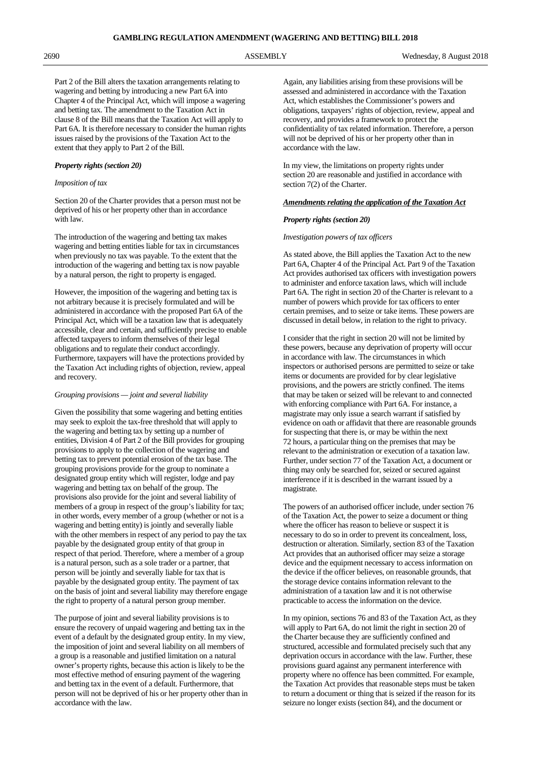Part 2 of the Bill alters the taxation arrangements relating to wagering and betting by introducing a new Part 6A into Chapter 4 of the Principal Act, which will impose a wagering and betting tax. The amendment to the Taxation Act in clause 8 of the Bill means that the Taxation Act will apply to Part 6A. It is therefore necessary to consider the human rights issues raised by the provisions of the Taxation Act to the extent that they apply to Part 2 of the Bill.

#### *Property rights (section 20)*

## *Imposition of tax*

Section 20 of the Charter provides that a person must not be deprived of his or her property other than in accordance with law.

The introduction of the wagering and betting tax makes wagering and betting entities liable for tax in circumstances when previously no tax was payable. To the extent that the introduction of the wagering and betting tax is now payable by a natural person, the right to property is engaged.

However, the imposition of the wagering and betting tax is not arbitrary because it is precisely formulated and will be administered in accordance with the proposed Part 6A of the Principal Act, which will be a taxation law that is adequately accessible, clear and certain, and sufficiently precise to enable affected taxpayers to inform themselves of their legal obligations and to regulate their conduct accordingly. Furthermore, taxpayers will have the protections provided by the Taxation Act including rights of objection, review, appeal and recovery.

### *Grouping provisions — joint and several liability*

Given the possibility that some wagering and betting entities may seek to exploit the tax-free threshold that will apply to the wagering and betting tax by setting up a number of entities, Division 4 of Part 2 of the Bill provides for grouping provisions to apply to the collection of the wagering and betting tax to prevent potential erosion of the tax base. The grouping provisions provide for the group to nominate a designated group entity which will register, lodge and pay wagering and betting tax on behalf of the group. The provisions also provide for the joint and several liability of members of a group in respect of the group's liability for tax; in other words, every member of a group (whether or not is a wagering and betting entity) is jointly and severally liable with the other members in respect of any period to pay the tax payable by the designated group entity of that group in respect of that period. Therefore, where a member of a group is a natural person, such as a sole trader or a partner, that person will be jointly and severally liable for tax that is payable by the designated group entity. The payment of tax on the basis of joint and several liability may therefore engage the right to property of a natural person group member.

The purpose of joint and several liability provisions is to ensure the recovery of unpaid wagering and betting tax in the event of a default by the designated group entity. In my view, the imposition of joint and several liability on all members of a group is a reasonable and justified limitation on a natural owner's property rights, because this action is likely to be the most effective method of ensuring payment of the wagering and betting tax in the event of a default. Furthermore, that person will not be deprived of his or her property other than in accordance with the law.

Again, any liabilities arising from these provisions will be assessed and administered in accordance with the Taxation Act, which establishes the Commissioner's powers and obligations, taxpayers' rights of objection, review, appeal and recovery, and provides a framework to protect the confidentiality of tax related information. Therefore, a person will not be deprived of his or her property other than in accordance with the law.

In my view, the limitations on property rights under section 20 are reasonable and justified in accordance with section 7(2) of the Charter.

#### *Amendments relating the application of the Taxation Act*

#### *Property rights (section 20)*

#### *Investigation powers of tax officers*

As stated above, the Bill applies the Taxation Act to the new Part 6A, Chapter 4 of the Principal Act. Part 9 of the Taxation Act provides authorised tax officers with investigation powers to administer and enforce taxation laws, which will include Part 6A. The right in section 20 of the Charter is relevant to a number of powers which provide for tax officers to enter certain premises, and to seize or take items. These powers are discussed in detail below, in relation to the right to privacy.

I consider that the right in section 20 will not be limited by these powers, because any deprivation of property will occur in accordance with law. The circumstances in which inspectors or authorised persons are permitted to seize or take items or documents are provided for by clear legislative provisions, and the powers are strictly confined. The items that may be taken or seized will be relevant to and connected with enforcing compliance with Part 6A. For instance, a magistrate may only issue a search warrant if satisfied by evidence on oath or affidavit that there are reasonable grounds for suspecting that there is, or may be within the next 72 hours, a particular thing on the premises that may be relevant to the administration or execution of a taxation law. Further, under section 77 of the Taxation Act, a document or thing may only be searched for, seized or secured against interference if it is described in the warrant issued by a magistrate.

The powers of an authorised officer include, under section 76 of the Taxation Act, the power to seize a document or thing where the officer has reason to believe or suspect it is necessary to do so in order to prevent its concealment, loss, destruction or alteration. Similarly, section 83 of the Taxation Act provides that an authorised officer may seize a storage device and the equipment necessary to access information on the device if the officer believes, on reasonable grounds, that the storage device contains information relevant to the administration of a taxation law and it is not otherwise practicable to access the information on the device.

In my opinion, sections 76 and 83 of the Taxation Act, as they will apply to Part 6A, do not limit the right in section 20 of the Charter because they are sufficiently confined and structured, accessible and formulated precisely such that any deprivation occurs in accordance with the law. Further, these provisions guard against any permanent interference with property where no offence has been committed. For example, the Taxation Act provides that reasonable steps must be taken to return a document or thing that is seized if the reason for its seizure no longer exists (section 84), and the document or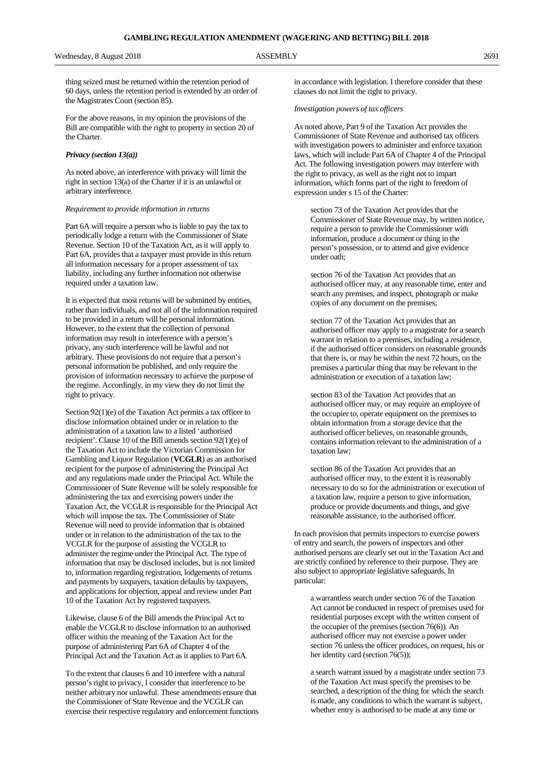thing seized must be returned within the retention period of 60 days, unless the retention period is extended by an order of the Magistrates Court (section 85).

For the above reasons, in my opinion the provisions of the Bill are compatible with the right to property in section 20 of the Charter.

#### *Privacy (section 13(a))*

As noted above, an interference with privacy will limit the right in section 13(a) of the Charter if it is an unlawful or arbitrary interference.

#### *Requirement to provide information in returns*

Part 6A will require a person who is liable to pay the tax to periodically lodge a return with the Commissioner of State Revenue. Section 10 of the Taxation Act, as it will apply to Part 6A, provides that a taxpayer must provide in this return all information necessary for a proper assessment of tax liability, including any further information not otherwise required under a taxation law.

It is expected that most returns will be submitted by entities, rather than individuals, and not all of the information required to be provided in a return will be personal information. However, to the extent that the collection of personal information may result in interference with a person's privacy, any such interference will be lawful and not arbitrary. These provisions do not require that a person's personal information be published, and only require the provision of information necessary to achieve the purpose of the regime. Accordingly, in my view they do not limit the right to privacy.

Section 92(1)(e) of the Taxation Act permits a tax officer to disclose information obtained under or in relation to the administration of a taxation law to a listed 'authorised recipient'. Clause 10 of the Bill amends section 92(1)(e) of the Taxation Act to include the Victorian Commission for Gambling and Liquor Regulation (**VCGLR**) as an authorised recipient for the purpose of administering the Principal Act and any regulations made under the Principal Act. While the Commissioner of State Revenue will be solely responsible for administering the tax and exercising powers under the Taxation Act, the VCGLR is responsible for the Principal Act which will impose the tax. The Commissioner of State Revenue will need to provide information that is obtained under or in relation to the administration of the tax to the VCGLR for the purpose of assisting the VCGLR to administer the regime under the Principal Act. The type of information that may be disclosed includes, but is not limited to, information regarding registration, lodgements of returns and payments by taxpayers, taxation defaults by taxpayers, and applications for objection, appeal and review under Part 10 of the Taxation Act by registered taxpayers.

Likewise, clause 6 of the Bill amends the Principal Act to enable the VCGLR to disclose information to an authorised officer within the meaning of the Taxation Act for the purpose of administering Part 6A of Chapter 4 of the Principal Act and the Taxation Act as it applies to Part 6A.

To the extent that clauses 6 and 10 interfere with a natural person's right to privacy, I consider that interference to be neither arbitrary nor unlawful. These amendments ensure that the Commissioner of State Revenue and the VCGLR can exercise their respective regulatory and enforcement functions in accordance with legislation. I therefore consider that these clauses do not limit the right to privacy.

#### *Investigation powers of tax officers*

As noted above, Part 9 of the Taxation Act provides the Commissioner of State Revenue and authorised tax officers with investigation powers to administer and enforce taxation laws, which will include Part 6A of Chapter 4 of the Principal Act. The following investigation powers may interfere with the right to privacy, as well as the right not to impart information, which forms part of the right to freedom of expression under s 15 of the Charter:

section 73 of the Taxation Act provides that the Commissioner of State Revenue may, by written notice, require a person to provide the Commissioner with information, produce a document or thing in the person's possession, or to attend and give evidence under oath;

section 76 of the Taxation Act provides that an authorised officer may, at any reasonable time, enter and search any premises, and inspect, photograph or make copies of any document on the premises;

section 77 of the Taxation Act provides that an authorised officer may apply to a magistrate for a search warrant in relation to a premises, including a residence, if the authorised officer considers on reasonable grounds that there is, or may be within the next 72 hours, on the premises a particular thing that may be relevant to the administration or execution of a taxation law;

section 83 of the Taxation Act provides that an authorised officer may, or may require an employee of the occupier to, operate equipment on the premises to obtain information from a storage device that the authorised officer believes, on reasonable grounds, contains information relevant to the administration of a taxation law;

section 86 of the Taxation Act provides that an authorised officer may, to the extent it is reasonably necessary to do so for the administration or execution of a taxation law, require a person to give information, produce or provide documents and things, and give reasonable assistance, to the authorised officer.

In each provision that permits inspectors to exercise powers of entry and search, the powers of inspectors and other authorised persons are clearly set out in the Taxation Act and are strictly confined by reference to their purpose. They are also subject to appropriate legislative safeguards. In particular:

a warrantless search under section 76 of the Taxation Act cannot be conducted in respect of premises used for residential purposes except with the written consent of the occupier of the premises (section 76(6)). An authorised officer may not exercise a power under section 76 unless the officer produces, on request, his or her identity card (section 76(5));

a search warrant issued by a magistrate under section 73 of the Taxation Act must specify the premises to be searched, a description of the thing for which the search is made, any conditions to which the warrant is subject, whether entry is authorised to be made at any time or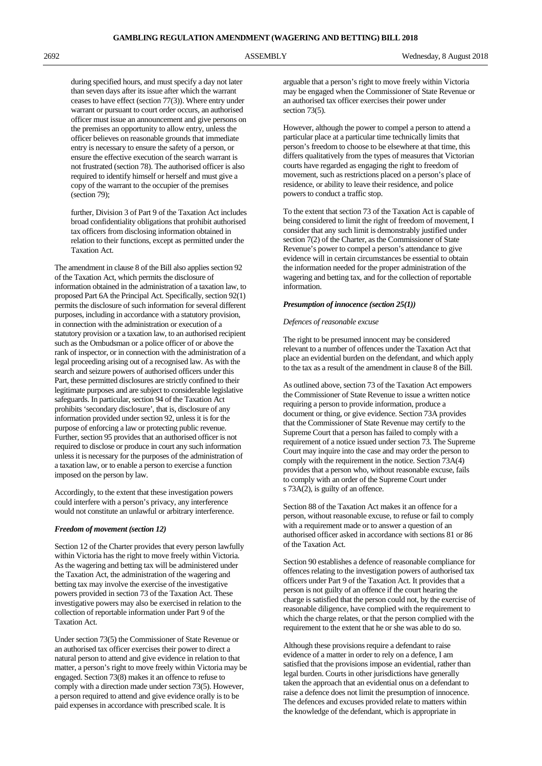during specified hours, and must specify a day not later than seven days after its issue after which the warrant ceases to have effect (section 77(3)). Where entry under warrant or pursuant to court order occurs, an authorised officer must issue an announcement and give persons on the premises an opportunity to allow entry, unless the officer believes on reasonable grounds that immediate entry is necessary to ensure the safety of a person, or ensure the effective execution of the search warrant is not frustrated (section 78). The authorised officer is also required to identify himself or herself and must give a copy of the warrant to the occupier of the premises (section 79);

further, Division 3 of Part 9 of the Taxation Act includes broad confidentiality obligations that prohibit authorised tax officers from disclosing information obtained in relation to their functions, except as permitted under the Taxation Act.

The amendment in clause 8 of the Bill also applies section 92 of the Taxation Act, which permits the disclosure of information obtained in the administration of a taxation law, to proposed Part 6A the Principal Act. Specifically, section 92(1) permits the disclosure of such information for several different purposes, including in accordance with a statutory provision, in connection with the administration or execution of a statutory provision or a taxation law, to an authorised recipient such as the Ombudsman or a police officer of or above the rank of inspector, or in connection with the administration of a legal proceeding arising out of a recognised law. As with the search and seizure powers of authorised officers under this Part, these permitted disclosures are strictly confined to their legitimate purposes and are subject to considerable legislative safeguards. In particular, section 94 of the Taxation Act prohibits 'secondary disclosure', that is, disclosure of any information provided under section 92, unless it is for the purpose of enforcing a law or protecting public revenue. Further, section 95 provides that an authorised officer is not required to disclose or produce in court any such information unless it is necessary for the purposes of the administration of a taxation law, or to enable a person to exercise a function imposed on the person by law.

Accordingly, to the extent that these investigation powers could interfere with a person's privacy, any interference would not constitute an unlawful or arbitrary interference.

#### *Freedom of movement (section 12)*

Section 12 of the Charter provides that every person lawfully within Victoria has the right to move freely within Victoria. As the wagering and betting tax will be administered under the Taxation Act, the administration of the wagering and betting tax may involve the exercise of the investigative powers provided in section 73 of the Taxation Act. These investigative powers may also be exercised in relation to the collection of reportable information under Part 9 of the Taxation Act.

Under section 73(5) the Commissioner of State Revenue or an authorised tax officer exercises their power to direct a natural person to attend and give evidence in relation to that matter, a person's right to move freely within Victoria may be engaged. Section 73(8) makes it an offence to refuse to comply with a direction made under section 73(5). However, a person required to attend and give evidence orally is to be paid expenses in accordance with prescribed scale. It is

arguable that a person's right to move freely within Victoria may be engaged when the Commissioner of State Revenue or an authorised tax officer exercises their power under section 73(5).

However, although the power to compel a person to attend a particular place at a particular time technically limits that person's freedom to choose to be elsewhere at that time, this differs qualitatively from the types of measures that Victorian courts have regarded as engaging the right to freedom of movement, such as restrictions placed on a person's place of residence, or ability to leave their residence, and police powers to conduct a traffic stop.

To the extent that section 73 of the Taxation Act is capable of being considered to limit the right of freedom of movement, I consider that any such limit is demonstrably justified under section 7(2) of the Charter, as the Commissioner of State Revenue's power to compel a person's attendance to give evidence will in certain circumstances be essential to obtain the information needed for the proper administration of the wagering and betting tax, and for the collection of reportable information.

#### *Presumption of innocence (section 25(1))*

## *Defences of reasonable excuse*

The right to be presumed innocent may be considered relevant to a number of offences under the Taxation Act that place an evidential burden on the defendant, and which apply to the tax as a result of the amendment in clause 8 of the Bill.

As outlined above, section 73 of the Taxation Act empowers the Commissioner of State Revenue to issue a written notice requiring a person to provide information, produce a document or thing, or give evidence. Section 73A provides that the Commissioner of State Revenue may certify to the Supreme Court that a person has failed to comply with a requirement of a notice issued under section 73. The Supreme Court may inquire into the case and may order the person to comply with the requirement in the notice. Section 73A(4) provides that a person who, without reasonable excuse, fails to comply with an order of the Supreme Court under s 73A(2), is guilty of an offence.

Section 88 of the Taxation Act makes it an offence for a person, without reasonable excuse, to refuse or fail to comply with a requirement made or to answer a question of an authorised officer asked in accordance with sections 81 or 86 of the Taxation Act.

Section 90 establishes a defence of reasonable compliance for offences relating to the investigation powers of authorised tax officers under Part 9 of the Taxation Act. It provides that a person is not guilty of an offence if the court hearing the charge is satisfied that the person could not, by the exercise of reasonable diligence, have complied with the requirement to which the charge relates, or that the person complied with the requirement to the extent that he or she was able to do so.

Although these provisions require a defendant to raise evidence of a matter in order to rely on a defence, I am satisfied that the provisions impose an evidential, rather than legal burden. Courts in other jurisdictions have generally taken the approach that an evidential onus on a defendant to raise a defence does not limit the presumption of innocence. The defences and excuses provided relate to matters within the knowledge of the defendant, which is appropriate in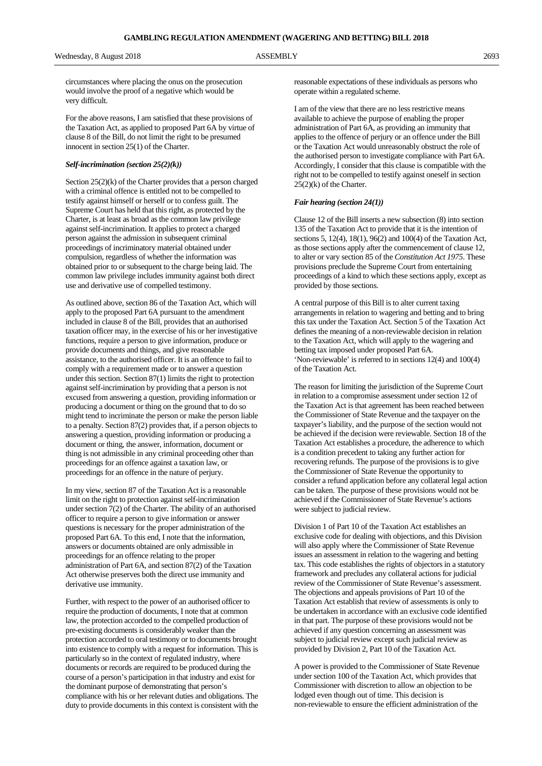circumstances where placing the onus on the prosecution would involve the proof of a negative which would be very difficult.

For the above reasons, I am satisfied that these provisions of the Taxation Act, as applied to proposed Part 6A by virtue of clause 8 of the Bill, do not limit the right to be presumed innocent in section 25(1) of the Charter.

#### *Self-incrimination (section 25(2)(k))*

Section 25(2)(k) of the Charter provides that a person charged with a criminal offence is entitled not to be compelled to testify against himself or herself or to confess guilt. The Supreme Court has held that this right, as protected by the Charter, is at least as broad as the common law privilege against self-incrimination. It applies to protect a charged person against the admission in subsequent criminal proceedings of incriminatory material obtained under compulsion, regardless of whether the information was obtained prior to or subsequent to the charge being laid. The common law privilege includes immunity against both direct use and derivative use of compelled testimony.

As outlined above, section 86 of the Taxation Act, which will apply to the proposed Part 6A pursuant to the amendment included in clause 8 of the Bill, provides that an authorised taxation officer may, in the exercise of his or her investigative functions, require a person to give information, produce or provide documents and things, and give reasonable assistance, to the authorised officer. It is an offence to fail to comply with a requirement made or to answer a question under this section. Section 87(1) limits the right to protection against self-incrimination by providing that a person is not excused from answering a question, providing information or producing a document or thing on the ground that to do so might tend to incriminate the person or make the person liable to a penalty. Section 87(2) provides that, if a person objects to answering a question, providing information or producing a document or thing, the answer, information, document or thing is not admissible in any criminal proceeding other than proceedings for an offence against a taxation law, or proceedings for an offence in the nature of perjury.

In my view, section 87 of the Taxation Act is a reasonable limit on the right to protection against self-incrimination under section 7(2) of the Charter. The ability of an authorised officer to require a person to give information or answer questions is necessary for the proper administration of the proposed Part 6A. To this end, I note that the information, answers or documents obtained are only admissible in proceedings for an offence relating to the proper administration of Part 6A, and section 87(2) of the Taxation Act otherwise preserves both the direct use immunity and derivative use immunity.

Further, with respect to the power of an authorised officer to require the production of documents, I note that at common law, the protection accorded to the compelled production of pre-existing documents is considerably weaker than the protection accorded to oral testimony or to documents brought into existence to comply with a request for information. This is particularly so in the context of regulated industry, where documents or records are required to be produced during the course of a person's participation in that industry and exist for the dominant purpose of demonstrating that person's compliance with his or her relevant duties and obligations. The duty to provide documents in this context is consistent with the

reasonable expectations of these individuals as persons who operate within a regulated scheme.

I am of the view that there are no less restrictive means available to achieve the purpose of enabling the proper administration of Part 6A, as providing an immunity that applies to the offence of perjury or an offence under the Bill or the Taxation Act would unreasonably obstruct the role of the authorised person to investigate compliance with Part 6A. Accordingly, I consider that this clause is compatible with the right not to be compelled to testify against oneself in section 25(2)(k) of the Charter.

#### *Fair hearing (section 24(1))*

Clause 12 of the Bill inserts a new subsection (8) into section 135 of the Taxation Act to provide that it is the intention of sections 5, 12(4), 18(1), 96(2) and 100(4) of the Taxation Act, as those sections apply after the commencement of clause 12, to alter or vary section 85 of the *Constitution Act 1975*. These provisions preclude the Supreme Court from entertaining proceedings of a kind to which these sections apply, except as provided by those sections.

A central purpose of this Bill is to alter current taxing arrangements in relation to wagering and betting and to bring this tax under the Taxation Act. Section 5 of the Taxation Act defines the meaning of a non-reviewable decision in relation to the Taxation Act, which will apply to the wagering and betting tax imposed under proposed Part 6A. 'Non-reviewable' is referred to in sections 12(4) and 100(4) of the Taxation Act.

The reason for limiting the jurisdiction of the Supreme Court in relation to a compromise assessment under section 12 of the Taxation Act is that agreement has been reached between the Commissioner of State Revenue and the taxpayer on the taxpayer's liability, and the purpose of the section would not be achieved if the decision were reviewable. Section 18 of the Taxation Act establishes a procedure, the adherence to which is a condition precedent to taking any further action for recovering refunds. The purpose of the provisions is to give the Commissioner of State Revenue the opportunity to consider a refund application before any collateral legal action can be taken. The purpose of these provisions would not be achieved if the Commissioner of State Revenue's actions were subject to judicial review.

Division 1 of Part 10 of the Taxation Act establishes an exclusive code for dealing with objections, and this Division will also apply where the Commissioner of State Revenue issues an assessment in relation to the wagering and betting tax. This code establishes the rights of objectors in a statutory framework and precludes any collateral actions for judicial review of the Commissioner of State Revenue's assessment. The objections and appeals provisions of Part 10 of the Taxation Act establish that review of assessments is only to be undertaken in accordance with an exclusive code identified in that part. The purpose of these provisions would not be achieved if any question concerning an assessment was subject to judicial review except such judicial review as provided by Division 2, Part 10 of the Taxation Act.

A power is provided to the Commissioner of State Revenue under section 100 of the Taxation Act, which provides that Commissioner with discretion to allow an objection to be lodged even though out of time. This decision is non-reviewable to ensure the efficient administration of the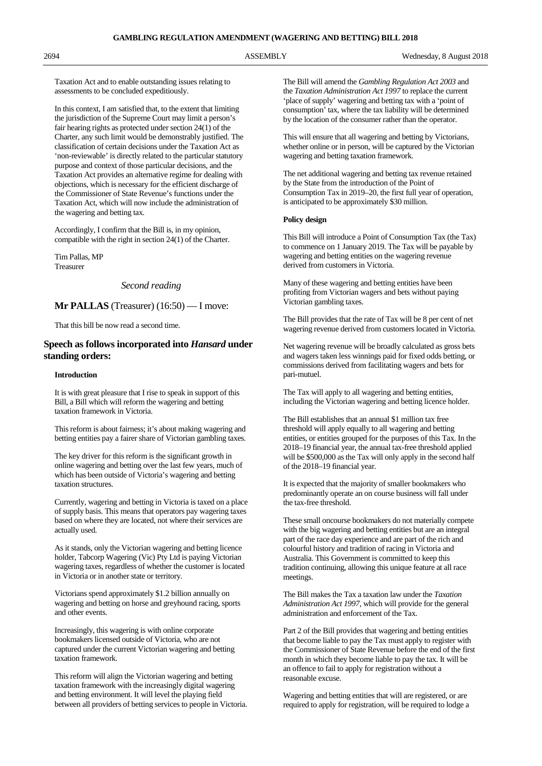Taxation Act and to enable outstanding issues relating to assessments to be concluded expeditiously.

In this context, I am satisfied that, to the extent that limiting the jurisdiction of the Supreme Court may limit a person's fair hearing rights as protected under section 24(1) of the Charter, any such limit would be demonstrably justified. The classification of certain decisions under the Taxation Act as 'non-reviewable' is directly related to the particular statutory purpose and context of those particular decisions, and the Taxation Act provides an alternative regime for dealing with objections, which is necessary for the efficient discharge of the Commissioner of State Revenue's functions under the Taxation Act, which will now include the administration of the wagering and betting tax.

Accordingly, I confirm that the Bill is, in my opinion, compatible with the right in section 24(1) of the Charter.

Tim Pallas, MP Treasurer

### *Second reading*

### **Mr PALLAS** (Treasurer) (16:50) — I move:

That this bill be now read a second time.

# **Speech as follows incorporated into** *Hansard* **under standing orders:**

#### **Introduction**

It is with great pleasure that I rise to speak in support of this Bill, a Bill which will reform the wagering and betting taxation framework in Victoria.

This reform is about fairness; it's about making wagering and betting entities pay a fairer share of Victorian gambling taxes.

The key driver for this reform is the significant growth in online wagering and betting over the last few years, much of which has been outside of Victoria's wagering and betting taxation structures.

Currently, wagering and betting in Victoria is taxed on a place of supply basis. This means that operators pay wagering taxes based on where they are located, not where their services are actually used.

As it stands, only the Victorian wagering and betting licence holder, Tabcorp Wagering (Vic) Pty Ltd is paying Victorian wagering taxes, regardless of whether the customer is located in Victoria or in another state or territory.

Victorians spend approximately \$1.2 billion annually on wagering and betting on horse and greyhound racing, sports and other events.

Increasingly, this wagering is with online corporate bookmakers licensed outside of Victoria, who are not captured under the current Victorian wagering and betting taxation framework.

This reform will align the Victorian wagering and betting taxation framework with the increasingly digital wagering and betting environment. It will level the playing field between all providers of betting services to people in Victoria. The Bill will amend the *Gambling Regulation Act 2003* and the *Taxation Administration Act 1997* to replace the current 'place of supply' wagering and betting tax with a 'point of consumption' tax, where the tax liability will be determined by the location of the consumer rather than the operator.

This will ensure that all wagering and betting by Victorians, whether online or in person, will be captured by the Victorian wagering and betting taxation framework.

The net additional wagering and betting tax revenue retained by the State from the introduction of the Point of Consumption Tax in 2019–20, the first full year of operation, is anticipated to be approximately \$30 million.

### **Policy design**

This Bill will introduce a Point of Consumption Tax (the Tax) to commence on 1 January 2019. The Tax will be payable by wagering and betting entities on the wagering revenue derived from customers in Victoria.

Many of these wagering and betting entities have been profiting from Victorian wagers and bets without paying Victorian gambling taxes.

The Bill provides that the rate of Tax will be 8 per cent of net wagering revenue derived from customers located in Victoria.

Net wagering revenue will be broadly calculated as gross bets and wagers taken less winnings paid for fixed odds betting, or commissions derived from facilitating wagers and bets for pari-mutuel.

The Tax will apply to all wagering and betting entities, including the Victorian wagering and betting licence holder.

The Bill establishes that an annual \$1 million tax free threshold will apply equally to all wagering and betting entities, or entities grouped for the purposes of this Tax. In the 2018–19 financial year, the annual tax-free threshold applied will be \$500,000 as the Tax will only apply in the second half of the 2018–19 financial year.

It is expected that the majority of smaller bookmakers who predominantly operate an on course business will fall under the tax-free threshold.

These small oncourse bookmakers do not materially compete with the big wagering and betting entities but are an integral part of the race day experience and are part of the rich and colourful history and tradition of racing in Victoria and Australia. This Government is committed to keep this tradition continuing, allowing this unique feature at all race meetings.

The Bill makes the Tax a taxation law under the *Taxation Administration Act 1997*, which will provide for the general administration and enforcement of the Tax.

Part 2 of the Bill provides that wagering and betting entities that become liable to pay the Tax must apply to register with the Commissioner of State Revenue before the end of the first month in which they become liable to pay the tax. It will be an offence to fail to apply for registration without a reasonable excuse.

Wagering and betting entities that will are registered, or are required to apply for registration, will be required to lodge a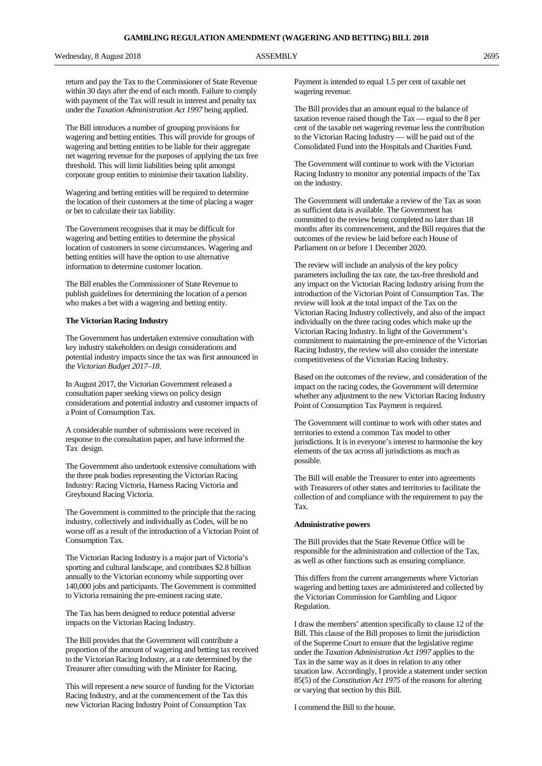return and pay the Tax to the Commissioner of State Revenue within 30 days after the end of each month. Failure to comply with payment of the Tax will result in interest and penalty tax under the *Taxation Administration Act 1997* being applied.

The Bill introduces a number of grouping provisions for wagering and betting entities. This will provide for groups of wagering and betting entities to be liable for their aggregate net wagering revenue for the purposes of applying the tax free threshold. This will limit liabilities being split amongst corporate group entities to minimise their taxation liability.

Wagering and betting entities will be required to determine the location of their customers at the time of placing a wager or bet to calculate their tax liability.

The Government recognises that it may be difficult for wagering and betting entities to determine the physical location of customers in some circumstances. Wagering and betting entities will have the option to use alternative information to determine customer location.

The Bill enables the Commissioner of State Revenue to publish guidelines for determining the location of a person who makes a bet with a wagering and betting entity.

#### **The Victorian Racing Industry**

The Government has undertaken extensive consultation with key industry stakeholders on design considerations and potential industry impacts since the tax was first announced in the *Victorian Budget 2017–18*.

In August 2017, the Victorian Government released a consultation paper seeking views on policy design considerations and potential industry and customer impacts of a Point of Consumption Tax.

A considerable number of submissions were received in response to the consultation paper, and have informed the Tax design.

The Government also undertook extensive consultations with the three peak bodies representing the Victorian Racing Industry: Racing Victoria, Harness Racing Victoria and Greyhound Racing Victoria.

The Government is committed to the principle that the racing industry, collectively and individually as Codes, will be no worse off as a result of the introduction of a Victorian Point of Consumption Tax.

The Victorian Racing Industry is a major part of Victoria's sporting and cultural landscape, and contributes \$2.8 billion annually to the Victorian economy while supporting over 140,000 jobs and participants. The Government is committed to Victoria remaining the pre-eminent racing state.

The Tax has been designed to reduce potential adverse impacts on the Victorian Racing Industry.

The Bill provides that the Government will contribute a proportion of the amount of wagering and betting tax received to the Victorian Racing Industry, at a rate determined by the Treasurer after consulting with the Minister for Racing.

This will represent a new source of funding for the Victorian Racing Industry, and at the commencement of the Tax this new Victorian Racing Industry Point of Consumption Tax

Payment is intended to equal 1.5 per cent of taxable net wagering revenue.

The Bill provides that an amount equal to the balance of taxation revenue raised though the Tax — equal to the 8 per cent of the taxable net wagering revenue less the contribution to the Victorian Racing Industry — will be paid out of the Consolidated Fund into the Hospitals and Charities Fund.

The Government will continue to work with the Victorian Racing Industry to monitor any potential impacts of the Tax on the industry.

The Government will undertake a review of the Tax as soon as sufficient data is available. The Government has committed to the review being completed no later than 18 months after its commencement, and the Bill requires that the outcomes of the review be laid before each House of Parliament on or before 1 December 2020.

The review will include an analysis of the key policy parameters including the tax rate, the tax-free threshold and any impact on the Victorian Racing Industry arising from the introduction of the Victorian Point of Consumption Tax. The review will look at the total impact of the Tax on the Victorian Racing Industry collectively, and also of the impact individually on the three racing codes which make up the Victorian Racing Industry. In light of the Government's commitment to maintaining the pre-eminence of the Victorian Racing Industry, the review will also consider the interstate competitiveness of the Victorian Racing Industry.

Based on the outcomes of the review, and consideration of the impact on the racing codes, the Government will determine whether any adjustment to the new Victorian Racing Industry Point of Consumption Tax Payment is required.

The Government will continue to work with other states and territories to extend a common Tax model to other jurisdictions. It is in everyone's interest to harmonise the key elements of the tax across all jurisdictions as much as possible.

The Bill will enable the Treasurer to enter into agreements with Treasurers of other states and territories to facilitate the collection of and compliance with the requirement to pay the Tax.

#### **Administrative powers**

The Bill provides that the State Revenue Office will be responsible for the administration and collection of the Tax, as well as other functions such as ensuring compliance.

This differs from the current arrangements where Victorian wagering and betting taxes are administered and collected by the Victorian Commission for Gambling and Liquor Regulation.

I draw the members' attention specifically to clause 12 of the Bill. This clause of the Bill proposes to limit the jurisdiction of the Supreme Court to ensure that the legislative regime under the *Taxation Administration Act 1997* applies to the Tax in the same way as it does in relation to any other taxation law. Accordingly, I provide a statement under section 85(5) of the *Constitution Act 1975* of the reasons for altering or varying that section by this Bill.

I commend the Bill to the house.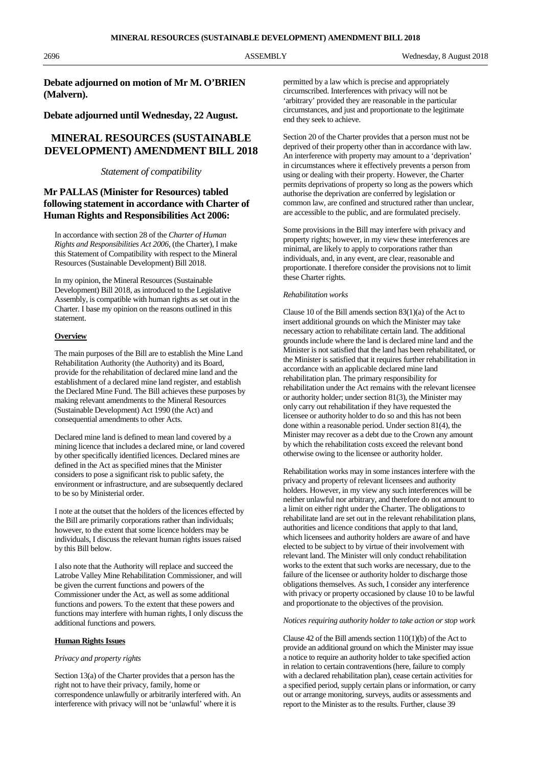2696 ASSEMBLY Wednesday, 8 August 2018

**Debate adjourned on motion of Mr M. O'BRIEN (Malvern).**

**Debate adjourned until Wednesday, 22 August.**

# **MINERAL RESOURCES (SUSTAINABLE DEVELOPMENT) AMENDMENT BILL 2018**

# *Statement of compatibility*

# **Mr PALLAS (Minister for Resources) tabled following statement in accordance with Charter of Human Rights and Responsibilities Act 2006:**

In accordance with section 28 of the *Charter of Human Rights and Responsibilities Act 2006*, (the Charter), I make this Statement of Compatibility with respect to the Mineral Resources (Sustainable Development) Bill 2018.

In my opinion, the Mineral Resources (Sustainable Development) Bill 2018, as introduced to the Legislative Assembly, is compatible with human rights as set out in the Charter. I base my opinion on the reasons outlined in this statement.

## **Overview**

The main purposes of the Bill are to establish the Mine Land Rehabilitation Authority (the Authority) and its Board, provide for the rehabilitation of declared mine land and the establishment of a declared mine land register, and establish the Declared Mine Fund. The Bill achieves these purposes by making relevant amendments to the Mineral Resources (Sustainable Development) Act 1990 (the Act) and consequential amendments to other Acts.

Declared mine land is defined to mean land covered by a mining licence that includes a declared mine, or land covered by other specifically identified licences. Declared mines are defined in the Act as specified mines that the Minister considers to pose a significant risk to public safety, the environment or infrastructure, and are subsequently declared to be so by Ministerial order.

I note at the outset that the holders of the licences effected by the Bill are primarily corporations rather than individuals; however, to the extent that some licence holders may be individuals, I discuss the relevant human rights issues raised by this Bill below.

I also note that the Authority will replace and succeed the Latrobe Valley Mine Rehabilitation Commissioner, and will be given the current functions and powers of the Commissioner under the Act, as well as some additional functions and powers. To the extent that these powers and functions may interfere with human rights, I only discuss the additional functions and powers.

## **Human Rights Issues**

#### *Privacy and property rights*

Section 13(a) of the Charter provides that a person has the right not to have their privacy, family, home or correspondence unlawfully or arbitrarily interfered with. An interference with privacy will not be 'unlawful' where it is

permitted by a law which is precise and appropriately circumscribed. Interferences with privacy will not be 'arbitrary' provided they are reasonable in the particular circumstances, and just and proportionate to the legitimate end they seek to achieve.

Section 20 of the Charter provides that a person must not be deprived of their property other than in accordance with law. An interference with property may amount to a 'deprivation' in circumstances where it effectively prevents a person from using or dealing with their property. However, the Charter permits deprivations of property so long as the powers which authorise the deprivation are conferred by legislation or common law, are confined and structured rather than unclear, are accessible to the public, and are formulated precisely.

Some provisions in the Bill may interfere with privacy and property rights; however, in my view these interferences are minimal, are likely to apply to corporations rather than individuals, and, in any event, are clear, reasonable and proportionate. I therefore consider the provisions not to limit these Charter rights.

### *Rehabilitation works*

Clause 10 of the Bill amends section 83(1)(a) of the Act to insert additional grounds on which the Minister may take necessary action to rehabilitate certain land. The additional grounds include where the land is declared mine land and the Minister is not satisfied that the land has been rehabilitated, or the Minister is satisfied that it requires further rehabilitation in accordance with an applicable declared mine land rehabilitation plan. The primary responsibility for rehabilitation under the Act remains with the relevant licensee or authority holder; under section 81(3), the Minister may only carry out rehabilitation if they have requested the licensee or authority holder to do so and this has not been done within a reasonable period. Under section 81(4), the Minister may recover as a debt due to the Crown any amount by which the rehabilitation costs exceed the relevant bond otherwise owing to the licensee or authority holder.

Rehabilitation works may in some instances interfere with the privacy and property of relevant licensees and authority holders. However, in my view any such interferences will be neither unlawful nor arbitrary, and therefore do not amount to a limit on either right under the Charter. The obligations to rehabilitate land are set out in the relevant rehabilitation plans, authorities and licence conditions that apply to that land, which licensees and authority holders are aware of and have elected to be subject to by virtue of their involvement with relevant land. The Minister will only conduct rehabilitation works to the extent that such works are necessary, due to the failure of the licensee or authority holder to discharge those obligations themselves. As such, I consider any interference with privacy or property occasioned by clause 10 to be lawful and proportionate to the objectives of the provision.

### *Notices requiring authority holder to take action or stop work*

Clause 42 of the Bill amends section 110(1)(b) of the Act to provide an additional ground on which the Minister may issue a notice to require an authority holder to take specified action in relation to certain contraventions (here, failure to comply with a declared rehabilitation plan), cease certain activities for a specified period, supply certain plans or information, or carry out or arrange monitoring, surveys, audits or assessments and report to the Minister as to the results. Further, clause 39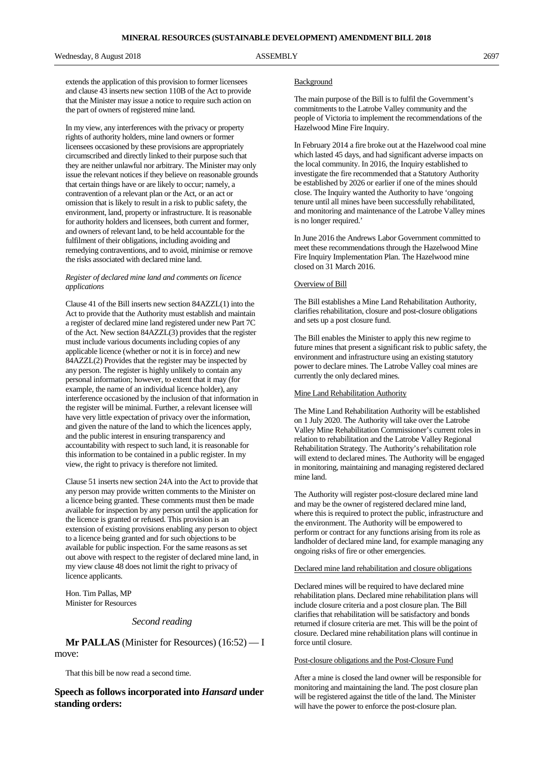Wednesday, 8 August 2018 2697 and ASSEMBLY 2697

extends the application of this provision to former licensees and clause 43 inserts new section 110B of the Act to provide that the Minister may issue a notice to require such action on the part of owners of registered mine land.

In my view, any interferences with the privacy or property rights of authority holders, mine land owners or former licensees occasioned by these provisions are appropriately circumscribed and directly linked to their purpose such that they are neither unlawful nor arbitrary. The Minister may only issue the relevant notices if they believe on reasonable grounds that certain things have or are likely to occur; namely, a contravention of a relevant plan or the Act, or an act or omission that is likely to result in a risk to public safety, the environment, land, property or infrastructure. It is reasonable for authority holders and licensees, both current and former, and owners of relevant land, to be held accountable for the fulfilment of their obligations, including avoiding and remedying contraventions, and to avoid, minimise or remove the risks associated with declared mine land.

#### *Register of declared mine land and comments on licence applications*

Clause 41 of the Bill inserts new section 84AZZL(1) into the Act to provide that the Authority must establish and maintain a register of declared mine land registered under new Part 7C of the Act. New section 84AZZL(3) provides that the register must include various documents including copies of any applicable licence (whether or not it is in force) and new 84AZZL(2) Provides that the register may be inspected by any person. The register is highly unlikely to contain any personal information; however, to extent that it may (for example, the name of an individual licence holder), any interference occasioned by the inclusion of that information in the register will be minimal. Further, a relevant licensee will have very little expectation of privacy over the information, and given the nature of the land to which the licences apply, and the public interest in ensuring transparency and accountability with respect to such land, it is reasonable for this information to be contained in a public register. In my view, the right to privacy is therefore not limited.

Clause 51 inserts new section 24A into the Act to provide that any person may provide written comments to the Minister on a licence being granted. These comments must then be made available for inspection by any person until the application for the licence is granted or refused. This provision is an extension of existing provisions enabling any person to object to a licence being granted and for such objections to be available for public inspection. For the same reasons as set out above with respect to the register of declared mine land, in my view clause 48 does not limit the right to privacy of licence applicants.

Hon. Tim Pallas, MP Minister for Resources

## *Second reading*

**Mr PALLAS** (Minister for Resources) (16:52) — I move:

That this bill be now read a second time.

**Speech as follows incorporated into** *Hansard* **under standing orders:**

#### **Background**

The main purpose of the Bill is to fulfil the Government's commitments to the Latrobe Valley community and the people of Victoria to implement the recommendations of the Hazelwood Mine Fire Inquiry.

In February 2014 a fire broke out at the Hazelwood coal mine which lasted 45 days, and had significant adverse impacts on the local community. In 2016, the Inquiry established to investigate the fire recommended that a Statutory Authority be established by 2026 or earlier if one of the mines should close. The Inquiry wanted the Authority to have 'ongoing tenure until all mines have been successfully rehabilitated, and monitoring and maintenance of the Latrobe Valley mines is no longer required.'

In June 2016 the Andrews Labor Government committed to meet these recommendations through the Hazelwood Mine Fire Inquiry Implementation Plan. The Hazelwood mine closed on 31 March 2016.

#### Overview of Bill

The Bill establishes a Mine Land Rehabilitation Authority, clarifies rehabilitation, closure and post-closure obligations and sets up a post closure fund.

The Bill enables the Minister to apply this new regime to future mines that present a significant risk to public safety, the environment and infrastructure using an existing statutory power to declare mines. The Latrobe Valley coal mines are currently the only declared mines.

## Mine Land Rehabilitation Authority

The Mine Land Rehabilitation Authority will be established on 1 July 2020. The Authority will take over the Latrobe Valley Mine Rehabilitation Commissioner's current roles in relation to rehabilitation and the Latrobe Valley Regional Rehabilitation Strategy. The Authority's rehabilitation role will extend to declared mines. The Authority will be engaged in monitoring, maintaining and managing registered declared mine land.

The Authority will register post-closure declared mine land and may be the owner of registered declared mine land, where this is required to protect the public, infrastructure and the environment. The Authority will be empowered to perform or contract for any functions arising from its role as landholder of declared mine land, for example managing any ongoing risks of fire or other emergencies.

#### Declared mine land rehabilitation and closure obligations

Declared mines will be required to have declared mine rehabilitation plans. Declared mine rehabilitation plans will include closure criteria and a post closure plan. The Bill clarifies that rehabilitation will be satisfactory and bonds returned if closure criteria are met. This will be the point of closure. Declared mine rehabilitation plans will continue in force until closure.

## Post-closure obligations and the Post-Closure Fund

After a mine is closed the land owner will be responsible for monitoring and maintaining the land. The post closure plan will be registered against the title of the land. The Minister will have the power to enforce the post-closure plan.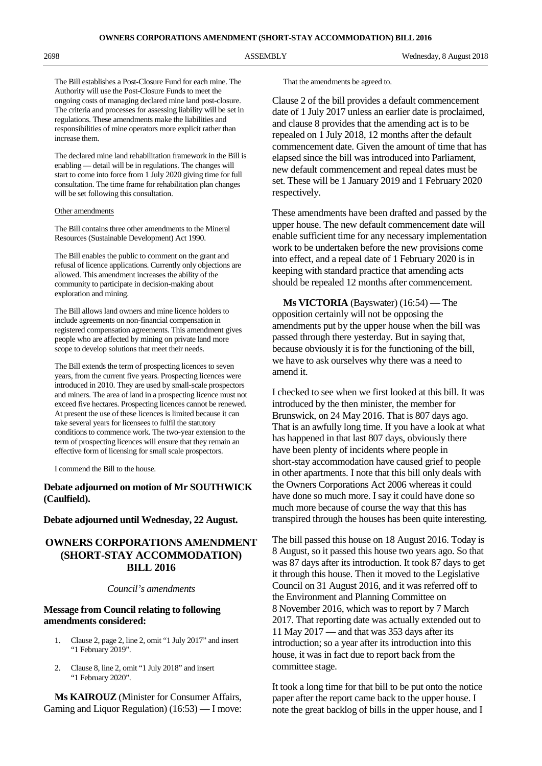The Bill establishes a Post-Closure Fund for each mine. The Authority will use the Post-Closure Funds to meet the ongoing costs of managing declared mine land post-closure. The criteria and processes for assessing liability will be set in regulations. These amendments make the liabilities and responsibilities of mine operators more explicit rather than increase them.

The declared mine land rehabilitation framework in the Bill is enabling — detail will be in regulations. The changes will start to come into force from 1 July 2020 giving time for full consultation. The time frame for rehabilitation plan changes will be set following this consultation.

## Other amendments

The Bill contains three other amendments to the Mineral Resources (Sustainable Development) Act 1990.

The Bill enables the public to comment on the grant and refusal of licence applications. Currently only objections are allowed. This amendment increases the ability of the community to participate in decision-making about exploration and mining.

The Bill allows land owners and mine licence holders to include agreements on non-financial compensation in registered compensation agreements. This amendment gives people who are affected by mining on private land more scope to develop solutions that meet their needs.

The Bill extends the term of prospecting licences to seven years, from the current five years. Prospecting licences were introduced in 2010. They are used by small-scale prospectors and miners. The area of land in a prospecting licence must not exceed five hectares. Prospecting licences cannot be renewed. At present the use of these licences is limited because it can take several years for licensees to fulfil the statutory conditions to commence work. The two-year extension to the term of prospecting licences will ensure that they remain an effective form of licensing for small scale prospectors.

I commend the Bill to the house.

# **Debate adjourned on motion of Mr SOUTHWICK (Caulfield).**

### **Debate adjourned until Wednesday, 22 August.**

# **OWNERS CORPORATIONS AMENDMENT (SHORT-STAY ACCOMMODATION) BILL 2016**

#### *Council's amendments*

# **Message from Council relating to following amendments considered:**

- 1. Clause 2, page 2, line 2, omit "1 July 2017" and insert "1 February 2019".
- 2. Clause 8, line 2, omit "1 July 2018" and insert "1 February 2020".

**Ms KAIROUZ** (Minister for Consumer Affairs, Gaming and Liquor Regulation) (16:53) — I move: That the amendments be agreed to.

Clause 2 of the bill provides a default commencement date of 1 July 2017 unless an earlier date is proclaimed, and clause 8 provides that the amending act is to be repealed on 1 July 2018, 12 months after the default commencement date. Given the amount of time that has elapsed since the bill was introduced into Parliament, new default commencement and repeal dates must be set. These will be 1 January 2019 and 1 February 2020 respectively.

These amendments have been drafted and passed by the upper house. The new default commencement date will enable sufficient time for any necessary implementation work to be undertaken before the new provisions come into effect, and a repeal date of 1 February 2020 is in keeping with standard practice that amending acts should be repealed 12 months after commencement.

**Ms VICTORIA** (Bayswater) (16:54) — The opposition certainly will not be opposing the amendments put by the upper house when the bill was passed through there yesterday. But in saying that, because obviously it is for the functioning of the bill, we have to ask ourselves why there was a need to amend it.

I checked to see when we first looked at this bill. It was introduced by the then minister, the member for Brunswick, on 24 May 2016. That is 807 days ago. That is an awfully long time. If you have a look at what has happened in that last 807 days, obviously there have been plenty of incidents where people in short-stay accommodation have caused grief to people in other apartments. I note that this bill only deals with the Owners Corporations Act 2006 whereas it could have done so much more. I say it could have done so much more because of course the way that this has transpired through the houses has been quite interesting.

The bill passed this house on 18 August 2016. Today is 8 August, so it passed this house two years ago. So that was 87 days after its introduction. It took 87 days to get it through this house. Then it moved to the Legislative Council on 31 August 2016, and it was referred off to the Environment and Planning Committee on 8 November 2016, which was to report by 7 March 2017. That reporting date was actually extended out to 11 May 2017 — and that was 353 days after its introduction; so a year after its introduction into this house, it was in fact due to report back from the committee stage.

It took a long time for that bill to be put onto the notice paper after the report came back to the upper house. I note the great backlog of bills in the upper house, and I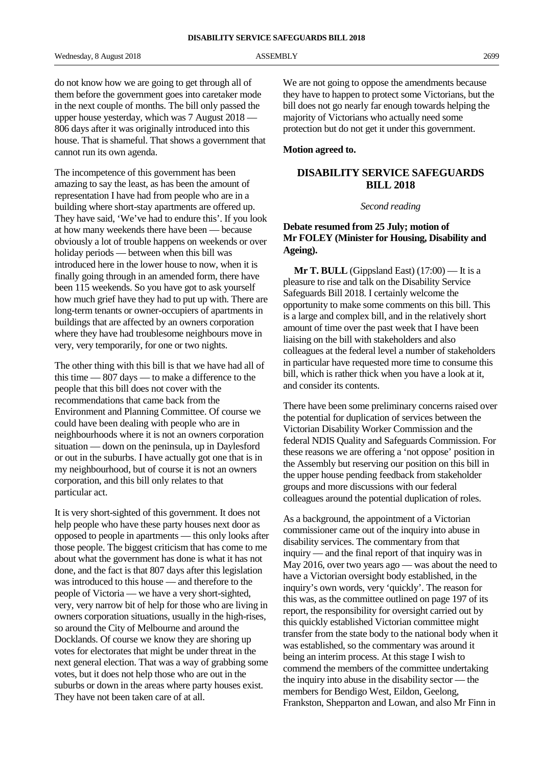do not know how we are going to get through all of them before the government goes into caretaker mode in the next couple of months. The bill only passed the upper house yesterday, which was 7 August 2018 — 806 days after it was originally introduced into this house. That is shameful. That shows a government that cannot run its own agenda.

The incompetence of this government has been amazing to say the least, as has been the amount of representation I have had from people who are in a building where short-stay apartments are offered up. They have said, 'We've had to endure this'. If you look at how many weekends there have been — because obviously a lot of trouble happens on weekends or over holiday periods — between when this bill was introduced here in the lower house to now, when it is finally going through in an amended form, there have been 115 weekends. So you have got to ask yourself how much grief have they had to put up with. There are long-term tenants or owner-occupiers of apartments in buildings that are affected by an owners corporation where they have had troublesome neighbours move in very, very temporarily, for one or two nights.

The other thing with this bill is that we have had all of this time — 807 days — to make a difference to the people that this bill does not cover with the recommendations that came back from the Environment and Planning Committee. Of course we could have been dealing with people who are in neighbourhoods where it is not an owners corporation situation — down on the peninsula, up in Daylesford or out in the suburbs. I have actually got one that is in my neighbourhood, but of course it is not an owners corporation, and this bill only relates to that particular act.

It is very short-sighted of this government. It does not help people who have these party houses next door as opposed to people in apartments — this only looks after those people. The biggest criticism that has come to me about what the government has done is what it has not done, and the fact is that 807 days after this legislation was introduced to this house — and therefore to the people of Victoria — we have a very short-sighted, very, very narrow bit of help for those who are living in owners corporation situations, usually in the high-rises, so around the City of Melbourne and around the Docklands. Of course we know they are shoring up votes for electorates that might be under threat in the next general election. That was a way of grabbing some votes, but it does not help those who are out in the suburbs or down in the areas where party houses exist. They have not been taken care of at all.

We are not going to oppose the amendments because they have to happen to protect some Victorians, but the bill does not go nearly far enough towards helping the majority of Victorians who actually need some protection but do not get it under this government.

# **Motion agreed to.**

# **DISABILITY SERVICE SAFEGUARDS BILL 2018**

## *Second reading*

# **Debate resumed from 25 July; motion of Mr FOLEY (Minister for Housing, Disability and Ageing).**

**Mr T. BULL** (Gippsland East) (17:00) — It is a pleasure to rise and talk on the Disability Service Safeguards Bill 2018. I certainly welcome the opportunity to make some comments on this bill. This is a large and complex bill, and in the relatively short amount of time over the past week that I have been liaising on the bill with stakeholders and also colleagues at the federal level a number of stakeholders in particular have requested more time to consume this bill, which is rather thick when you have a look at it, and consider its contents.

There have been some preliminary concerns raised over the potential for duplication of services between the Victorian Disability Worker Commission and the federal NDIS Quality and Safeguards Commission. For these reasons we are offering a 'not oppose' position in the Assembly but reserving our position on this bill in the upper house pending feedback from stakeholder groups and more discussions with our federal colleagues around the potential duplication of roles.

As a background, the appointment of a Victorian commissioner came out of the inquiry into abuse in disability services. The commentary from that inquiry — and the final report of that inquiry was in May 2016, over two years ago — was about the need to have a Victorian oversight body established, in the inquiry's own words, very 'quickly'. The reason for this was, as the committee outlined on page 197 of its report, the responsibility for oversight carried out by this quickly established Victorian committee might transfer from the state body to the national body when it was established, so the commentary was around it being an interim process. At this stage I wish to commend the members of the committee undertaking the inquiry into abuse in the disability sector — the members for Bendigo West, Eildon, Geelong, Frankston, Shepparton and Lowan, and also Mr Finn in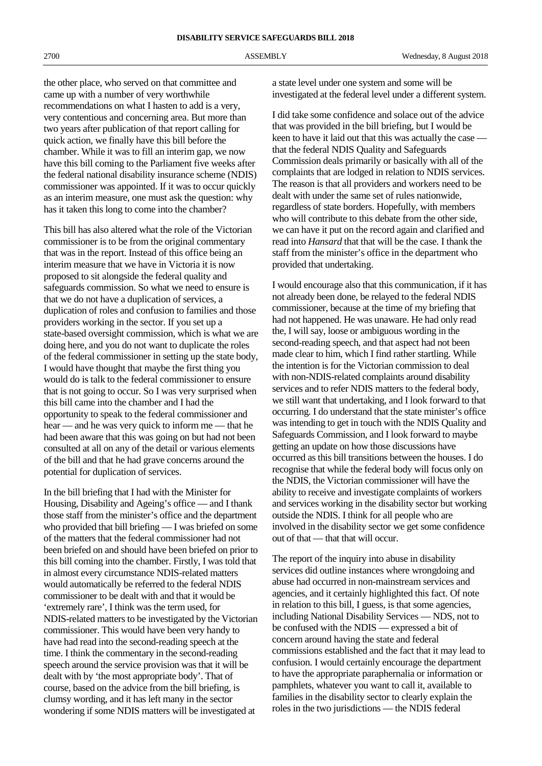the other place, who served on that committee and came up with a number of very worthwhile recommendations on what I hasten to add is a very, very contentious and concerning area. But more than two years after publication of that report calling for quick action, we finally have this bill before the chamber. While it was to fill an interim gap, we now have this bill coming to the Parliament five weeks after the federal national disability insurance scheme (NDIS) commissioner was appointed. If it was to occur quickly as an interim measure, one must ask the question: why has it taken this long to come into the chamber?

This bill has also altered what the role of the Victorian commissioner is to be from the original commentary that was in the report. Instead of this office being an interim measure that we have in Victoria it is now proposed to sit alongside the federal quality and safeguards commission. So what we need to ensure is that we do not have a duplication of services, a duplication of roles and confusion to families and those providers working in the sector. If you set up a state-based oversight commission, which is what we are doing here, and you do not want to duplicate the roles of the federal commissioner in setting up the state body, I would have thought that maybe the first thing you would do is talk to the federal commissioner to ensure that is not going to occur. So I was very surprised when this bill came into the chamber and I had the opportunity to speak to the federal commissioner and hear — and he was very quick to inform me — that he had been aware that this was going on but had not been consulted at all on any of the detail or various elements of the bill and that he had grave concerns around the potential for duplication of services.

In the bill briefing that I had with the Minister for Housing, Disability and Ageing's office — and I thank those staff from the minister's office and the department who provided that bill briefing — I was briefed on some of the matters that the federal commissioner had not been briefed on and should have been briefed on prior to this bill coming into the chamber. Firstly, I was told that in almost every circumstance NDIS-related matters would automatically be referred to the federal NDIS commissioner to be dealt with and that it would be 'extremely rare', I think was the term used, for NDIS-related matters to be investigated by the Victorian commissioner. This would have been very handy to have had read into the second-reading speech at the time. I think the commentary in the second-reading speech around the service provision was that it will be dealt with by 'the most appropriate body'. That of course, based on the advice from the bill briefing, is clumsy wording, and it has left many in the sector wondering if some NDIS matters will be investigated at

a state level under one system and some will be investigated at the federal level under a different system.

I did take some confidence and solace out of the advice that was provided in the bill briefing, but I would be keen to have it laid out that this was actually the case that the federal NDIS Quality and Safeguards Commission deals primarily or basically with all of the complaints that are lodged in relation to NDIS services. The reason is that all providers and workers need to be dealt with under the same set of rules nationwide, regardless of state borders. Hopefully, with members who will contribute to this debate from the other side, we can have it put on the record again and clarified and read into *Hansard* that that will be the case. I thank the staff from the minister's office in the department who provided that undertaking.

I would encourage also that this communication, if it has not already been done, be relayed to the federal NDIS commissioner, because at the time of my briefing that had not happened. He was unaware. He had only read the, I will say, loose or ambiguous wording in the second-reading speech, and that aspect had not been made clear to him, which I find rather startling. While the intention is for the Victorian commission to deal with non-NDIS-related complaints around disability services and to refer NDIS matters to the federal body, we still want that undertaking, and I look forward to that occurring. I do understand that the state minister's office was intending to get in touch with the NDIS Quality and Safeguards Commission, and I look forward to maybe getting an update on how those discussions have occurred as this bill transitions between the houses. I do recognise that while the federal body will focus only on the NDIS, the Victorian commissioner will have the ability to receive and investigate complaints of workers and services working in the disability sector but working outside the NDIS. I think for all people who are involved in the disability sector we get some confidence out of that — that that will occur.

The report of the inquiry into abuse in disability services did outline instances where wrongdoing and abuse had occurred in non-mainstream services and agencies, and it certainly highlighted this fact. Of note in relation to this bill, I guess, is that some agencies, including National Disability Services — NDS, not to be confused with the NDIS — expressed a bit of concern around having the state and federal commissions established and the fact that it may lead to confusion. I would certainly encourage the department to have the appropriate paraphernalia or information or pamphlets, whatever you want to call it, available to families in the disability sector to clearly explain the roles in the two jurisdictions — the NDIS federal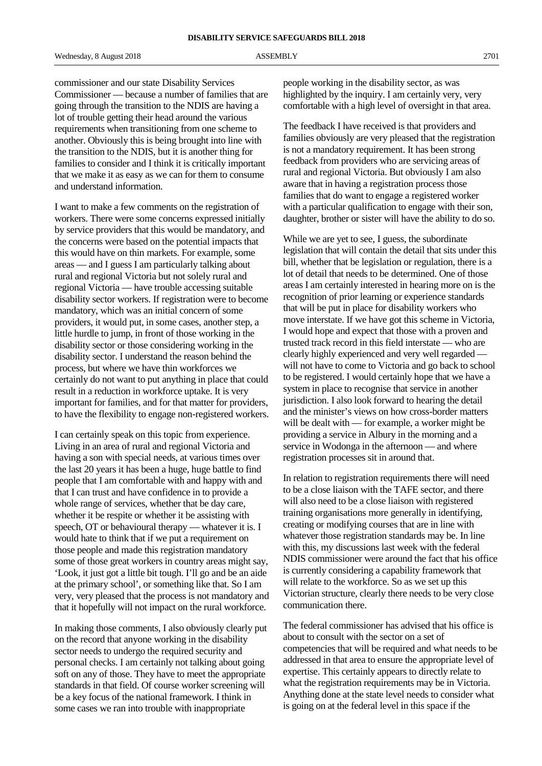commissioner and our state Disability Services Commissioner — because a number of families that are going through the transition to the NDIS are having a lot of trouble getting their head around the various requirements when transitioning from one scheme to another. Obviously this is being brought into line with the transition to the NDIS, but it is another thing for families to consider and I think it is critically important that we make it as easy as we can for them to consume and understand information.

I want to make a few comments on the registration of workers. There were some concerns expressed initially by service providers that this would be mandatory, and the concerns were based on the potential impacts that this would have on thin markets. For example, some areas — and I guess I am particularly talking about rural and regional Victoria but not solely rural and regional Victoria — have trouble accessing suitable disability sector workers. If registration were to become mandatory, which was an initial concern of some providers, it would put, in some cases, another step, a little hurdle to jump, in front of those working in the disability sector or those considering working in the disability sector. I understand the reason behind the process, but where we have thin workforces we certainly do not want to put anything in place that could result in a reduction in workforce uptake. It is very important for families, and for that matter for providers, to have the flexibility to engage non-registered workers.

I can certainly speak on this topic from experience. Living in an area of rural and regional Victoria and having a son with special needs, at various times over the last 20 years it has been a huge, huge battle to find people that I am comfortable with and happy with and that I can trust and have confidence in to provide a whole range of services, whether that be day care, whether it be respite or whether it be assisting with speech, OT or behavioural therapy — whatever it is. I would hate to think that if we put a requirement on those people and made this registration mandatory some of those great workers in country areas might say, 'Look, it just got a little bit tough. I'll go and be an aide at the primary school', or something like that. So I am very, very pleased that the process is not mandatory and that it hopefully will not impact on the rural workforce.

In making those comments, I also obviously clearly put on the record that anyone working in the disability sector needs to undergo the required security and personal checks. I am certainly not talking about going soft on any of those. They have to meet the appropriate standards in that field. Of course worker screening will be a key focus of the national framework. I think in some cases we ran into trouble with inappropriate

people working in the disability sector, as was highlighted by the inquiry. I am certainly very, very comfortable with a high level of oversight in that area.

The feedback I have received is that providers and families obviously are very pleased that the registration is not a mandatory requirement. It has been strong feedback from providers who are servicing areas of rural and regional Victoria. But obviously I am also aware that in having a registration process those families that do want to engage a registered worker with a particular qualification to engage with their son, daughter, brother or sister will have the ability to do so.

While we are yet to see, I guess, the subordinate legislation that will contain the detail that sits under this bill, whether that be legislation or regulation, there is a lot of detail that needs to be determined. One of those areas I am certainly interested in hearing more on is the recognition of prior learning or experience standards that will be put in place for disability workers who move interstate. If we have got this scheme in Victoria, I would hope and expect that those with a proven and trusted track record in this field interstate — who are clearly highly experienced and very well regarded will not have to come to Victoria and go back to school to be registered. I would certainly hope that we have a system in place to recognise that service in another jurisdiction. I also look forward to hearing the detail and the minister's views on how cross-border matters will be dealt with — for example, a worker might be providing a service in Albury in the morning and a service in Wodonga in the afternoon — and where registration processes sit in around that.

In relation to registration requirements there will need to be a close liaison with the TAFE sector, and there will also need to be a close liaison with registered training organisations more generally in identifying, creating or modifying courses that are in line with whatever those registration standards may be. In line with this, my discussions last week with the federal NDIS commissioner were around the fact that his office is currently considering a capability framework that will relate to the workforce. So as we set up this Victorian structure, clearly there needs to be very close communication there.

The federal commissioner has advised that his office is about to consult with the sector on a set of competencies that will be required and what needs to be addressed in that area to ensure the appropriate level of expertise. This certainly appears to directly relate to what the registration requirements may be in Victoria. Anything done at the state level needs to consider what is going on at the federal level in this space if the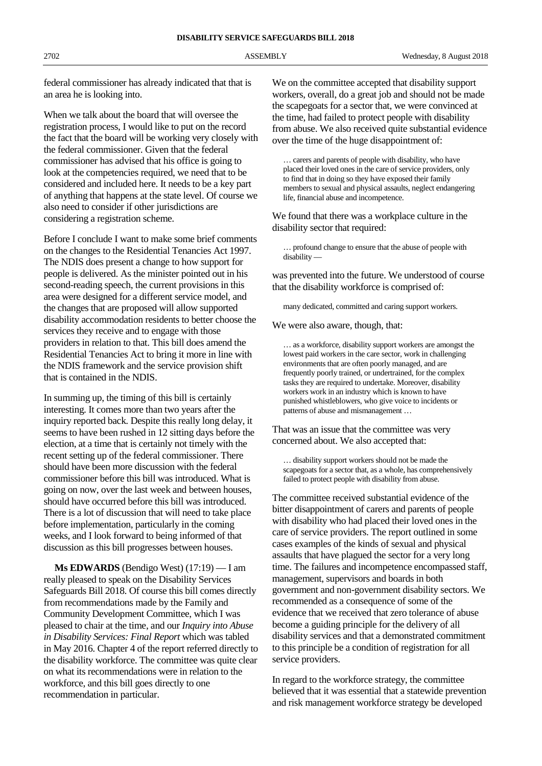**DISABILITY SERVICE SAFEGUARDS BILL 2018**

federal commissioner has already indicated that that is an area he is looking into.

When we talk about the board that will oversee the registration process, I would like to put on the record the fact that the board will be working very closely with the federal commissioner. Given that the federal commissioner has advised that his office is going to look at the competencies required, we need that to be considered and included here. It needs to be a key part of anything that happens at the state level. Of course we also need to consider if other jurisdictions are considering a registration scheme.

Before I conclude I want to make some brief comments on the changes to the Residential Tenancies Act 1997. The NDIS does present a change to how support for people is delivered. As the minister pointed out in his second-reading speech, the current provisions in this area were designed for a different service model, and the changes that are proposed will allow supported disability accommodation residents to better choose the services they receive and to engage with those providers in relation to that. This bill does amend the Residential Tenancies Act to bring it more in line with the NDIS framework and the service provision shift that is contained in the NDIS.

In summing up, the timing of this bill is certainly interesting. It comes more than two years after the inquiry reported back. Despite this really long delay, it seems to have been rushed in 12 sitting days before the election, at a time that is certainly not timely with the recent setting up of the federal commissioner. There should have been more discussion with the federal commissioner before this bill was introduced. What is going on now, over the last week and between houses, should have occurred before this bill was introduced. There is a lot of discussion that will need to take place before implementation, particularly in the coming weeks, and I look forward to being informed of that discussion as this bill progresses between houses.

**Ms EDWARDS** (Bendigo West) (17:19) — I am really pleased to speak on the Disability Services Safeguards Bill 2018. Of course this bill comes directly from recommendations made by the Family and Community Development Committee, which I was pleased to chair at the time, and our *Inquiry into Abuse in Disability Services: Final Report* which was tabled in May 2016. Chapter 4 of the report referred directly to the disability workforce. The committee was quite clear on what its recommendations were in relation to the workforce, and this bill goes directly to one recommendation in particular.

We on the committee accepted that disability support workers, overall, do a great job and should not be made the scapegoats for a sector that, we were convinced at the time, had failed to protect people with disability from abuse. We also received quite substantial evidence over the time of the huge disappointment of:

… carers and parents of people with disability, who have placed their loved ones in the care of service providers, only to find that in doing so they have exposed their family members to sexual and physical assaults, neglect endangering life, financial abuse and incompetence.

We found that there was a workplace culture in the disability sector that required:

… profound change to ensure that the abuse of people with disability —

was prevented into the future. We understood of course that the disability workforce is comprised of:

many dedicated, committed and caring support workers.

We were also aware, though, that:

… as a workforce, disability support workers are amongst the lowest paid workers in the care sector, work in challenging environments that are often poorly managed, and are frequently poorly trained, or undertrained, for the complex tasks they are required to undertake. Moreover, disability workers work in an industry which is known to have punished whistleblowers, who give voice to incidents or patterns of abuse and mismanagement …

That was an issue that the committee was very concerned about. We also accepted that:

… disability support workers should not be made the scapegoats for a sector that, as a whole, has comprehensively failed to protect people with disability from abuse.

The committee received substantial evidence of the bitter disappointment of carers and parents of people with disability who had placed their loved ones in the care of service providers. The report outlined in some cases examples of the kinds of sexual and physical assaults that have plagued the sector for a very long time. The failures and incompetence encompassed staff, management, supervisors and boards in both government and non-government disability sectors. We recommended as a consequence of some of the evidence that we received that zero tolerance of abuse become a guiding principle for the delivery of all disability services and that a demonstrated commitment to this principle be a condition of registration for all service providers.

In regard to the workforce strategy, the committee believed that it was essential that a statewide prevention and risk management workforce strategy be developed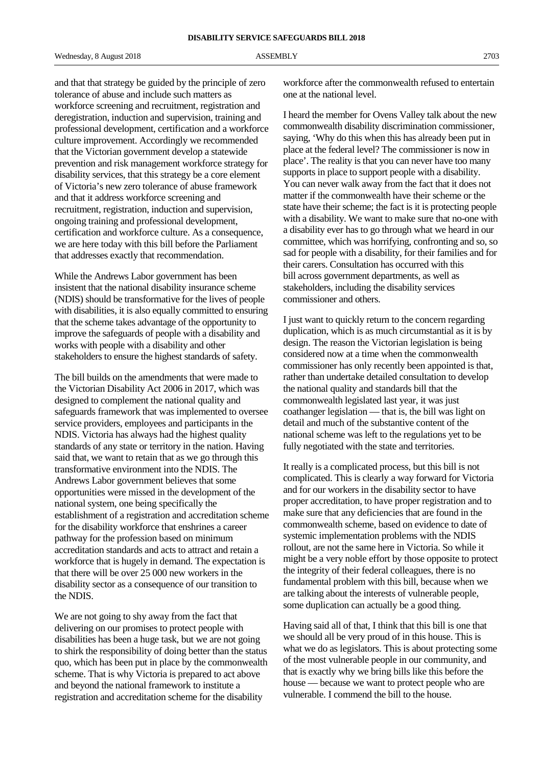and that that strategy be guided by the principle of zero tolerance of abuse and include such matters as workforce screening and recruitment, registration and deregistration, induction and supervision, training and professional development, certification and a workforce culture improvement. Accordingly we recommended that the Victorian government develop a statewide prevention and risk management workforce strategy for disability services, that this strategy be a core element of Victoria's new zero tolerance of abuse framework and that it address workforce screening and recruitment, registration, induction and supervision, ongoing training and professional development, certification and workforce culture. As a consequence, we are here today with this bill before the Parliament that addresses exactly that recommendation.

While the Andrews Labor government has been insistent that the national disability insurance scheme (NDIS) should be transformative for the lives of people with disabilities, it is also equally committed to ensuring that the scheme takes advantage of the opportunity to improve the safeguards of people with a disability and works with people with a disability and other stakeholders to ensure the highest standards of safety.

The bill builds on the amendments that were made to the Victorian Disability Act 2006 in 2017, which was designed to complement the national quality and safeguards framework that was implemented to oversee service providers, employees and participants in the NDIS. Victoria has always had the highest quality standards of any state or territory in the nation. Having said that, we want to retain that as we go through this transformative environment into the NDIS. The Andrews Labor government believes that some opportunities were missed in the development of the national system, one being specifically the establishment of a registration and accreditation scheme for the disability workforce that enshrines a career pathway for the profession based on minimum accreditation standards and acts to attract and retain a workforce that is hugely in demand. The expectation is that there will be over 25 000 new workers in the disability sector as a consequence of our transition to the NDIS.

We are not going to shy away from the fact that delivering on our promises to protect people with disabilities has been a huge task, but we are not going to shirk the responsibility of doing better than the status quo, which has been put in place by the commonwealth scheme. That is why Victoria is prepared to act above and beyond the national framework to institute a registration and accreditation scheme for the disability

workforce after the commonwealth refused to entertain one at the national level.

I heard the member for Ovens Valley talk about the new commonwealth disability discrimination commissioner, saying, 'Why do this when this has already been put in place at the federal level? The commissioner is now in place'. The reality is that you can never have too many supports in place to support people with a disability. You can never walk away from the fact that it does not matter if the commonwealth have their scheme or the state have their scheme; the fact is it is protecting people with a disability. We want to make sure that no-one with a disability ever has to go through what we heard in our committee, which was horrifying, confronting and so, so sad for people with a disability, for their families and for their carers. Consultation has occurred with this bill across government departments, as well as stakeholders, including the disability services commissioner and others.

I just want to quickly return to the concern regarding duplication, which is as much circumstantial as it is by design. The reason the Victorian legislation is being considered now at a time when the commonwealth commissioner has only recently been appointed is that, rather than undertake detailed consultation to develop the national quality and standards bill that the commonwealth legislated last year, it was just coathanger legislation — that is, the bill was light on detail and much of the substantive content of the national scheme was left to the regulations yet to be fully negotiated with the state and territories.

It really is a complicated process, but this bill is not complicated. This is clearly a way forward for Victoria and for our workers in the disability sector to have proper accreditation, to have proper registration and to make sure that any deficiencies that are found in the commonwealth scheme, based on evidence to date of systemic implementation problems with the NDIS rollout, are not the same here in Victoria. So while it might be a very noble effort by those opposite to protect the integrity of their federal colleagues, there is no fundamental problem with this bill, because when we are talking about the interests of vulnerable people, some duplication can actually be a good thing.

Having said all of that, I think that this bill is one that we should all be very proud of in this house. This is what we do as legislators. This is about protecting some of the most vulnerable people in our community, and that is exactly why we bring bills like this before the house — because we want to protect people who are vulnerable. I commend the bill to the house.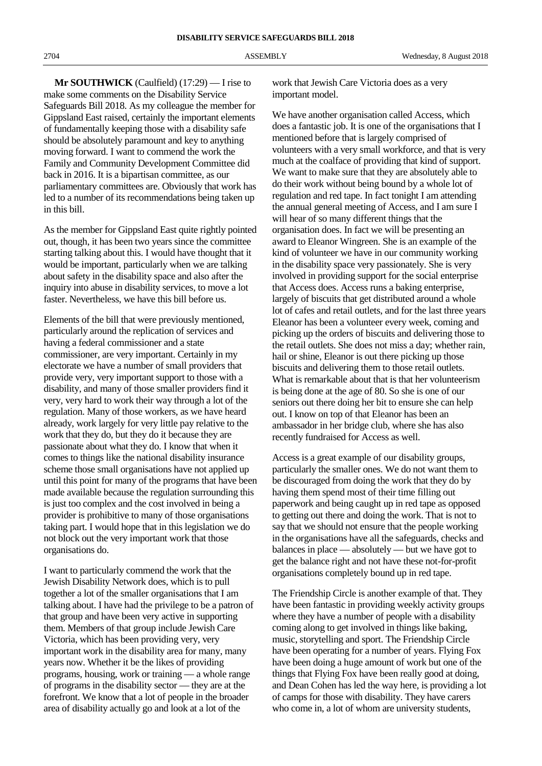**Mr SOUTHWICK** (Caulfield) (17:29) — I rise to make some comments on the Disability Service Safeguards Bill 2018. As my colleague the member for Gippsland East raised, certainly the important elements of fundamentally keeping those with a disability safe should be absolutely paramount and key to anything moving forward. I want to commend the work the Family and Community Development Committee did back in 2016. It is a bipartisan committee, as our parliamentary committees are. Obviously that work has led to a number of its recommendations being taken up in this bill.

As the member for Gippsland East quite rightly pointed out, though, it has been two years since the committee starting talking about this. I would have thought that it would be important, particularly when we are talking about safety in the disability space and also after the inquiry into abuse in disability services, to move a lot faster. Nevertheless, we have this bill before us.

Elements of the bill that were previously mentioned, particularly around the replication of services and having a federal commissioner and a state commissioner, are very important. Certainly in my electorate we have a number of small providers that provide very, very important support to those with a disability, and many of those smaller providers find it very, very hard to work their way through a lot of the regulation. Many of those workers, as we have heard already, work largely for very little pay relative to the work that they do, but they do it because they are passionate about what they do. I know that when it comes to things like the national disability insurance scheme those small organisations have not applied up until this point for many of the programs that have been made available because the regulation surrounding this is just too complex and the cost involved in being a provider is prohibitive to many of those organisations taking part. I would hope that in this legislation we do not block out the very important work that those organisations do.

I want to particularly commend the work that the Jewish Disability Network does, which is to pull together a lot of the smaller organisations that I am talking about. I have had the privilege to be a patron of that group and have been very active in supporting them. Members of that group include Jewish Care Victoria, which has been providing very, very important work in the disability area for many, many years now. Whether it be the likes of providing programs, housing, work or training — a whole range of programs in the disability sector — they are at the forefront. We know that a lot of people in the broader area of disability actually go and look at a lot of the

work that Jewish Care Victoria does as a very important model.

We have another organisation called Access, which does a fantastic job. It is one of the organisations that I mentioned before that is largely comprised of volunteers with a very small workforce, and that is very much at the coalface of providing that kind of support. We want to make sure that they are absolutely able to do their work without being bound by a whole lot of regulation and red tape. In fact tonight I am attending the annual general meeting of Access, and I am sure I will hear of so many different things that the organisation does. In fact we will be presenting an award to Eleanor Wingreen. She is an example of the kind of volunteer we have in our community working in the disability space very passionately. She is very involved in providing support for the social enterprise that Access does. Access runs a baking enterprise, largely of biscuits that get distributed around a whole lot of cafes and retail outlets, and for the last three years Eleanor has been a volunteer every week, coming and picking up the orders of biscuits and delivering those to the retail outlets. She does not miss a day; whether rain, hail or shine, Eleanor is out there picking up those biscuits and delivering them to those retail outlets. What is remarkable about that is that her volunteerism is being done at the age of 80. So she is one of our seniors out there doing her bit to ensure she can help out. I know on top of that Eleanor has been an ambassador in her bridge club, where she has also recently fundraised for Access as well.

Access is a great example of our disability groups, particularly the smaller ones. We do not want them to be discouraged from doing the work that they do by having them spend most of their time filling out paperwork and being caught up in red tape as opposed to getting out there and doing the work. That is not to say that we should not ensure that the people working in the organisations have all the safeguards, checks and balances in place — absolutely — but we have got to get the balance right and not have these not-for-profit organisations completely bound up in red tape.

The Friendship Circle is another example of that. They have been fantastic in providing weekly activity groups where they have a number of people with a disability coming along to get involved in things like baking, music, storytelling and sport. The Friendship Circle have been operating for a number of years. Flying Fox have been doing a huge amount of work but one of the things that Flying Fox have been really good at doing, and Dean Cohen has led the way here, is providing a lot of camps for those with disability. They have carers who come in, a lot of whom are university students,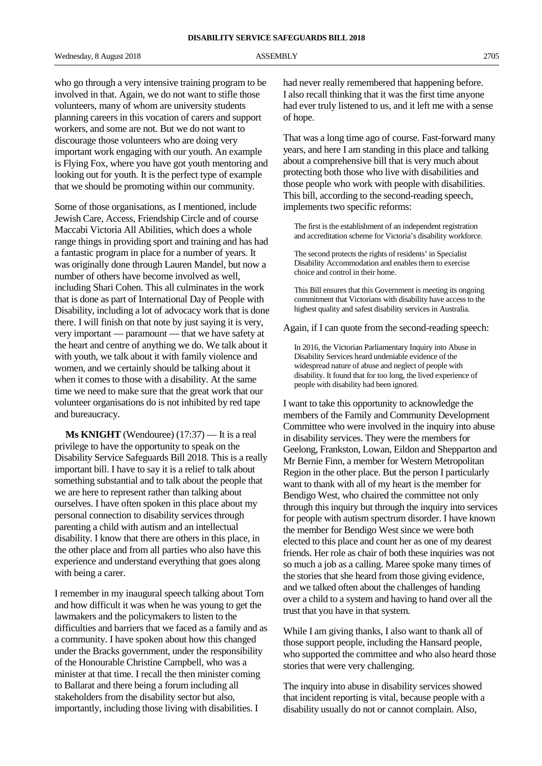who go through a very intensive training program to be involved in that. Again, we do not want to stifle those volunteers, many of whom are university students planning careers in this vocation of carers and support workers, and some are not. But we do not want to discourage those volunteers who are doing very important work engaging with our youth. An example is Flying Fox, where you have got youth mentoring and looking out for youth. It is the perfect type of example that we should be promoting within our community.

Some of those organisations, as I mentioned, include Jewish Care, Access, Friendship Circle and of course Maccabi Victoria All Abilities, which does a whole range things in providing sport and training and has had a fantastic program in place for a number of years. It was originally done through Lauren Mandel, but now a number of others have become involved as well, including Shari Cohen. This all culminates in the work that is done as part of International Day of People with Disability, including a lot of advocacy work that is done there. I will finish on that note by just saying it is very, very important — paramount — that we have safety at the heart and centre of anything we do. We talk about it with youth, we talk about it with family violence and women, and we certainly should be talking about it when it comes to those with a disability. At the same time we need to make sure that the great work that our volunteer organisations do is not inhibited by red tape and bureaucracy.

**Ms KNIGHT** (Wendouree) (17:37) — It is a real privilege to have the opportunity to speak on the Disability Service Safeguards Bill 2018. This is a really important bill. I have to say it is a relief to talk about something substantial and to talk about the people that we are here to represent rather than talking about ourselves. I have often spoken in this place about my personal connection to disability services through parenting a child with autism and an intellectual disability. I know that there are others in this place, in the other place and from all parties who also have this experience and understand everything that goes along with being a carer.

I remember in my inaugural speech talking about Tom and how difficult it was when he was young to get the lawmakers and the policymakers to listen to the difficulties and barriers that we faced as a family and as a community. I have spoken about how this changed under the Bracks government, under the responsibility of the Honourable Christine Campbell, who was a minister at that time. I recall the then minister coming to Ballarat and there being a forum including all stakeholders from the disability sector but also, importantly, including those living with disabilities. I

had never really remembered that happening before. I also recall thinking that it was the first time anyone had ever truly listened to us, and it left me with a sense of hope.

That was a long time ago of course. Fast-forward many years, and here I am standing in this place and talking about a comprehensive bill that is very much about protecting both those who live with disabilities and those people who work with people with disabilities. This bill, according to the second-reading speech, implements two specific reforms:

The first is the establishment of an independent registration and accreditation scheme for Victoria's disability workforce.

The second protects the rights of residents' in Specialist Disability Accommodation and enables them to exercise choice and control in their home.

This Bill ensures that this Government is meeting its ongoing commitment that Victorians with disability have access to the highest quality and safest disability services in Australia.

Again, if I can quote from the second-reading speech:

In 2016, the Victorian Parliamentary Inquiry into Abuse in Disability Services heard undeniable evidence of the widespread nature of abuse and neglect of people with disability. It found that for too long, the lived experience of people with disability had been ignored.

I want to take this opportunity to acknowledge the members of the Family and Community Development Committee who were involved in the inquiry into abuse in disability services. They were the members for Geelong, Frankston, Lowan, Eildon and Shepparton and Mr Bernie Finn, a member for Western Metropolitan Region in the other place. But the person I particularly want to thank with all of my heart is the member for Bendigo West, who chaired the committee not only through this inquiry but through the inquiry into services for people with autism spectrum disorder. I have known the member for Bendigo West since we were both elected to this place and count her as one of my dearest friends. Her role as chair of both these inquiries was not so much a job as a calling. Maree spoke many times of the stories that she heard from those giving evidence, and we talked often about the challenges of handing over a child to a system and having to hand over all the trust that you have in that system.

While I am giving thanks, I also want to thank all of those support people, including the Hansard people, who supported the committee and who also heard those stories that were very challenging.

The inquiry into abuse in disability services showed that incident reporting is vital, because people with a disability usually do not or cannot complain. Also,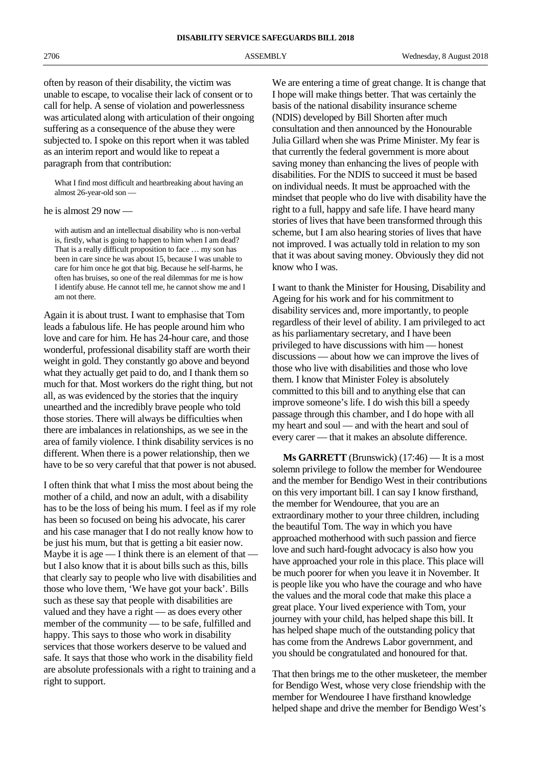often by reason of their disability, the victim was unable to escape, to vocalise their lack of consent or to call for help. A sense of violation and powerlessness was articulated along with articulation of their ongoing suffering as a consequence of the abuse they were subjected to. I spoke on this report when it was tabled as an interim report and would like to repeat a paragraph from that contribution:

What I find most difficult and heartbreaking about having an almost 26-year-old son —

he is almost 29 now —

with autism and an intellectual disability who is non-verbal is, firstly, what is going to happen to him when I am dead? That is a really difficult proposition to face … my son has been in care since he was about 15, because I was unable to care for him once he got that big. Because he self-harms, he often has bruises, so one of the real dilemmas for me is how I identify abuse. He cannot tell me, he cannot show me and I am not there.

Again it is about trust. I want to emphasise that Tom leads a fabulous life. He has people around him who love and care for him. He has 24-hour care, and those wonderful, professional disability staff are worth their weight in gold. They constantly go above and beyond what they actually get paid to do, and I thank them so much for that. Most workers do the right thing, but not all, as was evidenced by the stories that the inquiry unearthed and the incredibly brave people who told those stories. There will always be difficulties when there are imbalances in relationships, as we see in the area of family violence. I think disability services is no different. When there is a power relationship, then we have to be so very careful that that power is not abused.

I often think that what I miss the most about being the mother of a child, and now an adult, with a disability has to be the loss of being his mum. I feel as if my role has been so focused on being his advocate, his carer and his case manager that I do not really know how to be just his mum, but that is getting a bit easier now. Maybe it is age  $\frac{1}{\pi}$  think there is an element of that but I also know that it is about bills such as this, bills that clearly say to people who live with disabilities and those who love them, 'We have got your back'. Bills such as these say that people with disabilities are valued and they have a right — as does every other member of the community — to be safe, fulfilled and happy. This says to those who work in disability services that those workers deserve to be valued and safe. It says that those who work in the disability field are absolute professionals with a right to training and a right to support.

We are entering a time of great change. It is change that I hope will make things better. That was certainly the basis of the national disability insurance scheme (NDIS) developed by Bill Shorten after much consultation and then announced by the Honourable Julia Gillard when she was Prime Minister. My fear is that currently the federal government is more about saving money than enhancing the lives of people with disabilities. For the NDIS to succeed it must be based on individual needs. It must be approached with the mindset that people who do live with disability have the right to a full, happy and safe life. I have heard many stories of lives that have been transformed through this scheme, but I am also hearing stories of lives that have not improved. I was actually told in relation to my son that it was about saving money. Obviously they did not know who I was.

I want to thank the Minister for Housing, Disability and Ageing for his work and for his commitment to disability services and, more importantly, to people regardless of their level of ability. I am privileged to act as his parliamentary secretary, and I have been privileged to have discussions with him — honest discussions — about how we can improve the lives of those who live with disabilities and those who love them. I know that Minister Foley is absolutely committed to this bill and to anything else that can improve someone's life. I do wish this bill a speedy passage through this chamber, and I do hope with all my heart and soul — and with the heart and soul of every carer — that it makes an absolute difference.

**Ms GARRETT** (Brunswick) (17:46) — It is a most solemn privilege to follow the member for Wendouree and the member for Bendigo West in their contributions on this very important bill. I can say I know firsthand, the member for Wendouree, that you are an extraordinary mother to your three children, including the beautiful Tom. The way in which you have approached motherhood with such passion and fierce love and such hard-fought advocacy is also how you have approached your role in this place. This place will be much poorer for when you leave it in November. It is people like you who have the courage and who have the values and the moral code that make this place a great place. Your lived experience with Tom, your journey with your child, has helped shape this bill. It has helped shape much of the outstanding policy that has come from the Andrews Labor government, and you should be congratulated and honoured for that.

That then brings me to the other musketeer, the member for Bendigo West, whose very close friendship with the member for Wendouree I have firsthand knowledge helped shape and drive the member for Bendigo West's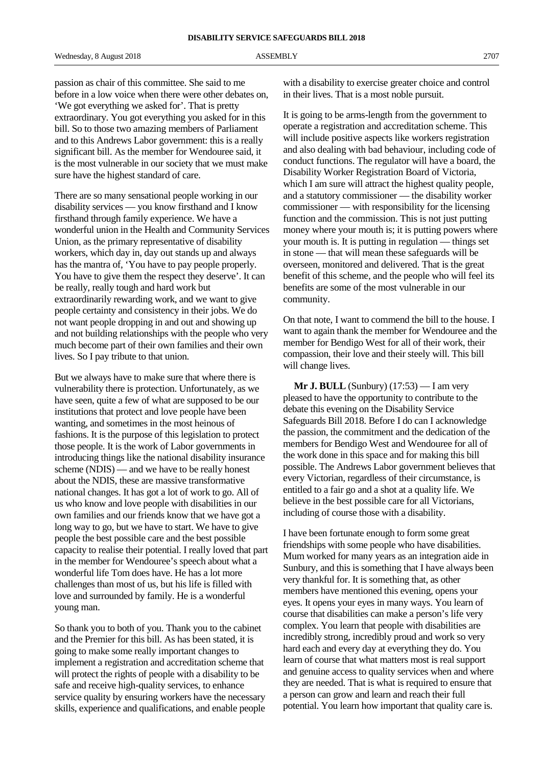passion as chair of this committee. She said to me before in a low voice when there were other debates on, 'We got everything we asked for'. That is pretty extraordinary. You got everything you asked for in this bill. So to those two amazing members of Parliament and to this Andrews Labor government: this is a really significant bill. As the member for Wendouree said, it is the most vulnerable in our society that we must make sure have the highest standard of care.

There are so many sensational people working in our disability services — you know firsthand and I know firsthand through family experience. We have a wonderful union in the Health and Community Services Union, as the primary representative of disability workers, which day in, day out stands up and always has the mantra of, 'You have to pay people properly. You have to give them the respect they deserve'. It can be really, really tough and hard work but extraordinarily rewarding work, and we want to give people certainty and consistency in their jobs. We do not want people dropping in and out and showing up and not building relationships with the people who very much become part of their own families and their own lives. So I pay tribute to that union.

But we always have to make sure that where there is vulnerability there is protection. Unfortunately, as we have seen, quite a few of what are supposed to be our institutions that protect and love people have been wanting, and sometimes in the most heinous of fashions. It is the purpose of this legislation to protect those people. It is the work of Labor governments in introducing things like the national disability insurance scheme (NDIS) — and we have to be really honest about the NDIS, these are massive transformative national changes. It has got a lot of work to go. All of us who know and love people with disabilities in our own families and our friends know that we have got a long way to go, but we have to start. We have to give people the best possible care and the best possible capacity to realise their potential. I really loved that part in the member for Wendouree's speech about what a wonderful life Tom does have. He has a lot more challenges than most of us, but his life is filled with love and surrounded by family. He is a wonderful young man.

So thank you to both of you. Thank you to the cabinet and the Premier for this bill. As has been stated, it is going to make some really important changes to implement a registration and accreditation scheme that will protect the rights of people with a disability to be safe and receive high-quality services, to enhance service quality by ensuring workers have the necessary skills, experience and qualifications, and enable people

with a disability to exercise greater choice and control in their lives. That is a most noble pursuit.

It is going to be arms-length from the government to operate a registration and accreditation scheme. This will include positive aspects like workers registration and also dealing with bad behaviour, including code of conduct functions. The regulator will have a board, the Disability Worker Registration Board of Victoria, which I am sure will attract the highest quality people, and a statutory commissioner — the disability worker commissioner — with responsibility for the licensing function and the commission. This is not just putting money where your mouth is; it is putting powers where your mouth is. It is putting in regulation — things set in stone — that will mean these safeguards will be overseen, monitored and delivered. That is the great benefit of this scheme, and the people who will feel its benefits are some of the most vulnerable in our community.

On that note, I want to commend the bill to the house. I want to again thank the member for Wendouree and the member for Bendigo West for all of their work, their compassion, their love and their steely will. This bill will change lives.

**Mr J. BULL** (Sunbury) (17:53) — I am very pleased to have the opportunity to contribute to the debate this evening on the Disability Service Safeguards Bill 2018. Before I do can I acknowledge the passion, the commitment and the dedication of the members for Bendigo West and Wendouree for all of the work done in this space and for making this bill possible. The Andrews Labor government believes that every Victorian, regardless of their circumstance, is entitled to a fair go and a shot at a quality life. We believe in the best possible care for all Victorians, including of course those with a disability.

I have been fortunate enough to form some great friendships with some people who have disabilities. Mum worked for many years as an integration aide in Sunbury, and this is something that I have always been very thankful for. It is something that, as other members have mentioned this evening, opens your eyes. It opens your eyes in many ways. You learn of course that disabilities can make a person's life very complex. You learn that people with disabilities are incredibly strong, incredibly proud and work so very hard each and every day at everything they do. You learn of course that what matters most is real support and genuine access to quality services when and where they are needed. That is what is required to ensure that a person can grow and learn and reach their full potential. You learn how important that quality care is.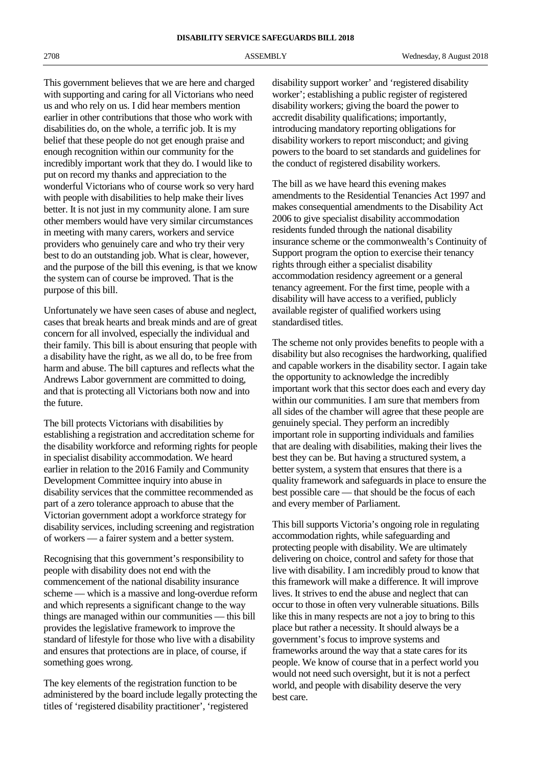This government believes that we are here and charged with supporting and caring for all Victorians who need us and who rely on us. I did hear members mention earlier in other contributions that those who work with disabilities do, on the whole, a terrific job. It is my belief that these people do not get enough praise and enough recognition within our community for the incredibly important work that they do. I would like to put on record my thanks and appreciation to the wonderful Victorians who of course work so very hard with people with disabilities to help make their lives better. It is not just in my community alone. I am sure other members would have very similar circumstances in meeting with many carers, workers and service providers who genuinely care and who try their very best to do an outstanding job. What is clear, however, and the purpose of the bill this evening, is that we know the system can of course be improved. That is the purpose of this bill.

Unfortunately we have seen cases of abuse and neglect, cases that break hearts and break minds and are of great concern for all involved, especially the individual and their family. This bill is about ensuring that people with a disability have the right, as we all do, to be free from harm and abuse. The bill captures and reflects what the Andrews Labor government are committed to doing, and that is protecting all Victorians both now and into the future.

The bill protects Victorians with disabilities by establishing a registration and accreditation scheme for the disability workforce and reforming rights for people in specialist disability accommodation. We heard earlier in relation to the 2016 Family and Community Development Committee inquiry into abuse in disability services that the committee recommended as part of a zero tolerance approach to abuse that the Victorian government adopt a workforce strategy for disability services, including screening and registration of workers — a fairer system and a better system.

Recognising that this government's responsibility to people with disability does not end with the commencement of the national disability insurance scheme — which is a massive and long-overdue reform and which represents a significant change to the way things are managed within our communities — this bill provides the legislative framework to improve the standard of lifestyle for those who live with a disability and ensures that protections are in place, of course, if something goes wrong.

The key elements of the registration function to be administered by the board include legally protecting the titles of 'registered disability practitioner', 'registered

disability support worker' and 'registered disability worker'; establishing a public register of registered disability workers; giving the board the power to accredit disability qualifications; importantly, introducing mandatory reporting obligations for disability workers to report misconduct; and giving powers to the board to set standards and guidelines for the conduct of registered disability workers.

The bill as we have heard this evening makes amendments to the Residential Tenancies Act 1997 and makes consequential amendments to the Disability Act 2006 to give specialist disability accommodation residents funded through the national disability insurance scheme or the commonwealth's Continuity of Support program the option to exercise their tenancy rights through either a specialist disability accommodation residency agreement or a general tenancy agreement. For the first time, people with a disability will have access to a verified, publicly available register of qualified workers using standardised titles.

The scheme not only provides benefits to people with a disability but also recognises the hardworking, qualified and capable workers in the disability sector. I again take the opportunity to acknowledge the incredibly important work that this sector does each and every day within our communities. I am sure that members from all sides of the chamber will agree that these people are genuinely special. They perform an incredibly important role in supporting individuals and families that are dealing with disabilities, making their lives the best they can be. But having a structured system, a better system, a system that ensures that there is a quality framework and safeguards in place to ensure the best possible care — that should be the focus of each and every member of Parliament.

This bill supports Victoria's ongoing role in regulating accommodation rights, while safeguarding and protecting people with disability. We are ultimately delivering on choice, control and safety for those that live with disability. I am incredibly proud to know that this framework will make a difference. It will improve lives. It strives to end the abuse and neglect that can occur to those in often very vulnerable situations. Bills like this in many respects are not a joy to bring to this place but rather a necessity. It should always be a government's focus to improve systems and frameworks around the way that a state cares for its people. We know of course that in a perfect world you would not need such oversight, but it is not a perfect world, and people with disability deserve the very best care.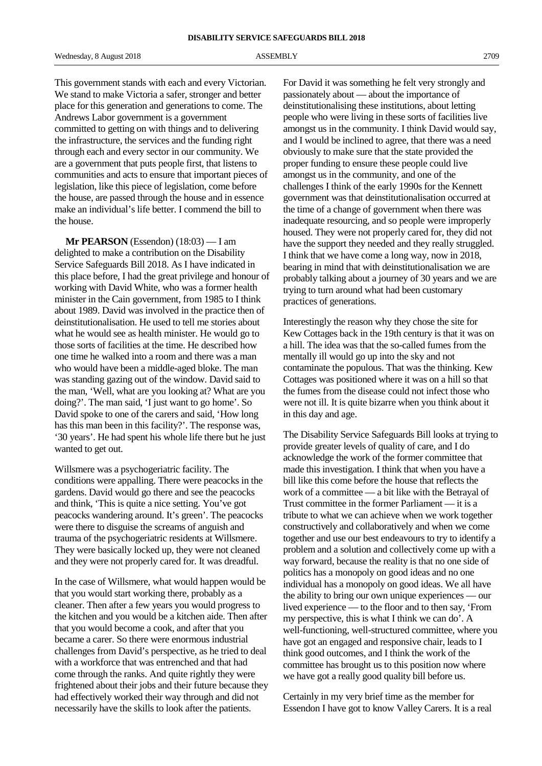This government stands with each and every Victorian. We stand to make Victoria a safer, stronger and better place for this generation and generations to come. The Andrews Labor government is a government committed to getting on with things and to delivering the infrastructure, the services and the funding right through each and every sector in our community. We are a government that puts people first, that listens to communities and acts to ensure that important pieces of legislation, like this piece of legislation, come before the house, are passed through the house and in essence make an individual's life better. I commend the bill to the house.

**Mr PEARSON** (Essendon) (18:03) — I am delighted to make a contribution on the Disability Service Safeguards Bill 2018. As I have indicated in this place before, I had the great privilege and honour of working with David White, who was a former health minister in the Cain government, from 1985 to I think about 1989. David was involved in the practice then of deinstitutionalisation. He used to tell me stories about what he would see as health minister. He would go to those sorts of facilities at the time. He described how one time he walked into a room and there was a man who would have been a middle-aged bloke. The man was standing gazing out of the window. David said to the man, 'Well, what are you looking at? What are you doing?'. The man said, 'I just want to go home'. So David spoke to one of the carers and said, 'How long has this man been in this facility?'. The response was, '30 years'. He had spent his whole life there but he just wanted to get out.

Willsmere was a psychogeriatric facility. The conditions were appalling. There were peacocks in the gardens. David would go there and see the peacocks and think, 'This is quite a nice setting. You've got peacocks wandering around. It's green'. The peacocks were there to disguise the screams of anguish and trauma of the psychogeriatric residents at Willsmere. They were basically locked up, they were not cleaned and they were not properly cared for. It was dreadful.

In the case of Willsmere, what would happen would be that you would start working there, probably as a cleaner. Then after a few years you would progress to the kitchen and you would be a kitchen aide. Then after that you would become a cook, and after that you became a carer. So there were enormous industrial challenges from David's perspective, as he tried to deal with a workforce that was entrenched and that had come through the ranks. And quite rightly they were frightened about their jobs and their future because they had effectively worked their way through and did not necessarily have the skills to look after the patients.

For David it was something he felt very strongly and passionately about — about the importance of deinstitutionalising these institutions, about letting people who were living in these sorts of facilities live amongst us in the community. I think David would say, and I would be inclined to agree, that there was a need obviously to make sure that the state provided the proper funding to ensure these people could live amongst us in the community, and one of the challenges I think of the early 1990s for the Kennett government was that deinstitutionalisation occurred at the time of a change of government when there was inadequate resourcing, and so people were improperly housed. They were not properly cared for, they did not have the support they needed and they really struggled. I think that we have come a long way, now in 2018, bearing in mind that with deinstitutionalisation we are probably talking about a journey of 30 years and we are trying to turn around what had been customary practices of generations.

Interestingly the reason why they chose the site for Kew Cottages back in the 19th century is that it was on a hill. The idea was that the so-called fumes from the mentally ill would go up into the sky and not contaminate the populous. That was the thinking. Kew Cottages was positioned where it was on a hill so that the fumes from the disease could not infect those who were not ill. It is quite bizarre when you think about it in this day and age.

The Disability Service Safeguards Bill looks at trying to provide greater levels of quality of care, and I do acknowledge the work of the former committee that made this investigation. I think that when you have a bill like this come before the house that reflects the work of a committee — a bit like with the Betrayal of Trust committee in the former Parliament — it is a tribute to what we can achieve when we work together constructively and collaboratively and when we come together and use our best endeavours to try to identify a problem and a solution and collectively come up with a way forward, because the reality is that no one side of politics has a monopoly on good ideas and no one individual has a monopoly on good ideas. We all have the ability to bring our own unique experiences — our lived experience — to the floor and to then say, 'From my perspective, this is what I think we can do'. A well-functioning, well-structured committee, where you have got an engaged and responsive chair, leads to I think good outcomes, and I think the work of the committee has brought us to this position now where we have got a really good quality bill before us.

Certainly in my very brief time as the member for Essendon I have got to know Valley Carers. It is a real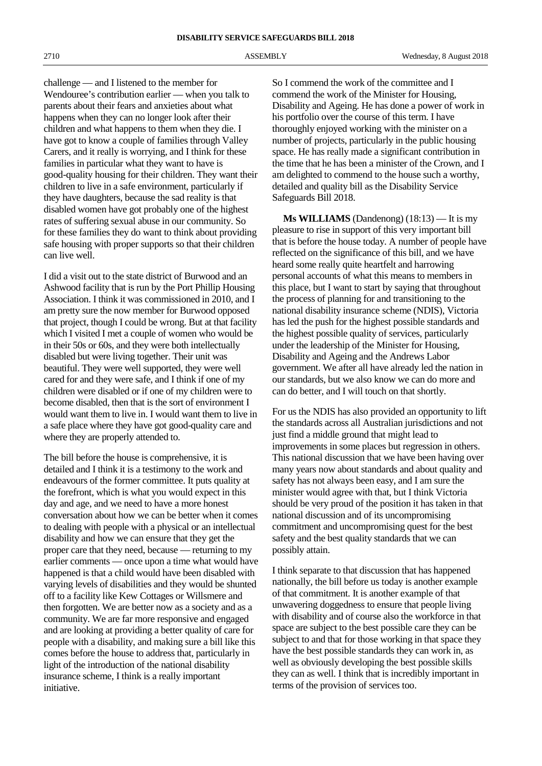challenge — and I listened to the member for Wendouree's contribution earlier — when you talk to parents about their fears and anxieties about what happens when they can no longer look after their children and what happens to them when they die. I have got to know a couple of families through Valley Carers, and it really is worrying, and I think for these families in particular what they want to have is good-quality housing for their children. They want their children to live in a safe environment, particularly if they have daughters, because the sad reality is that disabled women have got probably one of the highest rates of suffering sexual abuse in our community. So for these families they do want to think about providing safe housing with proper supports so that their children can live well.

I did a visit out to the state district of Burwood and an Ashwood facility that is run by the Port Phillip Housing Association. I think it was commissioned in 2010, and I am pretty sure the now member for Burwood opposed that project, though I could be wrong. But at that facility which I visited I met a couple of women who would be in their 50s or 60s, and they were both intellectually disabled but were living together. Their unit was beautiful. They were well supported, they were well cared for and they were safe, and I think if one of my children were disabled or if one of my children were to become disabled, then that is the sort of environment I would want them to live in. I would want them to live in a safe place where they have got good-quality care and where they are properly attended to.

The bill before the house is comprehensive, it is detailed and I think it is a testimony to the work and endeavours of the former committee. It puts quality at the forefront, which is what you would expect in this day and age, and we need to have a more honest conversation about how we can be better when it comes to dealing with people with a physical or an intellectual disability and how we can ensure that they get the proper care that they need, because — returning to my earlier comments — once upon a time what would have happened is that a child would have been disabled with varying levels of disabilities and they would be shunted off to a facility like Kew Cottages or Willsmere and then forgotten. We are better now as a society and as a community. We are far more responsive and engaged and are looking at providing a better quality of care for people with a disability, and making sure a bill like this comes before the house to address that, particularly in light of the introduction of the national disability insurance scheme, I think is a really important initiative.

So I commend the work of the committee and I commend the work of the Minister for Housing, Disability and Ageing. He has done a power of work in his portfolio over the course of this term. I have thoroughly enjoyed working with the minister on a number of projects, particularly in the public housing space. He has really made a significant contribution in the time that he has been a minister of the Crown, and I am delighted to commend to the house such a worthy, detailed and quality bill as the Disability Service Safeguards Bill 2018.

**Ms WILLIAMS** (Dandenong) (18:13) — It is my pleasure to rise in support of this very important bill that is before the house today. A number of people have reflected on the significance of this bill, and we have heard some really quite heartfelt and harrowing personal accounts of what this means to members in this place, but I want to start by saying that throughout the process of planning for and transitioning to the national disability insurance scheme (NDIS), Victoria has led the push for the highest possible standards and the highest possible quality of services, particularly under the leadership of the Minister for Housing, Disability and Ageing and the Andrews Labor government. We after all have already led the nation in our standards, but we also know we can do more and can do better, and I will touch on that shortly.

For us the NDIS has also provided an opportunity to lift the standards across all Australian jurisdictions and not just find a middle ground that might lead to improvements in some places but regression in others. This national discussion that we have been having over many years now about standards and about quality and safety has not always been easy, and I am sure the minister would agree with that, but I think Victoria should be very proud of the position it has taken in that national discussion and of its uncompromising commitment and uncompromising quest for the best safety and the best quality standards that we can possibly attain.

I think separate to that discussion that has happened nationally, the bill before us today is another example of that commitment. It is another example of that unwavering doggedness to ensure that people living with disability and of course also the workforce in that space are subject to the best possible care they can be subject to and that for those working in that space they have the best possible standards they can work in, as well as obviously developing the best possible skills they can as well. I think that is incredibly important in terms of the provision of services too.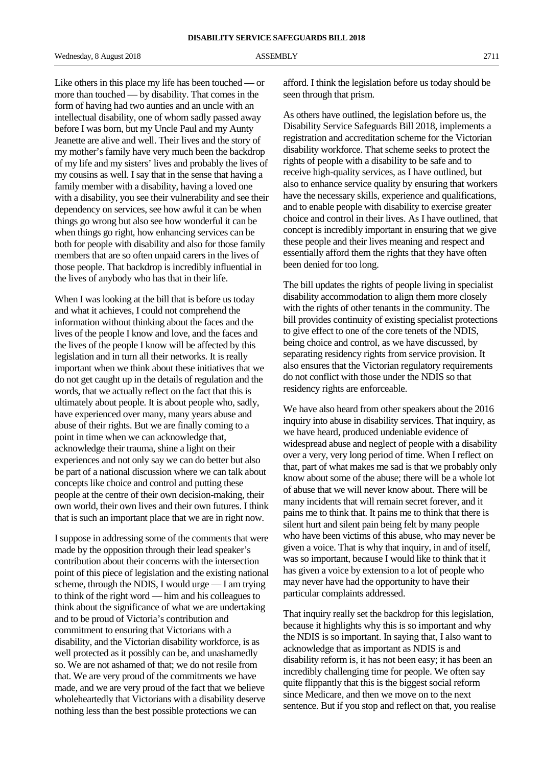Like others in this place my life has been touched — or more than touched — by disability. That comes in the form of having had two aunties and an uncle with an intellectual disability, one of whom sadly passed away before I was born, but my Uncle Paul and my Aunty Jeanette are alive and well. Their lives and the story of my mother's family have very much been the backdrop of my life and my sisters' lives and probably the lives of my cousins as well. I say that in the sense that having a family member with a disability, having a loved one with a disability, you see their vulnerability and see their dependency on services, see how awful it can be when things go wrong but also see how wonderful it can be when things go right, how enhancing services can be both for people with disability and also for those family members that are so often unpaid carers in the lives of those people. That backdrop is incredibly influential in the lives of anybody who has that in their life.

When I was looking at the bill that is before us today and what it achieves, I could not comprehend the information without thinking about the faces and the lives of the people I know and love, and the faces and the lives of the people I know will be affected by this legislation and in turn all their networks. It is really important when we think about these initiatives that we do not get caught up in the details of regulation and the words, that we actually reflect on the fact that this is ultimately about people. It is about people who, sadly, have experienced over many, many years abuse and abuse of their rights. But we are finally coming to a point in time when we can acknowledge that, acknowledge their trauma, shine a light on their experiences and not only say we can do better but also be part of a national discussion where we can talk about concepts like choice and control and putting these people at the centre of their own decision-making, their own world, their own lives and their own futures. I think that is such an important place that we are in right now.

I suppose in addressing some of the comments that were made by the opposition through their lead speaker's contribution about their concerns with the intersection point of this piece of legislation and the existing national scheme, through the NDIS, I would urge — I am trying to think of the right word — him and his colleagues to think about the significance of what we are undertaking and to be proud of Victoria's contribution and commitment to ensuring that Victorians with a disability, and the Victorian disability workforce, is as well protected as it possibly can be, and unashamedly so. We are not ashamed of that; we do not resile from that. We are very proud of the commitments we have made, and we are very proud of the fact that we believe wholeheartedly that Victorians with a disability deserve nothing less than the best possible protections we can

afford. I think the legislation before us today should be seen through that prism.

As others have outlined, the legislation before us, the Disability Service Safeguards Bill 2018, implements a registration and accreditation scheme for the Victorian disability workforce. That scheme seeks to protect the rights of people with a disability to be safe and to receive high-quality services, as I have outlined, but also to enhance service quality by ensuring that workers have the necessary skills, experience and qualifications, and to enable people with disability to exercise greater choice and control in their lives. As I have outlined, that concept is incredibly important in ensuring that we give these people and their lives meaning and respect and essentially afford them the rights that they have often been denied for too long.

The bill updates the rights of people living in specialist disability accommodation to align them more closely with the rights of other tenants in the community. The bill provides continuity of existing specialist protections to give effect to one of the core tenets of the NDIS, being choice and control, as we have discussed, by separating residency rights from service provision. It also ensures that the Victorian regulatory requirements do not conflict with those under the NDIS so that residency rights are enforceable.

We have also heard from other speakers about the 2016 inquiry into abuse in disability services. That inquiry, as we have heard, produced undeniable evidence of widespread abuse and neglect of people with a disability over a very, very long period of time. When I reflect on that, part of what makes me sad is that we probably only know about some of the abuse; there will be a whole lot of abuse that we will never know about. There will be many incidents that will remain secret forever, and it pains me to think that. It pains me to think that there is silent hurt and silent pain being felt by many people who have been victims of this abuse, who may never be given a voice. That is why that inquiry, in and of itself, was so important, because I would like to think that it has given a voice by extension to a lot of people who may never have had the opportunity to have their particular complaints addressed.

That inquiry really set the backdrop for this legislation, because it highlights why this is so important and why the NDIS is so important. In saying that, I also want to acknowledge that as important as NDIS is and disability reform is, it has not been easy; it has been an incredibly challenging time for people. We often say quite flippantly that this is the biggest social reform since Medicare, and then we move on to the next sentence. But if you stop and reflect on that, you realise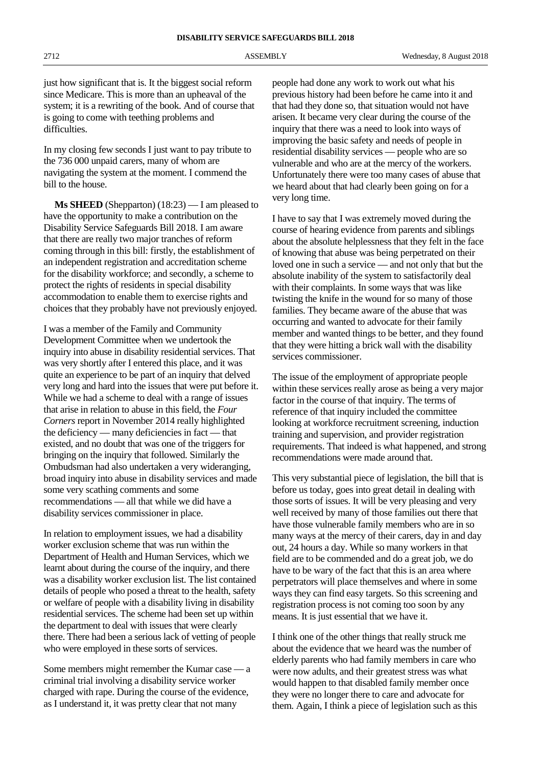just how significant that is. It the biggest social reform since Medicare. This is more than an upheaval of the system; it is a rewriting of the book. And of course that is going to come with teething problems and difficulties.

In my closing few seconds I just want to pay tribute to the 736 000 unpaid carers, many of whom are navigating the system at the moment. I commend the bill to the house.

**Ms SHEED** (Shepparton) (18:23) — I am pleased to have the opportunity to make a contribution on the Disability Service Safeguards Bill 2018. I am aware that there are really two major tranches of reform coming through in this bill: firstly, the establishment of an independent registration and accreditation scheme for the disability workforce; and secondly, a scheme to protect the rights of residents in special disability accommodation to enable them to exercise rights and choices that they probably have not previously enjoyed.

I was a member of the Family and Community Development Committee when we undertook the inquiry into abuse in disability residential services. That was very shortly after I entered this place, and it was quite an experience to be part of an inquiry that delved very long and hard into the issues that were put before it. While we had a scheme to deal with a range of issues that arise in relation to abuse in this field, the *Four Corners* report in November 2014 really highlighted the deficiency — many deficiencies in fact — that existed, and no doubt that was one of the triggers for bringing on the inquiry that followed. Similarly the Ombudsman had also undertaken a very wideranging, broad inquiry into abuse in disability services and made some very scathing comments and some recommendations — all that while we did have a disability services commissioner in place.

In relation to employment issues, we had a disability worker exclusion scheme that was run within the Department of Health and Human Services, which we learnt about during the course of the inquiry, and there was a disability worker exclusion list. The list contained details of people who posed a threat to the health, safety or welfare of people with a disability living in disability residential services. The scheme had been set up within the department to deal with issues that were clearly there. There had been a serious lack of vetting of people who were employed in these sorts of services.

Some members might remember the Kumar case — a criminal trial involving a disability service worker charged with rape. During the course of the evidence, as I understand it, it was pretty clear that not many

people had done any work to work out what his previous history had been before he came into it and that had they done so, that situation would not have arisen. It became very clear during the course of the inquiry that there was a need to look into ways of improving the basic safety and needs of people in residential disability services — people who are so vulnerable and who are at the mercy of the workers. Unfortunately there were too many cases of abuse that we heard about that had clearly been going on for a very long time.

I have to say that I was extremely moved during the course of hearing evidence from parents and siblings about the absolute helplessness that they felt in the face of knowing that abuse was being perpetrated on their loved one in such a service — and not only that but the absolute inability of the system to satisfactorily deal with their complaints. In some ways that was like twisting the knife in the wound for so many of those families. They became aware of the abuse that was occurring and wanted to advocate for their family member and wanted things to be better, and they found that they were hitting a brick wall with the disability services commissioner.

The issue of the employment of appropriate people within these services really arose as being a very major factor in the course of that inquiry. The terms of reference of that inquiry included the committee looking at workforce recruitment screening, induction training and supervision, and provider registration requirements. That indeed is what happened, and strong recommendations were made around that.

This very substantial piece of legislation, the bill that is before us today, goes into great detail in dealing with those sorts of issues. It will be very pleasing and very well received by many of those families out there that have those vulnerable family members who are in so many ways at the mercy of their carers, day in and day out, 24 hours a day. While so many workers in that field are to be commended and do a great job, we do have to be wary of the fact that this is an area where perpetrators will place themselves and where in some ways they can find easy targets. So this screening and registration process is not coming too soon by any means. It is just essential that we have it.

I think one of the other things that really struck me about the evidence that we heard was the number of elderly parents who had family members in care who were now adults, and their greatest stress was what would happen to that disabled family member once they were no longer there to care and advocate for them. Again, I think a piece of legislation such as this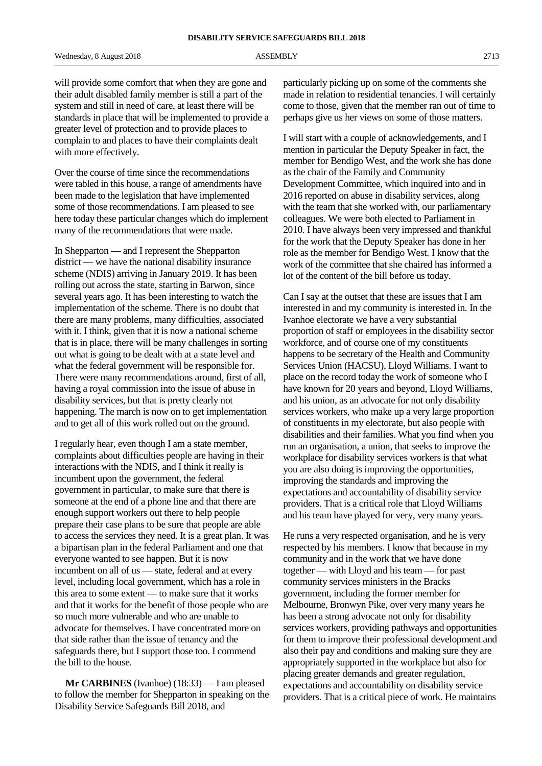Wednesday, 8 August 2018 2713 ASSEMBLY 2713

will provide some comfort that when they are gone and their adult disabled family member is still a part of the system and still in need of care, at least there will be standards in place that will be implemented to provide a greater level of protection and to provide places to complain to and places to have their complaints dealt with more effectively.

Over the course of time since the recommendations were tabled in this house, a range of amendments have been made to the legislation that have implemented some of those recommendations. I am pleased to see here today these particular changes which do implement many of the recommendations that were made.

In Shepparton — and I represent the Shepparton district — we have the national disability insurance scheme (NDIS) arriving in January 2019. It has been rolling out across the state, starting in Barwon, since several years ago. It has been interesting to watch the implementation of the scheme. There is no doubt that there are many problems, many difficulties, associated with it. I think, given that it is now a national scheme that is in place, there will be many challenges in sorting out what is going to be dealt with at a state level and what the federal government will be responsible for. There were many recommendations around, first of all, having a royal commission into the issue of abuse in disability services, but that is pretty clearly not happening. The march is now on to get implementation and to get all of this work rolled out on the ground.

I regularly hear, even though I am a state member, complaints about difficulties people are having in their interactions with the NDIS, and I think it really is incumbent upon the government, the federal government in particular, to make sure that there is someone at the end of a phone line and that there are enough support workers out there to help people prepare their case plans to be sure that people are able to access the services they need. It is a great plan. It was a bipartisan plan in the federal Parliament and one that everyone wanted to see happen. But it is now incumbent on all of us — state, federal and at every level, including local government, which has a role in this area to some extent — to make sure that it works and that it works for the benefit of those people who are so much more vulnerable and who are unable to advocate for themselves. I have concentrated more on that side rather than the issue of tenancy and the safeguards there, but I support those too. I commend the bill to the house.

**Mr CARBINES** (Ivanhoe) (18:33) — I am pleased to follow the member for Shepparton in speaking on the Disability Service Safeguards Bill 2018, and

particularly picking up on some of the comments she made in relation to residential tenancies. I will certainly come to those, given that the member ran out of time to perhaps give us her views on some of those matters.

I will start with a couple of acknowledgements, and I mention in particular the Deputy Speaker in fact, the member for Bendigo West, and the work she has done as the chair of the Family and Community Development Committee, which inquired into and in 2016 reported on abuse in disability services, along with the team that she worked with, our parliamentary colleagues. We were both elected to Parliament in 2010. I have always been very impressed and thankful for the work that the Deputy Speaker has done in her role as the member for Bendigo West. I know that the work of the committee that she chaired has informed a lot of the content of the bill before us today.

Can I say at the outset that these are issues that I am interested in and my community is interested in. In the Ivanhoe electorate we have a very substantial proportion of staff or employees in the disability sector workforce, and of course one of my constituents happens to be secretary of the Health and Community Services Union (HACSU), Lloyd Williams. I want to place on the record today the work of someone who I have known for 20 years and beyond, Lloyd Williams, and his union, as an advocate for not only disability services workers, who make up a very large proportion of constituents in my electorate, but also people with disabilities and their families. What you find when you run an organisation, a union, that seeks to improve the workplace for disability services workers is that what you are also doing is improving the opportunities, improving the standards and improving the expectations and accountability of disability service providers. That is a critical role that Lloyd Williams and his team have played for very, very many years.

He runs a very respected organisation, and he is very respected by his members. I know that because in my community and in the work that we have done together — with Lloyd and his team — for past community services ministers in the Bracks government, including the former member for Melbourne, Bronwyn Pike, over very many years he has been a strong advocate not only for disability services workers, providing pathways and opportunities for them to improve their professional development and also their pay and conditions and making sure they are appropriately supported in the workplace but also for placing greater demands and greater regulation, expectations and accountability on disability service providers. That is a critical piece of work. He maintains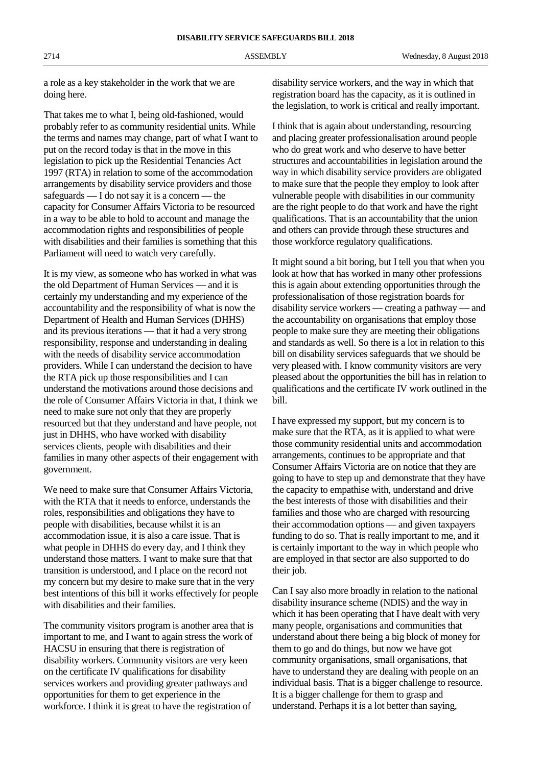a role as a key stakeholder in the work that we are doing here.

That takes me to what I, being old-fashioned, would probably refer to as community residential units. While the terms and names may change, part of what I want to put on the record today is that in the move in this legislation to pick up the Residential Tenancies Act 1997 (RTA) in relation to some of the accommodation arrangements by disability service providers and those safeguards — I do not say it is a concern — the capacity for Consumer Affairs Victoria to be resourced in a way to be able to hold to account and manage the accommodation rights and responsibilities of people with disabilities and their families is something that this Parliament will need to watch very carefully.

It is my view, as someone who has worked in what was the old Department of Human Services — and it is certainly my understanding and my experience of the accountability and the responsibility of what is now the Department of Health and Human Services (DHHS) and its previous iterations — that it had a very strong responsibility, response and understanding in dealing with the needs of disability service accommodation providers. While I can understand the decision to have the RTA pick up those responsibilities and I can understand the motivations around those decisions and the role of Consumer Affairs Victoria in that, I think we need to make sure not only that they are properly resourced but that they understand and have people, not just in DHHS, who have worked with disability services clients, people with disabilities and their families in many other aspects of their engagement with government.

We need to make sure that Consumer Affairs Victoria, with the RTA that it needs to enforce, understands the roles, responsibilities and obligations they have to people with disabilities, because whilst it is an accommodation issue, it is also a care issue. That is what people in DHHS do every day, and I think they understand those matters. I want to make sure that that transition is understood, and I place on the record not my concern but my desire to make sure that in the very best intentions of this bill it works effectively for people with disabilities and their families.

The community visitors program is another area that is important to me, and I want to again stress the work of HACSU in ensuring that there is registration of disability workers. Community visitors are very keen on the certificate IV qualifications for disability services workers and providing greater pathways and opportunities for them to get experience in the workforce. I think it is great to have the registration of

disability service workers, and the way in which that registration board has the capacity, as it is outlined in the legislation, to work is critical and really important.

I think that is again about understanding, resourcing and placing greater professionalisation around people who do great work and who deserve to have better structures and accountabilities in legislation around the way in which disability service providers are obligated to make sure that the people they employ to look after vulnerable people with disabilities in our community are the right people to do that work and have the right qualifications. That is an accountability that the union and others can provide through these structures and those workforce regulatory qualifications.

It might sound a bit boring, but I tell you that when you look at how that has worked in many other professions this is again about extending opportunities through the professionalisation of those registration boards for disability service workers — creating a pathway — and the accountability on organisations that employ those people to make sure they are meeting their obligations and standards as well. So there is a lot in relation to this bill on disability services safeguards that we should be very pleased with. I know community visitors are very pleased about the opportunities the bill has in relation to qualifications and the certificate IV work outlined in the bill.

I have expressed my support, but my concern is to make sure that the RTA, as it is applied to what were those community residential units and accommodation arrangements, continues to be appropriate and that Consumer Affairs Victoria are on notice that they are going to have to step up and demonstrate that they have the capacity to empathise with, understand and drive the best interests of those with disabilities and their families and those who are charged with resourcing their accommodation options — and given taxpayers funding to do so. That is really important to me, and it is certainly important to the way in which people who are employed in that sector are also supported to do their job.

Can I say also more broadly in relation to the national disability insurance scheme (NDIS) and the way in which it has been operating that I have dealt with very many people, organisations and communities that understand about there being a big block of money for them to go and do things, but now we have got community organisations, small organisations, that have to understand they are dealing with people on an individual basis. That is a bigger challenge to resource. It is a bigger challenge for them to grasp and understand. Perhaps it is a lot better than saying,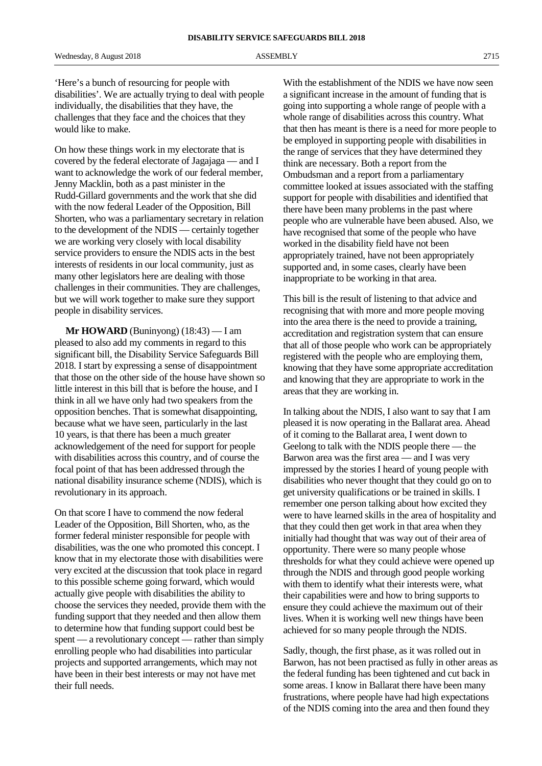'Here's a bunch of resourcing for people with disabilities'. We are actually trying to deal with people individually, the disabilities that they have, the challenges that they face and the choices that they would like to make.

On how these things work in my electorate that is covered by the federal electorate of Jagajaga — and I want to acknowledge the work of our federal member, Jenny Macklin, both as a past minister in the Rudd-Gillard governments and the work that she did with the now federal Leader of the Opposition, Bill Shorten, who was a parliamentary secretary in relation to the development of the NDIS — certainly together we are working very closely with local disability service providers to ensure the NDIS acts in the best interests of residents in our local community, just as many other legislators here are dealing with those challenges in their communities. They are challenges, but we will work together to make sure they support people in disability services.

**Mr HOWARD** (Buninyong) (18:43) — I am pleased to also add my comments in regard to this significant bill, the Disability Service Safeguards Bill 2018. I start by expressing a sense of disappointment that those on the other side of the house have shown so little interest in this bill that is before the house, and I think in all we have only had two speakers from the opposition benches. That is somewhat disappointing, because what we have seen, particularly in the last 10 years, is that there has been a much greater acknowledgement of the need for support for people with disabilities across this country, and of course the focal point of that has been addressed through the national disability insurance scheme (NDIS), which is revolutionary in its approach.

On that score I have to commend the now federal Leader of the Opposition, Bill Shorten, who, as the former federal minister responsible for people with disabilities, was the one who promoted this concept. I know that in my electorate those with disabilities were very excited at the discussion that took place in regard to this possible scheme going forward, which would actually give people with disabilities the ability to choose the services they needed, provide them with the funding support that they needed and then allow them to determine how that funding support could best be spent — a revolutionary concept — rather than simply enrolling people who had disabilities into particular projects and supported arrangements, which may not have been in their best interests or may not have met their full needs.

With the establishment of the NDIS we have now seen a significant increase in the amount of funding that is going into supporting a whole range of people with a whole range of disabilities across this country. What that then has meant is there is a need for more people to be employed in supporting people with disabilities in the range of services that they have determined they think are necessary. Both a report from the Ombudsman and a report from a parliamentary committee looked at issues associated with the staffing support for people with disabilities and identified that there have been many problems in the past where people who are vulnerable have been abused. Also, we have recognised that some of the people who have worked in the disability field have not been appropriately trained, have not been appropriately supported and, in some cases, clearly have been inappropriate to be working in that area.

This bill is the result of listening to that advice and recognising that with more and more people moving into the area there is the need to provide a training, accreditation and registration system that can ensure that all of those people who work can be appropriately registered with the people who are employing them, knowing that they have some appropriate accreditation and knowing that they are appropriate to work in the areas that they are working in.

In talking about the NDIS, I also want to say that I am pleased it is now operating in the Ballarat area. Ahead of it coming to the Ballarat area, I went down to Geelong to talk with the NDIS people there — the Barwon area was the first area — and I was very impressed by the stories I heard of young people with disabilities who never thought that they could go on to get university qualifications or be trained in skills. I remember one person talking about how excited they were to have learned skills in the area of hospitality and that they could then get work in that area when they initially had thought that was way out of their area of opportunity. There were so many people whose thresholds for what they could achieve were opened up through the NDIS and through good people working with them to identify what their interests were, what their capabilities were and how to bring supports to ensure they could achieve the maximum out of their lives. When it is working well new things have been achieved for so many people through the NDIS.

Sadly, though, the first phase, as it was rolled out in Barwon, has not been practised as fully in other areas as the federal funding has been tightened and cut back in some areas. I know in Ballarat there have been many frustrations, where people have had high expectations of the NDIS coming into the area and then found they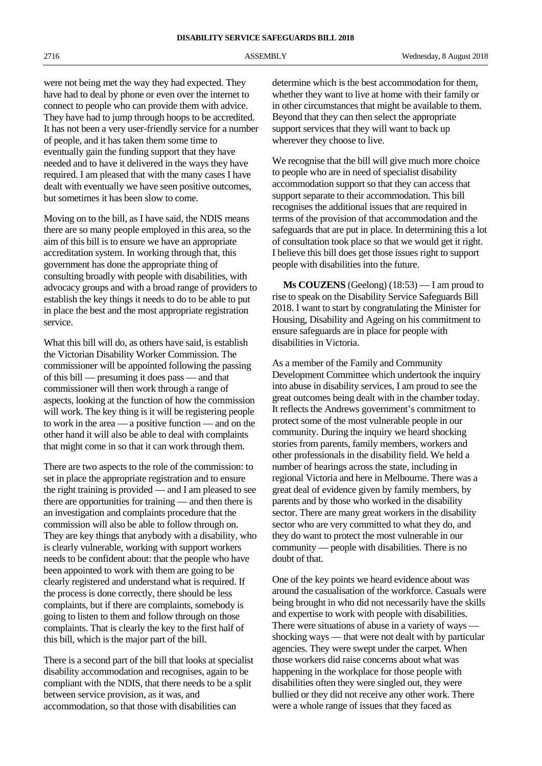were not being met the way they had expected. They have had to deal by phone or even over the internet to connect to people who can provide them with advice. They have had to jump through hoops to be accredited. It has not been a very user-friendly service for a number of people, and it has taken them some time to eventually gain the funding support that they have needed and to have it delivered in the ways they have required. I am pleased that with the many cases I have dealt with eventually we have seen positive outcomes, but sometimes it has been slow to come.

Moving on to the bill, as I have said, the NDIS means there are so many people employed in this area, so the aim of this bill is to ensure we have an appropriate accreditation system. In working through that, this government has done the appropriate thing of consulting broadly with people with disabilities, with advocacy groups and with a broad range of providers to establish the key things it needs to do to be able to put in place the best and the most appropriate registration service.

What this bill will do, as others have said, is establish the Victorian Disability Worker Commission. The commissioner will be appointed following the passing of this bill — presuming it does pass — and that commissioner will then work through a range of aspects, looking at the function of how the commission will work. The key thing is it will be registering people to work in the area — a positive function — and on the other hand it will also be able to deal with complaints that might come in so that it can work through them.

There are two aspects to the role of the commission: to set in place the appropriate registration and to ensure the right training is provided — and I am pleased to see there are opportunities for training — and then there is an investigation and complaints procedure that the commission will also be able to follow through on. They are key things that anybody with a disability, who is clearly vulnerable, working with support workers needs to be confident about: that the people who have been appointed to work with them are going to be clearly registered and understand what is required. If the process is done correctly, there should be less complaints, but if there are complaints, somebody is going to listen to them and follow through on those complaints. That is clearly the key to the first half of this bill, which is the major part of the bill.

There is a second part of the bill that looks at specialist disability accommodation and recognises, again to be compliant with the NDIS, that there needs to be a split between service provision, as it was, and accommodation, so that those with disabilities can

determine which is the best accommodation for them, whether they want to live at home with their family or in other circumstances that might be available to them. Beyond that they can then select the appropriate support services that they will want to back up wherever they choose to live.

We recognise that the bill will give much more choice to people who are in need of specialist disability accommodation support so that they can access that support separate to their accommodation. This bill recognises the additional issues that are required in terms of the provision of that accommodation and the safeguards that are put in place. In determining this a lot of consultation took place so that we would get it right. I believe this bill does get those issues right to support people with disabilities into the future.

**Ms COUZENS** (Geelong) (18:53) — I am proud to rise to speak on the Disability Service Safeguards Bill 2018. I want to start by congratulating the Minister for Housing, Disability and Ageing on his commitment to ensure safeguards are in place for people with disabilities in Victoria.

As a member of the Family and Community Development Committee which undertook the inquiry into abuse in disability services, I am proud to see the great outcomes being dealt with in the chamber today. It reflects the Andrews government's commitment to protect some of the most vulnerable people in our community. During the inquiry we heard shocking stories from parents, family members, workers and other professionals in the disability field. We held a number of hearings across the state, including in regional Victoria and here in Melbourne. There was a great deal of evidence given by family members, by parents and by those who worked in the disability sector. There are many great workers in the disability sector who are very committed to what they do, and they do want to protect the most vulnerable in our community — people with disabilities. There is no doubt of that.

One of the key points we heard evidence about was around the casualisation of the workforce. Casuals were being brought in who did not necessarily have the skills and expertise to work with people with disabilities. There were situations of abuse in a variety of ways shocking ways — that were not dealt with by particular agencies. They were swept under the carpet. When those workers did raise concerns about what was happening in the workplace for those people with disabilities often they were singled out, they were bullied or they did not receive any other work. There were a whole range of issues that they faced as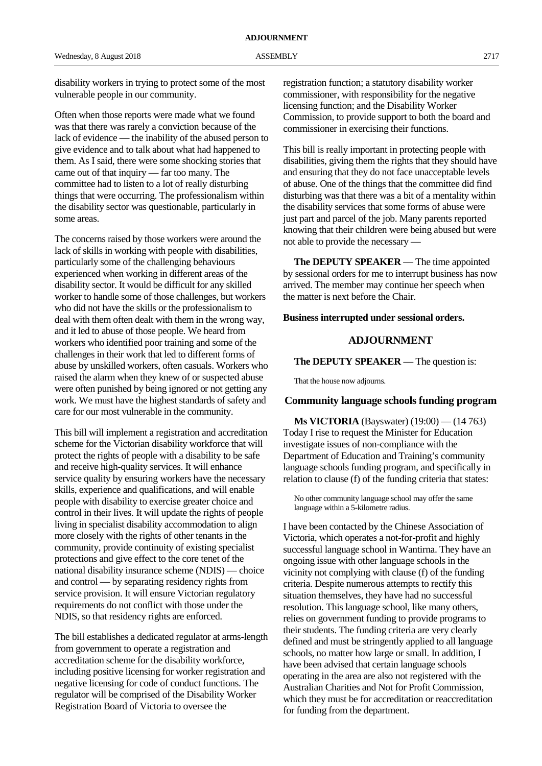disability workers in trying to protect some of the most vulnerable people in our community.

Often when those reports were made what we found was that there was rarely a conviction because of the lack of evidence — the inability of the abused person to give evidence and to talk about what had happened to them. As I said, there were some shocking stories that came out of that inquiry — far too many. The committee had to listen to a lot of really disturbing things that were occurring. The professionalism within the disability sector was questionable, particularly in some areas.

The concerns raised by those workers were around the lack of skills in working with people with disabilities, particularly some of the challenging behaviours experienced when working in different areas of the disability sector. It would be difficult for any skilled worker to handle some of those challenges, but workers who did not have the skills or the professionalism to deal with them often dealt with them in the wrong way, and it led to abuse of those people. We heard from workers who identified poor training and some of the challenges in their work that led to different forms of abuse by unskilled workers, often casuals. Workers who raised the alarm when they knew of or suspected abuse were often punished by being ignored or not getting any work. We must have the highest standards of safety and care for our most vulnerable in the community.

This bill will implement a registration and accreditation scheme for the Victorian disability workforce that will protect the rights of people with a disability to be safe and receive high-quality services. It will enhance service quality by ensuring workers have the necessary skills, experience and qualifications, and will enable people with disability to exercise greater choice and control in their lives. It will update the rights of people living in specialist disability accommodation to align more closely with the rights of other tenants in the community, provide continuity of existing specialist protections and give effect to the core tenet of the national disability insurance scheme (NDIS) — choice and control — by separating residency rights from service provision. It will ensure Victorian regulatory requirements do not conflict with those under the NDIS, so that residency rights are enforced.

The bill establishes a dedicated regulator at arms-length from government to operate a registration and accreditation scheme for the disability workforce, including positive licensing for worker registration and negative licensing for code of conduct functions. The regulator will be comprised of the Disability Worker Registration Board of Victoria to oversee the

registration function; a statutory disability worker commissioner, with responsibility for the negative licensing function; and the Disability Worker Commission, to provide support to both the board and commissioner in exercising their functions.

This bill is really important in protecting people with disabilities, giving them the rights that they should have and ensuring that they do not face unacceptable levels of abuse. One of the things that the committee did find disturbing was that there was a bit of a mentality within the disability services that some forms of abuse were just part and parcel of the job. Many parents reported knowing that their children were being abused but were not able to provide the necessary —

**The DEPUTY SPEAKER** — The time appointed by sessional orders for me to interrupt business has now arrived. The member may continue her speech when the matter is next before the Chair.

### **Business interrupted under sessional orders.**

## **ADJOURNMENT**

**The DEPUTY SPEAKER** — The question is:

That the house now adjourns.

#### **Community language schools funding program**

**Ms VICTORIA** (Bayswater) (19:00) — (14 763) Today I rise to request the Minister for Education investigate issues of non-compliance with the Department of Education and Training's community language schools funding program, and specifically in relation to clause (f) of the funding criteria that states:

No other community language school may offer the same language within a 5-kilometre radius.

I have been contacted by the Chinese Association of Victoria, which operates a not-for-profit and highly successful language school in Wantirna. They have an ongoing issue with other language schools in the vicinity not complying with clause (f) of the funding criteria. Despite numerous attempts to rectify this situation themselves, they have had no successful resolution. This language school, like many others, relies on government funding to provide programs to their students. The funding criteria are very clearly defined and must be stringently applied to all language schools, no matter how large or small. In addition, I have been advised that certain language schools operating in the area are also not registered with the Australian Charities and Not for Profit Commission, which they must be for accreditation or reaccreditation for funding from the department.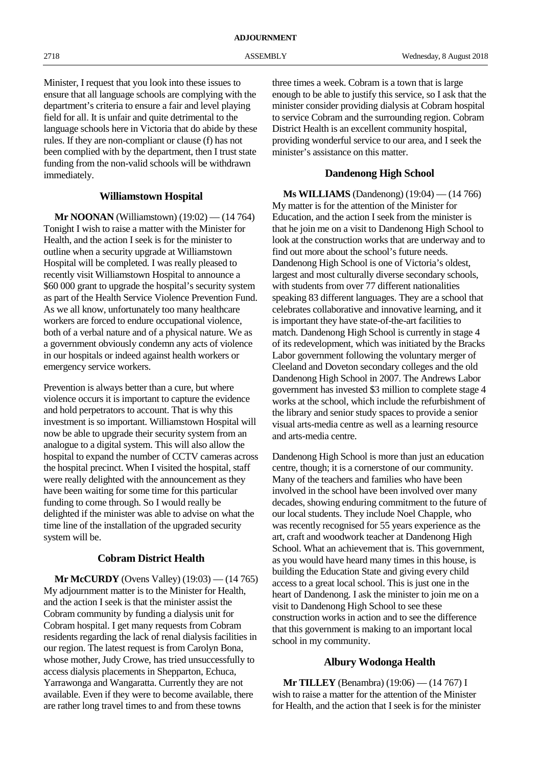Minister, I request that you look into these issues to ensure that all language schools are complying with the department's criteria to ensure a fair and level playing field for all. It is unfair and quite detrimental to the language schools here in Victoria that do abide by these rules. If they are non-compliant or clause (f) has not been complied with by the department, then I trust state funding from the non-valid schools will be withdrawn immediately.

## **Williamstown Hospital**

**Mr NOONAN** (Williamstown) (19:02) — (14 764) Tonight I wish to raise a matter with the Minister for Health, and the action I seek is for the minister to outline when a security upgrade at Williamstown Hospital will be completed. I was really pleased to recently visit Williamstown Hospital to announce a \$60 000 grant to upgrade the hospital's security system as part of the Health Service Violence Prevention Fund. As we all know, unfortunately too many healthcare workers are forced to endure occupational violence, both of a verbal nature and of a physical nature. We as a government obviously condemn any acts of violence in our hospitals or indeed against health workers or emergency service workers.

Prevention is always better than a cure, but where violence occurs it is important to capture the evidence and hold perpetrators to account. That is why this investment is so important. Williamstown Hospital will now be able to upgrade their security system from an analogue to a digital system. This will also allow the hospital to expand the number of CCTV cameras across the hospital precinct. When I visited the hospital, staff were really delighted with the announcement as they have been waiting for some time for this particular funding to come through. So I would really be delighted if the minister was able to advise on what the time line of the installation of the upgraded security system will be.

## **Cobram District Health**

**Mr McCURDY** (Ovens Valley) (19:03) — (14 765) My adjournment matter is to the Minister for Health, and the action I seek is that the minister assist the Cobram community by funding a dialysis unit for Cobram hospital. I get many requests from Cobram residents regarding the lack of renal dialysis facilities in our region. The latest request is from Carolyn Bona, whose mother, Judy Crowe, has tried unsuccessfully to access dialysis placements in Shepparton, Echuca, Yarrawonga and Wangaratta. Currently they are not available. Even if they were to become available, there are rather long travel times to and from these towns

three times a week. Cobram is a town that is large enough to be able to justify this service, so I ask that the minister consider providing dialysis at Cobram hospital to service Cobram and the surrounding region. Cobram District Health is an excellent community hospital, providing wonderful service to our area, and I seek the minister's assistance on this matter.

## **Dandenong High School**

**Ms WILLIAMS** (Dandenong) (19:04) — (14 766) My matter is for the attention of the Minister for Education, and the action I seek from the minister is that he join me on a visit to Dandenong High School to look at the construction works that are underway and to find out more about the school's future needs. Dandenong High School is one of Victoria's oldest, largest and most culturally diverse secondary schools, with students from over 77 different nationalities speaking 83 different languages. They are a school that celebrates collaborative and innovative learning, and it is important they have state-of-the-art facilities to match. Dandenong High School is currently in stage 4 of its redevelopment, which was initiated by the Bracks Labor government following the voluntary merger of Cleeland and Doveton secondary colleges and the old Dandenong High School in 2007. The Andrews Labor government has invested \$3 million to complete stage 4 works at the school, which include the refurbishment of the library and senior study spaces to provide a senior visual arts-media centre as well as a learning resource and arts-media centre.

Dandenong High School is more than just an education centre, though; it is a cornerstone of our community. Many of the teachers and families who have been involved in the school have been involved over many decades, showing enduring commitment to the future of our local students. They include Noel Chapple, who was recently recognised for 55 years experience as the art, craft and woodwork teacher at Dandenong High School. What an achievement that is. This government, as you would have heard many times in this house, is building the Education State and giving every child access to a great local school. This is just one in the heart of Dandenong. I ask the minister to join me on a visit to Dandenong High School to see these construction works in action and to see the difference that this government is making to an important local school in my community.

# **Albury Wodonga Health**

**Mr TILLEY** (Benambra) (19:06) — (14 767) I wish to raise a matter for the attention of the Minister for Health, and the action that I seek is for the minister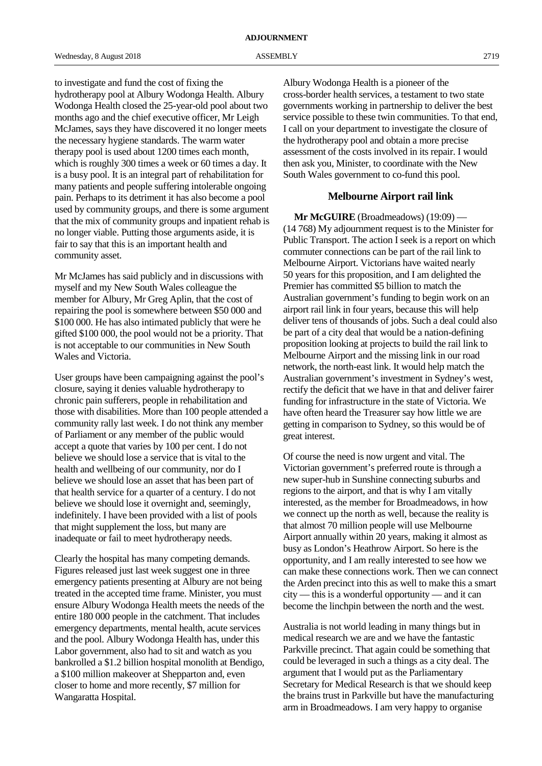to investigate and fund the cost of fixing the hydrotherapy pool at Albury Wodonga Health. Albury Wodonga Health closed the 25-year-old pool about two months ago and the chief executive officer, Mr Leigh McJames, says they have discovered it no longer meets the necessary hygiene standards. The warm water therapy pool is used about 1200 times each month, which is roughly 300 times a week or 60 times a day. It is a busy pool. It is an integral part of rehabilitation for many patients and people suffering intolerable ongoing pain. Perhaps to its detriment it has also become a pool used by community groups, and there is some argument that the mix of community groups and inpatient rehab is no longer viable. Putting those arguments aside, it is fair to say that this is an important health and community asset.

Mr McJames has said publicly and in discussions with myself and my New South Wales colleague the member for Albury, Mr Greg Aplin, that the cost of repairing the pool is somewhere between \$50 000 and \$100 000. He has also intimated publicly that were he gifted \$100 000, the pool would not be a priority. That is not acceptable to our communities in New South Wales and Victoria.

User groups have been campaigning against the pool's closure, saying it denies valuable hydrotherapy to chronic pain sufferers, people in rehabilitation and those with disabilities. More than 100 people attended a community rally last week. I do not think any member of Parliament or any member of the public would accept a quote that varies by 100 per cent. I do not believe we should lose a service that is vital to the health and wellbeing of our community, nor do I believe we should lose an asset that has been part of that health service for a quarter of a century. I do not believe we should lose it overnight and, seemingly, indefinitely. I have been provided with a list of pools that might supplement the loss, but many are inadequate or fail to meet hydrotherapy needs.

Clearly the hospital has many competing demands. Figures released just last week suggest one in three emergency patients presenting at Albury are not being treated in the accepted time frame. Minister, you must ensure Albury Wodonga Health meets the needs of the entire 180 000 people in the catchment. That includes emergency departments, mental health, acute services and the pool. Albury Wodonga Health has, under this Labor government, also had to sit and watch as you bankrolled a \$1.2 billion hospital monolith at Bendigo, a \$100 million makeover at Shepparton and, even closer to home and more recently, \$7 million for Wangaratta Hospital.

Albury Wodonga Health is a pioneer of the cross-border health services, a testament to two state governments working in partnership to deliver the best service possible to these twin communities. To that end, I call on your department to investigate the closure of the hydrotherapy pool and obtain a more precise assessment of the costs involved in its repair. I would then ask you, Minister, to coordinate with the New South Wales government to co-fund this pool.

# **Melbourne Airport rail link**

**Mr McGUIRE** (Broadmeadows) (19:09) — (14 768) My adjournment request is to the Minister for Public Transport. The action I seek is a report on which commuter connections can be part of the rail link to Melbourne Airport. Victorians have waited nearly 50 years for this proposition, and I am delighted the Premier has committed \$5 billion to match the Australian government's funding to begin work on an airport rail link in four years, because this will help deliver tens of thousands of jobs. Such a deal could also be part of a city deal that would be a nation-defining proposition looking at projects to build the rail link to Melbourne Airport and the missing link in our road network, the north-east link. It would help match the Australian government's investment in Sydney's west, rectify the deficit that we have in that and deliver fairer funding for infrastructure in the state of Victoria. We have often heard the Treasurer say how little we are getting in comparison to Sydney, so this would be of great interest.

Of course the need is now urgent and vital. The Victorian government's preferred route is through a new super-hub in Sunshine connecting suburbs and regions to the airport, and that is why I am vitally interested, as the member for Broadmeadows, in how we connect up the north as well, because the reality is that almost 70 million people will use Melbourne Airport annually within 20 years, making it almost as busy as London's Heathrow Airport. So here is the opportunity, and I am really interested to see how we can make these connections work. Then we can connect the Arden precinct into this as well to make this a smart city — this is a wonderful opportunity — and it can become the linchpin between the north and the west.

Australia is not world leading in many things but in medical research we are and we have the fantastic Parkville precinct. That again could be something that could be leveraged in such a things as a city deal. The argument that I would put as the Parliamentary Secretary for Medical Research is that we should keep the brains trust in Parkville but have the manufacturing arm in Broadmeadows. I am very happy to organise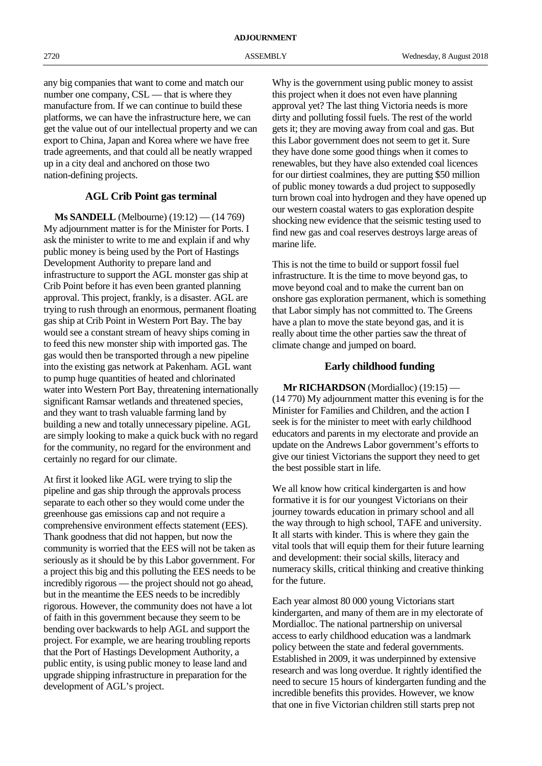any big companies that want to come and match our number one company, CSL — that is where they manufacture from. If we can continue to build these platforms, we can have the infrastructure here, we can get the value out of our intellectual property and we can export to China, Japan and Korea where we have free trade agreements, and that could all be neatly wrapped up in a city deal and anchored on those two nation-defining projects.

# **AGL Crib Point gas terminal**

**Ms SANDELL** (Melbourne) (19:12) — (14 769) My adjournment matter is for the Minister for Ports. I ask the minister to write to me and explain if and why public money is being used by the Port of Hastings Development Authority to prepare land and infrastructure to support the AGL monster gas ship at Crib Point before it has even been granted planning approval. This project, frankly, is a disaster. AGL are trying to rush through an enormous, permanent floating gas ship at Crib Point in Western Port Bay. The bay would see a constant stream of heavy ships coming in to feed this new monster ship with imported gas. The gas would then be transported through a new pipeline into the existing gas network at Pakenham. AGL want to pump huge quantities of heated and chlorinated water into Western Port Bay, threatening internationally significant Ramsar wetlands and threatened species, and they want to trash valuable farming land by building a new and totally unnecessary pipeline. AGL are simply looking to make a quick buck with no regard for the community, no regard for the environment and certainly no regard for our climate.

At first it looked like AGL were trying to slip the pipeline and gas ship through the approvals process separate to each other so they would come under the greenhouse gas emissions cap and not require a comprehensive environment effects statement (EES). Thank goodness that did not happen, but now the community is worried that the EES will not be taken as seriously as it should be by this Labor government. For a project this big and this polluting the EES needs to be incredibly rigorous — the project should not go ahead, but in the meantime the EES needs to be incredibly rigorous. However, the community does not have a lot of faith in this government because they seem to be bending over backwards to help AGL and support the project. For example, we are hearing troubling reports that the Port of Hastings Development Authority, a public entity, is using public money to lease land and upgrade shipping infrastructure in preparation for the development of AGL's project.

Why is the government using public money to assist this project when it does not even have planning approval yet? The last thing Victoria needs is more dirty and polluting fossil fuels. The rest of the world gets it; they are moving away from coal and gas. But this Labor government does not seem to get it. Sure they have done some good things when it comes to renewables, but they have also extended coal licences for our dirtiest coalmines, they are putting \$50 million of public money towards a dud project to supposedly turn brown coal into hydrogen and they have opened up our western coastal waters to gas exploration despite shocking new evidence that the seismic testing used to find new gas and coal reserves destroys large areas of marine life.

This is not the time to build or support fossil fuel infrastructure. It is the time to move beyond gas, to move beyond coal and to make the current ban on onshore gas exploration permanent, which is something that Labor simply has not committed to. The Greens have a plan to move the state beyond gas, and it is really about time the other parties saw the threat of climate change and jumped on board.

# **Early childhood funding**

**Mr RICHARDSON** (Mordialloc) (19:15) — (14 770) My adjournment matter this evening is for the Minister for Families and Children, and the action I seek is for the minister to meet with early childhood educators and parents in my electorate and provide an update on the Andrews Labor government's efforts to give our tiniest Victorians the support they need to get the best possible start in life.

We all know how critical kindergarten is and how formative it is for our youngest Victorians on their journey towards education in primary school and all the way through to high school, TAFE and university. It all starts with kinder. This is where they gain the vital tools that will equip them for their future learning and development: their social skills, literacy and numeracy skills, critical thinking and creative thinking for the future.

Each year almost 80 000 young Victorians start kindergarten, and many of them are in my electorate of Mordialloc. The national partnership on universal access to early childhood education was a landmark policy between the state and federal governments. Established in 2009, it was underpinned by extensive research and was long overdue. It rightly identified the need to secure 15 hours of kindergarten funding and the incredible benefits this provides. However, we know that one in five Victorian children still starts prep not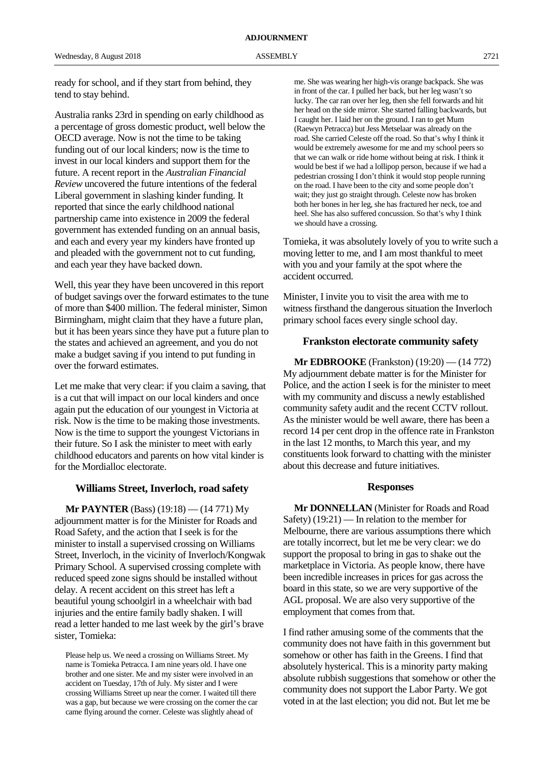ready for school, and if they start from behind, they tend to stay behind.

Australia ranks 23rd in spending on early childhood as a percentage of gross domestic product, well below the OECD average. Now is not the time to be taking funding out of our local kinders; now is the time to invest in our local kinders and support them for the future. A recent report in the *Australian Financial Review* uncovered the future intentions of the federal Liberal government in slashing kinder funding. It reported that since the early childhood national partnership came into existence in 2009 the federal government has extended funding on an annual basis, and each and every year my kinders have fronted up and pleaded with the government not to cut funding, and each year they have backed down.

Well, this year they have been uncovered in this report of budget savings over the forward estimates to the tune of more than \$400 million. The federal minister, Simon Birmingham, might claim that they have a future plan, but it has been years since they have put a future plan to the states and achieved an agreement, and you do not make a budget saving if you intend to put funding in over the forward estimates.

Let me make that very clear: if you claim a saving, that is a cut that will impact on our local kinders and once again put the education of our youngest in Victoria at risk. Now is the time to be making those investments. Now is the time to support the youngest Victorians in their future. So I ask the minister to meet with early childhood educators and parents on how vital kinder is for the Mordialloc electorate.

## **Williams Street, Inverloch, road safety**

**Mr PAYNTER** (Bass) (19:18) — (14 771) My adjournment matter is for the Minister for Roads and Road Safety, and the action that I seek is for the minister to install a supervised crossing on Williams Street, Inverloch, in the vicinity of Inverloch/Kongwak Primary School. A supervised crossing complete with reduced speed zone signs should be installed without delay. A recent accident on this street has left a beautiful young schoolgirl in a wheelchair with bad injuries and the entire family badly shaken. I will read a letter handed to me last week by the girl's brave sister, Tomieka:

Please help us. We need a crossing on Williams Street. My name is Tomieka Petracca. I am nine years old. I have one brother and one sister. Me and my sister were involved in an accident on Tuesday, 17th of July. My sister and I were crossing Williams Street up near the corner. I waited till there was a gap, but because we were crossing on the corner the car came flying around the corner. Celeste was slightly ahead of

me. She was wearing her high-vis orange backpack. She was in front of the car. I pulled her back, but her leg wasn't so lucky. The car ran over her leg, then she fell forwards and hit her head on the side mirror. She started falling backwards, but I caught her. I laid her on the ground. I ran to get Mum (Raewyn Petracca) but Jess Metselaar was already on the road. She carried Celeste off the road. So that's why I think it would be extremely awesome for me and my school peers so that we can walk or ride home without being at risk. I think it would be best if we had a lollipop person, because if we had a pedestrian crossing I don't think it would stop people running on the road. I have been to the city and some people don't wait; they just go straight through. Celeste now has broken both her bones in her leg, she has fractured her neck, toe and heel. She has also suffered concussion. So that's why I think we should have a crossing.

Tomieka, it was absolutely lovely of you to write such a moving letter to me, and I am most thankful to meet with you and your family at the spot where the accident occurred.

Minister, I invite you to visit the area with me to witness firsthand the dangerous situation the Inverloch primary school faces every single school day.

### **Frankston electorate community safety**

**Mr EDBROOKE** (Frankston) (19:20) — (14 772) My adjournment debate matter is for the Minister for Police, and the action I seek is for the minister to meet with my community and discuss a newly established community safety audit and the recent CCTV rollout. As the minister would be well aware, there has been a record 14 per cent drop in the offence rate in Frankston in the last 12 months, to March this year, and my constituents look forward to chatting with the minister about this decrease and future initiatives.

#### **Responses**

**Mr DONNELLAN** (Minister for Roads and Road Safety) (19:21) — In relation to the member for Melbourne, there are various assumptions there which are totally incorrect, but let me be very clear: we do support the proposal to bring in gas to shake out the marketplace in Victoria. As people know, there have been incredible increases in prices for gas across the board in this state, so we are very supportive of the AGL proposal. We are also very supportive of the employment that comes from that.

I find rather amusing some of the comments that the community does not have faith in this government but somehow or other has faith in the Greens. I find that absolutely hysterical. This is a minority party making absolute rubbish suggestions that somehow or other the community does not support the Labor Party. We got voted in at the last election; you did not. But let me be